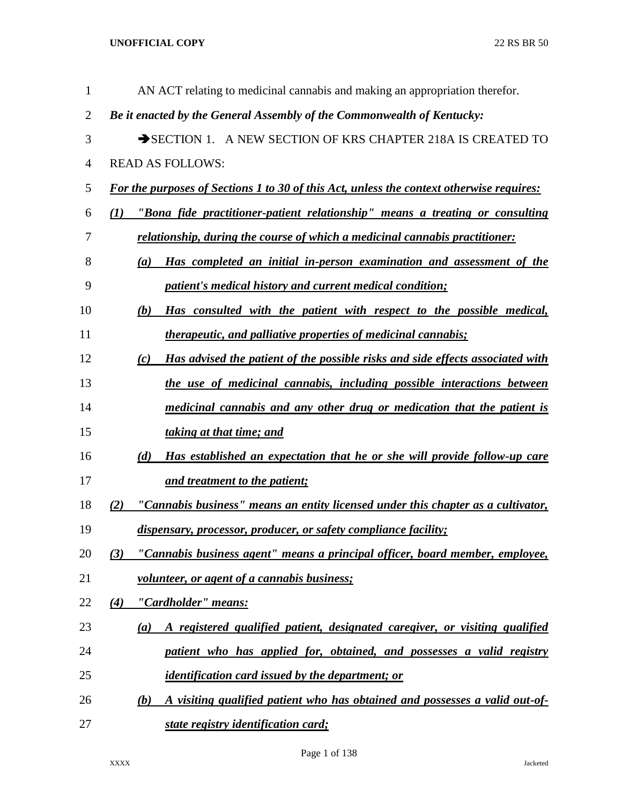| $\mathbf{1}$   | AN ACT relating to medicinal cannabis and making an appropriation therefor.                     |
|----------------|-------------------------------------------------------------------------------------------------|
| $\overline{2}$ | Be it enacted by the General Assembly of the Commonwealth of Kentucky:                          |
| 3              | SECTION 1. A NEW SECTION OF KRS CHAPTER 218A IS CREATED TO                                      |
| $\overline{4}$ | <b>READ AS FOLLOWS:</b>                                                                         |
| 5              | <b>For the purposes of Sections 1 to 30 of this Act, unless the context otherwise requires:</b> |
| 6              | "Bona fide practitioner-patient relationship" means a treating or consulting<br>(I)             |
| 7              | relationship, during the course of which a medicinal cannabis practitioner:                     |
| 8              | Has completed an initial in-person examination and assessment of the<br>(a)                     |
| 9              | patient's medical history and current medical condition;                                        |
| 10             | Has consulted with the patient with respect to the possible medical,<br>(b)                     |
| 11             | <i>therapeutic, and palliative properties of medicinal cannabis;</i>                            |
| 12             | Has advised the patient of the possible risks and side effects associated with<br>(c)           |
| 13             | the use of medicinal cannabis, including possible interactions between                          |
| 14             | medicinal cannabis and any other drug or medication that the patient is                         |
| 15             | taking at that time; and                                                                        |
| 16             | Has established an expectation that he or she will provide follow-up care<br>(d)                |
| 17             | and treatment to the patient;                                                                   |
| 18             | "Cannabis business" means an entity licensed under this chapter as a cultivator,<br>(2)         |
| 19             | dispensary, processor, producer, or safety compliance facility;                                 |
| 20             | "Cannabis business agent" means a principal officer, board member, employee,<br>(3)             |
| 21             | volunteer, or agent of a cannabis business;                                                     |
| 22             | "Cardholder" means:<br>(4)                                                                      |
| 23             | A registered qualified patient, designated caregiver, or visiting qualified<br>(a)              |
| 24             | patient who has applied for, obtained, and possesses a valid registry                           |
| 25             | <i>identification card issued by the department; or</i>                                         |
| 26             | A visiting qualified patient who has obtained and possesses a valid out-of-<br>(b)              |
| 27             | state registry identification card;                                                             |

Page 1 of 138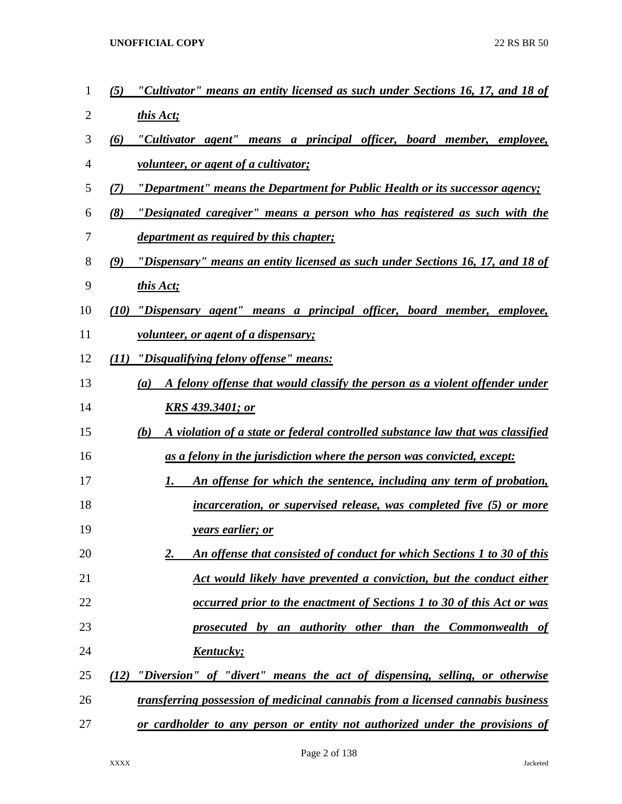- *(5) "Cultivator" means an entity licensed as such under Sections 16, 17, and 18 of this Act;*
- *(6) "Cultivator agent" means a principal officer, board member, employee, volunteer, or agent of a cultivator;*
- *(7) "Department" means the Department for Public Health or its successor agency;*
- *(8) "Designated caregiver" means a person who has registered as such with the department as required by this chapter;*
- *(9) "Dispensary" means an entity licensed as such under Sections 16, 17, and 18 of*
- *this Act;*
- *(10) "Dispensary agent" means a principal officer, board member, employee,*
- *volunteer, or agent of a dispensary;*
- *(11) "Disqualifying felony offense" means:*
- *(a) A felony offense that would classify the person as a violent offender under KRS 439.3401; or*
- *(b) A violation of a state or federal controlled substance law that was classified as a felony in the jurisdiction where the person was convicted, except:*
- *1. An offense for which the sentence, including any term of probation,*
- *incarceration, or supervised release, was completed five (5) or more years earlier; or*
- *2. An offense that consisted of conduct for which Sections 1 to 30 of this Act would likely have prevented a conviction, but the conduct either*
- *occurred prior to the enactment of Sections 1 to 30 of this Act or was*
- *prosecuted by an authority other than the Commonwealth of Kentucky;*
- *(12) "Diversion" of "divert" means the act of dispensing, selling, or otherwise transferring possession of medicinal cannabis from a licensed cannabis business*
- *or cardholder to any person or entity not authorized under the provisions of*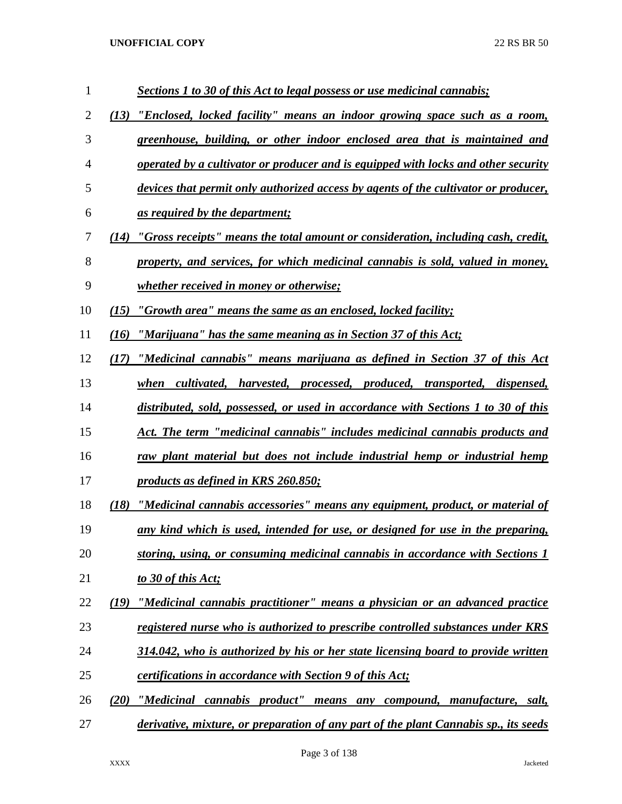| $\mathbf{1}$   | Sections 1 to 30 of this Act to legal possess or use medicinal cannabis;                  |
|----------------|-------------------------------------------------------------------------------------------|
| $\overline{2}$ | "Enclosed, locked facility" means an indoor growing space such as a room,<br>(13)         |
| 3              | greenhouse, building, or other indoor enclosed area that is maintained and                |
| 4              | operated by a cultivator or producer and is equipped with locks and other security        |
| 5              | devices that permit only authorized access by agents of the cultivator or producer,       |
| 6              | <u>as required by the department;</u>                                                     |
| 7              | "Gross receipts" means the total amount or consideration, including cash, credit,<br>(14) |
| 8              | property, and services, for which medicinal cannabis is sold, valued in money,            |
| 9              | <u>whether received in money or otherwise;</u>                                            |
| 10             | "Growth area" means the same as an enclosed, locked facility;<br>(15)                     |
| 11             | "Marijuana" has the same meaning as in Section 37 of this Act;<br>(16)                    |
| 12             | "Medicinal cannabis" means marijuana as defined in Section 37 of this Act<br>(17)         |
| 13             | when cultivated, harvested, processed, produced, transported, dispensed,                  |
| 14             | distributed, sold, possessed, or used in accordance with Sections 1 to 30 of this         |
| 15             | Act. The term "medicinal cannabis" includes medicinal cannabis products and               |
| 16             | raw plant material but does not include industrial hemp or industrial hemp                |
| 17             | products as defined in KRS 260.850;                                                       |
| 18             | "Medicinal cannabis accessories" means any equipment, product, or material of<br>(18)     |
| 19             | any kind which is used, intended for use, or designed for use in the preparing,           |
| 20             | storing, using, or consuming medicinal cannabis in accordance with Sections 1             |
| 21             | to 30 of this Act;                                                                        |
| 22             | "Medicinal cannabis practitioner" means a physician or an advanced practice<br>(19)       |
| 23             | registered nurse who is authorized to prescribe controlled substances under KRS           |
| 24             | 314.042, who is authorized by his or her state licensing board to provide written         |
| 25             | <i>certifications in accordance with Section 9 of this Act;</i>                           |
| 26             | "Medicinal cannabis product" means any compound, manufacture, salt,<br>(20)               |
| 27             | derivative, mixture, or preparation of any part of the plant Cannabis sp., its seeds      |

Page 3 of 138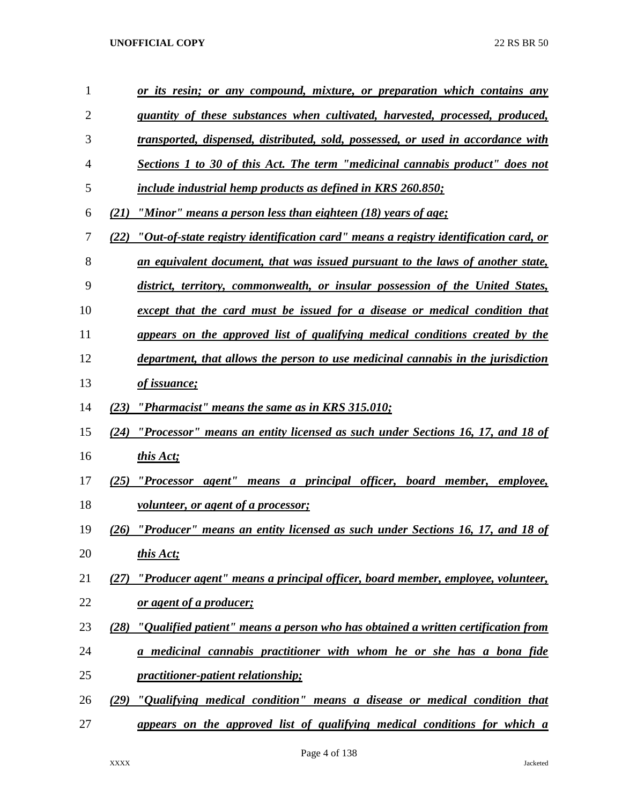| 1              | or its resin; or any compound, mixture, or preparation which contains any                           |
|----------------|-----------------------------------------------------------------------------------------------------|
| $\overline{2}$ | quantity of these substances when cultivated, harvested, processed, produced,                       |
| 3              | transported, dispensed, distributed, sold, possessed, or used in accordance with                    |
| 4              | <b>Sections 1 to 30 of this Act. The term "medicinal cannabis product" does not</b>                 |
| 5              | include industrial hemp products as defined in KRS 260.850;                                         |
| 6              | "Minor" means a person less than eighteen (18) years of age;<br>(21)                                |
| 7              | <u>"Out-of-state registry identification card" means a registry identification card, or</u><br>(22) |
| 8              | an equivalent document, that was issued pursuant to the laws of another state,                      |
| 9              | district, territory, commonwealth, or insular possession of the United States,                      |
| 10             | except that the card must be issued for a disease or medical condition that                         |
| 11             | appears on the approved list of qualifying medical conditions created by the                        |
| 12             | department, that allows the person to use medicinal cannabis in the jurisdiction                    |
| 13             | of issuance;                                                                                        |
| 14             | "Pharmacist" means the same as in KRS 315.010;<br>(23)                                              |
| 15             | "Processor" means an entity licensed as such under Sections 16, 17, and 18 of<br>(24)               |
| 16             | this Act;                                                                                           |
| 17             | "Processor agent" means a principal officer, board member, employee,<br>(25)                        |
| 18             | <u>volunteer, or agent of a processor;</u>                                                          |
| 19             | "Producer" means an entity licensed as such under Sections 16, 17, and 18 of<br>(26)                |
| 20             | this Act;                                                                                           |
| 21             | "Producer agent" means a principal officer, board member, employee, volunteer,<br>(27)              |
| 22             | or agent of a producer;                                                                             |
| 23             | (28) "Qualified patient" means a person who has obtained a written certification from               |
| 24             | a medicinal cannabis practitioner with whom he or she has a bona fide                               |
| 25             | <i>practitioner-patient relationship;</i>                                                           |
| 26             | (29) "Qualifying medical condition" means a disease or medical condition that                       |
| 27             | appears on the approved list of qualifying medical conditions for which a                           |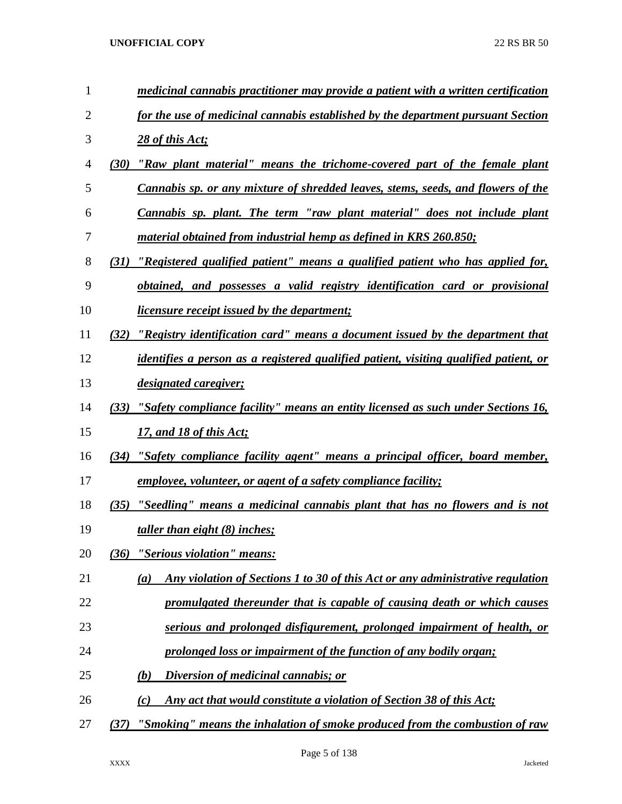| $\mathbf{1}$ | medicinal cannabis practitioner may provide a patient with a written certification       |
|--------------|------------------------------------------------------------------------------------------|
| 2            | for the use of medicinal cannabis established by the department pursuant Section         |
| 3            | 28 of this Act;                                                                          |
| 4            | "Raw plant material" means the trichome-covered part of the female plant<br>(30)         |
| 5            | Cannabis sp. or any mixture of shredded leaves, stems, seeds, and flowers of the         |
| 6            | Cannabis sp. plant. The term "raw plant material" does not include plant                 |
| 7            | material obtained from industrial hemp as defined in KRS 260.850;                        |
| 8            | "Registered qualified patient" means a qualified patient who has applied for,<br>(31)    |
| 9            | obtained, and possesses a valid registry identification card or provisional              |
| 10           | <i>licensure receipt issued by the department;</i>                                       |
| 11           | "Registry identification card" means a document issued by the department that<br>(32)    |
| 12           | identifies a person as a registered qualified patient, visiting qualified patient, or    |
| 13           | <i>designated caregiver;</i>                                                             |
| 14           | "Safety compliance facility" means an entity licensed as such under Sections 16,<br>(33) |
| 15           | 17, and 18 of this Act;                                                                  |
| 16           | (34) "Safety compliance facility agent" means a principal officer, board member,         |
| 17           | <u>employee, volunteer, or agent of a safety compliance facility;</u>                    |
| 18           | "Seedling" means a medicinal cannabis plant that has no flowers and is not<br>(35)       |
| 19           | taller than eight $(8)$ inches;                                                          |
| 20           | "Serious violation" means:<br>(36)                                                       |
| 21           | Any violation of Sections 1 to 30 of this Act or any administrative regulation<br>(a)    |
| 22           | promulgated thereunder that is capable of causing death or which causes                  |
| 23           | serious and prolonged disfigurement, prolonged impairment of health, or                  |
| 24           | prolonged loss or impairment of the function of any bodily organ;                        |
| 25           | Diversion of medicinal cannabis; or<br>(b)                                               |
| 26           | Any act that would constitute a violation of Section 38 of this Act;<br>(c)              |
| 27           | "Smoking" means the inhalation of smoke produced from the combustion of raw<br>(37)      |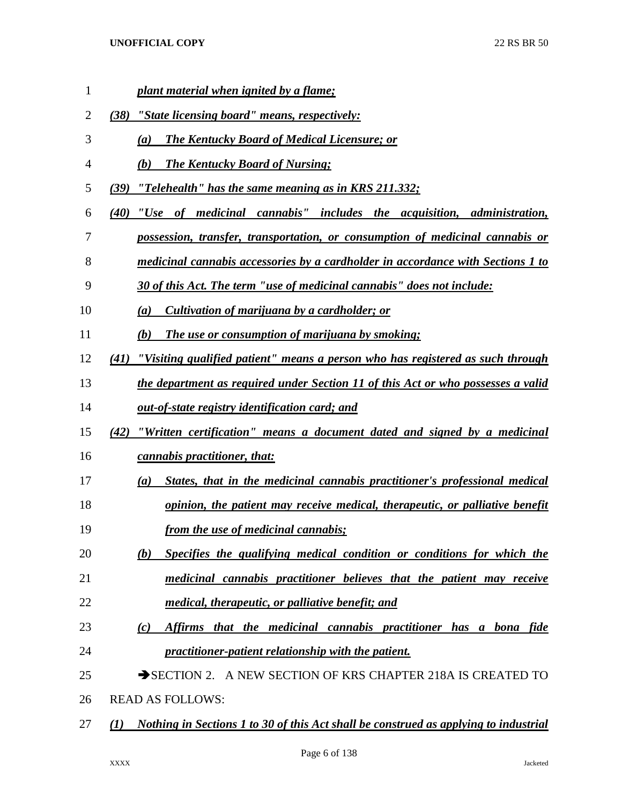| $\mathbf{1}$ | plant material when ignited by a flame;                                                              |
|--------------|------------------------------------------------------------------------------------------------------|
| 2            | "State licensing board" means, respectively:<br>(38)                                                 |
| 3            | <b>The Kentucky Board of Medical Licensure; or</b><br>$\left(a\right)$                               |
| 4            | <b>The Kentucky Board of Nursing:</b><br>(b)                                                         |
| 5            | <u>"Telehealth" has the same meaning as in KRS 211.332;</u><br>(39)                                  |
| 6            | (40) "Use of medicinal cannabis" includes the acquisition, administration,                           |
| 7            | possession, transfer, transportation, or consumption of medicinal cannabis or                        |
| 8            | <u>medicinal cannabis accessories by a cardholder in accordance with Sections 1 to</u>               |
| 9            | 30 of this Act. The term "use of medicinal cannabis" does not include:                               |
| 10           | Cultivation of marijuana by a cardholder; or<br>$\left(a\right)$                                     |
| 11           | The use or consumption of marijuana by smoking;<br>(b)                                               |
| 12           | "Visiting qualified patient" means a person who has registered as such through<br>(41)               |
| 13           | <u>the department as required under Section 11 of this Act or who possesses a valid</u>              |
| 14           | out-of-state registry identification card; and                                                       |
| 15           | "Written certification" means a document dated and signed by a medicinal<br>(42)                     |
| 16           | <i>cannabis practitioner, that:</i>                                                                  |
| 17           | States, that in the medicinal cannabis practitioner's professional medical<br>(a)                    |
| 18           | opinion, the patient may receive medical, therapeutic, or palliative benefit                         |
| 19           | from the use of medicinal cannabis;                                                                  |
| 20           | Specifies the qualifying medical condition or conditions for which the<br>(b)                        |
| 21           | medicinal cannabis practitioner believes that the patient may receive                                |
| 22           | <i>medical, therapeutic, or palliative benefit; and</i>                                              |
| 23           | Affirms that the medicinal cannabis practitioner has a bona fide<br>(c)                              |
| 24           | practitioner-patient relationship with the patient.                                                  |
| 25           | SECTION 2. A NEW SECTION OF KRS CHAPTER 218A IS CREATED TO                                           |
| 26           | <b>READ AS FOLLOWS:</b>                                                                              |
| 27           | Nothing in Sections 1 to 30 of this Act shall be construed as applying to industrial<br>$\mathbf{U}$ |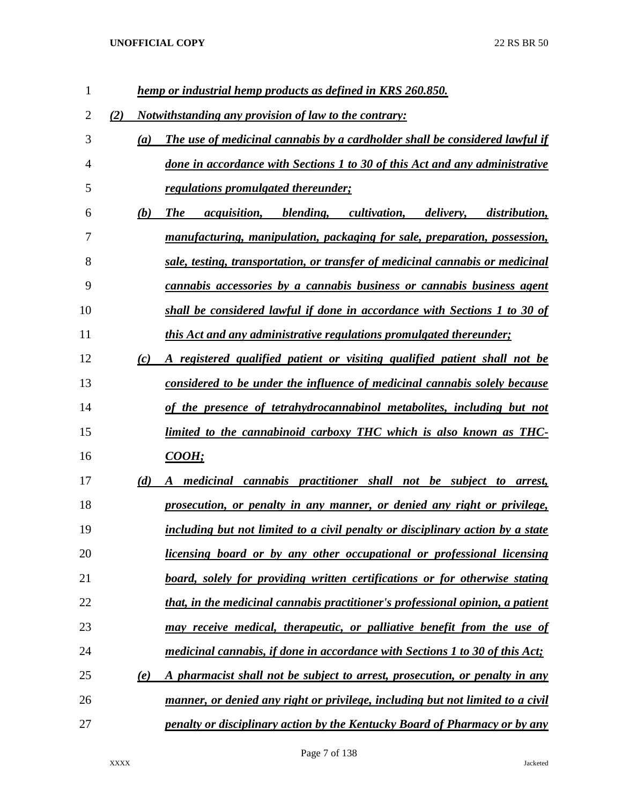| 1  |     |     | hemp or industrial hemp products as defined in KRS 260.850.                                                       |
|----|-----|-----|-------------------------------------------------------------------------------------------------------------------|
| 2  | (2) |     | <i>Notwithstanding any provision of law to the contrary:</i>                                                      |
| 3  |     | (a) | The use of medicinal cannabis by a cardholder shall be considered lawful if                                       |
| 4  |     |     | done in accordance with Sections 1 to 30 of this Act and any administrative                                       |
| 5  |     |     | <i>regulations promulgated thereunder;</i>                                                                        |
| 6  |     | (b) | <b>The</b><br><i>acquisition</i> , <i>blending</i> , <i>cultivation</i> , <i>delivery</i> , <i>distribution</i> , |
| 7  |     |     | manufacturing, manipulation, packaging for sale, preparation, possession,                                         |
| 8  |     |     | sale, testing, transportation, or transfer of medicinal cannabis or medicinal                                     |
| 9  |     |     | <u>cannabis accessories by a cannabis business or cannabis business agent</u>                                     |
| 10 |     |     | shall be considered lawful if done in accordance with Sections 1 to 30 of                                         |
| 11 |     |     | this Act and any administrative regulations promulgated thereunder;                                               |
| 12 |     | (c) | A registered qualified patient or visiting qualified patient shall not be                                         |
| 13 |     |     | considered to be under the influence of medicinal cannabis solely because                                         |
| 14 |     |     | of the presence of tetrahydrocannabinol metabolites, including but not                                            |
| 15 |     |     | limited to the cannabinoid carboxy THC which is also known as THC-                                                |
| 16 |     |     | <b>COOH</b> ;                                                                                                     |
| 17 |     | (d) | medicinal cannabis practitioner shall not be subject to arrest,                                                   |
| 18 |     |     | <u>prosecution, or penalty in any manner, or denied any right or privilege,</u>                                   |
| 19 |     |     | including but not limited to a civil penalty or disciplinary action by a state                                    |
| 20 |     |     | licensing board or by any other occupational or professional licensing                                            |
| 21 |     |     | board, solely for providing written certifications or for otherwise stating                                       |
| 22 |     |     | that, in the medicinal cannabis practitioner's professional opinion, a patient                                    |
| 23 |     |     | may receive medical, therapeutic, or palliative benefit from the use of                                           |
| 24 |     |     | medicinal cannabis, if done in accordance with Sections 1 to 30 of this Act;                                      |
| 25 |     | (e) | A pharmacist shall not be subject to arrest, prosecution, or penalty in any                                       |
| 26 |     |     | manner, or denied any right or privilege, including but not limited to a civil                                    |
| 27 |     |     | penalty or disciplinary action by the Kentucky Board of Pharmacy or by any                                        |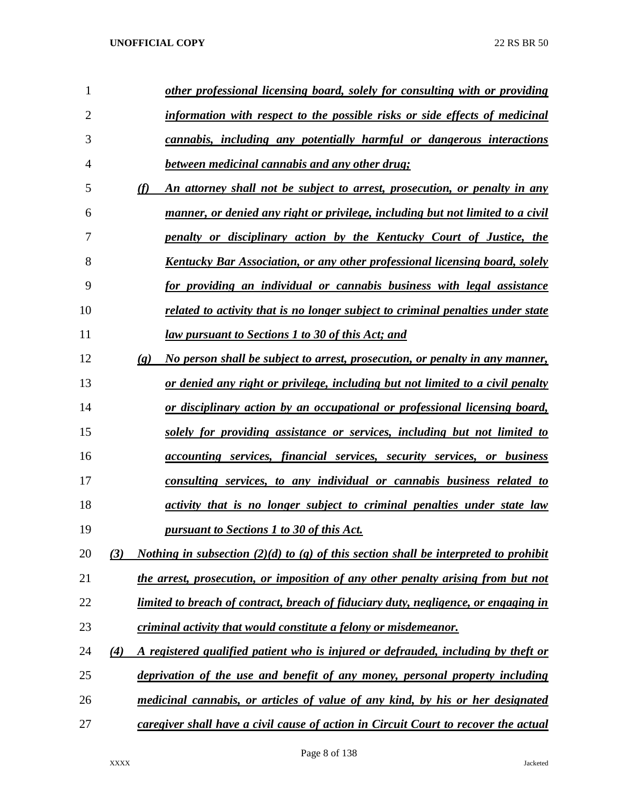| 1              |                             | other professional licensing board, solely for consulting with or providing                 |
|----------------|-----------------------------|---------------------------------------------------------------------------------------------|
| $\overline{2}$ |                             | information with respect to the possible risks or side effects of medicinal                 |
| 3              |                             | cannabis, including any potentially harmful or dangerous interactions                       |
| 4              |                             | between medicinal cannabis and any other drug;                                              |
| 5              | (f)                         | An attorney shall not be subject to arrest, prosecution, or penalty in any                  |
| 6              |                             | manner, or denied any right or privilege, including but not limited to a civil              |
| 7              |                             | <u>penalty or disciplinary action by the Kentucky Court of Justice, the</u>                 |
| 8              |                             | Kentucky Bar Association, or any other professional licensing board, solely                 |
| 9              |                             | for providing an individual or cannabis business with legal assistance                      |
| 10             |                             | related to activity that is no longer subject to criminal penalties under state             |
| 11             |                             | <u>law pursuant to Sections 1 to 30 of this Act; and</u>                                    |
| 12             | $\left( \mathbf{g} \right)$ | <u>No person shall be subject to arrest, prosecution, or penalty in any manner,</u>         |
| 13             |                             | <u>or denied any right or privilege, including but not limited to a civil penalty</u>       |
| 14             |                             | <u>or disciplinary action by an occupational or professional licensing board,</u>           |
| 15             |                             | solely for providing assistance or services, including but not limited to                   |
| 16             |                             | <u>accounting services, financial services, security services, or business</u>              |
| 17             |                             | consulting services, to any individual or cannabis business related to                      |
| 18             |                             | activity that is no longer subject to criminal penalties under state law                    |
| 19             |                             | pursuant to Sections 1 to 30 of this Act.                                                   |
| 20             | (3)                         | <i>Nothing in subsection (2)(d) to (g) of this section shall be interpreted to prohibit</i> |
| 21             |                             | the arrest, prosecution, or imposition of any other penalty arising from but not            |
| 22             |                             | limited to breach of contract, breach of fiduciary duty, negligence, or engaging in         |
| 23             |                             | criminal activity that would constitute a felony or misdemeanor.                            |
| 24             | $\left( 4\right)$           | A registered qualified patient who is injured or defrauded, including by theft or           |
| 25             |                             | deprivation of the use and benefit of any money, personal property including                |
| 26             |                             | medicinal cannabis, or articles of value of any kind, by his or her designated              |
| 27             |                             | caregiver shall have a civil cause of action in Circuit Court to recover the actual         |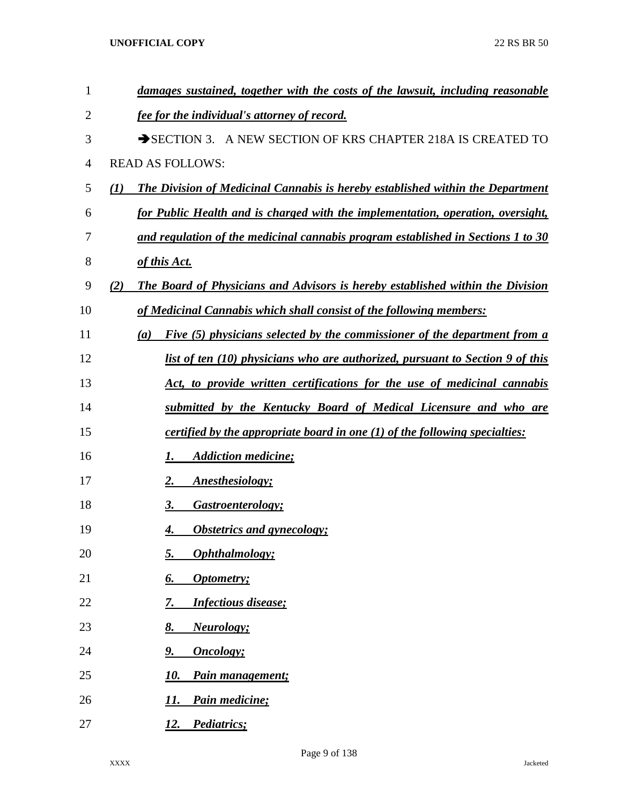| $\mathbf{1}$   | damages sustained, together with the costs of the lawsuit, including reasonable       |
|----------------|---------------------------------------------------------------------------------------|
| 2              | fee for the individual's attorney of record.                                          |
| 3              | SECTION 3. A NEW SECTION OF KRS CHAPTER 218A IS CREATED TO                            |
| $\overline{4}$ | <b>READ AS FOLLOWS:</b>                                                               |
| 5              | The Division of Medicinal Cannabis is hereby established within the Department<br>(1) |
| 6              | for Public Health and is charged with the implementation, operation, oversight,       |
| 7              | and regulation of the medicinal cannabis program established in Sections 1 to 30      |
| 8              | of this Act.                                                                          |
| 9              | The Board of Physicians and Advisors is hereby established within the Division<br>(2) |
| 10             | of Medicinal Cannabis which shall consist of the following members:                   |
| 11             | Five (5) physicians selected by the commissioner of the department from a<br>(a)      |
| 12             | list of ten (10) physicians who are authorized, pursuant to Section 9 of this         |
| 13             | Act, to provide written certifications for the use of medicinal cannabis              |
| 14             | submitted by the Kentucky Board of Medical Licensure and who are                      |
| 15             | certified by the appropriate board in one $(1)$ of the following specialties:         |
| 16             | <b>Addiction medicine;</b><br>1.                                                      |
| 17             | Anesthesiology;<br>2.                                                                 |
| 18             | Gastroenterology;<br>3.                                                               |
| 19             | <b>Obstetrics and gynecology;</b><br>4.                                               |
| 20             | Ophthalmology;<br>5.                                                                  |
| 21             | Optometry;<br><u>6.</u>                                                               |
| 22             | <b>Infectious disease;</b><br>7.                                                      |
| 23             | 8.<br><b>Neurology</b> ;                                                              |
| 24             | <b>Oncology</b> ;<br>9.                                                               |
| 25             | 10.<br>Pain management;                                                               |
| 26             | Pain medicine;<br>11.                                                                 |
| 27             | Pediatrics;<br>12.                                                                    |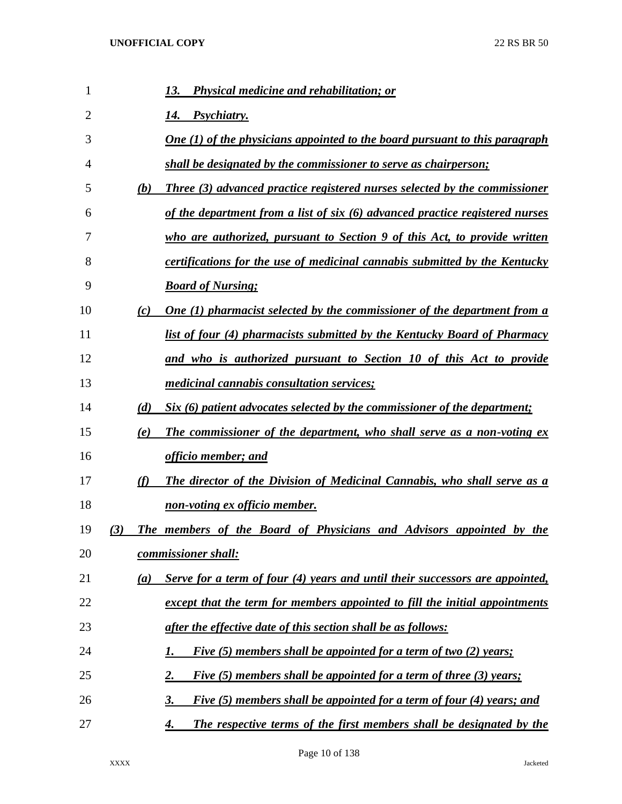| 1  |     | <b>Physical medicine and rehabilitation; or</b><br>13.                             |
|----|-----|------------------------------------------------------------------------------------|
| 2  |     | <i>Psychiatry.</i><br>14.                                                          |
| 3  |     | One $(1)$ of the physicians appointed to the board pursuant to this paragraph      |
| 4  |     | shall be designated by the commissioner to serve as chairperson;                   |
| 5  | (b) | Three (3) advanced practice registered nurses selected by the commissioner         |
| 6  |     | of the department from a list of six (6) advanced practice registered nurses       |
| 7  |     | who are authorized, pursuant to Section 9 of this Act, to provide written          |
| 8  |     | certifications for the use of medicinal cannabis submitted by the Kentucky         |
| 9  |     | <b>Board of Nursing;</b>                                                           |
| 10 | (c) | One (1) pharmacist selected by the commissioner of the department from a           |
| 11 |     | list of four (4) pharmacists submitted by the Kentucky Board of Pharmacy           |
| 12 |     | and who is authorized pursuant to Section 10 of this Act to provide                |
| 13 |     | <i>medicinal cannabis consultation services;</i>                                   |
| 14 | (d) | Six (6) patient advocates selected by the commissioner of the department;          |
| 15 | (e) | <b>The commissioner of the department, who shall serve as a non-voting ex</b>      |
| 16 |     | officio member; and                                                                |
| 17 | (f) | The director of the Division of Medicinal Cannabis, who shall serve as a           |
| 18 |     | <u>non-voting ex officio member.</u>                                               |
| 19 | (3) | The members of the Board of Physicians and Advisors appointed by the               |
| 20 |     | commissioner shall:                                                                |
| 21 | (a) | Serve for a term of four (4) years and until their successors are appointed,       |
| 22 |     | except that the term for members appointed to fill the initial appointments        |
| 23 |     | after the effective date of this section shall be as follows:                      |
| 24 |     | Five (5) members shall be appointed for a term of two (2) years;<br>1.             |
| 25 |     | Five (5) members shall be appointed for a term of three (3) years;<br><u>2.</u>    |
| 26 |     | Five (5) members shall be appointed for a term of four (4) years; and<br><u>3.</u> |
| 27 |     | The respective terms of the first members shall be designated by the<br>4.         |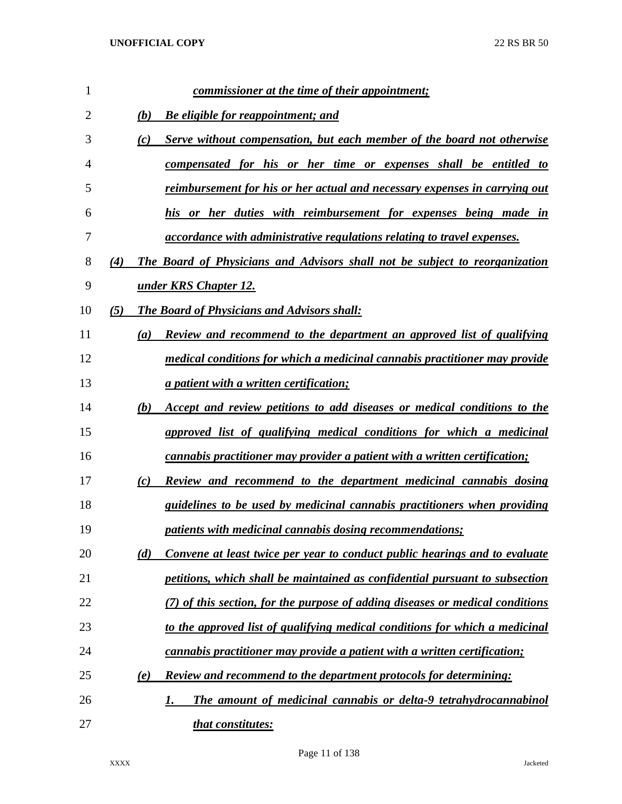| 1              |     | commissioner at the time of their appointment;                                    |
|----------------|-----|-----------------------------------------------------------------------------------|
| $\overline{2}$ |     | (b)<br><b>Be eligible for reappointment; and</b>                                  |
| 3              |     | (c)<br>Serve without compensation, but each member of the board not otherwise     |
| 4              |     | compensated for his or her time or expenses shall be entitled to                  |
| 5              |     | reimbursement for his or her actual and necessary expenses in carrying out        |
| 6              |     | his or her duties with reimbursement for expenses being made in                   |
| 7              |     | <i>accordance with administrative regulations relating to travel expenses.</i>    |
| 8              | (4) | The Board of Physicians and Advisors shall not be subject to reorganization       |
| 9              |     | under KRS Chapter 12.                                                             |
| 10             | (5) | The Board of Physicians and Advisors shall:                                       |
| 11             |     | Review and recommend to the department an approved list of qualifying<br>(a)      |
| 12             |     | medical conditions for which a medicinal cannabis practitioner may provide        |
| 13             |     | <i>a patient with a written certification;</i>                                    |
| 14             |     | Accept and review petitions to add diseases or medical conditions to the<br>(b)   |
| 15             |     | approved list of qualifying medical conditions for which a medicinal              |
| 16             |     | <i>cannabis practitioner may provider a patient with a written certification;</i> |
| 17             |     | Review and recommend to the department medicinal cannabis dosing<br>(c)           |
| 18             |     | guidelines to be used by medicinal cannabis practitioners when providing          |
| 19             |     | <i>patients with medicinal cannabis dosing recommendations;</i>                   |
| 20             |     | Convene at least twice per year to conduct public hearings and to evaluate<br>(d) |
| 21             |     | petitions, which shall be maintained as confidential pursuant to subsection       |
| 22             |     | (7) of this section, for the purpose of adding diseases or medical conditions     |
| 23             |     | to the approved list of qualifying medical conditions for which a medicinal       |
| 24             |     | cannabis practitioner may provide a patient with a written certification;         |
| 25             |     | <b>Review and recommend to the department protocols for determining:</b><br>(e)   |
| 26             |     | The amount of medicinal cannabis or delta-9 tetrahydrocannabinol<br>1.            |
| 27             |     | that constitutes:                                                                 |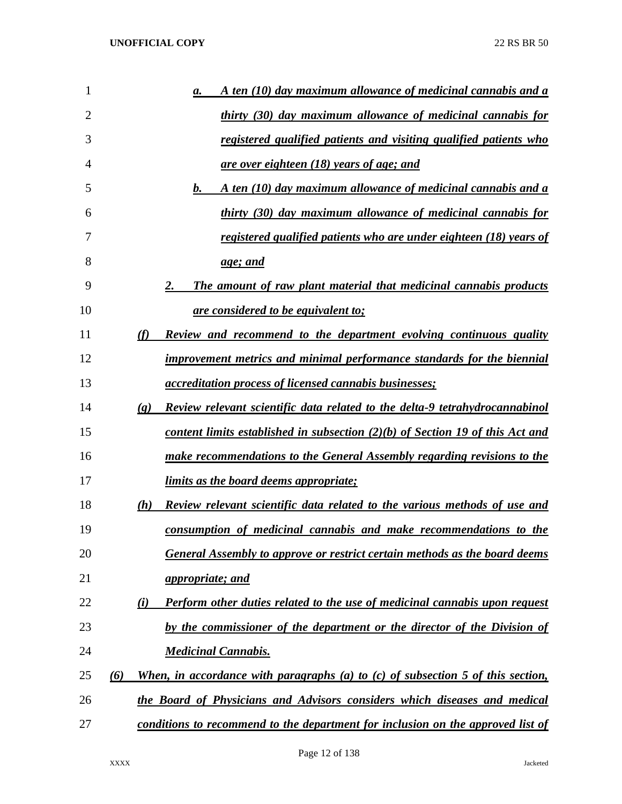| 1  | A ten (10) day maximum allowance of medicinal cannabis and a<br>a.                                         |
|----|------------------------------------------------------------------------------------------------------------|
| 2  | thirty (30) day maximum allowance of medicinal cannabis for                                                |
| 3  | registered qualified patients and visiting qualified patients who                                          |
| 4  | <u>are over eighteen (18) years of age; and</u>                                                            |
| 5  | A ten (10) day maximum allowance of medicinal cannabis and a<br>$\bm{b}$ .                                 |
| 6  | thirty (30) day maximum allowance of medicinal cannabis for                                                |
| 7  | registered qualified patients who are under eighteen (18) years of                                         |
| 8  | <u>age; and</u>                                                                                            |
| 9  | The amount of raw plant material that medicinal cannabis products<br>2.                                    |
| 10 | <u>are considered to be equivalent to;</u>                                                                 |
| 11 | Review and recommend to the department evolving continuous quality<br>(f)                                  |
| 12 | improvement metrics and minimal performance standards for the biennial                                     |
| 13 | <i><u>accreditation process of licensed cannabis businesses;</u></i>                                       |
| 14 | Review relevant scientific data related to the delta-9 tetrahydrocannabinol<br>$\left( \mathbf{g} \right)$ |
| 15 | content limits established in subsection $(2)(b)$ of Section 19 of this Act and                            |
| 16 | make recommendations to the General Assembly regarding revisions to the                                    |
| 17 | <i>limits as the board deems appropriate;</i>                                                              |
| 18 | Review relevant scientific data related to the various methods of use and<br>(h)                           |
| 19 | consumption of medicinal cannabis and make recommendations to the                                          |
| 20 | <b>General Assembly to approve or restrict certain methods as the board deems</b>                          |
| 21 | <i>appropriate; and</i>                                                                                    |
| 22 | Perform other duties related to the use of medicinal cannabis upon request<br>(i)                          |
| 23 | by the commissioner of the department or the director of the Division of                                   |
| 24 | <b>Medicinal Cannabis.</b>                                                                                 |
| 25 | When, in accordance with paragraphs (a) to $(c)$ of subsection 5 of this section,<br>(6)                   |
| 26 | the Board of Physicians and Advisors considers which diseases and medical                                  |
| 27 | conditions to recommend to the department for inclusion on the approved list of                            |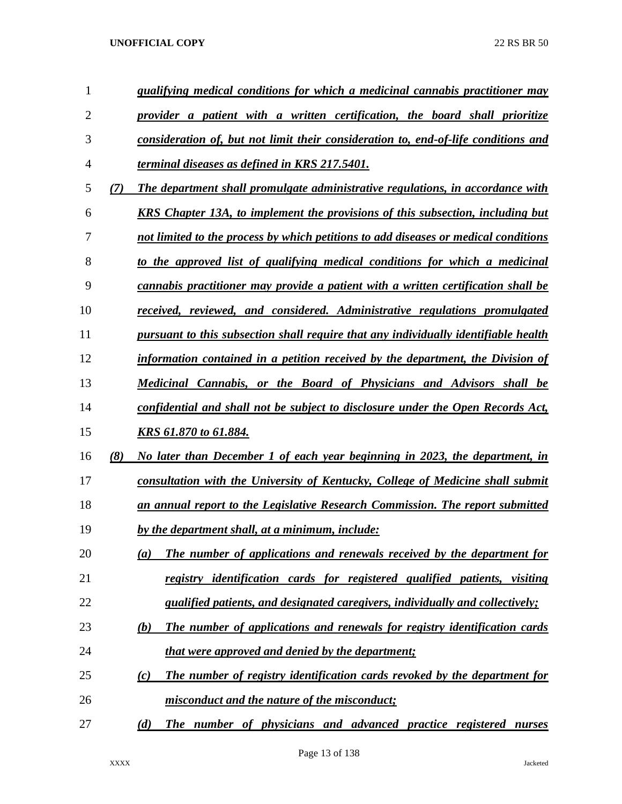| $\mathbf{1}$   |     | qualifying medical conditions for which a medicinal cannabis practitioner may         |
|----------------|-----|---------------------------------------------------------------------------------------|
| $\overline{2}$ |     | provider a patient with a written certification, the board shall prioritize           |
| 3              |     | consideration of, but not limit their consideration to, end-of-life conditions and    |
| 4              |     | terminal diseases as defined in KRS 217.5401.                                         |
| 5              | (7) | The department shall promulgate administrative regulations, in accordance with        |
| 6              |     | <b>KRS</b> Chapter 13A, to implement the provisions of this subsection, including but |
| 7              |     | not limited to the process by which petitions to add diseases or medical conditions   |
| 8              |     | to the approved list of qualifying medical conditions for which a medicinal           |
| 9              |     | cannabis practitioner may provide a patient with a written certification shall be     |
| 10             |     | received, reviewed, and considered. Administrative regulations promulgated            |
| 11             |     | pursuant to this subsection shall require that any individually identifiable health   |
| 12             |     | information contained in a petition received by the department, the Division of       |
| 13             |     | Medicinal Cannabis, or the Board of Physicians and Advisors shall be                  |
| 14             |     | confidential and shall not be subject to disclosure under the Open Records Act,       |
| 15             |     | <u>KRS 61.870 to 61.884.</u>                                                          |
| 16             | (8) | No later than December 1 of each year beginning in 2023, the department, in           |
| 17             |     | consultation with the University of Kentucky, College of Medicine shall submit        |
| 18             |     | an annual report to the Legislative Research Commission. The report submitted         |
| 19             |     | by the department shall, at a minimum, include:                                       |
| 20             |     | The number of applications and renewals received by the department for<br>(a)         |
| 21             |     | registry identification cards for registered qualified patients, visiting             |
| 22             |     | qualified patients, and designated caregivers, individually and collectively;         |
| 23             |     | The number of applications and renewals for registry identification cards<br>(b)      |
| 24             |     | <i>that were approved and denied by the department;</i>                               |
| 25             |     | The number of registry identification cards revoked by the department for<br>(c)      |
| 26             |     | misconduct and the nature of the misconduct;                                          |
| 27             |     | The number of physicians and advanced practice registered nurses<br>(d)               |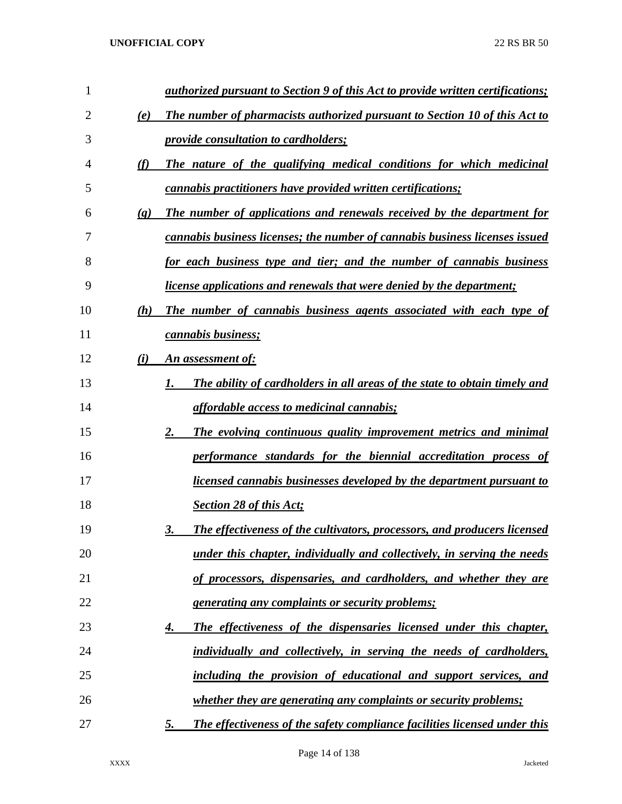| 1  | authorized pursuant to Section 9 of this Act to provide written certifications;                       |
|----|-------------------------------------------------------------------------------------------------------|
| 2  | The number of pharmacists authorized pursuant to Section 10 of this Act to<br>(e)                     |
| 3  | <i><u><b>provide consultation to cardholders;</b></u></i>                                             |
| 4  | The nature of the qualifying medical conditions for which medicinal<br>(f)                            |
| 5  | cannabis practitioners have provided written certifications;                                          |
| 6  | The number of applications and renewals received by the department for<br>$\left( \mathbf{g} \right)$ |
| 7  | cannabis business licenses; the number of cannabis business licenses issued                           |
| 8  | for each business type and tier; and the number of cannabis business                                  |
| 9  | <i>license applications and renewals that were denied by the department;</i>                          |
| 10 | The number of cannabis business agents associated with each type of<br>(h)                            |
| 11 | cannabis business;                                                                                    |
| 12 | An assessment of:<br>(i)                                                                              |
| 13 | The ability of cardholders in all areas of the state to obtain timely and                             |
| 14 | <i>affordable access to medicinal cannabis;</i>                                                       |
| 15 | 2.<br>The evolving continuous quality improvement metrics and minimal                                 |
| 16 | performance standards for the biennial accreditation process of                                       |
| 17 | <u>licensed cannabis businesses developed by the department pursuant to</u>                           |
| 18 | <b>Section 28 of this Act;</b>                                                                        |
| 19 | The effectiveness of the cultivators, processors, and producers licensed<br>3.                        |
| 20 | under this chapter, individually and collectively, in serving the needs                               |
| 21 | of processors, dispensaries, and cardholders, and whether they are                                    |
| 22 | <u>generating any complaints or security problems;</u>                                                |
| 23 | The effectiveness of the dispensaries licensed under this chapter,<br>4.                              |
| 24 | individually and collectively, in serving the needs of cardholders,                                   |
| 25 | including the provision of educational and support services, and                                      |
| 26 | <i>whether they are generating any complaints or security problems;</i>                               |
| 27 | The effectiveness of the safety compliance facilities licensed under this<br><u>5.</u>                |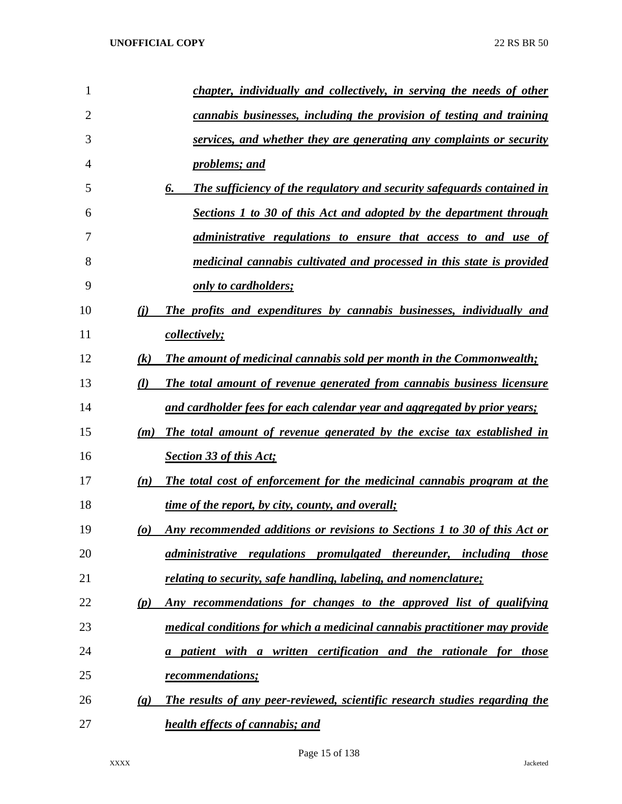| 1              | chapter, individually and collectively, in serving the needs of other                              |
|----------------|----------------------------------------------------------------------------------------------------|
| $\overline{2}$ | cannabis businesses, including the provision of testing and training                               |
| 3              | services, and whether they are generating any complaints or security                               |
| 4              | problems; and                                                                                      |
| 5              | The sufficiency of the regulatory and security safeguards contained in<br>6.                       |
| 6              | <b>Sections 1 to 30 of this Act and adopted by the department through</b>                          |
| 7              | administrative regulations to ensure that access to and use of                                     |
| 8              | medicinal cannabis cultivated and processed in this state is provided                              |
| 9              | only to cardholders;                                                                               |
| 10             | The profits and expenditures by cannabis businesses, individually and<br>(i)                       |
| 11             | <i>collectively;</i>                                                                               |
| 12             | <b>The amount of medicinal cannabis sold per month in the Commonwealth;</b><br>$\left( k\right)$   |
| 13             | The total amount of revenue generated from cannabis business licensure<br>(l)                      |
| 14             | and cardholder fees for each calendar year and aggregated by prior years;                          |
| 15             | The total amount of revenue generated by the excise tax established in<br>(m)                      |
| 16             | <b>Section 33 of this Act;</b>                                                                     |
| 17             | The total cost of enforcement for the medicinal cannabis program at the<br>(n)                     |
| 18             | time of the report, by city, county, and overall;                                                  |
| 19             | Any recommended additions or revisions to Sections 1 to 30 of this Act or<br>$\boldsymbol{\omega}$ |
| 20             | administrative regulations promulgated thereunder, including those                                 |
| 21             | relating to security, safe handling, labeling, and nomenclature;                                   |
| 22             | Any recommendations for changes to the approved list of qualifying<br>(p)                          |
| 23             | medical conditions for which a medicinal cannabis practitioner may provide                         |
| 24             | a patient with a written certification and the rationale for those                                 |
| 25             | recommendations;                                                                                   |
| 26             | The results of any peer-reviewed, scientific research studies regarding the<br>(q)                 |
| 27             | <b>health effects of cannabis; and</b>                                                             |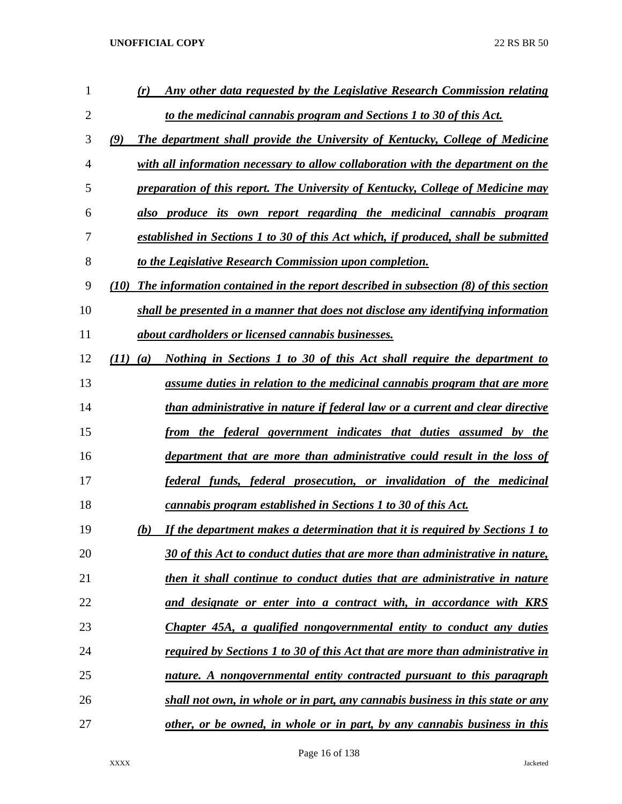| 1              | Any other data requested by the Legislative Research Commission relating<br>(r)               |
|----------------|-----------------------------------------------------------------------------------------------|
| $\overline{2}$ | to the medicinal cannabis program and Sections 1 to 30 of this Act.                           |
| 3              | The department shall provide the University of Kentucky, College of Medicine<br>(9)           |
| 4              | with all information necessary to allow collaboration with the department on the              |
| 5              | preparation of this report. The University of Kentucky, College of Medicine may               |
| 6              | also produce its own report regarding the medicinal cannabis program                          |
| 7              | established in Sections 1 to 30 of this Act which, if produced, shall be submitted            |
| 8              | to the Legislative Research Commission upon completion.                                       |
| 9              | The information contained in the report described in subsection $(8)$ of this section<br>(10) |
| 10             | shall be presented in a manner that does not disclose any identifying information             |
| 11             | about cardholders or licensed cannabis businesses.                                            |
| 12             | (11)<br>Nothing in Sections 1 to 30 of this Act shall require the department to<br>(a)        |
| 13             | assume duties in relation to the medicinal cannabis program that are more                     |
| 14             | than administrative in nature if federal law or a current and clear directive                 |
| 15             | from the federal government indicates that duties assumed by the                              |
| 16             | department that are more than administrative could result in the loss of                      |
| 17             | federal funds, federal prosecution, or invalidation of the medicinal                          |
| 18             | cannabis program established in Sections 1 to 30 of this Act.                                 |
| 19             | If the department makes a determination that it is required by Sections 1 to<br>(b)           |
| 20             | 30 of this Act to conduct duties that are more than administrative in nature,                 |
| 21             | then it shall continue to conduct duties that are administrative in nature                    |
| 22             | <u>and designate or enter into a contract with, in accordance with KRS</u>                    |
| 23             | Chapter 45A, a qualified nongovernmental entity to conduct any duties                         |
| 24             | <u>required by Sections 1 to 30 of this Act that are more than administrative in</u>          |
| 25             | nature. A nongovernmental entity contracted pursuant to this paragraph                        |
| 26             | shall not own, in whole or in part, any cannabis business in this state or any                |
| 27             | other, or be owned, in whole or in part, by any cannabis business in this                     |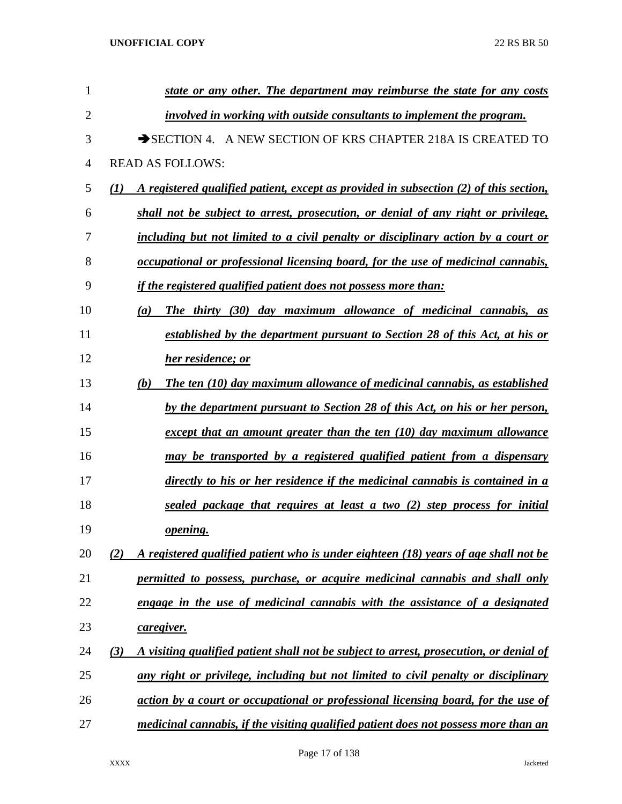| 1  | state or any other. The department may reimburse the state for any costs                                  |
|----|-----------------------------------------------------------------------------------------------------------|
| 2  | involved in working with outside consultants to implement the program.                                    |
| 3  | SECTION 4. A NEW SECTION OF KRS CHAPTER 218A IS CREATED TO                                                |
| 4  | <b>READ AS FOLLOWS:</b>                                                                                   |
| 5  | A registered qualified patient, except as provided in subsection (2) of this section,<br>$\mathcal{L}(I)$ |
| 6  | shall not be subject to arrest, prosecution, or denial of any right or privilege,                         |
| 7  | including but not limited to a civil penalty or disciplinary action by a court or                         |
| 8  | occupational or professional licensing board, for the use of medicinal cannabis,                          |
| 9  | <i>if the registered qualified patient does not possess more than:</i>                                    |
| 10 | The thirty (30) day maximum allowance of medicinal cannabis, as<br>(a)                                    |
| 11 | established by the department pursuant to Section 28 of this Act, at his or                               |
| 12 | her residence; or                                                                                         |
| 13 | The ten (10) day maximum allowance of medicinal cannabis, as established<br>(b)                           |
| 14 | by the department pursuant to Section 28 of this Act, on his or her person,                               |
| 15 | except that an amount greater than the ten $(10)$ day maximum allowance                                   |
| 16 | may be transported by a registered qualified patient from a dispensary                                    |
| 17 | directly to his or her residence if the medicinal cannabis is contained in a                              |
| 18 | sealed package that requires at least a two (2) step process for initial                                  |
| 19 | <i>opening.</i>                                                                                           |
| 20 | A registered qualified patient who is under eighteen (18) years of age shall not be<br>(2)                |
| 21 | permitted to possess, purchase, or acquire medicinal cannabis and shall only                              |
| 22 | engage in the use of medicinal cannabis with the assistance of a designated                               |
| 23 | caregiver.                                                                                                |
| 24 | A visiting qualified patient shall not be subject to arrest, prosecution, or denial of<br>(3)             |
| 25 | any right or privilege, including but not limited to civil penalty or disciplinary                        |
| 26 | action by a court or occupational or professional licensing board, for the use of                         |
| 27 | medicinal cannabis, if the visiting qualified patient does not possess more than an                       |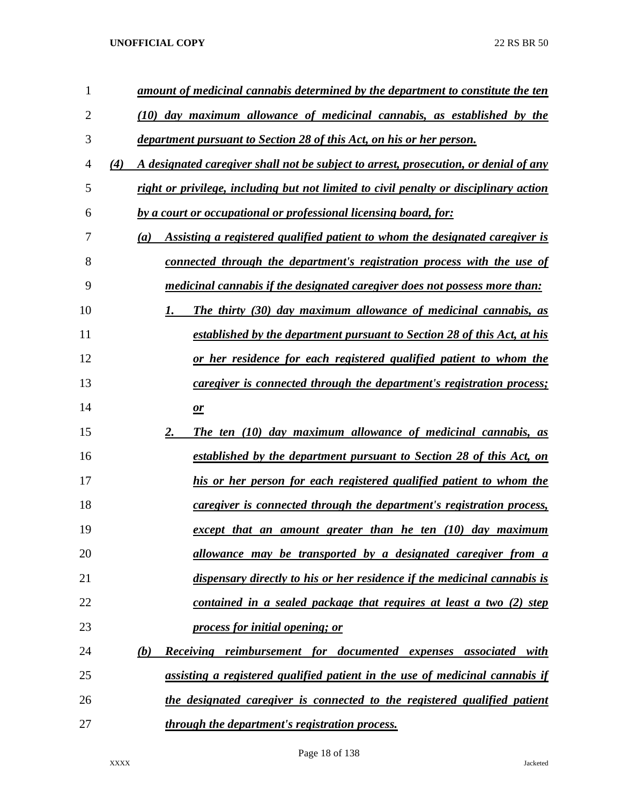| 1  | amount of medicinal cannabis determined by the department to constitute the ten             |
|----|---------------------------------------------------------------------------------------------|
| 2  | (10) day maximum allowance of medicinal cannabis, as established by the                     |
| 3  | department pursuant to Section 28 of this Act, on his or her person.                        |
| 4  | A designated caregiver shall not be subject to arrest, prosecution, or denial of any<br>(4) |
| 5  | right or privilege, including but not limited to civil penalty or disciplinary action       |
| 6  | by a court or occupational or professional licensing board, for:                            |
| 7  | Assisting a registered qualified patient to whom the designated caregiver is<br>(a)         |
| 8  | connected through the department's registration process with the use of                     |
| 9  | medicinal cannabis if the designated caregiver does not possess more than:                  |
| 10 | <b>The thirty (30) day maximum allowance of medicinal cannabis, as</b><br>1.                |
| 11 | established by the department pursuant to Section 28 of this Act, at his                    |
| 12 | or her residence for each registered qualified patient to whom the                          |
| 13 | <i>caregiver is connected through the department's registration process;</i>                |
| 14 | $\mathbf{r}$                                                                                |
| 15 | 2.<br>The ten (10) day maximum allowance of medicinal cannabis, as                          |
| 16 | <u>established by the department pursuant to Section 28 of this Act, on</u>                 |
| 17 | his or her person for each registered qualified patient to whom the                         |
| 18 | caregiver is connected through the department's registration process,                       |
| 19 | except that an amount greater than he ten (10) day maximum                                  |
| 20 | <u>allowance may be transported by a designated caregiver from a</u>                        |
| 21 | dispensary directly to his or her residence if the medicinal cannabis is                    |
| 22 | contained in a sealed package that requires at least a two (2) step                         |
| 23 | process for initial opening; or                                                             |
| 24 | (b)<br>Receiving reimbursement for documented expenses associated with                      |
| 25 | assisting a registered qualified patient in the use of medicinal cannabis if                |
| 26 | the designated caregiver is connected to the registered qualified patient                   |
| 27 | <i>through the department's registration process.</i>                                       |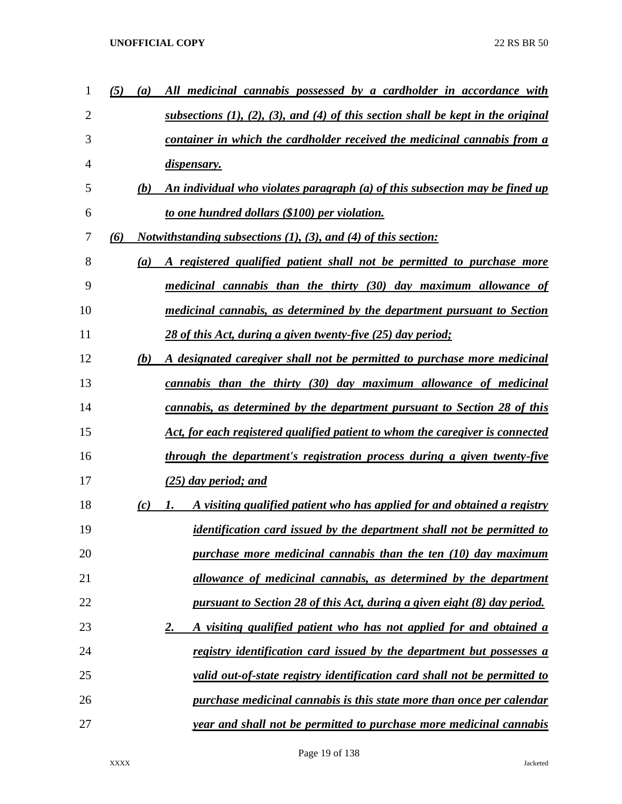| 1              | (5) | (a) | All medicinal cannabis possessed by a cardholder in accordance with                         |
|----------------|-----|-----|---------------------------------------------------------------------------------------------|
| $\overline{2}$ |     |     | subsections $(1)$ , $(2)$ , $(3)$ , and $(4)$ of this section shall be kept in the original |
| 3              |     |     | container in which the cardholder received the medicinal cannabis from a                    |
| 4              |     |     | dispensary.                                                                                 |
| 5              |     | (b) | An individual who violates paragraph (a) of this subsection may be fined up                 |
| 6              |     |     | to one hundred dollars (\$100) per violation.                                               |
| 7              | (6) |     | <i>Notwithstanding subsections (1), (3), and (4) of this section:</i>                       |
| 8              |     | (a) | A registered qualified patient shall not be permitted to purchase more                      |
| 9              |     |     | medicinal cannabis than the thirty (30) day maximum allowance of                            |
| 10             |     |     | medicinal cannabis, as determined by the department pursuant to Section                     |
| 11             |     |     | 28 of this Act, during a given twenty-five (25) day period;                                 |
| 12             |     | (b) | A designated caregiver shall not be permitted to purchase more medicinal                    |
| 13             |     |     | cannabis than the thirty (30) day maximum allowance of medicinal                            |
| 14             |     |     | cannabis, as determined by the department pursuant to Section 28 of this                    |
| 15             |     |     | Act, for each registered qualified patient to whom the caregiver is connected               |
| 16             |     |     | through the department's registration process during a given twenty-five                    |
| 17             |     |     | $(25)$ day period; and                                                                      |
| 18             |     | (c) | A visiting qualified patient who has applied for and obtained a registry<br>1.              |
| 19             |     |     | <i>identification card issued by the department shall not be permitted to</i>               |
| 20             |     |     | purchase more medicinal cannabis than the ten $(10)$ day maximum                            |
| 21             |     |     | allowance of medicinal cannabis, as determined by the department                            |
| 22             |     |     | pursuant to Section 28 of this Act, during a given eight (8) day period.                    |
| 23             |     |     | A visiting qualified patient who has not applied for and obtained a<br><u>2.</u>            |
| 24             |     |     | registry identification card issued by the department but possesses a                       |
| 25             |     |     | valid out-of-state registry identification card shall not be permitted to                   |
| 26             |     |     | purchase medicinal cannabis is this state more than once per calendar                       |
| 27             |     |     | year and shall not be permitted to purchase more medicinal cannabis                         |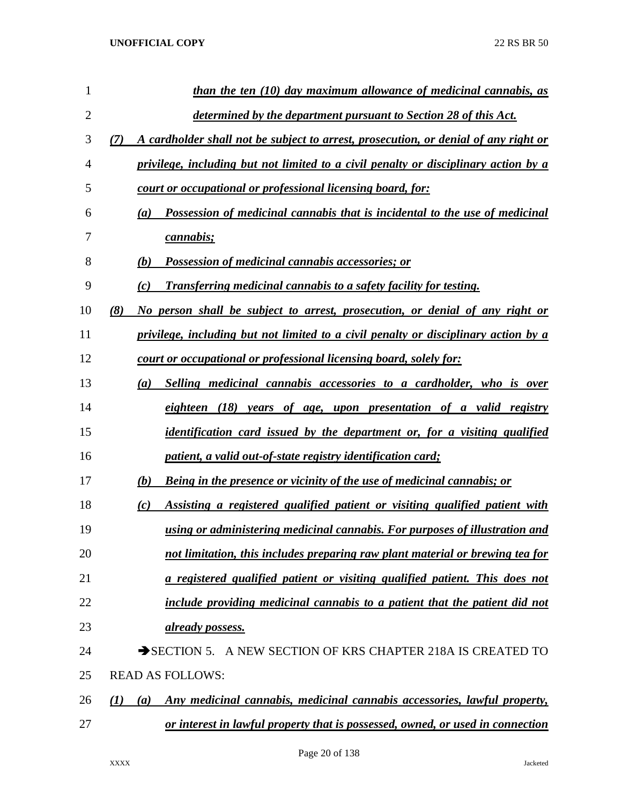| 1              | than the ten (10) day maximum allowance of medicinal cannabis, as                          |
|----------------|--------------------------------------------------------------------------------------------|
| $\overline{2}$ | <u>determined by the department pursuant to Section 28 of this Act.</u>                    |
| 3              | A cardholder shall not be subject to arrest, prosecution, or denial of any right or<br>(7) |
| 4              | privilege, including but not limited to a civil penalty or disciplinary action by a        |
| 5              | court or occupational or professional licensing board, for:                                |
| 6              | Possession of medicinal cannabis that is incidental to the use of medicinal<br>(a)         |
| 7              | <i>cannabis;</i>                                                                           |
| 8              | <b>Possession of medicinal cannabis accessories; or</b><br>(b)                             |
| 9              | <b>Transferring medicinal cannabis to a safety facility for testing.</b><br>(c)            |
| 10             | (8)<br>No person shall be subject to arrest, prosecution, or denial of any right or        |
| 11             | privilege, including but not limited to a civil penalty or disciplinary action by a        |
| 12             | court or occupational or professional licensing board, solely for:                         |
| 13             | Selling medicinal cannabis accessories to a cardholder, who is over<br>(a)                 |
| 14             | eighteen (18) years of age, upon presentation of a valid registry                          |
| 15             | <i>identification card issued by the department or, for a visiting qualified</i>           |
| 16             | patient, a valid out-of-state registry identification card;                                |
| 17             | <b>Being in the presence or vicinity of the use of medicinal cannabis; or</b><br>(b)       |
| 18             | Assisting a registered qualified patient or visiting qualified patient with<br>(c)         |
| 19             | using or administering medicinal cannabis. For purposes of illustration and                |
| 20             | not limitation, this includes preparing raw plant material or brewing tea for              |
| 21             | a registered qualified patient or visiting qualified patient. This does not                |
| 22             | include providing medicinal cannabis to a patient that the patient did not                 |
| 23             | already possess.                                                                           |
| 24             | SECTION 5. A NEW SECTION OF KRS CHAPTER 218A IS CREATED TO                                 |
| 25             | <b>READ AS FOLLOWS:</b>                                                                    |
| 26             | Any medicinal cannabis, medicinal cannabis accessories, lawful property,<br>(1)<br>(a)     |
| 27             | or interest in lawful property that is possessed, owned, or used in connection             |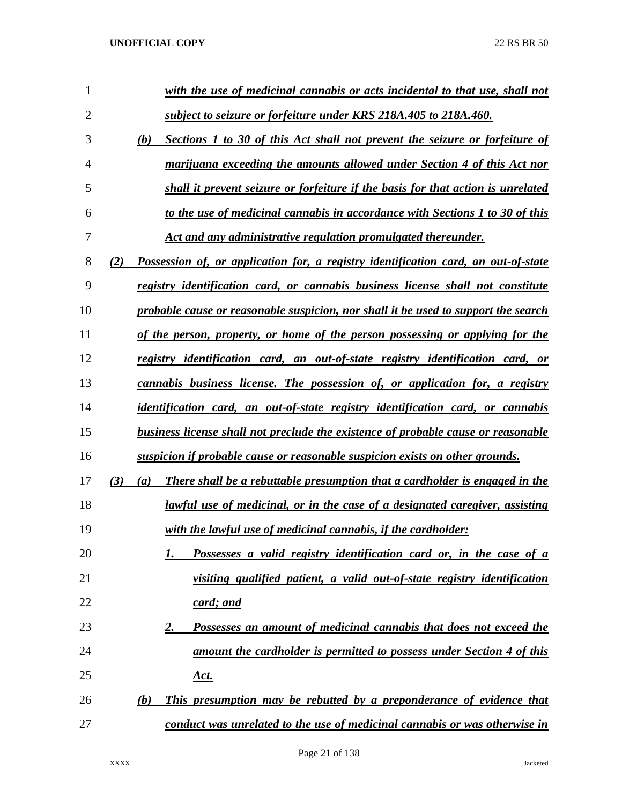| 1  | with the use of medicinal cannabis or acts incidental to that use, shall not              |
|----|-------------------------------------------------------------------------------------------|
| 2  | subject to seizure or forfeiture under KRS 218A.405 to 218A.460.                          |
| 3  | (b)<br><b>Sections 1 to 30 of this Act shall not prevent the seizure or forfeiture of</b> |
| 4  | marijuana exceeding the amounts allowed under Section 4 of this Act nor                   |
| 5  | shall it prevent seizure or forfeiture if the basis for that action is unrelated          |
| 6  | to the use of medicinal cannabis in accordance with Sections 1 to 30 of this              |
| 7  | Act and any administrative regulation promulgated thereunder.                             |
| 8  | Possession of, or application for, a registry identification card, an out-of-state<br>(2) |
| 9  | registry identification card, or cannabis business license shall not constitute           |
| 10 | probable cause or reasonable suspicion, nor shall it be used to support the search        |
| 11 | <u>of the person, property, or home of the person possessing or applying for the</u>      |
| 12 | registry identification card, an out-of-state registry identification card, or            |
| 13 | cannabis business license. The possession of, or application for, a registry              |
| 14 | <i>identification card, an out-of-state registry identification card, or cannabis</i>     |
| 15 | <b>business license shall not preclude the existence of probable cause or reasonable</b>  |
| 16 | suspicion if probable cause or reasonable suspicion exists on other grounds.              |
| 17 | (3)<br>There shall be a rebuttable presumption that a cardholder is engaged in the<br>(a) |
| 18 | <u>lawful use of medicinal, or in the case of a designated caregiver, assisting</u>       |
| 19 | with the lawful use of medicinal cannabis, if the cardholder:                             |
| 20 | Possesses a valid registry identification card or, in the case of a<br>1.                 |
| 21 | visiting qualified patient, a valid out-of-state registry identification                  |
| 22 | <u>card; and</u>                                                                          |
| 23 | Possesses an amount of medicinal cannabis that does not exceed the<br><u>2.</u>           |
| 24 | <u>amount the cardholder is permitted to possess under Section 4 of this</u>              |
| 25 | <u>Act.</u>                                                                               |
| 26 | This presumption may be rebutted by a preponderance of evidence that<br>(b)               |
| 27 | conduct was unrelated to the use of medicinal cannabis or was otherwise in                |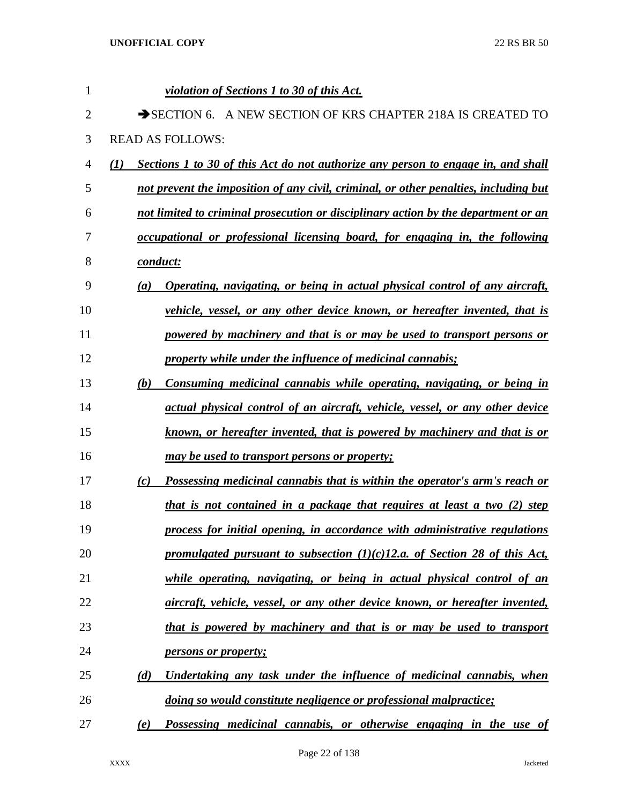| 1              | violation of Sections 1 to 30 of this Act.                                                |
|----------------|-------------------------------------------------------------------------------------------|
| $\overline{2}$ | SECTION 6. A NEW SECTION OF KRS CHAPTER 218A IS CREATED                                   |
| 3              | <b>READ AS FOLLOWS:</b>                                                                   |
| 4              | Sections 1 to 30 of this Act do not authorize any person to engage in, and shall<br>(I)   |
| 5              | not prevent the imposition of any civil, criminal, or other penalties, including but      |
| 6              | not limited to criminal prosecution or disciplinary action by the department or an        |
| 7              | occupational or professional licensing board, for engaging in, the following              |
| 8              | conduct:                                                                                  |
| 9              | <b>Operating, navigating, or being in actual physical control of any aircraft,</b><br>(a) |
| 10             | vehicle, vessel, or any other device known, or hereafter invented, that is                |
| 11             | powered by machinery and that is or may be used to transport persons or                   |
| 12             | property while under the influence of medicinal cannabis;                                 |
| 13             | Consuming medicinal cannabis while operating, navigating, or being in<br>(b)              |
| 14             | actual physical control of an aircraft, vehicle, vessel, or any other device              |
| 15             | known, or hereafter invented, that is powered by machinery and that is or                 |
| 16             | <u>may be used to transport persons or property;</u>                                      |
| 17             | Possessing medicinal cannabis that is within the operator's arm's reach or<br>(c)         |
| 18             | that is not contained in a package that requires at least a two (2) step                  |
| 19             | process for initial opening, in accordance with administrative regulations                |
| 20             | promulgated pursuant to subsection $(1)(c)$ 12.a. of Section 28 of this Act,              |
| 21             | while operating, navigating, or being in actual physical control of an                    |
| 22             | aircraft, vehicle, vessel, or any other device known, or hereafter invented,              |
| 23             | that is powered by machinery and that is or may be used to transport                      |
| 24             | <i>persons or property;</i>                                                               |
| 25             | Undertaking any task under the influence of medicinal cannabis, when<br>(d)               |
| 26             | doing so would constitute negligence or professional malpractice;                         |
| 27             | Possessing medicinal cannabis, or otherwise engaging in the use of<br>(e)                 |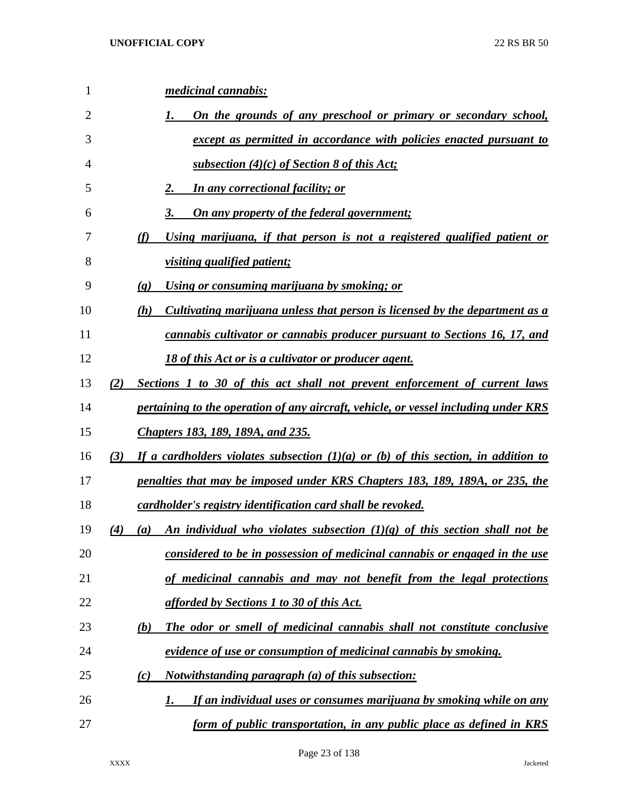| $\mathbf{1}$ | medicinal cannabis:                                                                         |
|--------------|---------------------------------------------------------------------------------------------|
| 2            | <u>On the grounds of any preschool or primary or secondary school,</u><br>1.                |
| 3            | except as permitted in accordance with policies enacted pursuant to                         |
| 4            | <u>subsection (4)(c) of Section 8 of this Act</u> ;                                         |
| 5            | <b>In any correctional facility; or</b><br>2.                                               |
| 6            | 3.<br><u>On any property of the federal government;</u>                                     |
| 7            | Using marijuana, if that person is not a registered qualified patient or<br>(f)             |
| 8            | <i>visiting qualified patient;</i>                                                          |
| 9            | <u>Using or consuming marijuana by smoking; or</u><br>$\left( \mathbf{g} \right)$           |
| 10           | Cultivating marijuana unless that person is licensed by the department as a<br>(h)          |
| 11           | cannabis cultivator or cannabis producer pursuant to Sections 16, 17, and                   |
| 12           | 18 of this Act or is a cultivator or producer agent.                                        |
| 13           | Sections 1 to 30 of this act shall not prevent enforcement of current laws<br>(2)           |
| 14           | pertaining to the operation of any aircraft, vehicle, or vessel including under KRS         |
| 15           | <b>Chapters 183, 189, 189A, and 235.</b>                                                    |
| 16           | (3)<br>If a cardholders violates subsection $(1)(a)$ or (b) of this section, in addition to |
| 17           | penalties that may be imposed under KRS Chapters 183, 189, 189A, or 235, the                |
| 18           | cardholder's registry identification card shall be revoked.                                 |
| 19           | An individual who violates subsection $(1)(g)$ of this section shall not be<br>(4)<br>(a)   |
| 20           | considered to be in possession of medicinal cannabis or engaged in the use                  |
| 21           | of medicinal cannabis and may not benefit from the legal protections                        |
| 22           | afforded by Sections 1 to 30 of this Act.                                                   |
| 23           | (b)<br><b>The odor or smell of medicinal cannabis shall not constitute conclusive</b>       |
| 24           | evidence of use or consumption of medicinal cannabis by smoking.                            |
| 25           | <u>Notwithstanding paragraph (a) of this subsection:</u><br>(c)                             |
| 26           | If an individual uses or consumes marijuana by smoking while on any<br>1.                   |
| 27           | form of public transportation, in any public place as defined in KRS                        |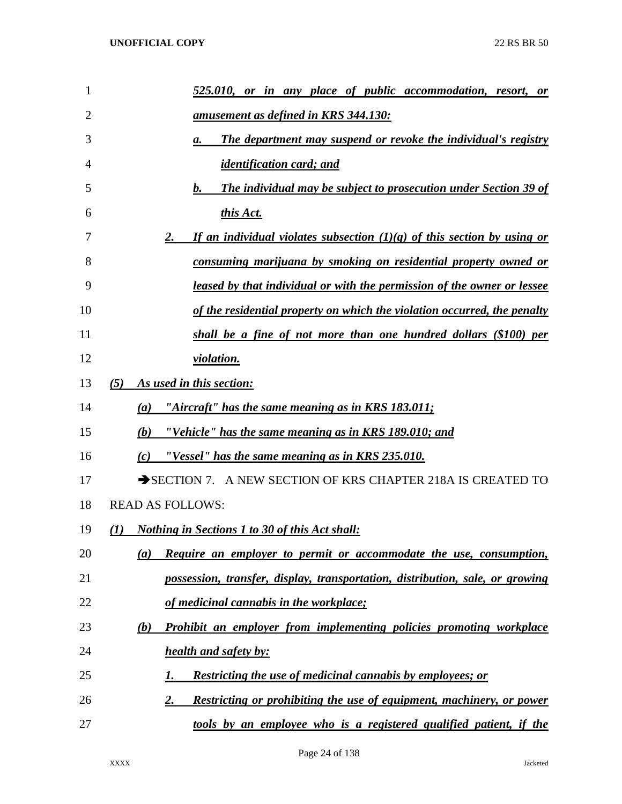| 1  | 525.010, or in any place of public accommodation, resort, or                    |
|----|---------------------------------------------------------------------------------|
| 2  | <u>amusement as defined in KRS 344.130:</u>                                     |
| 3  | <b>The department may suspend or revoke the individual's registry</b><br>а.     |
| 4  | <i>identification card; and</i>                                                 |
| 5  | <b>The individual may be subject to prosecution under Section 39 of</b><br>b.   |
| 6  | this Act.                                                                       |
| 7  | If an individual violates subsection $(1)(g)$ of this section by using or<br>2. |
| 8  | consuming marijuana by smoking on residential property owned or                 |
| 9  | <u>leased by that individual or with the permission of the owner or lessee</u>  |
| 10 | of the residential property on which the violation occurred, the penalty        |
| 11 | shall be a fine of not more than one hundred dollars (\$100) per                |
| 12 | violation.                                                                      |
| 13 | As used in this section:<br>(5)                                                 |
| 14 | "Aircraft" has the same meaning as in KRS $183.011$ ;<br>(a)                    |
| 15 | "Vehicle" has the same meaning as in KRS 189.010; and<br>(b)                    |
| 16 | "Vessel" has the same meaning as in KRS 235.010.<br>(c)                         |
| 17 | SECTION 7. A NEW SECTION OF KRS CHAPTER 218A IS CREATED TO                      |
| 18 | <b>READ AS FOLLOWS:</b>                                                         |
| 19 | <b>Nothing in Sections 1 to 30 of this Act shall:</b><br>$\bf(1)$               |
| 20 | Require an employer to permit or accommodate the use, consumption,<br>(a)       |
| 21 | possession, transfer, display, transportation, distribution, sale, or growing   |
| 22 | of medicinal cannabis in the workplace;                                         |
| 23 | Prohibit an employer from implementing policies promoting workplace<br>(b)      |
| 24 | health and safety by:                                                           |
| 25 | <b>Restricting the use of medicinal cannabis by employees; or</b><br>1.         |
| 26 | Restricting or prohibiting the use of equipment, machinery, or power<br>2.      |
| 27 | tools by an employee who is a registered qualified patient, if the              |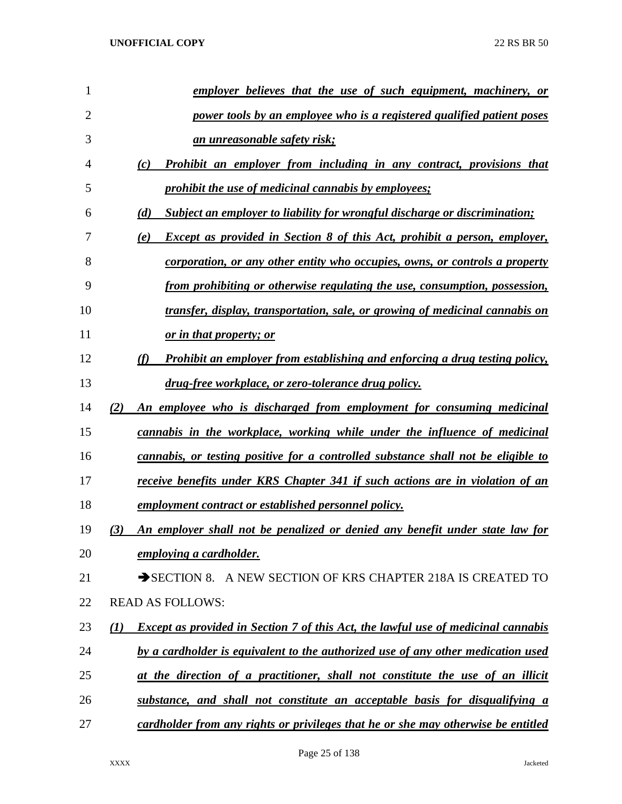| 1  | employer believes that the use of such equipment, machinery, or                                              |
|----|--------------------------------------------------------------------------------------------------------------|
| 2  | power tools by an employee who is a registered qualified patient poses                                       |
| 3  | <u>an unreasonable safety risk;</u>                                                                          |
| 4  | Prohibit an employer from including in any contract, provisions that<br>(c)                                  |
| 5  | prohibit the use of medicinal cannabis by employees;                                                         |
| 6  | <b>Subject an employer to liability for wrongful discharge or discrimination;</b><br>(d)                     |
| 7  | Except as provided in Section 8 of this Act, prohibit a person, employer,<br>(e)                             |
| 8  | <u>corporation, or any other entity who occupies, owns, or controls a property</u>                           |
| 9  | from prohibiting or otherwise regulating the use, consumption, possession,                                   |
| 10 | transfer, display, transportation, sale, or growing of medicinal cannabis on                                 |
| 11 | <u>or in that property; or</u>                                                                               |
| 12 | Prohibit an employer from establishing and enforcing a drug testing policy,<br>(f)                           |
| 13 | drug-free workplace, or zero-tolerance drug policy.                                                          |
| 14 | An employee who is discharged from employment for consuming medicinal<br>(2)                                 |
| 15 | <u>cannabis in the workplace, working while under the influence of medicinal</u>                             |
| 16 | <u>cannabis, or testing positive for a controlled substance shall not be eligible to</u>                     |
| 17 | receive benefits under KRS Chapter 341 if such actions are in violation of an                                |
| 18 | employment contract or established personnel policy.                                                         |
| 19 | An employer shall not be penalized or denied any benefit under state law for<br>(3)                          |
| 20 | employing a cardholder.                                                                                      |
| 21 | $\rightarrow$ SECTION 8.<br>A NEW SECTION OF KRS CHAPTER 218A IS CREATED TO                                  |
| 22 | <b>READ AS FOLLOWS:</b>                                                                                      |
| 23 | <b>Except as provided in Section 7 of this Act, the lawful use of medicinal cannabis</b><br>$\mathcal{L}(I)$ |
| 24 | by a cardholder is equivalent to the authorized use of any other medication used                             |
| 25 | at the direction of a practitioner, shall not constitute the use of an illicit                               |
| 26 | substance, and shall not constitute an acceptable basis for disqualifying a                                  |
| 27 | cardholder from any rights or privileges that he or she may otherwise be entitled                            |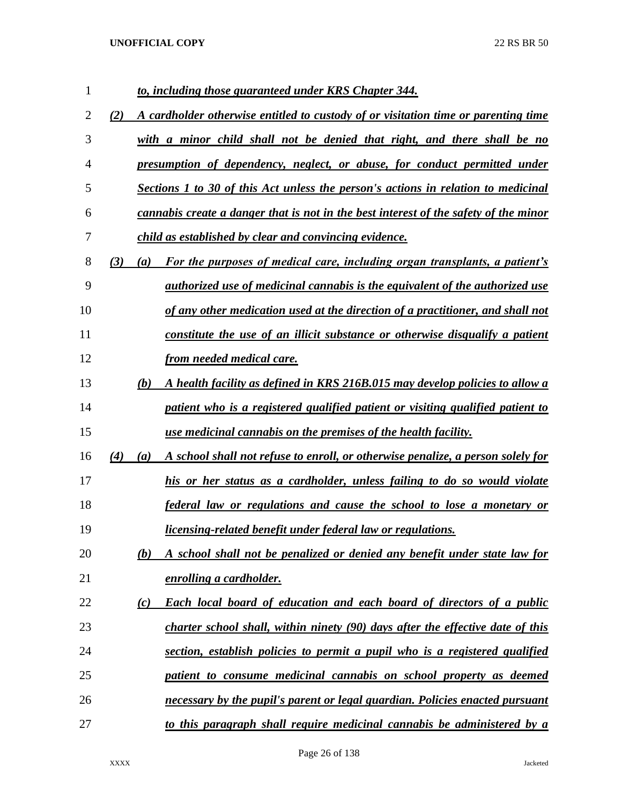| 1  |     |                  | to, including those guaranteed under KRS Chapter 344.                                 |
|----|-----|------------------|---------------------------------------------------------------------------------------|
| 2  | (2) |                  | A cardholder otherwise entitled to custody of or visitation time or parenting time    |
| 3  |     |                  | with a minor child shall not be denied that right, and there shall be no              |
| 4  |     |                  | <u>presumption of dependency, neglect, or abuse, for conduct permitted under</u>      |
| 5  |     |                  | Sections 1 to 30 of this Act unless the person's actions in relation to medicinal     |
| 6  |     |                  | cannabis create a danger that is not in the best interest of the safety of the minor  |
| 7  |     |                  | child as established by clear and convincing evidence.                                |
| 8  | (3) | (a)              | For the purposes of medical care, including organ transplants, a patient's            |
| 9  |     |                  | <i>authorized use of medicinal cannabis is the equivalent of the authorized use</i>   |
| 10 |     |                  | of any other medication used at the direction of a practitioner, and shall not        |
| 11 |     |                  | constitute the use of an illicit substance or otherwise disqualify a patient          |
| 12 |     |                  | from needed medical care.                                                             |
| 13 |     | (b)              | A health facility as defined in KRS 216B.015 may develop policies to allow a          |
| 14 |     |                  | <u>patient who is a registered qualified patient or visiting qualified patient to</u> |
| 15 |     |                  | use medicinal cannabis on the premises of the health facility.                        |
| 16 | (4) | $\left(a\right)$ | A school shall not refuse to enroll, or otherwise penalize, a person solely for       |
| 17 |     |                  | his or her status as a cardholder, unless failing to do so would violate              |
| 18 |     |                  | federal law or regulations and cause the school to lose a monetary or                 |
| 19 |     |                  | licensing-related benefit under federal law or regulations.                           |
| 20 |     | (b)              | A school shall not be penalized or denied any benefit under state law for             |
| 21 |     |                  | <b>enrolling a cardholder.</b>                                                        |
| 22 |     | (c)              | <b>Each local board of education and each board of directors of a public</b>          |
| 23 |     |                  | charter school shall, within ninety (90) days after the effective date of this        |
| 24 |     |                  | section, establish policies to permit a pupil who is a registered qualified           |
| 25 |     |                  | patient to consume medicinal cannabis on school property as deemed                    |
| 26 |     |                  | necessary by the pupil's parent or legal guardian. Policies enacted pursuant          |
| 27 |     |                  | to this paragraph shall require medicinal cannabis be administered by a               |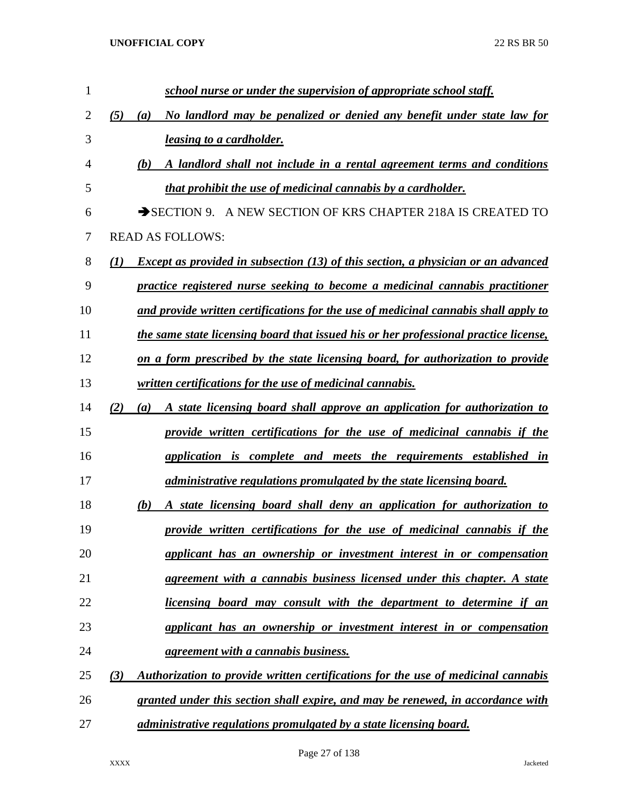| 1  | school nurse or under the supervision of appropriate school staff.                                           |
|----|--------------------------------------------------------------------------------------------------------------|
| 2  | (5)<br>No landlord may be penalized or denied any benefit under state law for<br>(a)                         |
| 3  | <i>leasing to a cardholder.</i>                                                                              |
| 4  | (b)<br>A landlord shall not include in a rental agreement terms and conditions                               |
| 5  | that prohibit the use of medicinal cannabis by a cardholder.                                                 |
| 6  | SECTION 9. A NEW SECTION OF KRS CHAPTER 218A IS CREATED TO                                                   |
| 7  | <b>READ AS FOLLOWS:</b>                                                                                      |
| 8  | $\mathcal{L}(I)$<br><b>Except as provided in subsection (13) of this section, a physician or an advanced</b> |
| 9  | practice registered nurse seeking to become a medicinal cannabis practitioner                                |
| 10 | and provide written certifications for the use of medicinal cannabis shall apply to                          |
| 11 | the same state licensing board that issued his or her professional practice license,                         |
| 12 | on a form prescribed by the state licensing board, for authorization to provide                              |
| 13 | written certifications for the use of medicinal cannabis.                                                    |
| 14 | A state licensing board shall approve an application for authorization to<br>(2)<br>(a)                      |
| 15 | provide written certifications for the use of medicinal cannabis if the                                      |
| 16 | application is complete and meets the requirements established in                                            |
| 17 | administrative regulations promulgated by the state licensing board.                                         |
| 18 | A state licensing board shall deny an application for authorization to<br>(b)                                |
| 19 | provide written certifications for the use of medicinal cannabis if the                                      |
| 20 | applicant has an ownership or investment interest in or compensation                                         |
| 21 | agreement with a cannabis business licensed under this chapter. A state                                      |
| 22 | <u>licensing board may consult with the department to determine if an</u>                                    |
| 23 | <i>applicant has an ownership or investment interest in or compensation</i>                                  |
| 24 | <u>agreement with a cannabis business.</u>                                                                   |
| 25 | Authorization to provide written certifications for the use of medicinal cannabis<br>(3)                     |
| 26 | granted under this section shall expire, and may be renewed, in accordance with                              |
| 27 | administrative regulations promulgated by a state licensing board.                                           |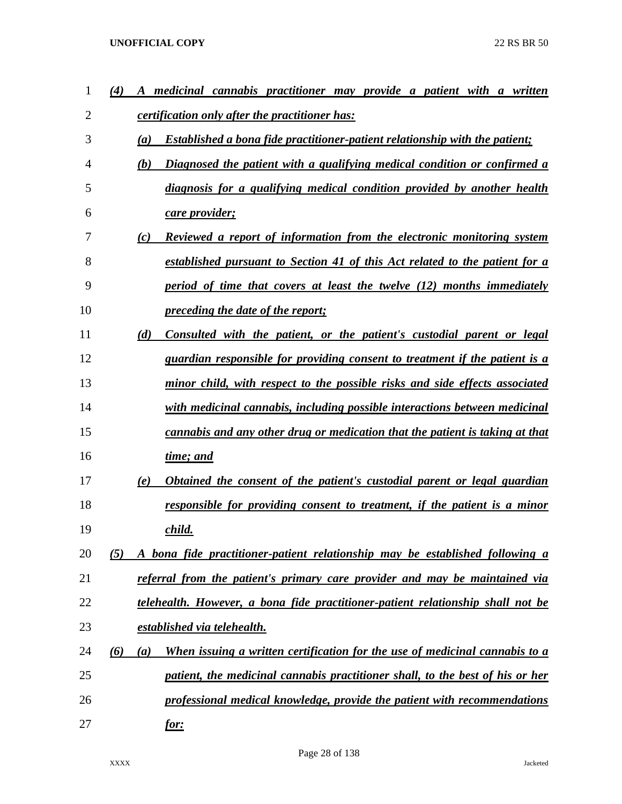| 1  | $\bf(4)$ | medicinal cannabis practitioner may provide a patient with a written                      |
|----|----------|-------------------------------------------------------------------------------------------|
| 2  |          | <i>certification only after the practitioner has:</i>                                     |
| 3  |          | (a)<br><b>Established a bona fide practitioner-patient relationship with the patient;</b> |
| 4  |          | Diagnosed the patient with a qualifying medical condition or confirmed a<br>(b)           |
| 5  |          | diagnosis for a qualifying medical condition provided by another health                   |
| 6  |          | care provider;                                                                            |
| 7  |          | Reviewed a report of information from the electronic monitoring system<br>(c)             |
| 8  |          | established pursuant to Section 41 of this Act related to the patient for a               |
| 9  |          | period of time that covers at least the twelve (12) months immediately                    |
| 10 |          | <i>preceding the date of the report;</i>                                                  |
| 11 |          | (d)<br>Consulted with the patient, or the patient's custodial parent or legal             |
| 12 |          | guardian responsible for providing consent to treatment if the patient is a               |
| 13 |          | minor child, with respect to the possible risks and side effects associated               |
| 14 |          | with medicinal cannabis, including possible interactions between medicinal                |
| 15 |          | cannabis and any other drug or medication that the patient is taking at that              |
| 16 |          | time; and                                                                                 |
| 17 |          | Obtained the consent of the patient's custodial parent or legal guardian<br>(e)           |
| 18 |          | responsible for providing consent to treatment, if the patient is a minor                 |
| 19 |          | child.                                                                                    |
| 20 | (5)      | A bona fide practitioner-patient relationship may be established following a              |
| 21 |          | referral from the patient's primary care provider and may be maintained via               |
| 22 |          | telehealth. However, a bona fide practitioner-patient relationship shall not be           |
| 23 |          | established via telehealth.                                                               |
| 24 | (6)      | When issuing a written certification for the use of medicinal cannabis to a<br>(a)        |
| 25 |          | patient, the medicinal cannabis practitioner shall, to the best of his or her             |
| 26 |          | professional medical knowledge, provide the patient with recommendations                  |
| 27 |          | <u>for:</u>                                                                               |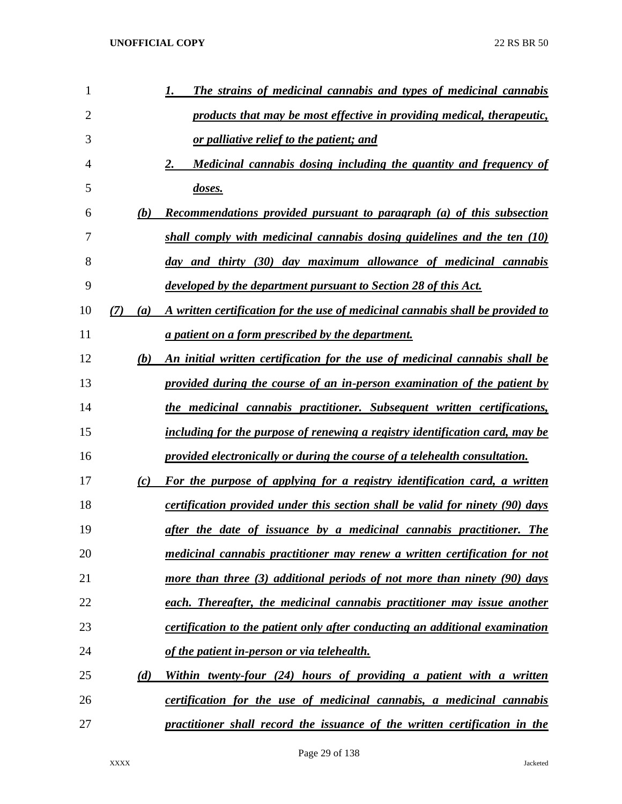| 1  |            | <b>The strains of medicinal cannabis and types of medicinal cannabis</b>       |
|----|------------|--------------------------------------------------------------------------------|
| 2  |            | products that may be most effective in providing medical, therapeutic,         |
| 3  |            | or palliative relief to the patient; and                                       |
| 4  |            | <u>Medicinal cannabis dosing including the quantity and frequency of</u><br>2. |
| 5  |            | doses.                                                                         |
| 6  | (b)        | <b>Recommendations provided pursuant to paragraph (a) of this subsection</b>   |
| 7  |            | shall comply with medicinal cannabis dosing guidelines and the ten (10)        |
| 8  |            | day and thirty (30) day maximum allowance of medicinal cannabis                |
| 9  |            | developed by the department pursuant to Section 28 of this Act.                |
| 10 | (7)<br>(a) | A written certification for the use of medicinal cannabis shall be provided to |
| 11 |            | a patient on a form prescribed by the department.                              |
| 12 | (b)        | An initial written certification for the use of medicinal cannabis shall be    |
| 13 |            | provided during the course of an in-person examination of the patient by       |
| 14 |            | the medicinal cannabis practitioner. Subsequent written certifications,        |
| 15 |            | including for the purpose of renewing a registry identification card, may be   |
| 16 |            | provided electronically or during the course of a telehealth consultation.     |
| 17 | (c)        | For the purpose of applying for a registry identification card, a written      |
| 18 |            | certification provided under this section shall be valid for ninety (90) days  |
| 19 |            | after the date of issuance by a medicinal cannabis practitioner. The           |
| 20 |            | medicinal cannabis practitioner may renew a written certification for not      |
| 21 |            | more than three $(3)$ additional periods of not more than ninety $(90)$ days   |
| 22 |            | each. Thereafter, the medicinal cannabis practitioner may issue another        |
| 23 |            | certification to the patient only after conducting an additional examination   |
| 24 |            | of the patient in-person or via telehealth.                                    |
| 25 | (d)        | Within twenty-four (24) hours of providing a patient with a written            |
| 26 |            | certification for the use of medicinal cannabis, a medicinal cannabis          |
| 27 |            | practitioner shall record the issuance of the written certification in the     |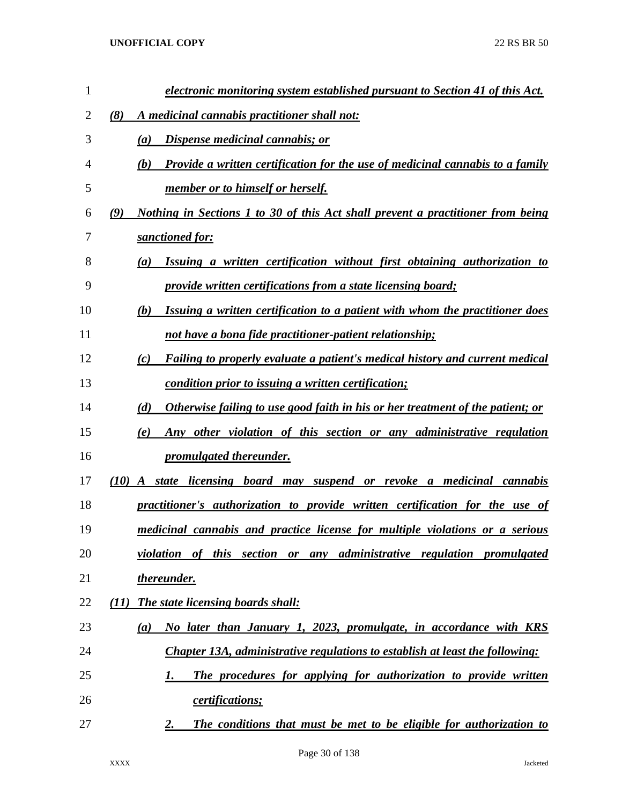| $\mathbf{1}$ | electronic monitoring system established pursuant to Section 41 of this Act.                 |
|--------------|----------------------------------------------------------------------------------------------|
| 2            | (8)<br>A medicinal cannabis practitioner shall not:                                          |
| 3            | <u>Dispense medicinal cannabis; or</u><br>(a)                                                |
| 4            | <b>Provide a written certification for the use of medicinal cannabis to a family</b><br>(b)  |
| 5            | member or to himself or herself.                                                             |
| 6            | Nothing in Sections 1 to 30 of this Act shall prevent a practitioner from being<br>(9)       |
| 7            | sanctioned for:                                                                              |
| 8            | Issuing a written certification without first obtaining authorization to<br>(a)              |
| 9            | provide written certifications from a state licensing board;                                 |
| 10           | Issuing a written certification to a patient with whom the practitioner does<br>(b)          |
| 11           | not have a bona fide practitioner-patient relationship;                                      |
| 12           | Failing to properly evaluate a patient's medical history and current medical<br>(c)          |
| 13           | condition prior to issuing a written certification;                                          |
| 14           | (d)<br><u>Otherwise failing to use good faith in his or her treatment of the patient; or</u> |
| 15           | Any other violation of this section or any administrative regulation<br>(e)                  |
| 16           | <i>promulgated thereunder.</i>                                                               |
| 17           | <b>(10)</b><br>state licensing board may suspend or revoke a medicinal cannabis<br>A         |
| 18           | practitioner's authorization to provide written certification for the use of                 |
| 19           | medicinal cannabis and practice license for multiple violations or a serious                 |
| 20           | violation of this section or any administrative regulation promulgated                       |
| 21           | <u>thereunder.</u>                                                                           |
| 22           | The state licensing boards shall:<br>(11)                                                    |
| 23           | No later than January 1, 2023, promulgate, in accordance with KRS<br>$\left(a\right)$        |
| 24           | <b>Chapter 13A, administrative regulations to establish at least the following:</b>          |
| 25           | The procedures for applying for authorization to provide written<br>1.                       |
| 26           | <i>certifications;</i>                                                                       |
| 27           | The conditions that must be met to be eligible for authorization to<br>2.                    |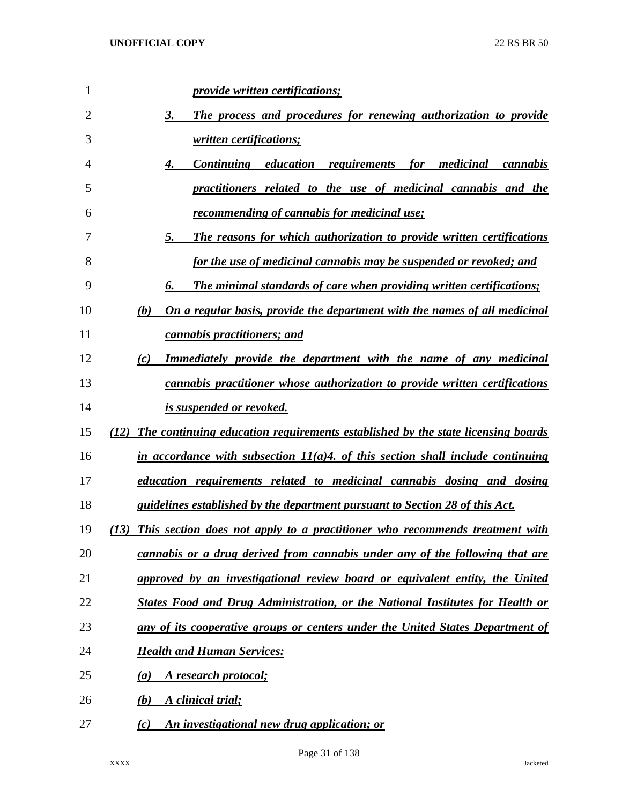| 1  | <i>provide written certifications;</i>                                               |
|----|--------------------------------------------------------------------------------------|
| 2  | The process and procedures for renewing authorization to provide<br>3.               |
| 3  | written certifications;                                                              |
| 4  | Continuing education requirements for medicinal<br>4.<br>cannabis                    |
| 5  | practitioners related to the use of medicinal cannabis and the                       |
| 6  | recommending of cannabis for medicinal use;                                          |
| 7  | The reasons for which authorization to provide written certifications<br>5.          |
| 8  | for the use of medicinal cannabis may be suspended or revoked; and                   |
| 9  | The minimal standards of care when providing written certifications;                 |
| 10 | On a regular basis, provide the department with the names of all medicinal<br>(b)    |
| 11 | cannabis practitioners; and                                                          |
| 12 | <b>Immediately provide the department with the name of any medicinal</b><br>(c)      |
| 13 | cannabis practitioner whose authorization to provide written certifications          |
| 14 | is suspended or revoked.                                                             |
| 15 | (12) The continuing education requirements established by the state licensing boards |
| 16 | in accordance with subsection $11(a)4$ of this section shall include continuing      |
| 17 | education requirements related to medicinal cannabis dosing and dosing               |
| 18 | guidelines established by the department pursuant to Section 28 of this Act.         |
| 19 | (13) This section does not apply to a practitioner who recommends treatment with     |
| 20 | cannabis or a drug derived from cannabis under any of the following that are         |
| 21 | approved by an investigational review board or equivalent entity, the United         |
| 22 | States Food and Drug Administration, or the National Institutes for Health or        |
| 23 | any of its cooperative groups or centers under the United States Department of       |
| 24 | <b>Health and Human Services:</b>                                                    |
| 25 | A research protocol;<br>(a)                                                          |
| 26 | A clinical trial;<br>(b)                                                             |
| 27 | An investigational new drug application; or<br>(c)                                   |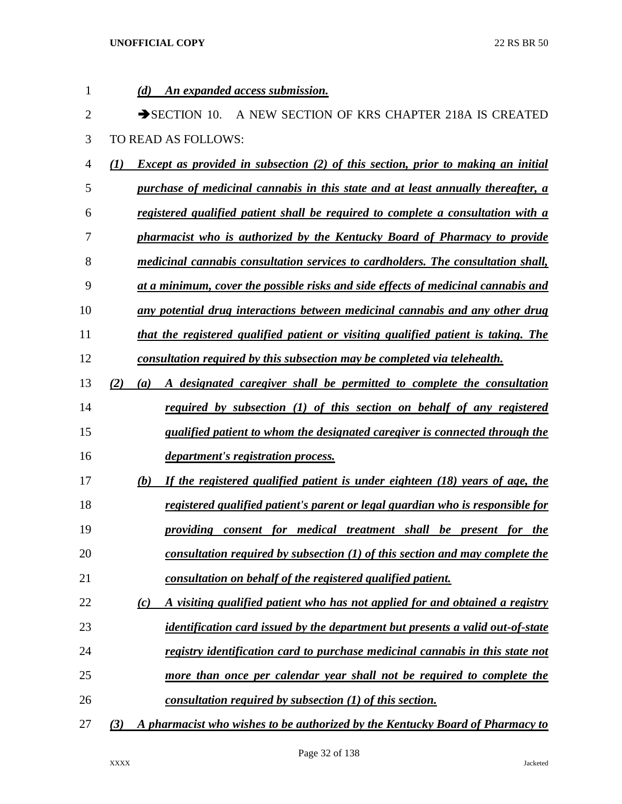| 1  | (d)<br>An expanded access submission.                                                          |
|----|------------------------------------------------------------------------------------------------|
| 2  | $\rightarrow$ SECTION 10.<br>A NEW SECTION OF KRS CHAPTER 218A IS CREATED                      |
| 3  | TO READ AS FOLLOWS:                                                                            |
| 4  | <b>Except as provided in subsection (2) of this section, prior to making an initial</b><br>(I) |
| 5  | purchase of medicinal cannabis in this state and at least annually thereafter, a               |
| 6  | registered qualified patient shall be required to complete a consultation with a               |
| 7  | pharmacist who is authorized by the Kentucky Board of Pharmacy to provide                      |
| 8  | medicinal cannabis consultation services to cardholders. The consultation shall,               |
| 9  | at a minimum, cover the possible risks and side effects of medicinal cannabis and              |
| 10 | any potential drug interactions between medicinal cannabis and any other drug                  |
| 11 | that the registered qualified patient or visiting qualified patient is taking. The             |
| 12 | consultation required by this subsection may be completed via telehealth.                      |
| 13 | A designated caregiver shall be permitted to complete the consultation<br>(2)<br>(a)           |
| 14 | required by subsection (1) of this section on behalf of any registered                         |
| 15 | qualified patient to whom the designated caregiver is connected through the                    |
| 16 | department's registration process.                                                             |
| 17 | If the registered qualified patient is under eighteen (18) years of age, the<br>(b)            |
| 18 | registered qualified patient's parent or legal guardian who is responsible for                 |
| 19 | providing consent for medical treatment shall be present for the                               |
| 20 | consultation required by subsection $(1)$ of this section and may complete the                 |
| 21 | consultation on behalf of the registered qualified patient.                                    |
| 22 | A visiting qualified patient who has not applied for and obtained a registry<br>(c)            |
| 23 | <i>identification card issued by the department but presents a valid out-of-state</i>          |
| 24 | registry identification card to purchase medicinal cannabis in this state not                  |
| 25 | more than once per calendar year shall not be required to complete the                         |
| 26 | consultation required by subsection $(1)$ of this section.                                     |
| 27 | A pharmacist who wishes to be authorized by the Kentucky Board of Pharmacy to<br>(3)           |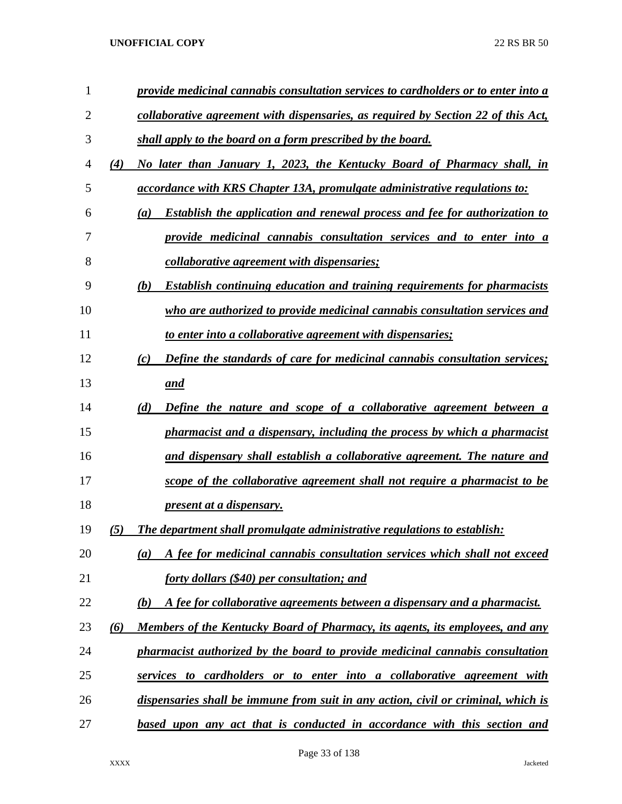| $\mathbf{1}$ |     | provide medicinal cannabis consultation services to cardholders or to enter into a       |
|--------------|-----|------------------------------------------------------------------------------------------|
| 2            |     | collaborative agreement with dispensaries, as required by Section 22 of this Act,        |
| 3            |     | shall apply to the board on a form prescribed by the board.                              |
| 4            | (4) | No later than January 1, 2023, the Kentucky Board of Pharmacy shall, in                  |
| 5            |     | <i>accordance with KRS Chapter 13A, promulgate administrative regulations to:</i>        |
| 6            |     | <b>Establish the application and renewal process and fee for authorization to</b><br>(a) |
| 7            |     | provide medicinal cannabis consultation services and to enter into a                     |
| 8            |     | <i>collaborative agreement with dispensaries;</i>                                        |
| 9            |     | <b>Establish continuing education and training requirements for pharmacists</b><br>(b)   |
| 10           |     | who are authorized to provide medicinal cannabis consultation services and               |
| 11           |     | to enter into a collaborative agreement with dispensaries;                               |
| 12           |     | Define the standards of care for medicinal cannabis consultation services;<br>(c)        |
| 13           |     | and                                                                                      |
| 14           |     | (d)<br><b>Define the nature and scope of a collaborative agreement between a</b>         |
| 15           |     | pharmacist and a dispensary, including the process by which a pharmacist                 |
| 16           |     | and dispensary shall establish a collaborative agreement. The nature and                 |
| 17           |     | scope of the collaborative agreement shall not require a pharmacist to be                |
| 18           |     | <u>present at a dispensary.</u>                                                          |
| 19           | (5) | The department shall promulgate administrative regulations to establish:                 |
| 20           |     | A fee for medicinal cannabis consultation services which shall not exceed<br>(a)         |
| 21           |     | <u>forty dollars (\$40) per consultation; and</u>                                        |
| 22           |     | A fee for collaborative agreements between a dispensary and a pharmacist.<br>(b)         |
| 23           | (6) | Members of the Kentucky Board of Pharmacy, its agents, its employees, and any            |
| 24           |     | pharmacist authorized by the board to provide medicinal cannabis consultation            |
| 25           |     | services to cardholders or to enter into a collaborative agreement with                  |
| 26           |     | dispensaries shall be immune from suit in any action, civil or criminal, which is        |
| 27           |     | based upon any act that is conducted in accordance with this section and                 |
|              |     |                                                                                          |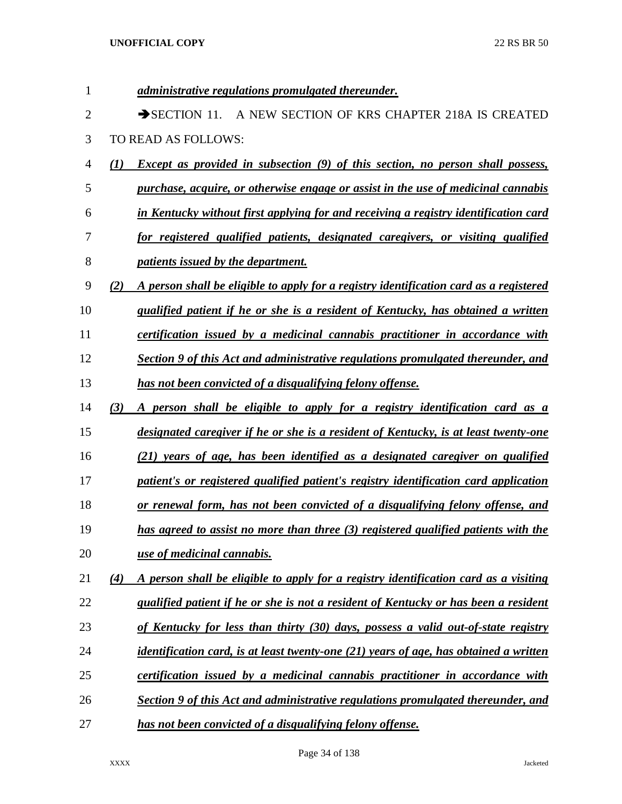| 1              | administrative regulations promulgated thereunder.                                                        |
|----------------|-----------------------------------------------------------------------------------------------------------|
| $\overline{2}$ | A NEW SECTION OF KRS CHAPTER 218A IS CREATED<br>$\rightarrow$ SECTION 11.                                 |
| 3              | TO READ AS FOLLOWS:                                                                                       |
| $\overline{4}$ | <b>Except as provided in subsection (9) of this section, no person shall possess,</b><br>$\mathcal{L}(I)$ |
| 5              | purchase, acquire, or otherwise engage or assist in the use of medicinal cannabis                         |
| 6              | in Kentucky without first applying for and receiving a registry identification card                       |
| 7              | for registered qualified patients, designated caregivers, or visiting qualified                           |
| 8              | <i>patients issued by the department.</i>                                                                 |
| 9              | A person shall be eligible to apply for a registry identification card as a registered<br>(2)             |
| 10             | qualified patient if he or she is a resident of Kentucky, has obtained a written                          |
| 11             | certification issued by a medicinal cannabis practitioner in accordance with                              |
| 12             | Section 9 of this Act and administrative regulations promulgated thereunder, and                          |
| 13             | has not been convicted of a disqualifying felony offense.                                                 |
| 14             | (3)<br>A person shall be eligible to apply for a registry identification card as a                        |
| 15             | designated caregiver if he or she is a resident of Kentucky, is at least twenty-one                       |
| 16             | (21) years of age, has been identified as a designated caregiver on qualified                             |
| 17             | patient's or registered qualified patient's registry identification card application                      |
| 18             | or renewal form, has not been convicted of a disqualifying felony offense, and                            |
| 19             | has agreed to assist no more than three (3) registered qualified patients with the                        |
| 20             | use of medicinal cannabis.                                                                                |
| 21             | (4)<br>A person shall be eligible to apply for a registry identification card as a visiting               |
| 22             | qualified patient if he or she is not a resident of Kentucky or has been a resident                       |
| 23             | of Kentucky for less than thirty (30) days, possess a valid out-of-state registry                         |
| 24             | identification card, is at least twenty-one (21) years of age, has obtained a written                     |
| 25             | certification issued by a medicinal cannabis practitioner in accordance with                              |
| 26             | Section 9 of this Act and administrative regulations promulgated thereunder, and                          |
| 27             | has not been convicted of a disqualifying felony offense.                                                 |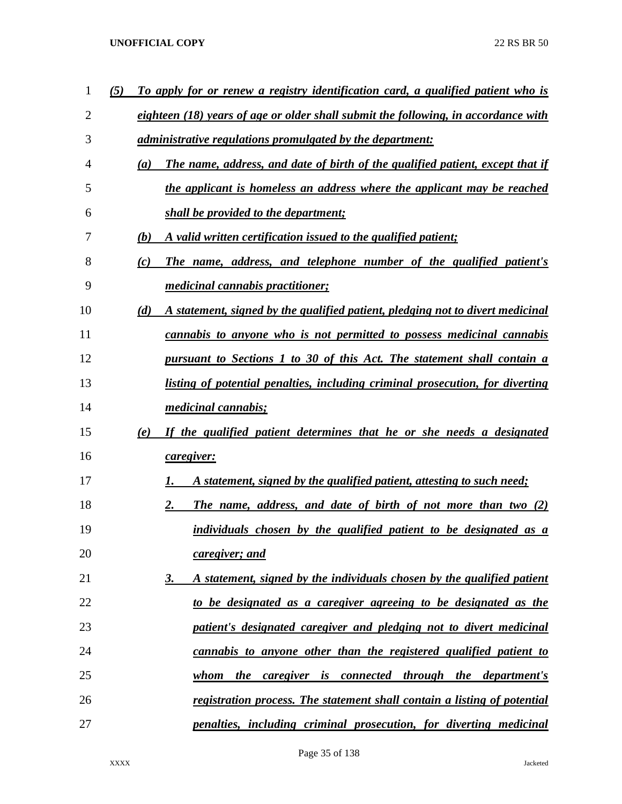| 1              | (5) |     | To apply for or renew a registry identification card, a qualified patient who is   |
|----------------|-----|-----|------------------------------------------------------------------------------------|
| $\overline{2}$ |     |     | eighteen (18) years of age or older shall submit the following, in accordance with |
| 3              |     |     | <i>administrative regulations promulgated by the department:</i>                   |
| 4              |     | (a) | The name, address, and date of birth of the qualified patient, except that if      |
| 5              |     |     | the applicant is homeless an address where the applicant may be reached            |
| 6              |     |     | shall be provided to the department;                                               |
| 7              |     | (b) | A valid written certification issued to the qualified patient;                     |
| 8              |     | (c) | The name, address, and telephone number of the qualified patient's                 |
| 9              |     |     | <i>medicinal cannabis practitioner;</i>                                            |
| 10             |     | (d) | A statement, signed by the qualified patient, pledging not to divert medicinal     |
| 11             |     |     | cannabis to anyone who is not permitted to possess medicinal cannabis              |
| 12             |     |     | pursuant to Sections 1 to 30 of this Act. The statement shall contain a            |
| 13             |     |     | listing of potential penalties, including criminal prosecution, for diverting      |
| 14             |     |     | <i>medicinal cannabis;</i>                                                         |
| 15             |     | (e) | If the qualified patient determines that he or she needs a designated              |
| 16             |     |     | caregiver:                                                                         |
| 17             |     |     | A statement, signed by the qualified patient, attesting to such need;<br>1.        |
| 18             |     |     | 2.<br><b>The name, address, and date of birth of not more than two (2)</b>         |
| 19             |     |     | individuals chosen by the qualified patient to be designated as a                  |
| 20             |     |     | caregiver; and                                                                     |
| 21             |     |     | A statement, signed by the individuals chosen by the qualified patient<br>3.       |
| 22             |     |     | to be designated as a caregiver agreeing to be designated as the                   |
| 23             |     |     | patient's designated caregiver and pledging not to divert medicinal                |
| 24             |     |     | cannabis to anyone other than the registered qualified patient to                  |
| 25             |     |     | caregiver is connected through the department's<br>whom<br><i>the</i>              |
| 26             |     |     | registration process. The statement shall contain a listing of potential           |
| 27             |     |     | penalties, including criminal prosecution, for diverting medicinal                 |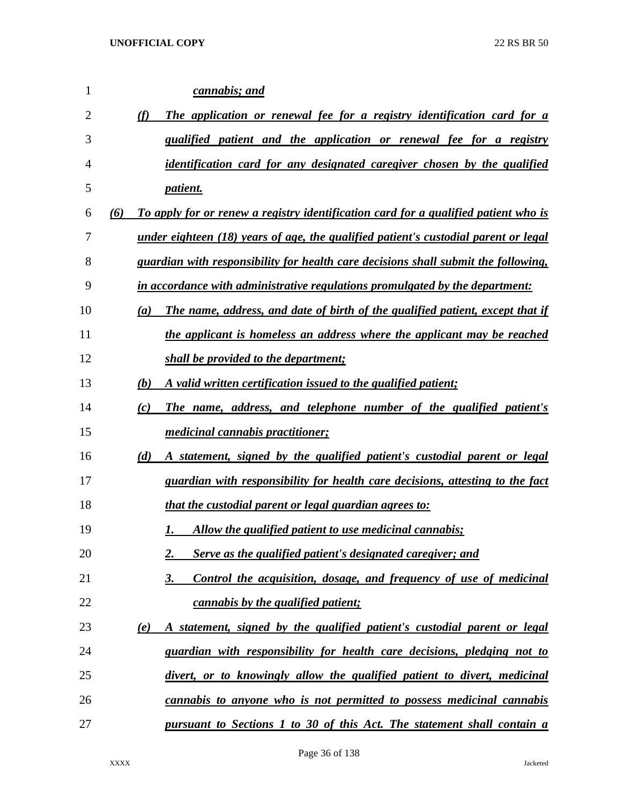| 1  |     | cannabis; and                                                                              |
|----|-----|--------------------------------------------------------------------------------------------|
| 2  | (f) | The application or renewal fee for a registry identification card for a                    |
| 3  |     | qualified patient and the application or renewal fee for a registry                        |
| 4  |     | <i>identification card for any designated caregiver chosen by the qualified</i>            |
| 5  |     | <i>patient.</i>                                                                            |
| 6  | (6) | To apply for or renew a registry identification card for a qualified patient who is        |
| 7  |     | <u>under eighteen (18) years of age, the qualified patient's custodial parent or legal</u> |
| 8  |     | guardian with responsibility for health care decisions shall submit the following,         |
| 9  |     | in accordance with administrative regulations promulgated by the department:               |
| 10 | (a) | The name, address, and date of birth of the qualified patient, except that if              |
| 11 |     | the applicant is homeless an address where the applicant may be reached                    |
| 12 |     | shall be provided to the department;                                                       |
| 13 | (b) | A valid written certification issued to the qualified patient;                             |
| 14 | (c) | The name, address, and telephone number of the qualified patient's                         |
| 15 |     | <i>medicinal cannabis practitioner;</i>                                                    |
| 16 | (d) | A statement, signed by the qualified patient's custodial parent or legal                   |
| 17 |     | guardian with responsibility for health care decisions, attesting to the fact              |
| 18 |     | that the custodial parent or legal guardian agrees to:                                     |
| 19 |     | Allow the qualified patient to use medicinal cannabis;                                     |
| 20 |     | Serve as the qualified patient's designated caregiver; and<br>2.                           |
| 21 |     | $\underline{3}$ .<br>Control the acquisition, dosage, and frequency of use of medicinal    |
| 22 |     | <i>cannabis by the qualified patient;</i>                                                  |
| 23 | (e) | A statement, signed by the qualified patient's custodial parent or legal                   |
| 24 |     | guardian with responsibility for health care decisions, pledging not to                    |
| 25 |     | divert, or to knowingly allow the qualified patient to divert, medicinal                   |
| 26 |     | cannabis to anyone who is not permitted to possess medicinal cannabis                      |
| 27 |     | <u>pursuant to Sections 1 to 30 of this Act. The statement shall contain a</u>             |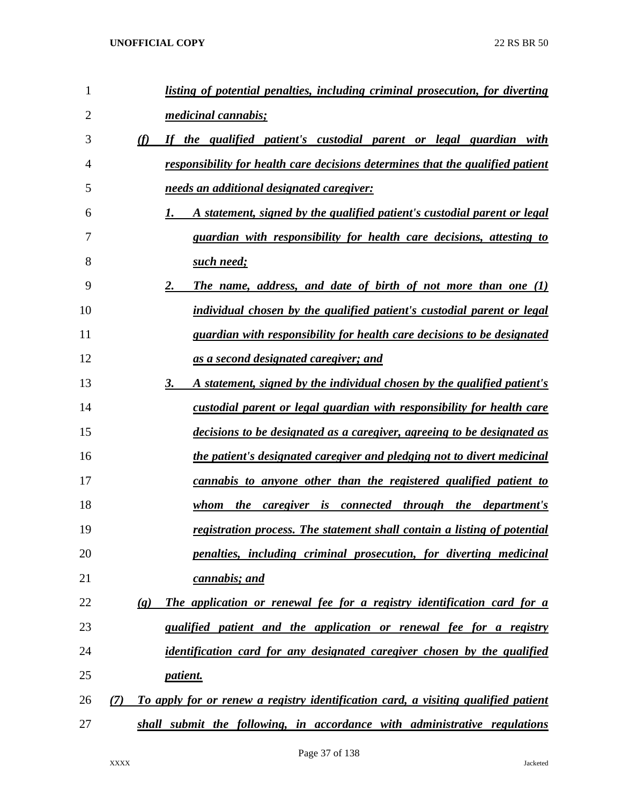| 1              | listing of potential penalties, including criminal prosecution, for diverting                          |
|----------------|--------------------------------------------------------------------------------------------------------|
| $\overline{2}$ | <i>medicinal cannabis;</i>                                                                             |
| 3              | (f)<br>If the qualified patient's custodial parent or legal guardian with                              |
| 4              | responsibility for health care decisions determines that the qualified patient                         |
| 5              | needs an additional designated caregiver:                                                              |
| 6              | A statement, signed by the qualified patient's custodial parent or legal<br>1.                         |
| 7              | guardian with responsibility for health care decisions, attesting to                                   |
| 8              | such need;                                                                                             |
| 9              | 2.<br><b>The name, address, and date of birth of not more than one (1)</b>                             |
| 10             | individual chosen by the qualified patient's custodial parent or legal                                 |
| 11             | guardian with responsibility for health care decisions to be designated                                |
| 12             | as a second designated caregiver; and                                                                  |
| 13             | 3.<br>A statement, signed by the individual chosen by the qualified patient's                          |
| 14             | custodial parent or legal guardian with responsibility for health care                                 |
| 15             | decisions to be designated as a caregiver, agreeing to be designated as                                |
| 16             | the patient's designated caregiver and pledging not to divert medicinal                                |
| 17             | cannabis to anyone other than the registered qualified patient to                                      |
| 18             | the caregiver is connected through the department's<br>whom                                            |
| 19             | registration process. The statement shall contain a listing of potential                               |
| 20             | penalties, including criminal prosecution, for diverting medicinal                                     |
| 21             | cannabis; and                                                                                          |
| 22             | The application or renewal fee for a registry identification card for a<br>$\left( \mathbf{g} \right)$ |
| 23             | qualified patient and the application or renewal fee for a registry                                    |
| 24             | identification card for any designated caregiver chosen by the qualified                               |
| 25             | <i>patient.</i>                                                                                        |
| 26             | To apply for or renew a registry identification card, a visiting qualified patient<br>(7)              |
| 27             | shall submit the following, in accordance with administrative regulations                              |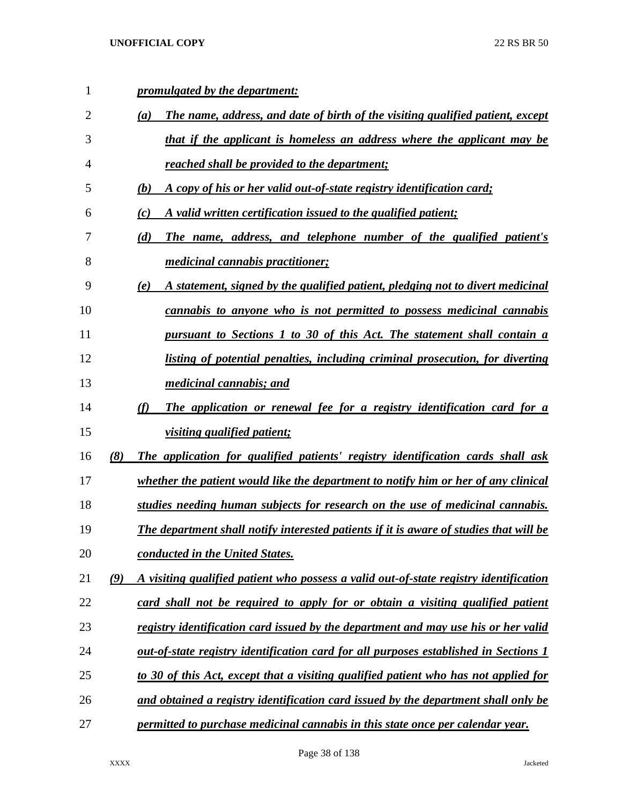| $\mathbf{1}$   |     | promulgated by the department:                                                              |
|----------------|-----|---------------------------------------------------------------------------------------------|
| $\overline{2}$ |     | The name, address, and date of birth of the visiting qualified patient, except<br>(a)       |
| 3              |     | that if the applicant is homeless an address where the applicant may be                     |
| 4              |     | reached shall be provided to the department;                                                |
| 5              |     | A copy of his or her valid out-of-state registry identification card;<br>(b)                |
| 6              |     | A valid written certification issued to the qualified patient;<br>(c)                       |
| 7              |     | The name, address, and telephone number of the qualified patient's<br>(d)                   |
| 8              |     | <i>medicinal cannabis practitioner;</i>                                                     |
| 9              |     | A statement, signed by the qualified patient, pledging not to divert medicinal<br>(e)       |
| 10             |     | <u>cannabis to anyone who is not permitted to possess medicinal cannabis</u>                |
| 11             |     | pursuant to Sections 1 to 30 of this Act. The statement shall contain a                     |
| 12             |     | listing of potential penalties, including criminal prosecution, for diverting               |
| 13             |     | <i>medicinal cannabis; and</i>                                                              |
| 14             |     | The application or renewal fee for a registry identification card for a<br>(f)              |
| 15             |     | <i>visiting qualified patient;</i>                                                          |
| 16             | (8) | The application for qualified patients' registry identification cards shall ask             |
| 17             |     | whether the patient would like the department to notify him or her of any clinical          |
| 18             |     | studies needing human subjects for research on the use of medicinal cannabis.               |
| 19             |     | The department shall notify interested patients if it is aware of studies that will be      |
| 20             |     | <b>conducted in the United States.</b>                                                      |
| 21             | (9) | A visiting qualified patient who possess a valid out-of-state registry identification       |
| 22             |     | card shall not be required to apply for or obtain a visiting qualified patient              |
| 23             |     | registry identification card issued by the department and may use his or her valid          |
| 24             |     | <u>out-of-state registry identification card for all purposes established in Sections 1</u> |
| 25             |     | to 30 of this Act, except that a visiting qualified patient who has not applied for         |
| 26             |     | and obtained a registry identification card issued by the department shall only be          |
| 27             |     | permitted to purchase medicinal cannabis in this state once per calendar year.              |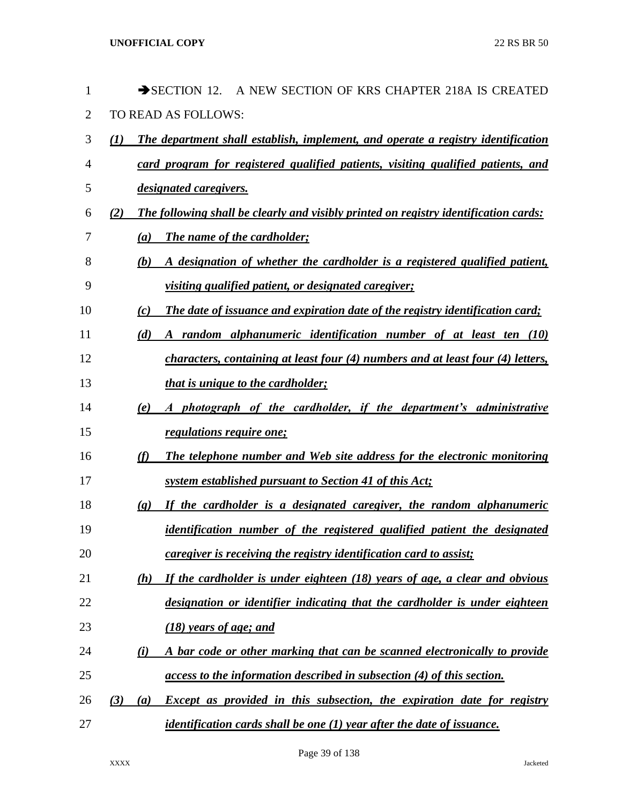| 1  |     | $\rightarrow$ SECTION 12.<br>A NEW SECTION OF KRS CHAPTER 218A IS CREATED                           |
|----|-----|-----------------------------------------------------------------------------------------------------|
| 2  |     | TO READ AS FOLLOWS:                                                                                 |
| 3  | (I) | The department shall establish, implement, and operate a registry identification                    |
| 4  |     | card program for registered qualified patients, visiting qualified patients, and                    |
| 5  |     | designated caregivers.                                                                              |
| 6  | (2) | The following shall be clearly and visibly printed on registry identification cards:                |
| 7  |     | <b>The name of the cardholder;</b><br>(a)                                                           |
| 8  |     | A designation of whether the cardholder is a registered qualified patient,<br>(b)                   |
| 9  |     | <u>visiting qualified patient, or designated caregiver;</u>                                         |
| 10 |     | The date of issuance and expiration date of the registry identification card;<br>(c)                |
| 11 |     | A random alphanumeric identification number of at least ten (10)<br>(d)                             |
| 12 |     | characters, containing at least four (4) numbers and at least four (4) letters,                     |
| 13 |     | <i>that is unique to the cardholder;</i>                                                            |
| 14 |     | A photograph of the cardholder, if the department's administrative<br>(e)                           |
| 15 |     | <i>regulations require one;</i>                                                                     |
| 16 |     | (f)<br>The telephone number and Web site address for the electronic monitoring                      |
| 17 |     | <u>system established pursuant to Section 41 of this Act;</u>                                       |
| 18 |     | If the cardholder is a designated caregiver, the random alphanumeric<br>$\left( \mathbf{g} \right)$ |
| 19 |     | identification number of the registered qualified patient the designated                            |
| 20 |     | <i>caregiver is receiving the registry identification card to assist;</i>                           |
| 21 |     | If the cardholder is under eighteen (18) years of age, a clear and obvious<br>(h)                   |
| 22 |     | designation or identifier indicating that the cardholder is under eighteen                          |
| 23 |     | <u>(18) years of age; and</u>                                                                       |
| 24 |     | A bar code or other marking that can be scanned electronically to provide<br>$\bf{(\it i)}$         |
| 25 |     | access to the information described in subsection (4) of this section.                              |
| 26 | (3) | Except as provided in this subsection, the expiration date for registry<br>(a)                      |
| 27 |     | <i>identification cards shall be one (1) year after the date of issuance.</i>                       |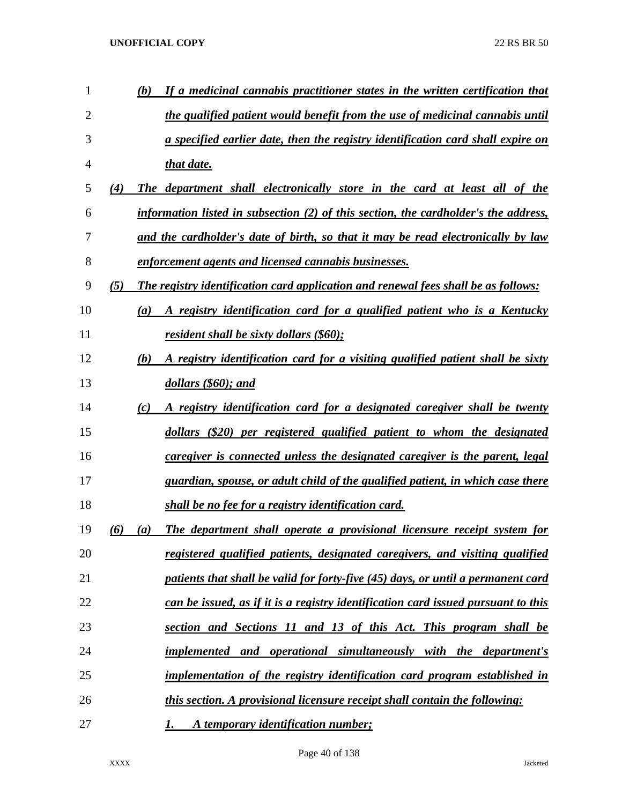| 1              |     | (b)              | If a medicinal cannabis practitioner states in the written certification that          |
|----------------|-----|------------------|----------------------------------------------------------------------------------------|
| $\overline{2}$ |     |                  | <u>the qualified patient would benefit from the use of medicinal cannabis until</u>    |
| 3              |     |                  | <u>a specified earlier date, then the registry identification card shall expire on</u> |
| 4              |     |                  | that date.                                                                             |
| 5              | (4) |                  | The department shall electronically store in the card at least all of the              |
| 6              |     |                  | information listed in subsection (2) of this section, the cardholder's the address,    |
| 7              |     |                  | and the cardholder's date of birth, so that it may be read electronically by law       |
| 8              |     |                  | enforcement agents and licensed cannabis businesses.                                   |
| 9              | (5) |                  | The registry identification card application and renewal fees shall be as follows:     |
| 10             |     | (a)              | A registry identification card for a qualified patient who is a Kentucky               |
| 11             |     |                  | resident shall be sixty dollars $(\$60)$ ;                                             |
| 12             |     | (b)              | A registry identification card for a visiting qualified patient shall be sixty         |
| 13             |     |                  | dollars (\$60); and                                                                    |
| 14             |     | (c)              | A registry identification card for a designated caregiver shall be twenty              |
| 15             |     |                  | dollars (\$20) per registered qualified patient to whom the designated                 |
| 16             |     |                  | caregiver is connected unless the designated caregiver is the parent, legal            |
| 17             |     |                  | guardian, spouse, or adult child of the qualified patient, in which case there         |
| 18             |     |                  | shall be no fee for a registry identification card.                                    |
| 19             | (6) | $\left(a\right)$ | The department shall operate a provisional licensure receipt system for                |
| 20             |     |                  | registered qualified patients, designated caregivers, and visiting qualified           |
| 21             |     |                  | patients that shall be valid for forty-five (45) days, or until a permanent card       |
| 22             |     |                  | can be issued, as if it is a registry identification card issued pursuant to this      |
| 23             |     |                  | section and Sections 11 and 13 of this Act. This program shall be                      |
| 24             |     |                  | implemented and operational simultaneously with the department's                       |
| 25             |     |                  | implementation of the registry identification card program established in              |
| 26             |     |                  | this section. A provisional licensure receipt shall contain the following:             |
| 27             |     |                  | A temporary identification number;<br>1.                                               |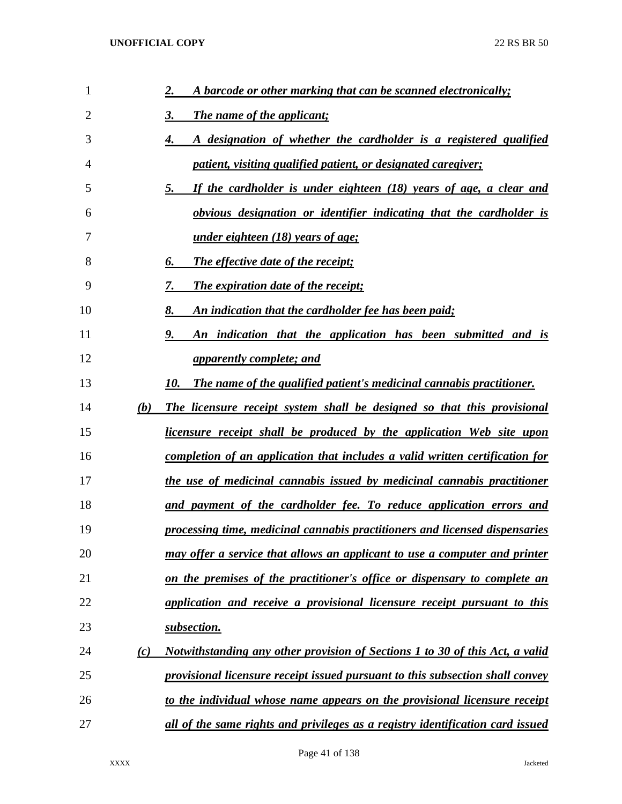| 1  |     | A barcode or other marking that can be scanned electronically;<br>2.           |
|----|-----|--------------------------------------------------------------------------------|
| 2  |     | 3.<br><b>The name of the applicant;</b>                                        |
| 3  |     | A designation of whether the cardholder is a registered qualified<br>4.        |
| 4  |     | patient, visiting qualified patient, or designated caregiver;                  |
| 5  |     | If the cardholder is under eighteen (18) years of age, a clear and<br>5.       |
| 6  |     | obvious designation or identifier indicating that the cardholder is            |
| 7  |     | <u>under eighteen (18) years of age;</u>                                       |
| 8  |     | The effective date of the receipt;<br>6.                                       |
| 9  |     | The expiration date of the receipt;<br>7.                                      |
| 10 |     | An indication that the cardholder fee has been paid;<br>8.                     |
| 11 |     | An indication that the application has been submitted and is<br>9.             |
| 12 |     | <i>apparently complete; and</i>                                                |
| 13 |     | The name of the qualified patient's medicinal cannabis practitioner.<br>10.    |
| 14 | (b) | The licensure receipt system shall be designed so that this provisional        |
| 15 |     | licensure receipt shall be produced by the application Web site upon           |
| 16 |     | completion of an application that includes a valid written certification for   |
| 17 |     | the use of medicinal cannabis issued by medicinal cannabis practitioner        |
| 18 |     | and payment of the cardholder fee. To reduce application errors and            |
| 19 |     | processing time, medicinal cannabis practitioners and licensed dispensaries    |
| 20 |     | may offer a service that allows an applicant to use a computer and printer     |
| 21 |     | on the premises of the practitioner's office or dispensary to complete an      |
| 22 |     | application and receive a provisional licensure receipt pursuant to this       |
| 23 |     | subsection.                                                                    |
| 24 | (c) | Notwithstanding any other provision of Sections 1 to 30 of this Act, a valid   |
| 25 |     | provisional licensure receipt issued pursuant to this subsection shall convey  |
| 26 |     | to the individual whose name appears on the provisional licensure receipt      |
| 27 |     | all of the same rights and privileges as a registry identification card issued |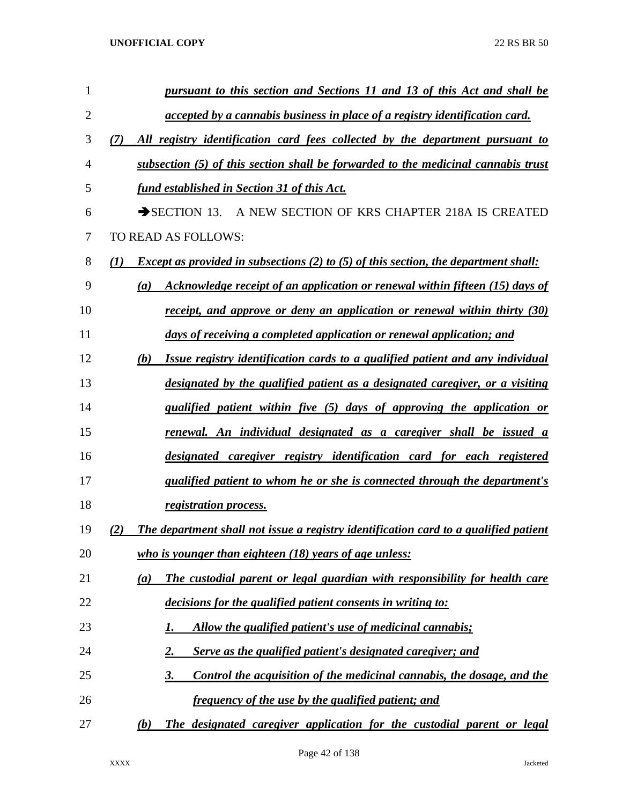| 1              | pursuant to this section and Sections 11 and 13 of this Act and shall be                                       |
|----------------|----------------------------------------------------------------------------------------------------------------|
| $\overline{2}$ | accepted by a cannabis business in place of a registry identification card.                                    |
| 3              | All registry identification card fees collected by the department pursuant to<br>(7)                           |
| 4              | subsection (5) of this section shall be forwarded to the medicinal cannabis trust                              |
| 5              | fund established in Section 31 of this Act.                                                                    |
| 6              | $\rightarrow$ SECTION 13. A NEW SECTION OF KRS CHAPTER 218A IS CREATED                                         |
| 7              | TO READ AS FOLLOWS:                                                                                            |
| 8              | <i>Except as provided in subsections (2) to (5) of this section, the department shall:</i><br>$\mathcal{L}(I)$ |
| 9              | Acknowledge receipt of an application or renewal within fifteen (15) days of<br>(a)                            |
| 10             | receipt, and approve or deny an application or renewal within thirty (30)                                      |
| 11             | days of receiving a completed application or renewal application; and                                          |
| 12             | (b)<br>Issue registry identification cards to a qualified patient and any individual                           |
| 13             | designated by the qualified patient as a designated caregiver, or a visiting                                   |
| 14             | qualified patient within five (5) days of approving the application or                                         |
| 15             | renewal. An individual designated as a caregiver shall be issued a                                             |
| 16             | designated caregiver registry identification card for each registered                                          |
| 17             | qualified patient to whom he or she is connected through the department's                                      |
| 18             | registration process.                                                                                          |
| 19             | The department shall not issue a registry identification card to a qualified patient<br>(2)                    |
| 20             | who is younger than eighteen (18) years of age unless:                                                         |
| 21             | The custodial parent or legal guardian with responsibility for health care<br>(a)                              |
| 22             | decisions for the qualified patient consents in writing to:                                                    |
| 23             | Allow the qualified patient's use of medicinal cannabis;<br>1.                                                 |
| 24             | Serve as the qualified patient's designated caregiver; and<br>2.                                               |
| 25             | 3.<br>Control the acquisition of the medicinal cannabis, the dosage, and the                                   |
| 26             | <u>frequency of the use by the qualified patient; and</u>                                                      |
| 27             | The designated caregiver application for the custodial parent or legal<br>(b)                                  |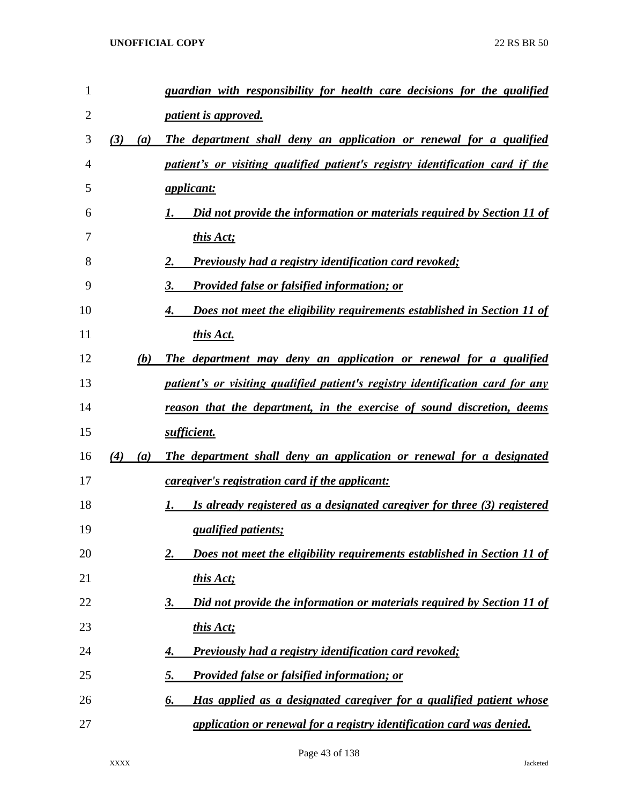| $\mathbf{1}$   |            | guardian with responsibility for health care decisions for the qualified       |
|----------------|------------|--------------------------------------------------------------------------------|
| $\overline{2}$ |            | <i>patient is approved.</i>                                                    |
| 3              | (3)<br>(a) | The department shall deny an application or renewal for a qualified            |
| 4              |            | patient's or visiting qualified patient's registry identification card if the  |
| 5              |            | <i>applicant:</i>                                                              |
| 6              |            | Did not provide the information or materials required by Section 11 of         |
| 7              |            | this Act;                                                                      |
| 8              |            | <b>Previously had a registry identification card revoked;</b><br>2.            |
| 9              |            | 3.<br><b>Provided false or falsified information; or</b>                       |
| 10             |            | Does not meet the eligibility requirements established in Section 11 of<br>4.  |
| 11             |            | this Act.                                                                      |
| 12             | (b)        | The department may deny an application or renewal for a qualified              |
| 13             |            | patient's or visiting qualified patient's registry identification card for any |
| 14             |            | reason that the department, in the exercise of sound discretion, deems         |
| 15             |            | sufficient.                                                                    |
| 16             | (4)<br>(a) | The department shall deny an application or renewal for a designated           |
| 17             |            | <i>caregiver's registration card if the applicant:</i>                         |
| 18             |            | Is already registered as a designated caregiver for three (3) registered<br>1. |
| 19             |            | <i><u><b>qualified patients;</b></u></i>                                       |
| 20             |            | Does not meet the eligibility requirements established in Section 11 of<br>2.  |
| 21             |            | this Act;                                                                      |
| 22             |            | Did not provide the information or materials required by Section 11 of<br>3.   |
| 23             |            | this Act;                                                                      |
| 24             |            | <b>Previously had a registry identification card revoked;</b><br>4.            |
| 25             |            | <u>5.</u><br><b>Provided false or falsified information; or</b>                |
| 26             |            | Has applied as a designated caregiver for a qualified patient whose<br>6.      |
| 27             |            | application or renewal for a registry identification card was denied.          |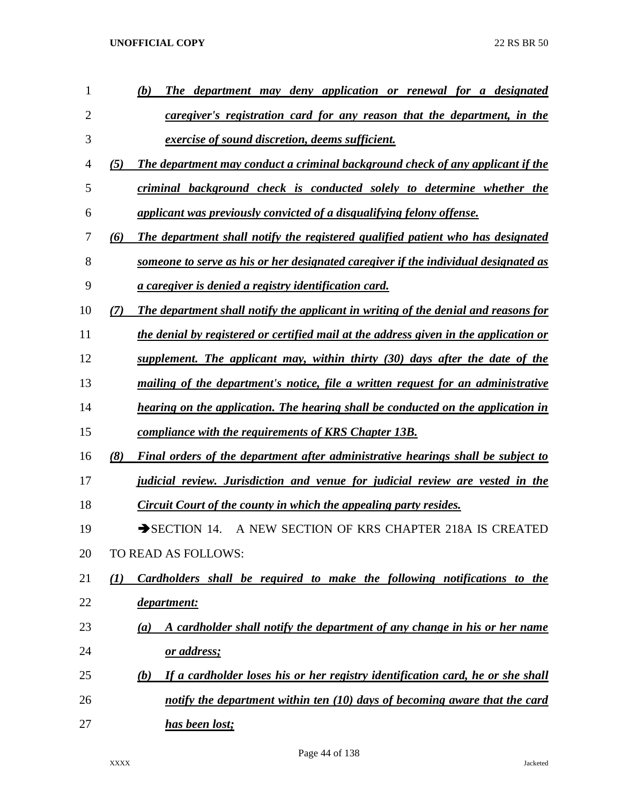| 1              |                  | (b)<br>The department may deny application or renewal for a designated                |
|----------------|------------------|---------------------------------------------------------------------------------------|
| $\overline{2}$ |                  | caregiver's registration card for any reason that the department, in the              |
| 3              |                  | exercise of sound discretion, deems sufficient.                                       |
| 4              | (5)              | The department may conduct a criminal background check of any applicant if the        |
| 5              |                  | criminal background check is conducted solely to determine whether the                |
| 6              |                  | applicant was previously convicted of a disqualifying felony offense.                 |
| 7              | (6)              | The department shall notify the registered qualified patient who has designated       |
| 8              |                  | someone to serve as his or her designated caregiver if the individual designated as   |
| 9              |                  | a caregiver is denied a registry identification card.                                 |
| 10             | $\mathcal{T}$    | The department shall notify the applicant in writing of the denial and reasons for    |
| 11             |                  | the denial by registered or certified mail at the address given in the application or |
| 12             |                  | supplement. The applicant may, within thirty (30) days after the date of the          |
| 13             |                  | mailing of the department's notice, file a written request for an administrative      |
| 14             |                  | hearing on the application. The hearing shall be conducted on the application in      |
| 15             |                  | compliance with the requirements of KRS Chapter 13B.                                  |
| 16             | (8)              | Final orders of the department after administrative hearings shall be subject to      |
| 17             |                  | judicial review. Jurisdiction and venue for judicial review are vested in the         |
| 18             |                  | Circuit Court of the county in which the appealing party resides.                     |
| 19             |                  | A NEW SECTION OF KRS CHAPTER 218A IS CREATED<br>$\rightarrow$ SECTION 14.             |
| 20             |                  | TO READ AS FOLLOWS:                                                                   |
| 21             | $\mathcal{L}(I)$ | Cardholders shall be required to make the following notifications to the              |
| 22             |                  | department:                                                                           |
| 23             |                  | A cardholder shall notify the department of any change in his or her name<br>(a)      |
| 24             |                  | or address;                                                                           |
| 25             |                  | If a cardholder loses his or her registry identification card, he or she shall<br>(b) |
| 26             |                  | notify the department within ten $(10)$ days of becoming aware that the card          |
| 27             |                  | has been lost;                                                                        |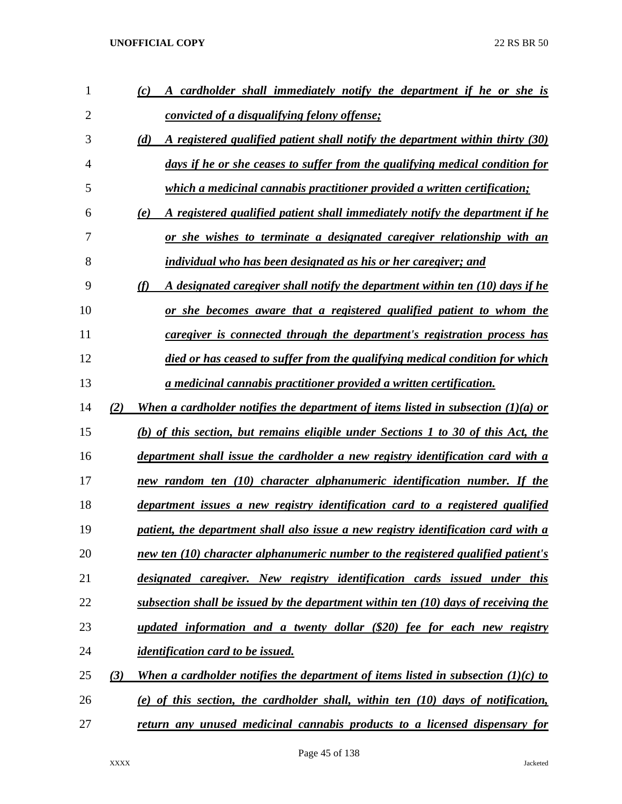| 1              |     | A cardholder shall immediately notify the department if he or she is<br>(c)          |
|----------------|-----|--------------------------------------------------------------------------------------|
| $\overline{2}$ |     | <i>convicted of a disqualifying felony offense;</i>                                  |
| 3              |     | A registered qualified patient shall notify the department within thirty (30)<br>(d) |
| 4              |     | days if he or she ceases to suffer from the qualifying medical condition for         |
| 5              |     | which a medicinal cannabis practitioner provided a written certification;            |
| 6              |     | A registered qualified patient shall immediately notify the department if he<br>(e)  |
| 7              |     | or she wishes to terminate a designated caregiver relationship with an               |
| 8              |     | individual who has been designated as his or her caregiver; and                      |
| 9              |     | (f)<br>A designated caregiver shall notify the department within ten (10) days if he |
| 10             |     | or she becomes aware that a registered qualified patient to whom the                 |
| 11             |     | caregiver is connected through the department's registration process has             |
| 12             |     | died or has ceased to suffer from the qualifying medical condition for which         |
| 13             |     | a medicinal cannabis practitioner provided a written certification.                  |
| 14             | (2) | When a cardholder notifies the department of items listed in subsection $(1)(a)$ or  |
| 15             |     | (b) of this section, but remains eligible under Sections 1 to 30 of this Act, the    |
| 16             |     | department shall issue the cardholder a new registry identification card with a      |
| 17             |     | new random ten (10) character alphanumeric identification number. If the             |
| 18             |     | department issues a new registry identification card to a registered qualified       |
| 19             |     | patient, the department shall also issue a new registry identification card with a   |
| 20             |     | new ten (10) character alphanumeric number to the registered qualified patient's     |
| 21             |     | designated caregiver. New registry identification cards issued under this            |
| 22             |     | subsection shall be issued by the department within ten (10) days of receiving the   |
| 23             |     | updated information and a twenty dollar (\$20) fee for each new registry             |
| 24             |     | <i>identification card to be issued.</i>                                             |
| 25             | (3) | When a cardholder notifies the department of items listed in subsection $(1)(c)$ to  |
| 26             |     | (e) of this section, the cardholder shall, within ten (10) days of notification,     |
| 27             |     | return any unused medicinal cannabis products to a licensed dispensary for           |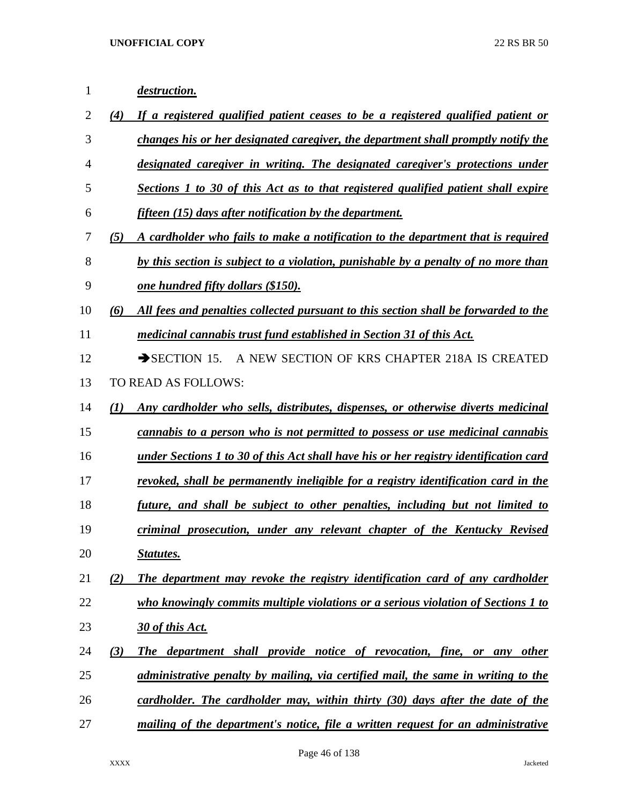| $\mathbf{1}$ | <i>destruction.</i>                                                                        |
|--------------|--------------------------------------------------------------------------------------------|
| 2            | (4)<br>If a registered qualified patient ceases to be a registered qualified patient or    |
| 3            | changes his or her designated caregiver, the department shall promptly notify the          |
| 4            | designated caregiver in writing. The designated caregiver's protections under              |
| 5            | Sections 1 to 30 of this Act as to that registered qualified patient shall expire          |
| 6            | fifteen (15) days after notification by the department.                                    |
| 7            | A cardholder who fails to make a notification to the department that is required<br>(5)    |
| 8            | by this section is subject to a violation, punishable by a penalty of no more than         |
| 9            | <u>one hundred fifty dollars (\$150).</u>                                                  |
| 10           | All fees and penalties collected pursuant to this section shall be forwarded to the<br>(6) |
| 11           | medicinal cannabis trust fund established in Section 31 of this Act.                       |
| 12           | A NEW SECTION OF KRS CHAPTER 218A IS CREATED<br>$\rightarrow$ SECTION 15.                  |
| 13           | TO READ AS FOLLOWS:                                                                        |
| 14           | (1)<br>Any cardholder who sells, distributes, dispenses, or otherwise diverts medicinal    |
| 15           | cannabis to a person who is not permitted to possess or use medicinal cannabis             |
| 16           | under Sections 1 to 30 of this Act shall have his or her registry identification card      |
| 17           | revoked, shall be permanently ineligible for a registry identification card in the         |
| 18           | future, and shall be subject to other penalties, including but not limited to              |
| 19           | criminal prosecution, under any relevant chapter of the Kentucky Revised                   |
| 20           | <b>Statutes.</b>                                                                           |
| 21           | The department may revoke the registry identification card of any cardholder<br>(2)        |
| 22           | who knowingly commits multiple violations or a serious violation of Sections 1 to          |
| 23           | 30 of this Act.                                                                            |
| 24           | (3)<br>The department shall provide notice of revocation, fine, or any other               |
| 25           | administrative penalty by mailing, via certified mail, the same in writing to the          |
| 26           | cardholder. The cardholder may, within thirty (30) days after the date of the              |
| 27           | mailing of the department's notice, file a written request for an administrative           |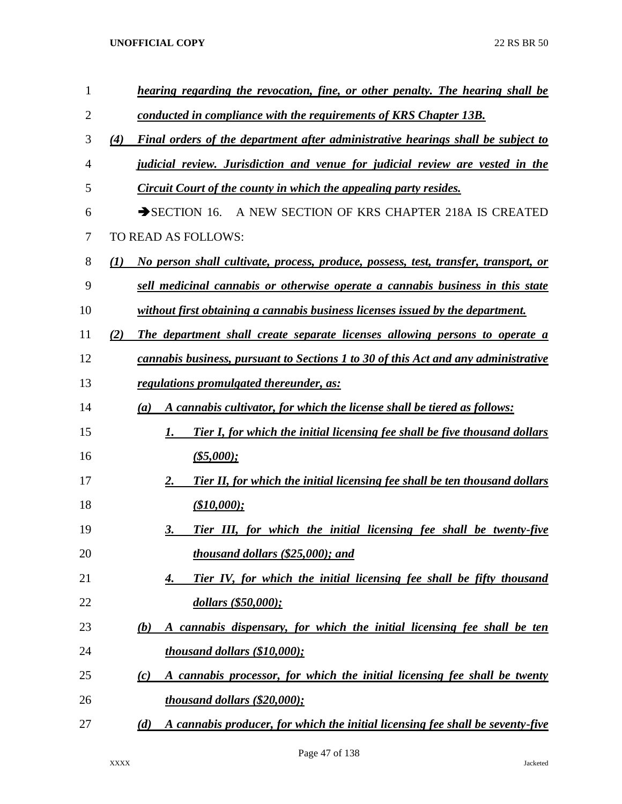| $\mathbf{1}$ | hearing regarding the revocation, fine, or other penalty. The hearing shall be             |
|--------------|--------------------------------------------------------------------------------------------|
| 2            | conducted in compliance with the requirements of KRS Chapter 13B.                          |
| 3            | (4)<br>Final orders of the department after administrative hearings shall be subject to    |
| 4            | judicial review. Jurisdiction and venue for judicial review are vested in the              |
| 5            | Circuit Court of the county in which the appealing party resides.                          |
| 6            | A NEW SECTION OF KRS CHAPTER 218A IS CREATED<br>$\rightarrow$ SECTION 16.                  |
| 7            | TO READ AS FOLLOWS:                                                                        |
| 8            | (1)<br>No person shall cultivate, process, produce, possess, test, transfer, transport, or |
| 9            | sell medicinal cannabis or otherwise operate a cannabis business in this state             |
| 10           | without first obtaining a cannabis business licenses issued by the department.             |
| 11           | (2)<br>The department shall create separate licenses allowing persons to operate a         |
| 12           | cannabis business, pursuant to Sections 1 to 30 of this Act and any administrative         |
| 13           | regulations promulgated thereunder, as:                                                    |
| 14           | A cannabis cultivator, for which the license shall be tiered as follows:<br>(a)            |
| 15           | <b>Tier I, for which the initial licensing fee shall be five thousand dollars</b><br>1.    |
| 16           | $($ \$5,000);                                                                              |
| 17           | Tier II, for which the initial licensing fee shall be ten thousand dollars<br>2.           |
| 18           | (\$10,000);                                                                                |
| 19           | Tier III, for which the initial licensing fee shall be twenty-five<br>3.                   |
| 20           | thousand dollars (\$25,000); and                                                           |
| 21           | Tier IV, for which the initial licensing fee shall be fifty thousand<br>4.                 |
| 22           | dollars (\$50,000);                                                                        |
| 23           | A cannabis dispensary, for which the initial licensing fee shall be ten<br>(b)             |
| 24           | thousand dollars (\$10,000);                                                               |
| 25           | A cannabis processor, for which the initial licensing fee shall be twenty<br>(c)           |
| 26           | thousand dollars (\$20,000);                                                               |
| 27           | A cannabis producer, for which the initial licensing fee shall be seventy-five<br>(d)      |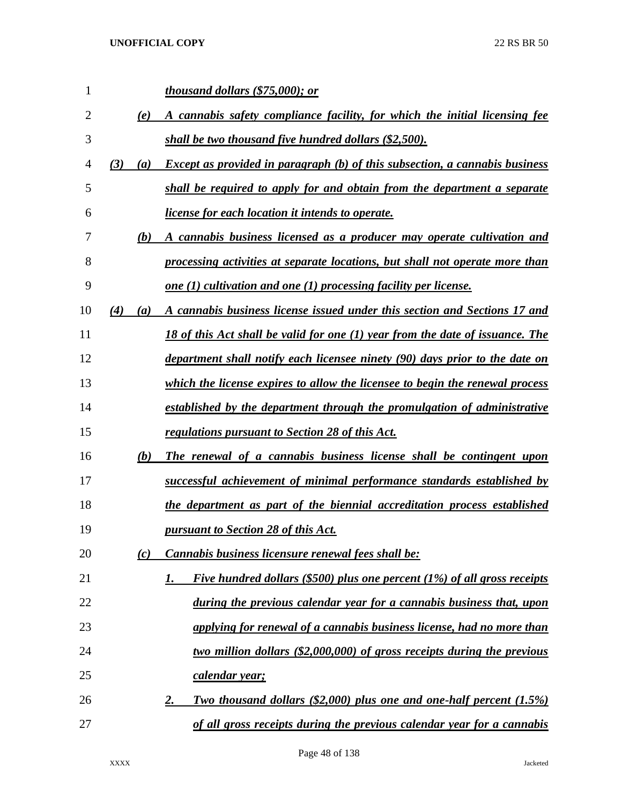| 1              |     |     | thousand dollars (\$75,000); or                                                         |
|----------------|-----|-----|-----------------------------------------------------------------------------------------|
| $\overline{2}$ |     | (e) | A cannabis safety compliance facility, for which the initial licensing fee              |
| 3              |     |     | shall be two thousand five hundred dollars (\$2,500).                                   |
| 4              | (3) | (a) | <b>Except as provided in paragraph (b) of this subsection, a cannabis business</b>      |
| 5              |     |     | shall be required to apply for and obtain from the department a separate                |
| 6              |     |     | <i><u><b>license for each location it intends to operate.</b></u></i>                   |
| 7              |     | (b) | A cannabis business licensed as a producer may operate cultivation and                  |
| 8              |     |     | processing activities at separate locations, but shall not operate more than            |
| 9              |     |     | one $(1)$ cultivation and one $(1)$ processing facility per license.                    |
| 10             | (4) | (a) | A cannabis business license issued under this section and Sections 17 and               |
| 11             |     |     | 18 of this Act shall be valid for one (1) year from the date of issuance. The           |
| 12             |     |     | department shall notify each licensee ninety (90) days prior to the date on             |
| 13             |     |     | which the license expires to allow the licensee to begin the renewal process            |
| 14             |     |     | established by the department through the promulgation of administrative                |
| 15             |     |     | <u>regulations pursuant to Section 28 of this Act.</u>                                  |
| 16             |     | (b) | The renewal of a cannabis business license shall be contingent upon                     |
| 17             |     |     | successful achievement of minimal performance standards established by                  |
| 18             |     |     | the department as part of the biennial accreditation process established                |
| 19             |     |     | pursuant to Section 28 of this Act.                                                     |
| 20             |     | (c) | Cannabis business licensure renewal fees shall be:                                      |
| 21             |     |     | Five hundred dollars (\$500) plus one percent (1%) of all gross receipts<br>1.          |
| 22             |     |     | during the previous calendar year for a cannabis business that, upon                    |
| 23             |     |     | applying for renewal of a cannabis business license, had no more than                   |
| 24             |     |     | two million dollars (\$2,000,000) of gross receipts during the previous                 |
| 25             |     |     | <u>calendar year;</u>                                                                   |
| 26             |     |     | <b>Two thousand dollars (\$2,000) plus one and one-half percent (1.5%)</b><br><u>2.</u> |
| 27             |     |     | of all gross receipts during the previous calendar year for a cannabis                  |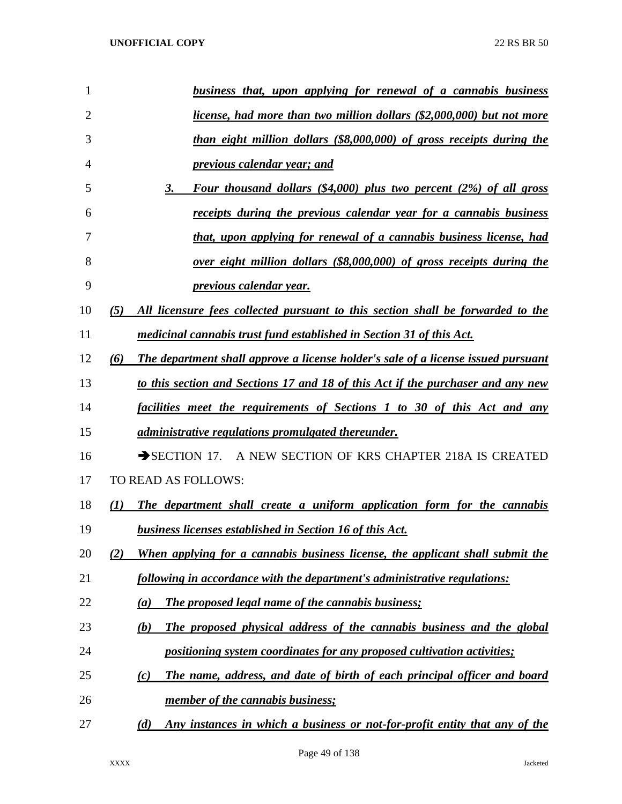| $\mathbf{1}$   | business that, upon applying for renewal of a cannabis business                          |
|----------------|------------------------------------------------------------------------------------------|
| $\overline{2}$ | <i>license, had more than two million dollars (\$2,000,000) but not more</i>             |
| 3              | than eight million dollars (\$8,000,000) of gross receipts during the                    |
| $\overline{4}$ | previous calendar year; and                                                              |
| 5              | Four thousand dollars $(\$4,000)$ plus two percent $(2\%)$ of all gross<br>3.            |
| 6              | receipts during the previous calendar year for a cannabis business                       |
| 7              | that, upon applying for renewal of a cannabis business license, had                      |
| 8              | over eight million dollars (\$8,000,000) of gross receipts during the                    |
| 9              | <i>previous calendar year.</i>                                                           |
| 10             | All licensure fees collected pursuant to this section shall be forwarded to the<br>(5)   |
| 11             | medicinal cannabis trust fund established in Section 31 of this Act.                     |
| 12             | The department shall approve a license holder's sale of a license issued pursuant<br>(6) |
| 13             | to this section and Sections 17 and 18 of this Act if the purchaser and any new          |
| 14             | facilities meet the requirements of Sections 1 to 30 of this Act and any                 |
| 15             | <i>administrative regulations promulgated thereunder.</i>                                |
| 16             | SECTION 17. A NEW SECTION OF KRS CHAPTER 218A IS CREATED                                 |
| 17             | TO READ AS FOLLOWS:                                                                      |
| 18             | The department shall create a uniform application form for the cannabis<br>(I)           |
| 19             | business licenses established in Section 16 of this Act.                                 |
| 20             | When applying for a cannabis business license, the applicant shall submit the<br>(2)     |
| 21             | following in accordance with the department's administrative regulations:                |
| 22             | <b>The proposed legal name of the cannabis business;</b><br>(a)                          |
| 23             | The proposed physical address of the cannabis business and the global<br>(b)             |
| 24             | positioning system coordinates for any proposed cultivation activities;                  |
| 25             | The name, address, and date of birth of each principal officer and board<br>(c)          |
| 26             | member of the cannabis business;                                                         |
| 27             | Any instances in which a business or not-for-profit entity that any of the<br>(d)        |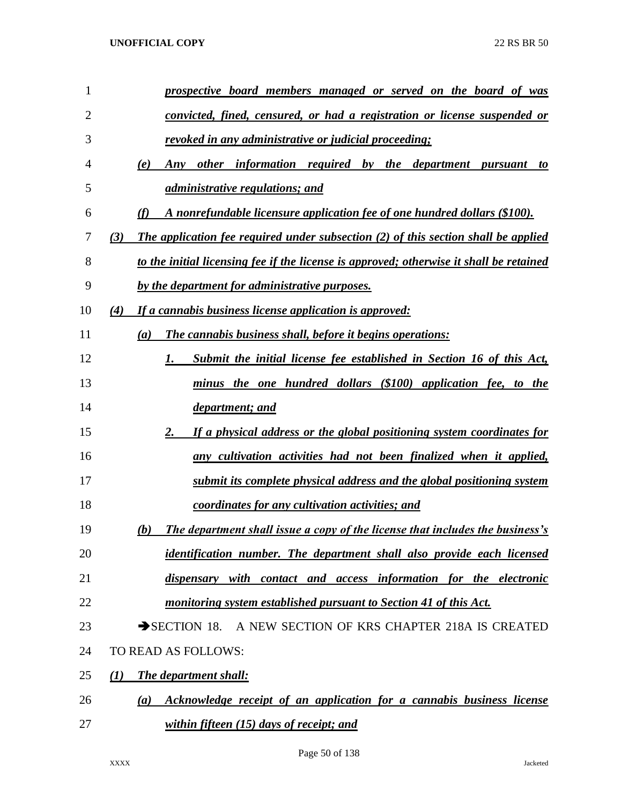| 1              | prospective board members managed or served on the board of was                             |
|----------------|---------------------------------------------------------------------------------------------|
| $\overline{2}$ | convicted, fined, censured, or had a registration or license suspended or                   |
| 3              | revoked in any administrative or judicial proceeding;                                       |
| 4              | Any other information required by the department pursuant<br>(e)<br>to                      |
| 5              | <i>administrative regulations; and</i>                                                      |
| 6              | A nonrefundable licensure application fee of one hundred dollars (\$100).<br>(f)            |
| 7              | The application fee required under subsection $(2)$ of this section shall be applied<br>(3) |
| 8              | to the initial licensing fee if the license is approved; otherwise it shall be retained     |
| 9              | by the department for administrative purposes.                                              |
| 10             | If a cannabis business license application is approved:<br>(4)                              |
| 11             | The cannabis business shall, before it begins operations:<br>(a)                            |
| 12             | Submit the initial license fee established in Section 16 of this Act,<br>1.                 |
| 13             | minus the one hundred dollars (\$100) application fee, to the                               |
| 14             | <u>department; and</u>                                                                      |
| 15             | If a physical address or the global positioning system coordinates for<br>2.                |
| 16             | any cultivation activities had not been finalized when it applied,                          |
| 17             | submit its complete physical address and the global positioning system                      |
| 18             | coordinates for any cultivation activities; and                                             |
| 19             | The department shall issue a copy of the license that includes the business's<br>(b)        |
| 20             | identification number. The department shall also provide each licensed                      |
| 21             | dispensary with contact and access information for the electronic                           |
| 22             | monitoring system established pursuant to Section 41 of this Act.                           |
| 23             | SECTION 18. A NEW SECTION OF KRS CHAPTER 218A IS CREATED                                    |
| 24             | TO READ AS FOLLOWS:                                                                         |
| 25             | The department shall:<br>(I)                                                                |
| 26             | Acknowledge receipt of an application for a cannabis business license<br>(a)                |
| 27             | within fifteen $(15)$ days of receipt; and                                                  |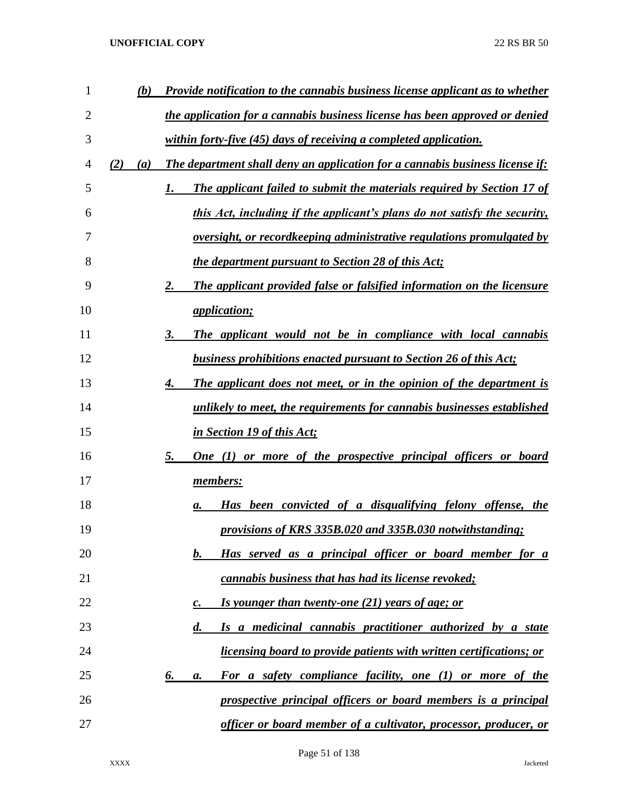| 1  | (b)        | Provide notification to the cannabis business license applicant as to whether       |
|----|------------|-------------------------------------------------------------------------------------|
| 2  |            | the application for a cannabis business license has been approved or denied         |
| 3  |            | within forty-five (45) days of receiving a completed application.                   |
| 4  | (2)<br>(a) | The department shall deny an application for a cannabis business license if:        |
| 5  |            | <b>The applicant failed to submit the materials required by Section 17 of</b><br>1. |
| 6  |            | this Act, including if the applicant's plans do not satisfy the security,           |
| 7  |            | <u>oversight, or recordkeeping administrative regulations promulgated by</u>        |
| 8  |            | <i>the department pursuant to Section 28 of this Act;</i>                           |
| 9  |            | The applicant provided false or falsified information on the licensure<br>2.        |
| 10 |            | <i><u>application;</u></i>                                                          |
| 11 |            | The applicant would not be in compliance with local cannabis<br>3.                  |
| 12 |            | <b>business prohibitions enacted pursuant to Section 26 of this Act;</b>            |
| 13 |            | The applicant does not meet, or in the opinion of the department is<br>4.           |
| 14 |            | unlikely to meet, the requirements for cannabis businesses established              |
| 15 |            | in Section 19 of this Act;                                                          |
| 16 |            | 5.<br><u>One (1) or more of the prospective principal officers or board</u>         |
| 17 |            | members:                                                                            |
| 18 |            | Has been convicted of a disqualifying felony offense, the<br>а.                     |
| 19 |            | provisions of KRS 335B.020 and 335B.030 notwithstanding;                            |
| 20 |            | Has served as a principal officer or board member for a<br>b.                       |
| 21 |            | cannabis business that has had its license revoked;                                 |
| 22 |            | Is younger than twenty-one (21) years of age; or<br>$\boldsymbol{c}$ .              |
| 23 |            | $\boldsymbol{d}$ .<br>Is a medicinal cannabis practitioner authorized by a state    |
| 24 |            | <u>licensing board to provide patients with written certifications; or</u>          |
| 25 |            | 6.<br>For a safety compliance facility, one (1) or more of the<br>a.                |
| 26 |            | prospective principal officers or board members is a principal                      |
| 27 |            | officer or board member of a cultivator, processor, producer, or                    |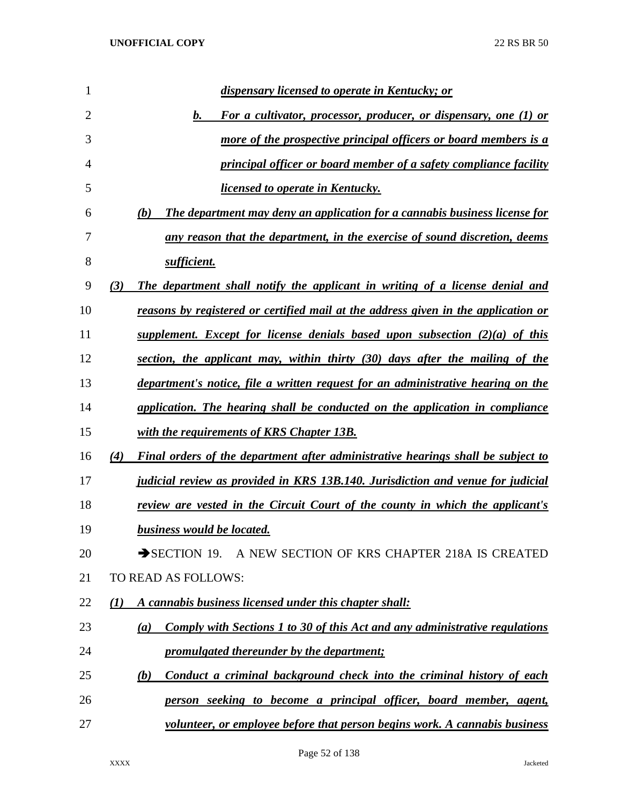| 1              | dispensary licensed to operate in Kentucky; or                                          |
|----------------|-----------------------------------------------------------------------------------------|
| $\overline{2}$ | For a cultivator, processor, producer, or dispensary, one (1) or<br>$\bm{b}$ .          |
| 3              | more of the prospective principal officers or board members is a                        |
| 4              | principal officer or board member of a safety compliance facility                       |
| 5              | <i>licensed to operate in Kentucky.</i>                                                 |
| 6              | The department may deny an application for a cannabis business license for<br>(b)       |
| 7              | any reason that the department, in the exercise of sound discretion, deems              |
| 8              | sufficient.                                                                             |
| 9              | (3)<br>The department shall notify the applicant in writing of a license denial and     |
| 10             | reasons by registered or certified mail at the address given in the application or      |
| 11             | supplement. Except for license denials based upon subsection $(2)(a)$ of this           |
| 12             | section, the applicant may, within thirty (30) days after the mailing of the            |
| 13             | department's notice, file a written request for an administrative hearing on the        |
| 14             | application. The hearing shall be conducted on the application in compliance            |
| 15             | with the requirements of KRS Chapter 13B.                                               |
| 16             | Final orders of the department after administrative hearings shall be subject to<br>(4) |
| 17             | judicial review as provided in KRS 13B.140. Jurisdiction and venue for judicial         |
| 18             | review are vested in the Circuit Court of the county in which the applicant's           |
| 19             | business would be located.                                                              |
| 20             | SECTION 19. A NEW SECTION OF KRS CHAPTER 218A IS CREATED                                |
| 21             | TO READ AS FOLLOWS:                                                                     |
| 22             | A cannabis business licensed under this chapter shall:<br>(1)                           |
| 23             | Comply with Sections 1 to 30 of this Act and any administrative regulations<br>(a)      |
| 24             | promulgated thereunder by the department;                                               |
| 25             | Conduct a criminal background check into the criminal history of each<br>(b)            |
| 26             | person seeking to become a principal officer, board member, agent,                      |
| 27             | volunteer, or employee before that person begins work. A cannabis business              |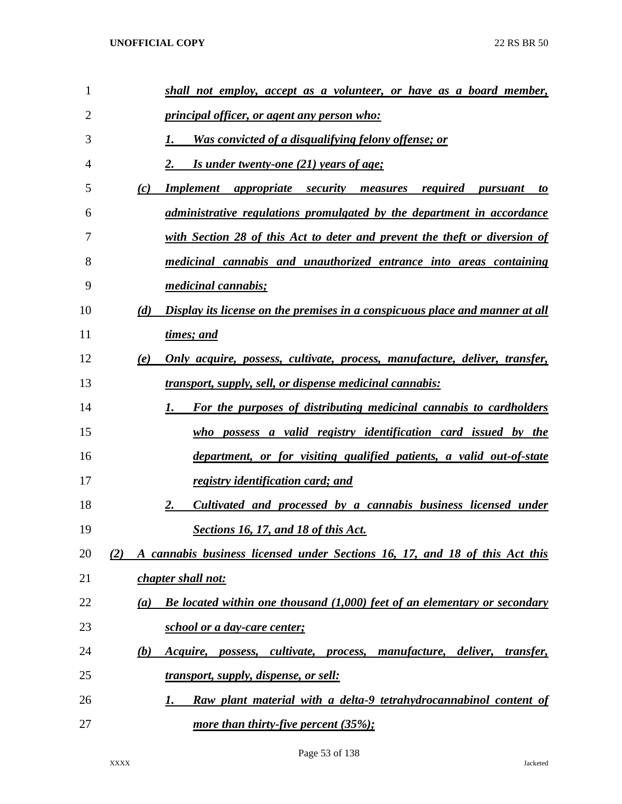| $\mathbf{1}$   |                  | shall not employ, accept as a volunteer, or have as a board member,                                                    |
|----------------|------------------|------------------------------------------------------------------------------------------------------------------------|
| $\overline{2}$ |                  | <i>principal officer, or agent any person who:</i>                                                                     |
| 3              |                  | Was convicted of a disqualifying felony offense; or                                                                    |
| 4              |                  | <u>Is under twenty-one (21) years of age;</u>                                                                          |
| 5              | (c)              | <b>Implement appropriate security measures</b><br>required<br>pursuant<br>to                                           |
| 6              |                  | <i>administrative regulations promulgated by the department in accordance</i>                                          |
| 7              |                  | with Section 28 of this Act to deter and prevent the theft or diversion of                                             |
| 8              |                  | medicinal cannabis and unauthorized entrance into areas containing                                                     |
| 9              |                  | <i>medicinal cannabis;</i>                                                                                             |
| 10             | (d)              | Display its license on the premises in a conspicuous place and manner at all                                           |
| 11             |                  | times; and                                                                                                             |
| 12             | (e)              | <u>Only acquire, possess, cultivate, process, manufacture, deliver, transfer,</u>                                      |
| 13             |                  | <u>transport, supply, sell, or dispense medicinal cannabis:</u>                                                        |
| 14             |                  | For the purposes of distributing medicinal cannabis to cardholders<br>1.                                               |
| 15             |                  | who possess a valid registry identification card issued by the                                                         |
| 16             |                  | department, or for visiting qualified patients, a valid out-of-state                                                   |
| 17             |                  | <u>registry identification card; and</u>                                                                               |
| 18             |                  | Cultivated and processed by a cannabis business licensed under<br>2.                                                   |
| 19             |                  | Sections 16, 17, and 18 of this Act.                                                                                   |
| 20             | (2)              | A cannabis business licensed under Sections 16, 17, and 18 of this Act this                                            |
| 21             |                  | chapter shall not:                                                                                                     |
| 22             | $\left(a\right)$ | <b>Be located within one thousand (1,000) feet of an elementary or secondary</b>                                       |
| 23             |                  | school or a day-care center;                                                                                           |
| 24             | (b)              | <i>cultivate</i> , <i>process</i> ,<br><i>manufacture, deliver,</i><br><i>Acquire,</i><br>possess,<br><i>transfer,</i> |
| 25             |                  | <u>transport, supply, dispense, or sell:</u>                                                                           |
| 26             |                  | Raw plant material with a delta-9 tetrahydrocannabinol content of<br>1.                                                |
| 27             |                  | <u>more than thirty-five percent (35%);</u>                                                                            |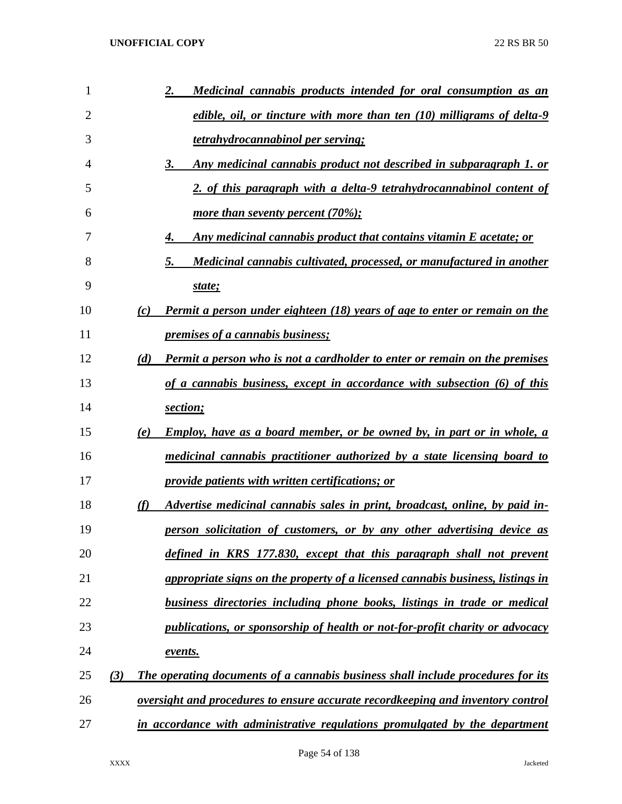| 1  |     |     | <u>Medicinal cannabis products intended for oral consumption as an</u><br><u>2.</u>    |
|----|-----|-----|----------------------------------------------------------------------------------------|
| 2  |     |     | edible, oil, or tincture with more than ten (10) milligrams of delta-9                 |
| 3  |     |     | tetrahydrocannabinol per serving;                                                      |
| 4  |     |     | Any medicinal cannabis product not described in subparagraph 1. or<br>3.               |
| 5  |     |     | 2. of this paragraph with a delta-9 tetrahydrocannabinol content of                    |
| 6  |     |     | <u>more than seventy percent (70%);</u>                                                |
| 7  |     |     | <u>Any medicinal cannabis product that contains vitamin E acetate; or</u><br>4.        |
| 8  |     |     | Medicinal cannabis cultivated, processed, or manufactured in another<br>5.             |
| 9  |     |     | state;                                                                                 |
| 10 |     | (c) | <b>Permit a person under eighteen (18) years of age to enter or remain on the</b>      |
| 11 |     |     | premises of a cannabis business;                                                       |
| 12 |     | (d) | <b>Permit a person who is not a cardholder to enter or remain on the premises</b>      |
| 13 |     |     | of a cannabis business, except in accordance with subsection (6) of this               |
| 14 |     |     | section;                                                                               |
| 15 |     | (e) | <u>Employ, have as a board member, or be owned by, in part or in whole, a</u>          |
| 16 |     |     | medicinal cannabis practitioner authorized by a state licensing board to               |
| 17 |     |     | provide patients with written certifications; or                                       |
| 18 |     | (f) | Advertise medicinal cannabis sales in print, broadcast, online, by paid in-            |
| 19 |     |     | person solicitation of customers, or by any other advertising device as                |
| 20 |     |     | defined in KRS 177.830, except that this paragraph shall not prevent                   |
| 21 |     |     | appropriate signs on the property of a licensed cannabis business, listings in         |
| 22 |     |     | <b>business directories including phone books, listings in trade or medical</b>        |
| 23 |     |     | publications, or sponsorship of health or not-for-profit charity or advocacy           |
| 24 |     |     | events.                                                                                |
| 25 | (3) |     | The operating documents of a cannabis business shall include procedures for its        |
| 26 |     |     | <u>oversight and procedures to ensure accurate recordkeeping and inventory control</u> |
| 27 |     |     | in accordance with administrative regulations promulgated by the department            |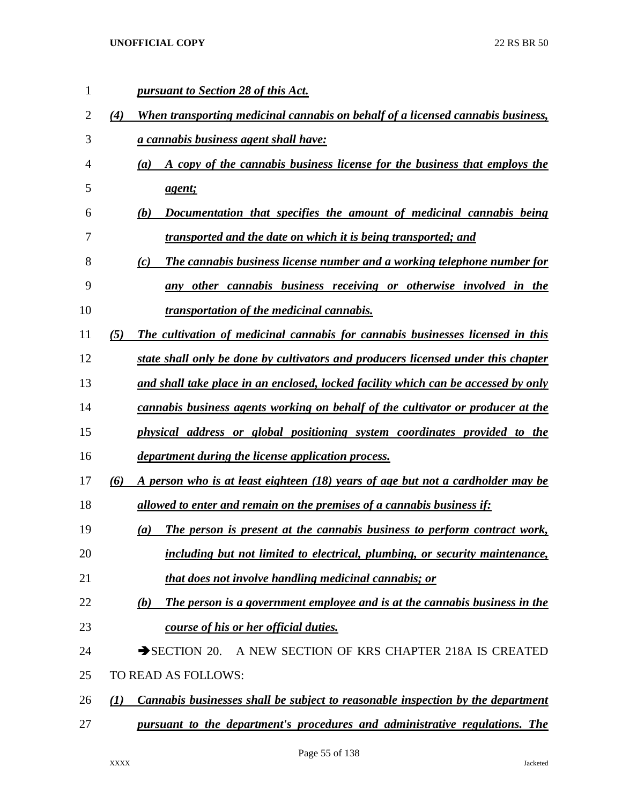|                  | pursuant to Section 28 of this Act.                                                           |
|------------------|-----------------------------------------------------------------------------------------------|
| (4)              | When transporting medicinal cannabis on behalf of a licensed cannabis business,               |
|                  | <i>a cannabis business agent shall have:</i>                                                  |
|                  | A copy of the cannabis business license for the business that employs the<br>$\left(a\right)$ |
|                  | agent;                                                                                        |
|                  | (b)<br>Documentation that specifies the amount of medicinal cannabis being                    |
|                  | transported and the date on which it is being transported; and                                |
|                  | (c)<br><b>The cannabis business license number and a working telephone number for</b>         |
|                  | other cannabis business receiving or otherwise involved in the<br>anv                         |
|                  | <i>transportation of the medicinal cannabis.</i>                                              |
| (5)              | The cultivation of medicinal cannabis for cannabis businesses licensed in this                |
|                  | state shall only be done by cultivators and producers licensed under this chapter             |
|                  | and shall take place in an enclosed, locked facility which can be accessed by only            |
|                  | cannabis business agents working on behalf of the cultivator or producer at the               |
|                  | physical address or global positioning system coordinates provided to the                     |
|                  | <i>department during the license application process.</i>                                     |
| (6)              | A person who is at least eighteen (18) years of age but not a cardholder may be               |
|                  | allowed to enter and remain on the premises of a cannabis business if:                        |
|                  | The person is present at the cannabis business to perform contract work,<br>$\left(a\right)$  |
|                  | including but not limited to electrical, plumbing, or security maintenance,                   |
|                  | that does not involve handling medicinal cannabis; or                                         |
|                  | The person is a government employee and is at the cannabis business in the<br>(b)             |
|                  | <u>course of his or her official duties.</u>                                                  |
|                  | $\rightarrow$ SECTION 20.<br>A NEW SECTION OF KRS CHAPTER 218A IS CREATED                     |
|                  | TO READ AS FOLLOWS:                                                                           |
| $\mathcal{L}(I)$ | Cannabis businesses shall be subject to reasonable inspection by the department               |
|                  | pursuant to the department's procedures and administrative regulations. The                   |
|                  |                                                                                               |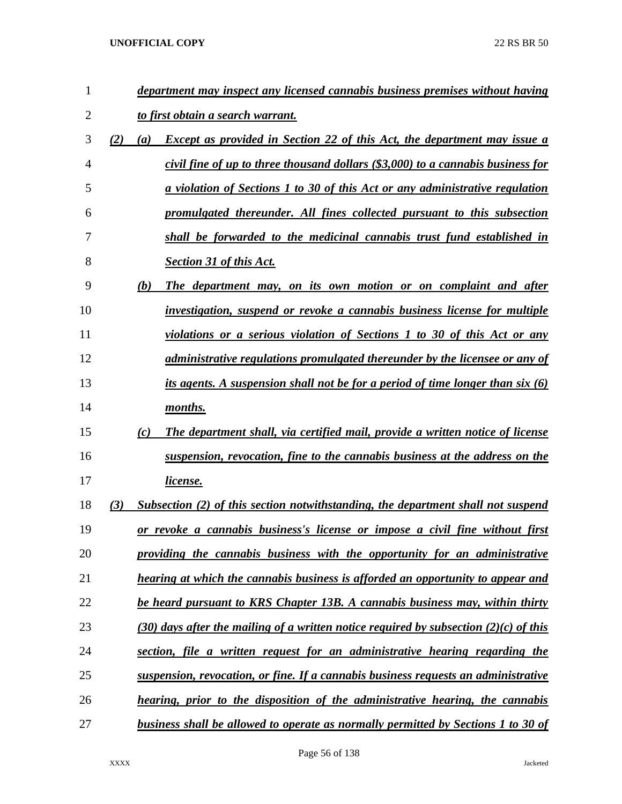| $\mathbf{1}$ |     |     | department may inspect any licensed cannabis business premises without having         |
|--------------|-----|-----|---------------------------------------------------------------------------------------|
| 2            |     |     | to first obtain a search warrant.                                                     |
| 3            | (2) | (a) | <b>Except as provided in Section 22 of this Act, the department may issue a</b>       |
| 4            |     |     | civil fine of up to three thousand dollars (\$3,000) to a cannabis business for       |
| 5            |     |     | a violation of Sections 1 to 30 of this Act or any administrative regulation          |
| 6            |     |     | promulgated thereunder. All fines collected pursuant to this subsection               |
| 7            |     |     | shall be forwarded to the medicinal cannabis trust fund established in                |
| 8            |     |     | <b>Section 31 of this Act.</b>                                                        |
| 9            |     | (b) | The department may, on its own motion or on complaint and after                       |
| 10           |     |     | investigation, suspend or revoke a cannabis business license for multiple             |
| 11           |     |     | violations or a serious violation of Sections 1 to 30 of this Act or any              |
| 12           |     |     | administrative regulations promulgated thereunder by the licensee or any of           |
| 13           |     |     | its agents. A suspension shall not be for a period of time longer than six $(6)$      |
| 14           |     |     | months.                                                                               |
| 15           |     | (c) | The department shall, via certified mail, provide a written notice of license         |
| 16           |     |     | suspension, revocation, fine to the cannabis business at the address on the           |
| 17           |     |     | <u>license.</u>                                                                       |
| 18           | (3) |     | Subsection (2) of this section notwithstanding, the department shall not suspend      |
| 19           |     |     | or revoke a cannabis business's license or impose a civil fine without first          |
| 20           |     |     | providing the cannabis business with the opportunity for an administrative            |
| 21           |     |     | hearing at which the cannabis business is afforded an opportunity to appear and       |
| 22           |     |     | be heard pursuant to KRS Chapter 13B. A cannabis business may, within thirty          |
| 23           |     |     | (30) days after the mailing of a written notice required by subsection (2)(c) of this |
| 24           |     |     | section, file a written request for an administrative hearing regarding the           |
| 25           |     |     | suspension, revocation, or fine. If a cannabis business requests an administrative    |
| 26           |     |     | hearing, prior to the disposition of the administrative hearing, the cannabis         |
| 27           |     |     | business shall be allowed to operate as normally permitted by Sections 1 to 30 of     |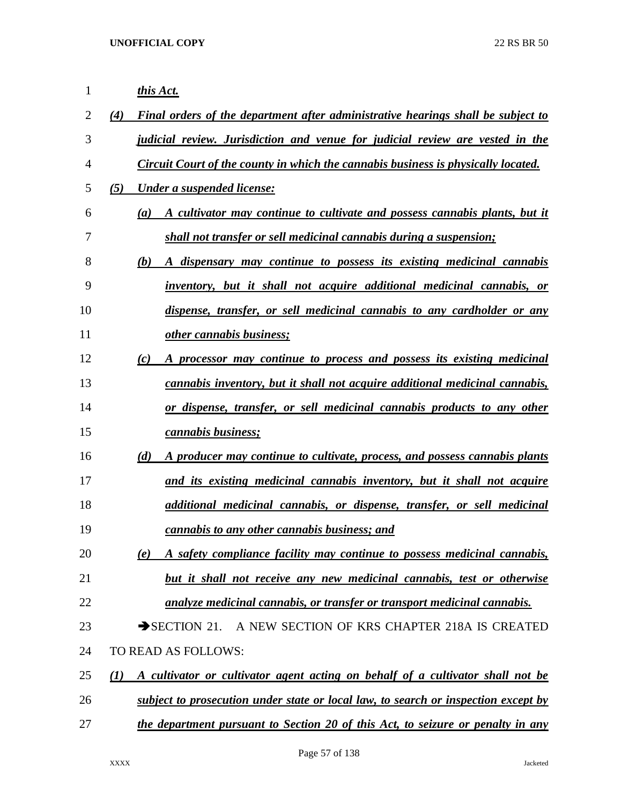| 1  |     | this Act.                                                                          |
|----|-----|------------------------------------------------------------------------------------|
| 2  | (4) | Final orders of the department after administrative hearings shall be subject to   |
| 3  |     | judicial review. Jurisdiction and venue for judicial review are vested in the      |
| 4  |     | Circuit Court of the county in which the cannabis business is physically located.  |
| 5  | (5) | Under a suspended license:                                                         |
| 6  |     | A cultivator may continue to cultivate and possess cannabis plants, but it<br>(a)  |
| 7  |     | shall not transfer or sell medicinal cannabis during a suspension;                 |
| 8  |     | A dispensary may continue to possess its existing medicinal cannabis<br>(b)        |
| 9  |     | inventory, but it shall not acquire additional medicinal cannabis, or              |
| 10 |     | dispense, transfer, or sell medicinal cannabis to any cardholder or any            |
| 11 |     | other cannabis business;                                                           |
| 12 |     | A processor may continue to process and possess its existing medicinal<br>(c)      |
| 13 |     | cannabis inventory, but it shall not acquire additional medicinal cannabis,        |
| 14 |     | or dispense, transfer, or sell medicinal cannabis products to any other            |
| 15 |     | cannabis business;                                                                 |
| 16 |     | (d)<br>A producer may continue to cultivate, process, and possess cannabis plants  |
| 17 |     | and its existing medicinal cannabis inventory, but it shall not acquire            |
| 18 |     | additional medicinal cannabis, or dispense, transfer, or sell medicinal            |
| 19 |     | cannabis to any other cannabis business; and                                       |
| 20 |     | A safety compliance facility may continue to possess medicinal cannabis,<br>(e)    |
| 21 |     | but it shall not receive any new medicinal cannabis, test or otherwise             |
| 22 |     | analyze medicinal cannabis, or transfer or transport medicinal cannabis.           |
| 23 |     | A NEW SECTION OF KRS CHAPTER 218A IS CREATED<br>$\rightarrow$ SECTION 21.          |
| 24 |     | TO READ AS FOLLOWS:                                                                |
| 25 | (I) | A cultivator or cultivator agent acting on behalf of a cultivator shall not be     |
| 26 |     | subject to prosecution under state or local law, to search or inspection except by |
| 27 |     | the department pursuant to Section 20 of this Act, to seizure or penalty in any    |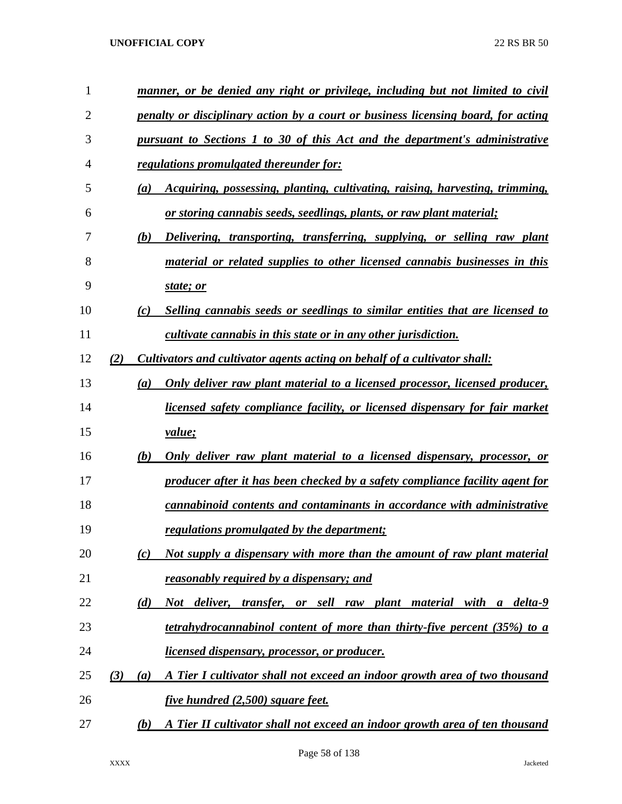| $\mathbf{1}$   |     | manner, or be denied any right or privilege, including but not limited to civil            |
|----------------|-----|--------------------------------------------------------------------------------------------|
| $\overline{2}$ |     | penalty or disciplinary action by a court or business licensing board, for acting          |
| 3              |     | pursuant to Sections 1 to 30 of this Act and the department's administrative               |
| 4              |     | regulations promulgated thereunder for:                                                    |
| 5              |     | <i>Acquiring, possessing, planting, cultivating, raising, harvesting, trimming,</i><br>(a) |
| 6              |     | or storing cannabis seeds, seedlings, plants, or raw plant material;                       |
| 7              |     | Delivering, transporting, transferring, supplying, or selling raw plant<br>(b)             |
| 8              |     | material or related supplies to other licensed cannabis businesses in this                 |
| 9              |     | state; or                                                                                  |
| 10             |     | Selling cannabis seeds or seedlings to similar entities that are licensed to<br>(c)        |
| 11             |     | cultivate cannabis in this state or in any other jurisdiction.                             |
| 12             | (2) | Cultivators and cultivator agents acting on behalf of a cultivator shall:                  |
| 13             |     | (a)<br>Only deliver raw plant material to a licensed processor, licensed producer,         |
| 14             |     | licensed safety compliance facility, or licensed dispensary for fair market                |
| 15             |     | <i>value</i> ;                                                                             |
| 16             |     | (b)<br><u>Only deliver raw plant material to a licensed dispensary, processor, or</u>      |
| 17             |     | producer after it has been checked by a safety compliance facility agent for               |
| 18             |     | cannabinoid contents and contaminants in accordance with administrative                    |
| 19             |     | regulations promulgated by the department;                                                 |
| 20             |     | Not supply a dispensary with more than the amount of raw plant material<br>(c)             |
| 21             |     | <u>reasonably required by a dispensary; and</u>                                            |
| 22             |     | transfer, or sell raw plant material with a delta-9<br>(d)<br>Not deliver,                 |
| 23             |     | tetrahydrocannabinol content of more than thirty-five percent (35%) to a                   |
| 24             |     | <i>licensed dispensary, processor, or producer.</i>                                        |
| 25             | (3) | A Tier I cultivator shall not exceed an indoor growth area of two thousand<br>(a)          |
| 26             |     | <u>five hundred (2,500) square feet.</u>                                                   |
| 27             |     | A Tier II cultivator shall not exceed an indoor growth area of ten thousand<br>(b)         |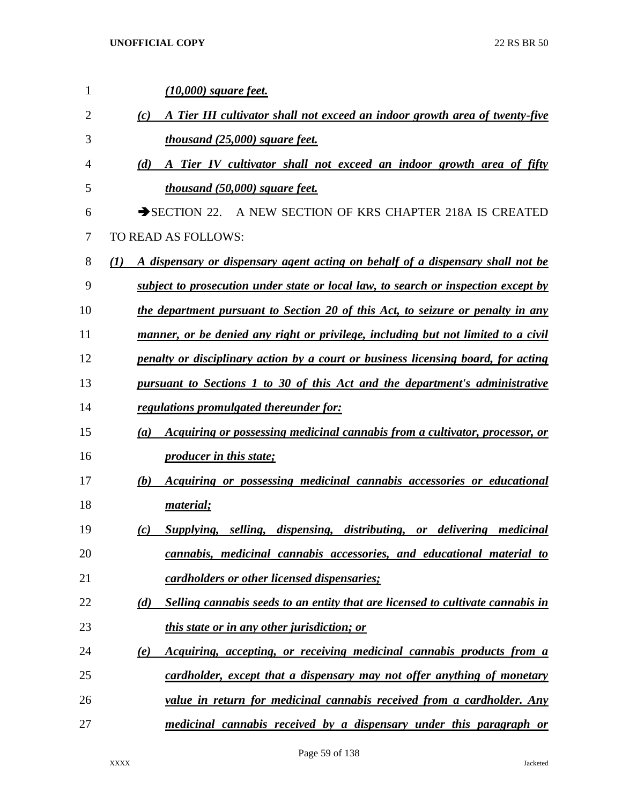| 1  | <u>(10,000) square feet.</u>                                                                       |
|----|----------------------------------------------------------------------------------------------------|
| 2  | A Tier III cultivator shall not exceed an indoor growth area of twenty-five<br>(c)                 |
| 3  | <i>thousand (25,000) square feet.</i>                                                              |
| 4  | (d)<br>A Tier IV cultivator shall not exceed an indoor growth area of fifty                        |
| 5  | <i>thousand (50,000) square feet.</i>                                                              |
| 6  | SECTION 22. A NEW SECTION OF KRS CHAPTER 218A IS CREATED                                           |
| 7  | TO READ AS FOLLOWS:                                                                                |
| 8  | $\mathcal{L}(I)$<br>A dispensary or dispensary agent acting on behalf of a dispensary shall not be |
| 9  | subject to prosecution under state or local law, to search or inspection except by                 |
| 10 | the department pursuant to Section 20 of this Act, to seizure or penalty in any                    |
| 11 | manner, or be denied any right or privilege, including but not limited to a civil                  |
| 12 | penalty or disciplinary action by a court or business licensing board, for acting                  |
| 13 | pursuant to Sections 1 to 30 of this Act and the department's administrative                       |
| 14 | regulations promulgated thereunder for:                                                            |
| 15 | Acquiring or possessing medicinal cannabis from a cultivator, processor, or<br>(a)                 |
| 16 | <i><u><b>producer in this state;</b></u></i>                                                       |
| 17 | (b)<br>Acquiring or possessing medicinal cannabis accessories or educational                       |
| 18 | material;                                                                                          |
| 19 | Supplying, selling, dispensing, distributing, or delivering medicinal<br>(c)                       |
| 20 | cannabis, medicinal cannabis accessories, and educational material to                              |
| 21 | cardholders or other licensed dispensaries;                                                        |
| 22 | Selling cannabis seeds to an entity that are licensed to cultivate cannabis in<br>(d)              |
| 23 | <i>this state or in any other jurisdiction; or</i>                                                 |
| 24 | Acquiring, accepting, or receiving medicinal cannabis products from a<br>(e)                       |
| 25 | cardholder, except that a dispensary may not offer anything of monetary                            |
| 26 | value in return for medicinal cannabis received from a cardholder. Any                             |
| 27 | <u>medicinal cannabis received by a dispensary under this paragraph or</u>                         |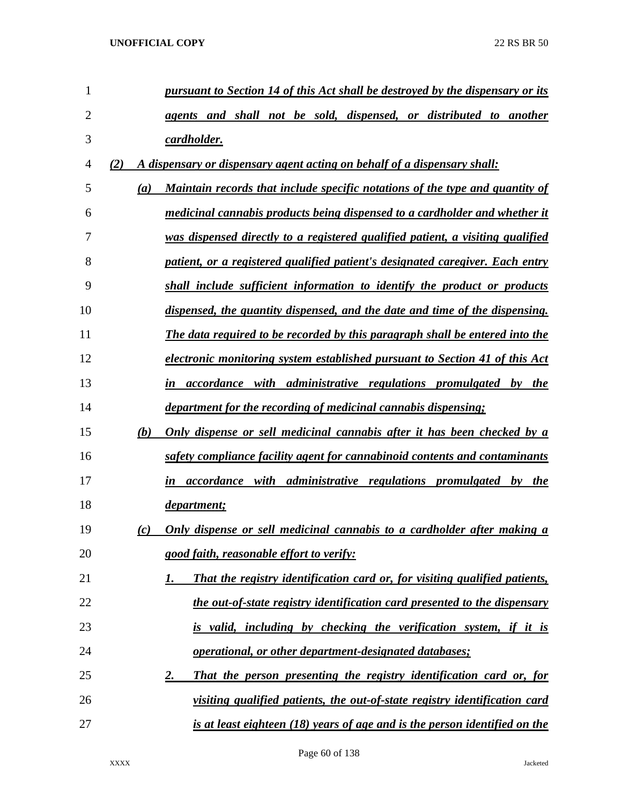| 1  | pursuant to Section 14 of this Act shall be destroyed by the dispensary or its      |
|----|-------------------------------------------------------------------------------------|
| 2  | agents and shall not be sold, dispensed, or distributed to another                  |
| 3  | cardholder.                                                                         |
| 4  | A dispensary or dispensary agent acting on behalf of a dispensary shall:<br>(2)     |
| 5  | Maintain records that include specific notations of the type and quantity of<br>(a) |
| 6  | medicinal cannabis products being dispensed to a cardholder and whether it          |
| 7  | was dispensed directly to a registered qualified patient, a visiting qualified      |
| 8  | patient, or a registered qualified patient's designated caregiver. Each entry       |
| 9  | shall include sufficient information to identify the product or products            |
| 10 | dispensed, the quantity dispensed, and the date and time of the dispensing.         |
| 11 | The data required to be recorded by this paragraph shall be entered into the        |
| 12 | electronic monitoring system established pursuant to Section 41 of this Act         |
| 13 | in accordance with administrative regulations promulgated by the                    |
| 14 | department for the recording of medicinal cannabis dispensing;                      |
| 15 | Only dispense or sell medicinal cannabis after it has been checked by a<br>(b)      |
| 16 | safety compliance facility agent for cannabinoid contents and contaminants          |
| 17 | in accordance with administrative regulations promulgated by the                    |
| 18 | department;                                                                         |
| 19 | Only dispense or sell medicinal cannabis to a cardholder after making a<br>(c)      |
| 20 | good faith, reasonable effort to verify:                                            |
| 21 | That the registry identification card or, for visiting qualified patients,<br>1.    |
| 22 | the out-of-state registry identification card presented to the dispensary           |
| 23 | is valid, including by checking the verification system, if it is                   |
| 24 | operational, or other department-designated databases;                              |
| 25 | That the person presenting the registry identification card or, for<br>2.           |
| 26 | visiting qualified patients, the out-of-state registry identification card          |
| 27 | is at least eighteen (18) years of age and is the person identified on the          |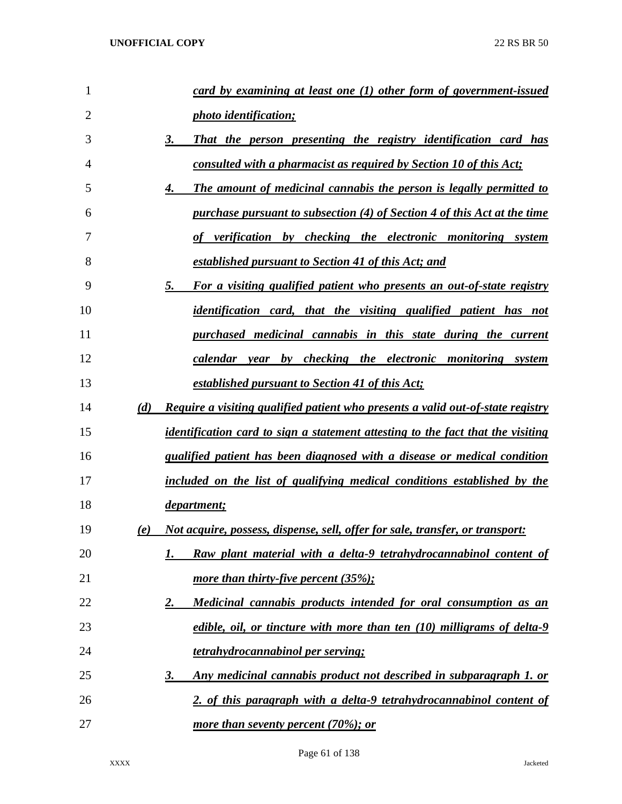| 1              | card by examining at least one $(1)$ other form of government-issued                        |
|----------------|---------------------------------------------------------------------------------------------|
| $\overline{2}$ | <i>photo identification;</i>                                                                |
| 3              | 3.<br>That the person presenting the registry identification card has                       |
| 4              | consulted with a pharmacist as required by Section 10 of this Act;                          |
| 5              | The amount of medicinal cannabis the person is legally permitted to<br>4.                   |
| 6              | purchase pursuant to subsection (4) of Section 4 of this Act at the time                    |
| 7              | verification by checking the electronic monitoring system                                   |
| 8              | established pursuant to Section 41 of this Act; and                                         |
| 9              | 5.<br>For a visiting qualified patient who presents an out-of-state registry                |
| 10             | <i>identification card, that the visiting qualified patient has not</i>                     |
| 11             | purchased medicinal cannabis in this state during the current                               |
| 12             | calendar year by checking the electronic monitoring system                                  |
| 13             | established pursuant to Section 41 of this Act;                                             |
| 14             | (d)<br>Require a visiting qualified patient who presents a valid out-of-state registry      |
| 15             | <i>identification card to sign a statement attesting to the fact that the visiting</i>      |
| 16             | qualified patient has been diagnosed with a disease or medical condition                    |
| 17             | included on the list of qualifying medical conditions established by the                    |
| 18             | department;                                                                                 |
| 19             | <u>Not acquire, possess, dispense, sell, offer for sale, transfer, or transport:</u><br>(e) |
| 20             | Raw plant material with a delta-9 tetrahydrocannabinol content of<br>1.                     |
| 21             | more than thirty-five percent $(35\%);$                                                     |
| 22             | Medicinal cannabis products intended for oral consumption as an<br>2.                       |
| 23             | edible, oil, or tincture with more than ten (10) milligrams of delta-9                      |
| 24             | tetrahydrocannabinol per serving;                                                           |
| 25             | Any medicinal cannabis product not described in subparagraph 1. or<br><u>3.</u>             |
| 26             | 2. of this paragraph with a delta-9 tetrahydrocannabinol content of                         |
| 27             | more than seventy percent (70%); or                                                         |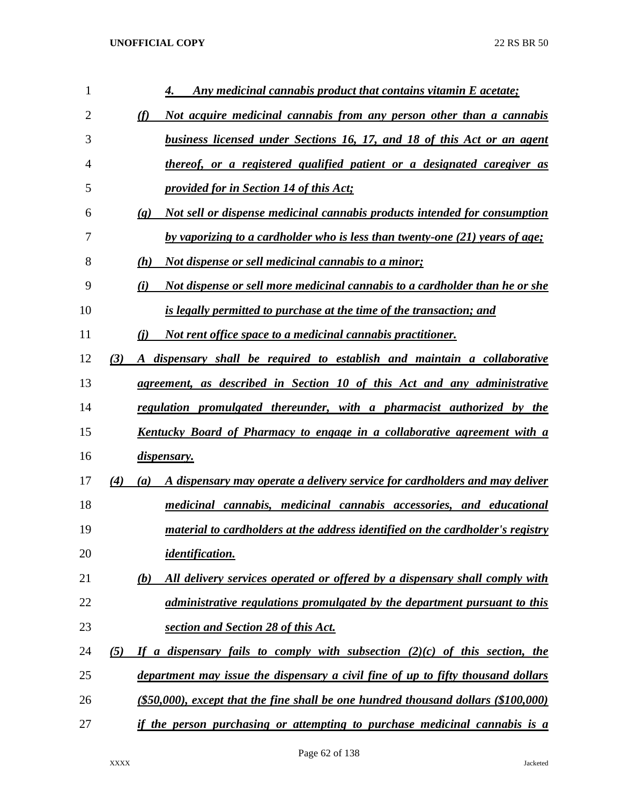| 1  | Any medicinal cannabis product that contains vitamin E acetate;<br>4.                                    |
|----|----------------------------------------------------------------------------------------------------------|
| 2  | Not acquire medicinal cannabis from any person other than a cannabis<br>(f)                              |
| 3  | business licensed under Sections 16, 17, and 18 of this Act or an agent                                  |
| 4  | thereof, or a registered qualified patient or a designated caregiver as                                  |
| 5  | <i><u><b>provided for in Section 14 of this Act;</b></u></i>                                             |
| 6  | Not sell or dispense medicinal cannabis products intended for consumption<br>$\left( \mathbf{g} \right)$ |
| 7  | by vaporizing to a cardholder who is less than twenty-one (21) years of age;                             |
| 8  | <u>Not dispense or sell medicinal cannabis to a minor;</u><br>(h)                                        |
| 9  | Not dispense or sell more medicinal cannabis to a cardholder than he or she<br>(i)                       |
| 10 | is legally permitted to purchase at the time of the transaction; and                                     |
| 11 | Not rent office space to a medicinal cannabis practitioner.<br>(i)                                       |
| 12 | A dispensary shall be required to establish and maintain a collaborative<br>(3)                          |
| 13 | agreement, as described in Section 10 of this Act and any administrative                                 |
| 14 | regulation promulgated thereunder, with a pharmacist authorized by the                                   |
| 15 | <u>Kentucky Board of Pharmacy to engage in a collaborative agreement with a</u>                          |
| 16 | dispensary.                                                                                              |
| 17 | A dispensary may operate a delivery service for cardholders and may deliver<br>(4)<br>(a)                |
| 18 | medicinal cannabis, medicinal cannabis accessories, and educational                                      |
| 19 | material to cardholders at the address identified on the cardholder's registry                           |
| 20 | <i>identification.</i>                                                                                   |
| 21 | All delivery services operated or offered by a dispensary shall comply with<br>(b)                       |
| 22 | administrative regulations promulgated by the department pursuant to this                                |
| 23 | section and Section 28 of this Act.                                                                      |
| 24 | If a dispensary fails to comply with subsection $(2)(c)$ of this section, the<br>(5)                     |
| 25 | department may issue the dispensary a civil fine of up to fifty thousand dollars                         |
| 26 | $($ \$50,000), except that the fine shall be one hundred thousand dollars $($ \$100,000)                 |
| 27 | if the person purchasing or attempting to purchase medicinal cannabis is a                               |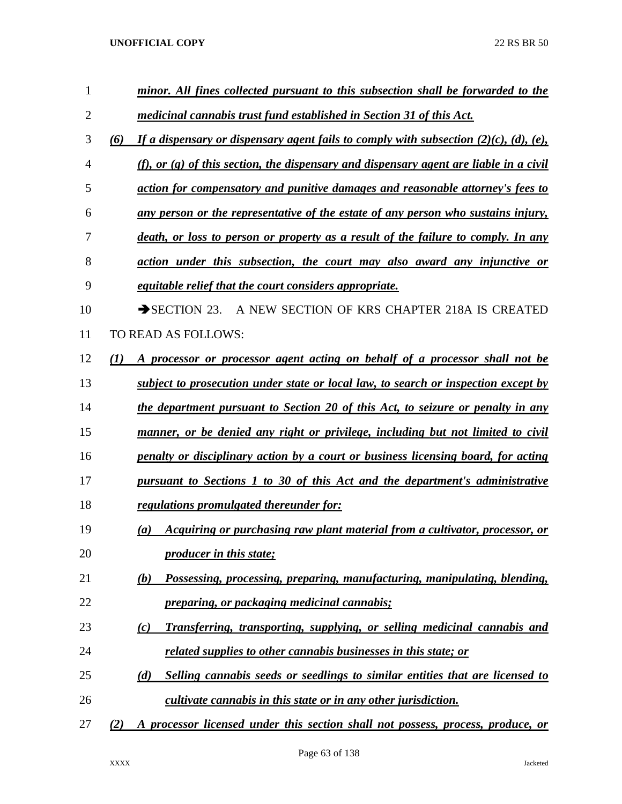| $\mathbf{1}$ | minor. All fines collected pursuant to this subsection shall be forwarded to the                      |
|--------------|-------------------------------------------------------------------------------------------------------|
| 2            | medicinal cannabis trust fund established in Section 31 of this Act.                                  |
| 3            | If a dispensary or dispensary agent fails to comply with subsection $(2)(c)$ , $(d)$ , $(e)$ ,<br>(6) |
| 4            | (f), or $(g)$ of this section, the dispensary and dispensary agent are liable in a civil              |
| 5            | action for compensatory and punitive damages and reasonable attorney's fees to                        |
| 6            | any person or the representative of the estate of any person who sustains injury,                     |
| 7            | <u>death, or loss to person or property as a result of the failure to comply. In any</u>              |
| 8            | action under this subsection, the court may also award any injunctive or                              |
| 9            | <i>equitable relief that the court considers appropriate.</i>                                         |
| 10           | A NEW SECTION OF KRS CHAPTER 218A IS CREATED<br>$\rightarrow$ SECTION 23.                             |
| 11           | TO READ AS FOLLOWS:                                                                                   |
| 12           | A processor or processor agent acting on behalf of a processor shall not be<br>(1)                    |
| 13           | subject to prosecution under state or local law, to search or inspection except by                    |
| 14           | the department pursuant to Section 20 of this Act, to seizure or penalty in any                       |
| 15           | manner, or be denied any right or privilege, including but not limited to civil                       |
| 16           | penalty or disciplinary action by a court or business licensing board, for acting                     |
| 17           | pursuant to Sections 1 to 30 of this Act and the department's administrative                          |
| 18           | <u>regulations promulgated thereunder for:</u>                                                        |
| 19           | Acquiring or purchasing raw plant material from a cultivator, processor, or<br>$\left(a\right)$       |
| 20           | <i><u><b>producer in this state;</b></u></i>                                                          |
| 21           | Possessing, processing, preparing, manufacturing, manipulating, blending,<br>(b)                      |
| 22           | <i><u><b>preparing, or packaging medicinal cannabis;</b></u></i>                                      |
| 23           | Transferring, transporting, supplying, or selling medicinal cannabis and<br>(c)                       |
| 24           | related supplies to other cannabis businesses in this state; or                                       |
| 25           | Selling cannabis seeds or seedlings to similar entities that are licensed to<br>(d)                   |
| 26           | <i>cultivate cannabis in this state or in any other jurisdiction.</i>                                 |
| 27           | A processor licensed under this section shall not possess, process, produce, or<br>(2)                |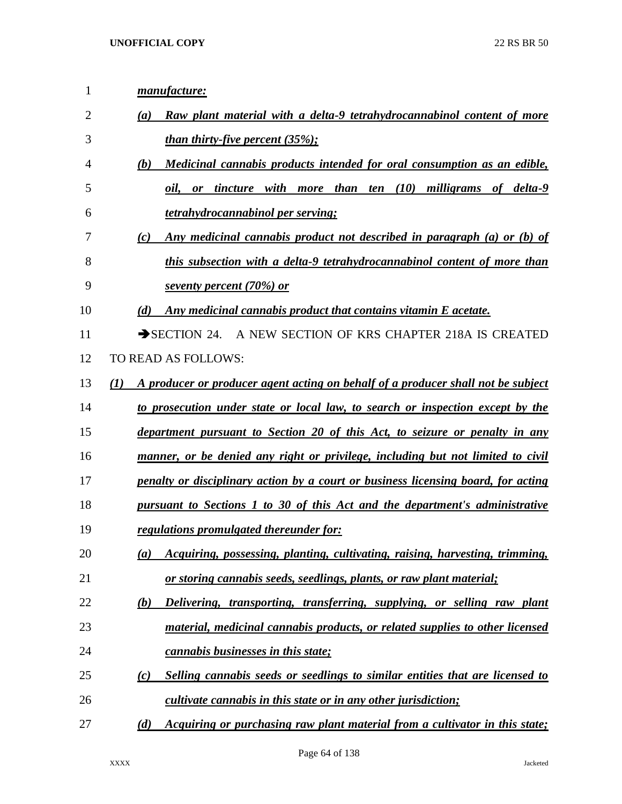| $\mathbf{1}$ | manufacture:                                                                            |
|--------------|-----------------------------------------------------------------------------------------|
| 2            | Raw plant material with a delta-9 tetrahydrocannabinol content of more<br>(a)           |
| 3            | <u>than thirty-five percent <math>(35\%)</math>;</u>                                    |
| 4            | Medicinal cannabis products intended for oral consumption as an edible,<br>(b)          |
| 5            | ten (10) milligrams of delta-9<br>or tincture with more than<br>oil,                    |
| 6            | <i>tetrahydrocannabinol per serving;</i>                                                |
| 7            | Any medicinal cannabis product not described in paragraph (a) or (b) of<br>(c)          |
| 8            | this subsection with a delta-9 tetrahydrocannabinol content of more than                |
| 9            | seventy percent (70%) or                                                                |
| 10           | (d)<br>Any medicinal cannabis product that contains vitamin E acetate.                  |
| 11           | $\rightarrow$ SECTION 24.<br>A NEW SECTION OF KRS CHAPTER 218A IS CREATED               |
| 12           | TO READ AS FOLLOWS:                                                                     |
| 13           | A producer or producer agent acting on behalf of a producer shall not be subject<br>(I) |
| 14           | to prosecution under state or local law, to search or inspection except by the          |
| 15           | department pursuant to Section 20 of this Act, to seizure or penalty in any             |
| 16           | manner, or be denied any right or privilege, including but not limited to civil         |
| 17           | penalty or disciplinary action by a court or business licensing board, for acting       |
| 18           | pursuant to Sections 1 to 30 of this Act and the department's administrative            |
| 19           | regulations promulgated thereunder for:                                                 |
| 20           | Acquiring, possessing, planting, cultivating, raising, harvesting, trimming,<br>(a)     |
| 21           | or storing cannabis seeds, seedlings, plants, or raw plant material;                    |
| 22           | Delivering, transporting, transferring, supplying, or selling raw plant<br>(b)          |
| 23           | material, medicinal cannabis products, or related supplies to other licensed            |
| 24           | <i>cannabis businesses in this state;</i>                                               |
| 25           | Selling cannabis seeds or seedlings to similar entities that are licensed to<br>(c)     |
| 26           | <i>cultivate cannabis in this state or in any other jurisdiction;</i>                   |
| 27           | (d)<br>Acquiring or purchasing raw plant material from a cultivator in this state;      |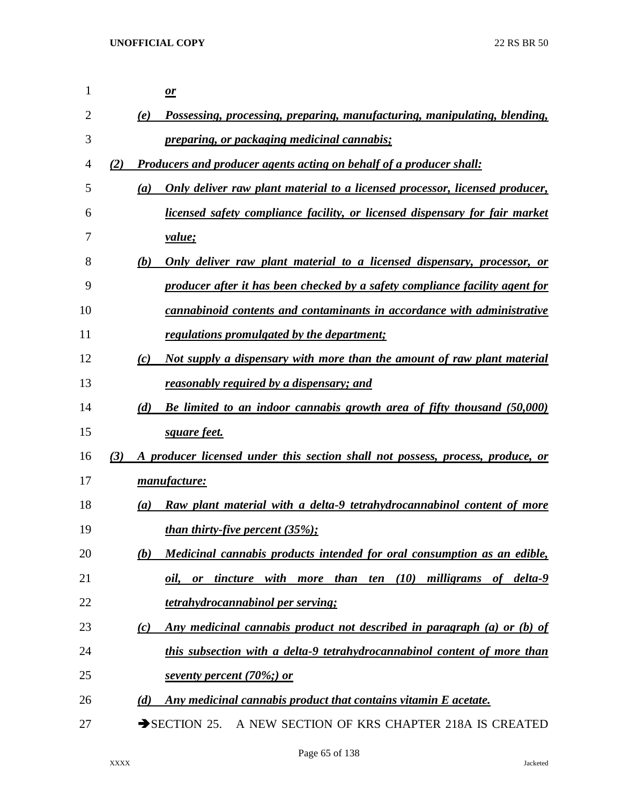| $\mathbf{1}$ |     |     | $\mathbf{\underline{\mathit{or}}}$                                             |
|--------------|-----|-----|--------------------------------------------------------------------------------|
| 2            |     | (e) | Possessing, processing, preparing, manufacturing, manipulating, blending,      |
| 3            |     |     | <i><u><b>preparing, or packaging medicinal cannabis;</b></u></i>               |
| 4            | (2) |     | <b>Producers and producer agents acting on behalf of a producer shall:</b>     |
| 5            |     | (a) | Only deliver raw plant material to a licensed processor, licensed producer,    |
| 6            |     |     | licensed safety compliance facility, or licensed dispensary for fair market    |
| 7            |     |     | <i>value</i> ;                                                                 |
| 8            |     | (b) | Only deliver raw plant material to a licensed dispensary, processor, or        |
| 9            |     |     | producer after it has been checked by a safety compliance facility agent for   |
| 10           |     |     | cannabinoid contents and contaminants in accordance with administrative        |
| 11           |     |     | regulations promulgated by the department;                                     |
| 12           |     | (c) | Not supply a dispensary with more than the amount of raw plant material        |
| 13           |     |     | reasonably required by a dispensary; and                                       |
| 14           |     | (d) | Be limited to an indoor cannabis growth area of fifty thousand (50,000)        |
| 15           |     |     | square feet.                                                                   |
| 16           | (3) |     | A producer licensed under this section shall not possess, process, produce, or |
| 17           |     |     | manufacture:                                                                   |
| 18           |     | (a) | Raw plant material with a delta-9 tetrahydrocannabinol content of more         |
| 19           |     |     | <u>than thirty-five percent <math>(35\%)</math>;</u>                           |
| 20           |     | (b) | Medicinal cannabis products intended for oral consumption as an edible,        |
| 21           |     |     | tincture with more than ten (10)<br>milligrams of delta-9<br>oil,<br>or        |
| 22           |     |     | <u>tetrahydrocannabinol per serving;</u>                                       |
| 23           |     | (c) | Any medicinal cannabis product not described in paragraph (a) or (b) of        |
| 24           |     |     | this subsection with a delta-9 tetrahydrocannabinol content of more than       |
| 25           |     |     | seventy percent (70%;) or                                                      |
| 26           |     | (d) | Any medicinal cannabis product that contains vitamin E acetate.                |
| 27           |     |     | $\rightarrow$ SECTION 25.<br>A NEW SECTION OF KRS CHAPTER 218A IS CREATED      |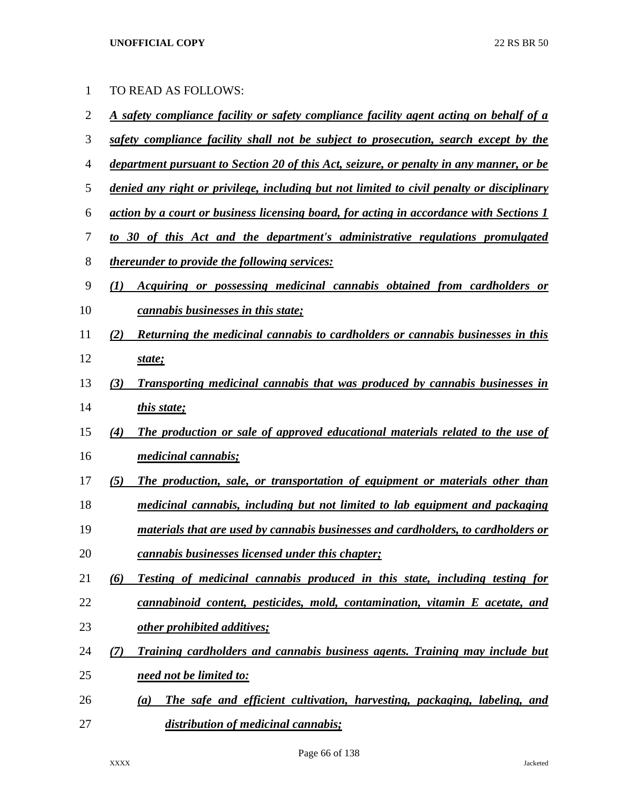| <u>A safety compliance facility or safety compliance facility agent acting on behalf of a</u><br>safety compliance facility shall not be subject to prosecution, search except by the<br><u>department pursuant to Section 20 of this Act, seizure, or penalty in any manner, or be</u> |
|-----------------------------------------------------------------------------------------------------------------------------------------------------------------------------------------------------------------------------------------------------------------------------------------|
|                                                                                                                                                                                                                                                                                         |
|                                                                                                                                                                                                                                                                                         |
|                                                                                                                                                                                                                                                                                         |
|                                                                                                                                                                                                                                                                                         |
| denied any right or privilege, including but not limited to civil penalty or disciplinary                                                                                                                                                                                               |
| action by a court or business licensing board, for acting in accordance with Sections 1                                                                                                                                                                                                 |
| to 30 of this Act and the department's administrative regulations promulgated                                                                                                                                                                                                           |
|                                                                                                                                                                                                                                                                                         |
| Acquiring or possessing medicinal cannabis obtained from cardholders or                                                                                                                                                                                                                 |
|                                                                                                                                                                                                                                                                                         |
| Returning the medicinal cannabis to cardholders or cannabis businesses in this                                                                                                                                                                                                          |
|                                                                                                                                                                                                                                                                                         |
| Transporting medicinal cannabis that was produced by cannabis businesses in                                                                                                                                                                                                             |
|                                                                                                                                                                                                                                                                                         |
| The production or sale of approved educational materials related to the use of                                                                                                                                                                                                          |
|                                                                                                                                                                                                                                                                                         |
| The production, sale, or transportation of equipment or materials other than                                                                                                                                                                                                            |
| medicinal cannabis, including but not limited to lab equipment and packaging                                                                                                                                                                                                            |
| materials that are used by cannabis businesses and cardholders, to cardholders or                                                                                                                                                                                                       |
|                                                                                                                                                                                                                                                                                         |
| Testing of medicinal cannabis produced in this state, including testing for                                                                                                                                                                                                             |
| cannabinoid content, pesticides, mold, contamination, vitamin E acetate, and                                                                                                                                                                                                            |
|                                                                                                                                                                                                                                                                                         |
| Training cardholders and cannabis business agents. Training may include but                                                                                                                                                                                                             |
|                                                                                                                                                                                                                                                                                         |
|                                                                                                                                                                                                                                                                                         |
| The safe and efficient cultivation, harvesting, packaging, labeling, and                                                                                                                                                                                                                |
|                                                                                                                                                                                                                                                                                         |

Page 66 of 138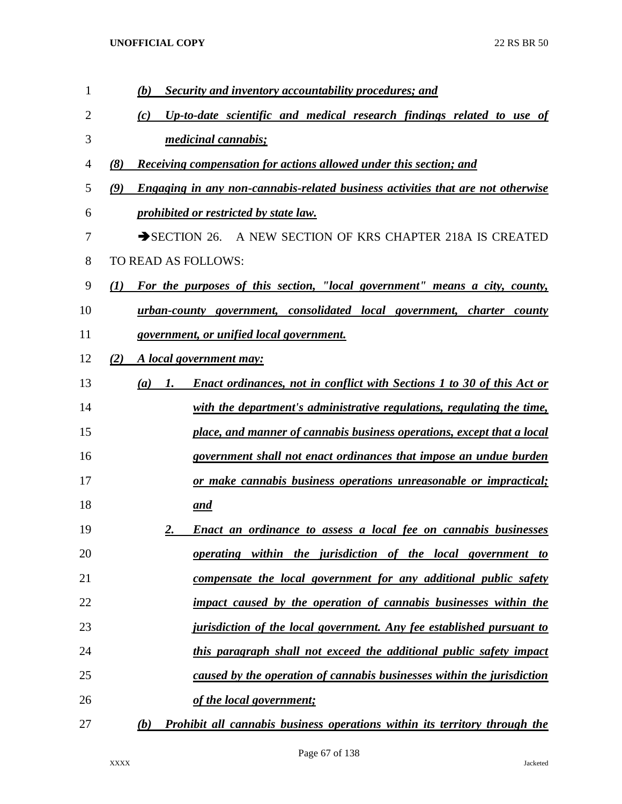| 1  | (b)<br>Security and inventory accountability procedures; and                                  |
|----|-----------------------------------------------------------------------------------------------|
| 2  | Up-to-date scientific and medical research findings related to use of<br>(c)                  |
| 3  | <i>medicinal cannabis;</i>                                                                    |
| 4  | <b>Receiving compensation for actions allowed under this section; and</b><br>(8)              |
| 5  | <b>Engaging in any non-cannabis-related business activities that are not otherwise</b><br>(9) |
| 6  | prohibited or restricted by state law.                                                        |
| 7  | A NEW SECTION OF KRS CHAPTER 218A IS CREATED<br>$\rightarrow$ SECTION 26.                     |
| 8  | TO READ AS FOLLOWS:                                                                           |
| 9  | For the purposes of this section, "local government" means a city, county,<br>(I)             |
| 10 | urban-county government, consolidated local government, charter county                        |
| 11 | government, or unified local government.                                                      |
| 12 | (2)<br>A local government may:                                                                |
| 13 | <b>Enact ordinances, not in conflict with Sections 1 to 30 of this Act or</b><br>(a)<br>1.    |
| 14 | with the department's administrative regulations, regulating the time,                        |
| 15 | place, and manner of cannabis business operations, except that a local                        |
| 16 | government shall not enact ordinances that impose an undue burden                             |
| 17 | or make cannabis business operations unreasonable or impractical;                             |
| 18 | and                                                                                           |
| 19 | <b>Enact an ordinance to assess a local fee on cannabis businesses</b><br>2.                  |
| 20 | operating within the jurisdiction of the local government to                                  |
| 21 | compensate the local government for any additional public safety                              |
| 22 | impact caused by the operation of cannabis businesses within the                              |
| 23 | jurisdiction of the local government. Any fee established pursuant to                         |
| 24 | this paragraph shall not exceed the additional public safety impact                           |
| 25 | caused by the operation of cannabis businesses within the jurisdiction                        |
| 26 | of the local government;                                                                      |
| 27 | <b>Prohibit all cannabis business operations within its territory through the</b><br>(b)      |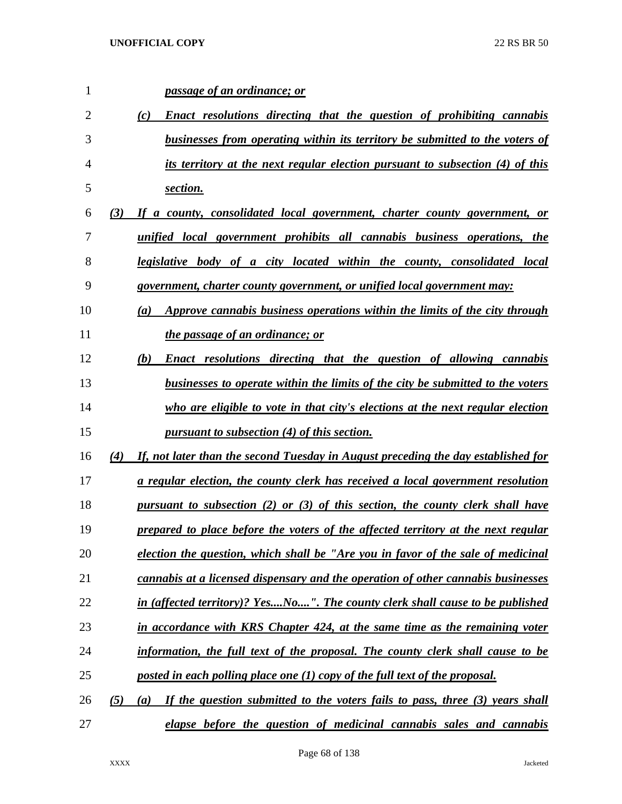| 1              |     | passage of an ordinance; or                                                                    |
|----------------|-----|------------------------------------------------------------------------------------------------|
| $\overline{2}$ |     | Enact resolutions directing that the question of prohibiting cannabis<br>(c)                   |
| 3              |     | businesses from operating within its territory be submitted to the voters of                   |
| 4              |     | its territory at the next regular election pursuant to subsection (4) of this                  |
| 5              |     | section.                                                                                       |
| 6              | (3) | If a county, consolidated local government, charter county government, or                      |
| 7              |     | unified local government prohibits all cannabis business operations, the                       |
| 8              |     | legislative body of a city located within the county, consolidated local                       |
| 9              |     | government, charter county government, or unified local government may:                        |
| 10             |     | Approve cannabis business operations within the limits of the city through<br>$\left(a\right)$ |
| 11             |     | the passage of an ordinance; or                                                                |
| 12             |     | <b>Enact resolutions directing that the question of allowing cannabis</b><br>(b)               |
| 13             |     | businesses to operate within the limits of the city be submitted to the voters                 |
| 14             |     | who are eligible to vote in that city's elections at the next regular election                 |
| 15             |     | pursuant to subsection (4) of this section.                                                    |
| 16             | (4) | If, not later than the second Tuesday in August preceding the day established for              |
| 17             |     | a regular election, the county clerk has received a local government resolution                |
| 18             |     | pursuant to subsection (2) or (3) of this section, the county clerk shall have                 |
| 19             |     | prepared to place before the voters of the affected territory at the next regular              |
| 20             |     | election the question, which shall be "Are you in favor of the sale of medicinal               |
| 21             |     | cannabis at a licensed dispensary and the operation of other cannabis businesses               |
| 22             |     | in (affected territory)? YesNo". The county clerk shall cause to be published                  |
| 23             |     | in accordance with KRS Chapter 424, at the same time as the remaining voter                    |
| 24             |     | information, the full text of the proposal. The county clerk shall cause to be                 |
| 25             |     | posted in each polling place one (1) copy of the full text of the proposal.                    |
| 26             | (5) | If the question submitted to the voters fails to pass, three (3) years shall<br>(a)            |
| 27             |     | elapse before the question of medicinal cannabis sales and cannabis                            |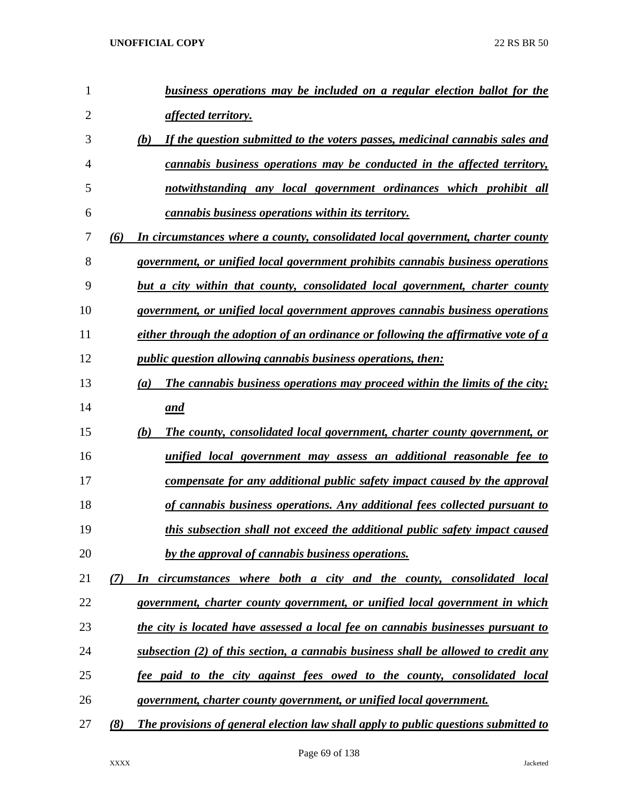| 1              |     | business operations may be included on a regular election ballot for the                  |
|----------------|-----|-------------------------------------------------------------------------------------------|
| $\overline{2}$ |     | <u>affected territory.</u>                                                                |
| 3              |     | If the question submitted to the voters passes, medicinal cannabis sales and<br>(b)       |
| 4              |     | cannabis business operations may be conducted in the affected territory,                  |
| 5              |     | notwithstanding any local government ordinances which prohibit all                        |
| 6              |     | <i>cannabis business operations within its territory.</i>                                 |
| 7              | (6) | In circumstances where a county, consolidated local government, charter county            |
| 8              |     | government, or unified local government prohibits cannabis business operations            |
| 9              |     | but a city within that county, consolidated local government, charter county              |
| 10             |     | government, or unified local government approves cannabis business operations             |
| 11             |     | either through the adoption of an ordinance or following the affirmative vote of a        |
| 12             |     | <i>public question allowing cannabis business operations, then:</i>                       |
| 13             |     | <b>The cannabis business operations may proceed within the limits of the city;</b><br>(a) |
| 14             |     | and                                                                                       |
| 15             |     | (b)<br>The county, consolidated local government, charter county government, or           |
| 16             |     | unified local government may assess an additional reasonable fee to                       |
| 17             |     | compensate for any additional public safety impact caused by the approval                 |
| 18             |     | of cannabis business operations. Any additional fees collected pursuant to                |
| 19             |     | this subsection shall not exceed the additional public safety impact caused               |
| 20             |     | by the approval of cannabis business operations.                                          |
| 21             | (7) | In circumstances where both a city and the county, consolidated local                     |
| 22             |     | government, charter county government, or unified local government in which               |
| 23             |     | the city is located have assessed a local fee on cannabis businesses pursuant to          |
| 24             |     | subsection (2) of this section, a cannabis business shall be allowed to credit any        |
| 25             |     | fee paid to the city against fees owed to the county, consolidated local                  |
| 26             |     | government, charter county government, or unified local government.                       |
| 27             | (8) | The provisions of general election law shall apply to public questions submitted to       |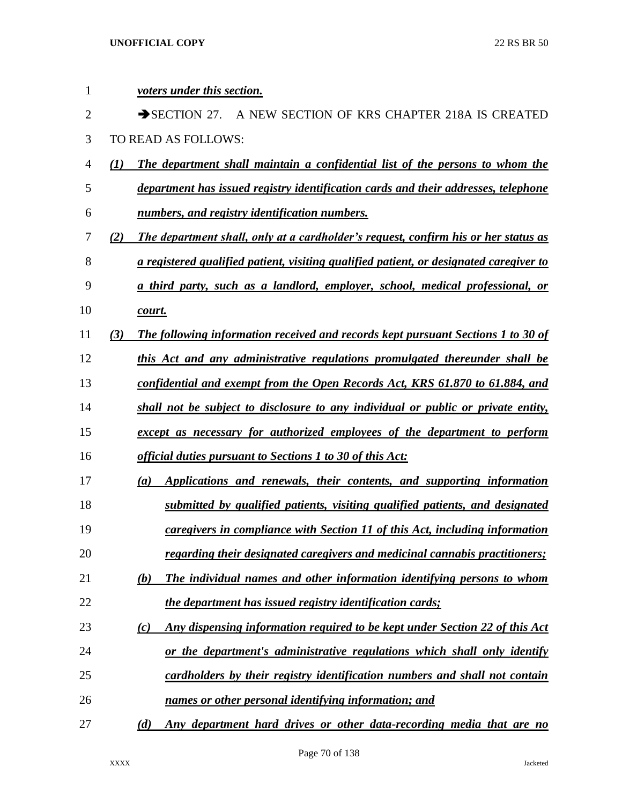| $\mathbf{1}$   |     | voters under this section.                                                                    |
|----------------|-----|-----------------------------------------------------------------------------------------------|
| $\overline{2}$ |     | $\rightarrow$ SECTION 27.<br>A NEW SECTION OF KRS CHAPTER 218A IS CREATED                     |
| 3              |     | TO READ AS FOLLOWS:                                                                           |
| $\overline{4}$ | (I) | The department shall maintain a confidential list of the persons to whom the                  |
| 5              |     | department has issued registry identification cards and their addresses, telephone            |
| 6              |     | numbers, and registry identification numbers.                                                 |
| 7              | (2) | The department shall, only at a cardholder's request, confirm his or her status as            |
| 8              |     | <u>a registered qualified patient, visiting qualified patient, or designated caregiver to</u> |
| 9              |     | a third party, such as a landlord, employer, school, medical professional, or                 |
| 10             |     | court.                                                                                        |
| 11             | (3) | The following information received and records kept pursuant Sections 1 to 30 of              |
| 12             |     | this Act and any administrative regulations promulgated thereunder shall be                   |
| 13             |     | <u>confidential and exempt from the Open Records Act, KRS 61.870 to 61.884, and</u>           |
| 14             |     | shall not be subject to disclosure to any individual or public or private entity,             |
| 15             |     | except as necessary for authorized employees of the department to perform                     |
| 16             |     | official duties pursuant to Sections 1 to 30 of this Act:                                     |
| 17             |     | Applications and renewals, their contents, and supporting information<br>(a)                  |
| 18             |     | submitted by qualified patients, visiting qualified patients, and designated                  |
| 19             |     | caregivers in compliance with Section 11 of this Act, including information                   |
| 20             |     | regarding their designated caregivers and medicinal cannabis practitioners;                   |
| 21             |     | The individual names and other information identifying persons to whom<br>(b)                 |
| 22             |     | the department has issued registry identification cards;                                      |
| 23             |     | Any dispensing information required to be kept under Section 22 of this Act<br>(c)            |
| 24             |     | or the department's administrative regulations which shall only identify                      |
| 25             |     | cardholders by their registry identification numbers and shall not contain                    |
| 26             |     | names or other personal identifying information; and                                          |
| 27             |     | Any department hard drives or other data-recording media that are no<br>(d)                   |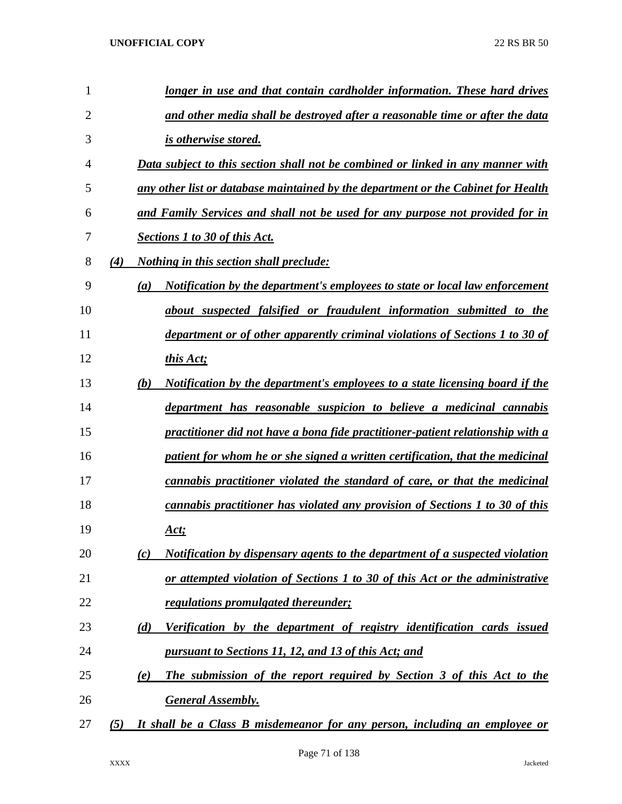| 1  |     | longer in use and that contain cardholder information. These hard drives            |
|----|-----|-------------------------------------------------------------------------------------|
| 2  |     | and other media shall be destroyed after a reasonable time or after the data        |
| 3  |     | is otherwise stored.                                                                |
| 4  |     | Data subject to this section shall not be combined or linked in any manner with     |
| 5  |     | any other list or database maintained by the department or the Cabinet for Health   |
| 6  |     | and Family Services and shall not be used for any purpose not provided for in       |
| 7  |     | <b>Sections 1 to 30 of this Act.</b>                                                |
| 8  | (4) | <i>Nothing in this section shall preclude:</i>                                      |
| 9  | (a) | Notification by the department's employees to state or local law enforcement        |
| 10 |     | about suspected falsified or fraudulent information submitted to the                |
| 11 |     | department or of other apparently criminal violations of Sections 1 to 30 of        |
| 12 |     | this Act;                                                                           |
| 13 | (b) | <u>Notification by the department's employees to a state licensing board if the</u> |
| 14 |     | department has reasonable suspicion to believe a medicinal cannabis                 |
| 15 |     | practitioner did not have a bona fide practitioner-patient relationship with a      |
| 16 |     | patient for whom he or she signed a written certification, that the medicinal       |
| 17 |     | cannabis practitioner violated the standard of care, or that the medicinal          |
| 18 |     | cannabis practitioner has violated any provision of Sections 1 to 30 of this        |
| 19 |     | <u>Act;</u>                                                                         |
| 20 | (c) | Notification by dispensary agents to the department of a suspected violation        |
| 21 |     | or attempted violation of Sections 1 to 30 of this Act or the administrative        |
| 22 |     | regulations promulgated thereunder;                                                 |
| 23 | (d) | Verification by the department of registry identification cards issued              |
| 24 |     | pursuant to Sections 11, 12, and 13 of this Act; and                                |
| 25 | (e) | The submission of the report required by Section 3 of this Act to the               |
| 26 |     | <b>General Assembly.</b>                                                            |
| 27 | (5) | It shall be a Class B misdemeanor for any person, including an employee or          |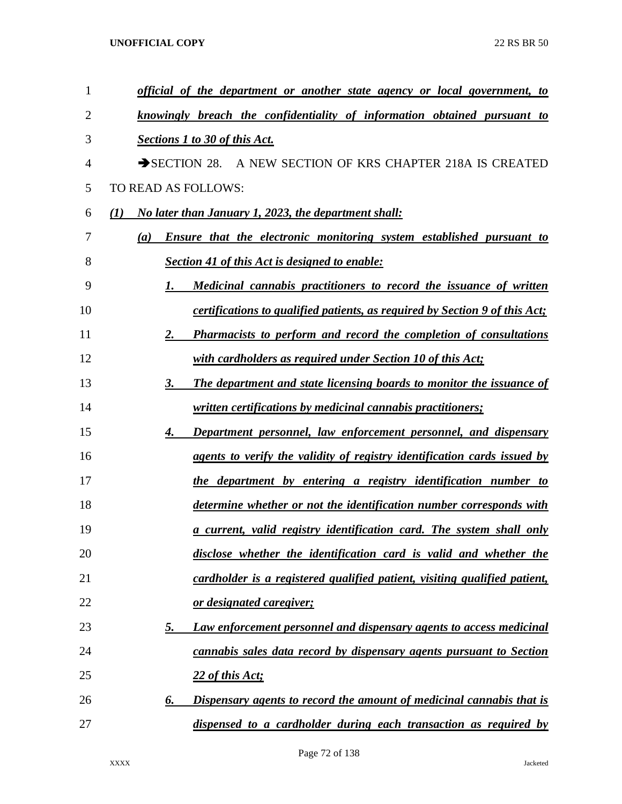| 1              | <u>official of the department or another state agency or local government, to</u>  |
|----------------|------------------------------------------------------------------------------------|
| $\overline{2}$ | knowingly breach the confidentiality of information obtained pursuant to           |
| 3              | Sections 1 to 30 of this Act.                                                      |
| 4              | SECTION 28. A NEW SECTION OF KRS CHAPTER 218A IS CREATED                           |
| 5              | TO READ AS FOLLOWS:                                                                |
| 6              | <u>No later than January 1, 2023, the department shall:</u><br>(I)                 |
| 7              | <b>Ensure that the electronic monitoring system established pursuant to</b><br>(a) |
| 8              | <b>Section 41 of this Act is designed to enable:</b>                               |
| 9              | Medicinal cannabis practitioners to record the issuance of written<br>1.           |
| 10             | certifications to qualified patients, as required by Section 9 of this Act;        |
| 11             | <b>Pharmacists to perform and record the completion of consultations</b><br>2.     |
| 12             | with cardholders as required under Section 10 of this Act;                         |
| 13             | <b>The department and state licensing boards to monitor the issuance of</b><br>3.  |
| 14             | <i><u><b>written certifications by medicinal cannabis practitioners;</b></u></i>   |
| 15             | Department personnel, law enforcement personnel, and dispensary<br>4.              |
| 16             | agents to verify the validity of registry identification cards issued by           |
| 17             | the department by entering a registry identification number to                     |
| 18             | determine whether or not the identification number corresponds with                |
| 19             | <u>a current, valid registry identification card. The system shall only</u>        |
| 20             | disclose whether the identification card is valid and whether the                  |
| 21             | cardholder is a registered qualified patient, visiting qualified patient,          |
| 22             | or designated caregiver;                                                           |
| 23             | <b>Law enforcement personnel and dispensary agents to access medicinal</b><br>5.   |
| 24             | cannabis sales data record by dispensary agents pursuant to Section                |
| 25             | 22 of this Act;                                                                    |
| 26             | Dispensary agents to record the amount of medicinal cannabis that is<br>6.         |
| 27             | dispensed to a cardholder during each transaction as required by                   |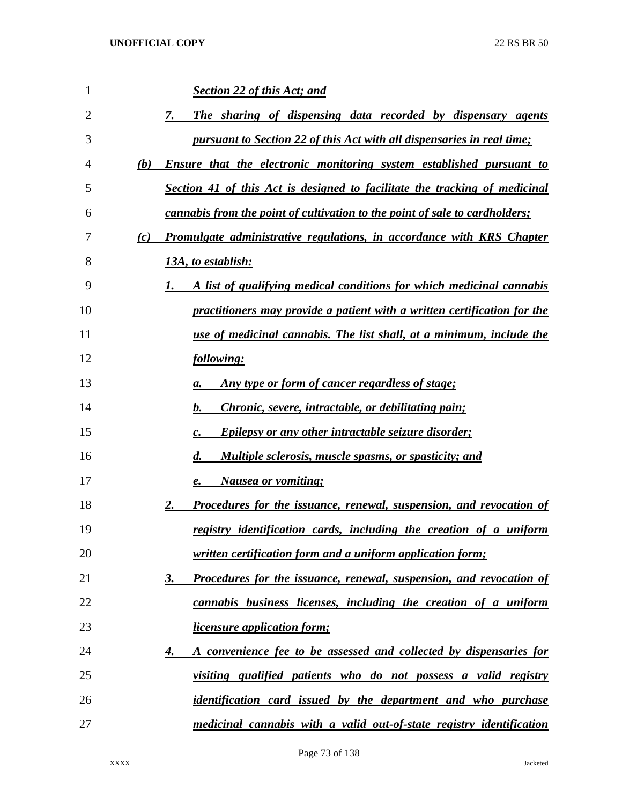| 1  | <b>Section 22 of this Act; and</b>                                                 |
|----|------------------------------------------------------------------------------------|
| 2  | The sharing of dispensing data recorded by dispensary agents<br>7.                 |
| 3  | pursuant to Section 22 of this Act with all dispensaries in real time;             |
| 4  | <b>Ensure that the electronic monitoring system established pursuant to</b><br>(b) |
| 5  | Section 41 of this Act is designed to facilitate the tracking of medicinal         |
| 6  | <i>cannabis from the point of cultivation to the point of sale to cardholders;</i> |
| 7  | Promulgate administrative regulations, in accordance with KRS Chapter<br>(c)       |
| 8  | <u>13A, to establish:</u>                                                          |
| 9  | A list of qualifying medical conditions for which medicinal cannabis               |
| 10 | practitioners may provide a patient with a written certification for the           |
| 11 | <u>use of medicinal cannabis. The list shall, at a minimum, include the</u>        |
| 12 | following:                                                                         |
| 13 | <u>Any type or form of cancer regardless of stage;</u><br>а.                       |
| 14 | <i>Chronic, severe, intractable, or debilitating pain;</i><br>b.                   |
| 15 | <b>Epilepsy or any other intractable seizure disorder;</b><br>$\boldsymbol{c}$ .   |
| 16 | <b>Multiple sclerosis, muscle spasms, or spasticity; and</b><br>$\boldsymbol{d}$ . |
| 17 | <b>Nausea or vomiting;</b><br>e.                                                   |
| 18 | <b>Procedures for the issuance, renewal, suspension, and revocation of</b><br>2.   |
| 19 | registry identification cards, including the creation of a uniform                 |
| 20 | <i>written certification form and a uniform application form;</i>                  |
| 21 | Procedures for the issuance, renewal, suspension, and revocation of<br><u>3.</u>   |
| 22 | cannabis business licenses, including the creation of a uniform                    |
| 23 | <i><u><b>licensure application form;</b></u></i>                                   |
| 24 | A convenience fee to be assessed and collected by dispensaries for<br>4.           |
| 25 | <u>visiting qualified patients who do not possess a valid registry</u>             |
| 26 | <i>identification card issued by the department and who purchase</i>               |
| 27 | medicinal cannabis with a valid out-of-state registry identification               |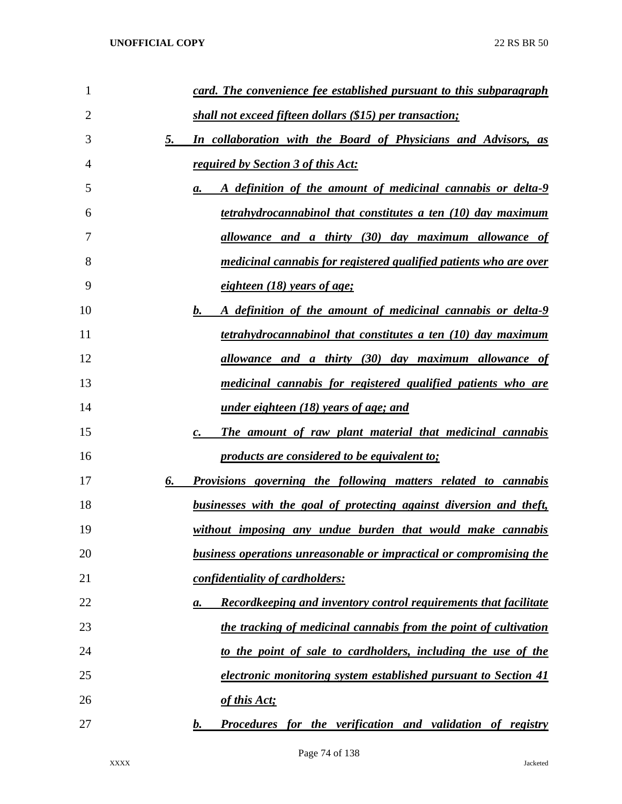| 1  | card. The convenience fee established pursuant to this subparagraph                       |
|----|-------------------------------------------------------------------------------------------|
| 2  | shall not exceed fifteen dollars (\$15) per transaction;                                  |
| 3  | 5.<br><b>In collaboration with the Board of Physicians and Advisors, as</b>               |
| 4  | <u>required by Section 3 of this Act:</u>                                                 |
| 5  | A definition of the amount of medicinal cannabis or delta-9<br>а.                         |
| 6  | tetrahydrocannabinol that constitutes a ten (10) day maximum                              |
| 7  | <u>allowance and a thirty (30) day maximum allowance of</u>                               |
| 8  | <u>medicinal cannabis for registered qualified patients who are over</u>                  |
| 9  | <u>eighteen (18) years of age;</u>                                                        |
| 10 | b.<br>A definition of the amount of medicinal cannabis or delta-9                         |
| 11 | tetrahydrocannabinol that constitutes a ten (10) day maximum                              |
| 12 | allowance and a thirty (30) day maximum allowance of                                      |
| 13 | <u>medicinal cannabis for registered qualified patients who are</u>                       |
| 14 | <u>under eighteen (18) years of age; and</u>                                              |
| 15 | The amount of raw plant material that medicinal cannabis<br>c.                            |
| 16 | <u>products are considered to be equivalent to;</u>                                       |
| 17 | <b>Provisions governing the following matters related to cannabis</b><br>6.               |
| 18 | <u>businesses with the goal of protecting against diversion and theft,</u>                |
| 19 | without imposing any undue burden that would make cannabis                                |
| 20 | business operations unreasonable or impractical or compromising the                       |
| 21 | confidentiality of cardholders:                                                           |
| 22 | <b>Recordkeeping and inventory control requirements that facilitate</b><br>$\mathbf{a}$ . |
| 23 | the tracking of medicinal cannabis from the point of cultivation                          |
| 24 | to the point of sale to cardholders, including the use of the                             |
| 25 | electronic monitoring system established pursuant to Section 41                           |
| 26 | of this Act;                                                                              |
| 27 | <b>Procedures for the verification and validation of registry</b><br><u>b.</u>            |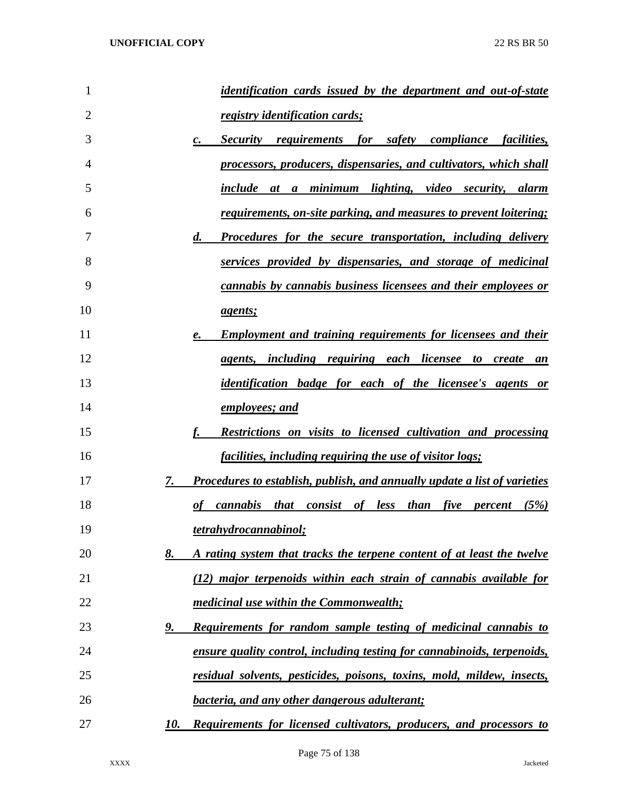| 1              | <i>identification cards issued by the department and out-of-state</i>                     |
|----------------|-------------------------------------------------------------------------------------------|
| $\overline{2}$ | <u>registry identification cards;</u>                                                     |
| 3              | Security requirements for safety compliance facilities,<br>$\mathbf{c}$ .                 |
| 4              | processors, producers, dispensaries, and cultivators, which shall                         |
| 5              | include at a minimum lighting, video security, alarm                                      |
| 6              | <u>requirements, on-site parking, and measures to prevent loitering;</u>                  |
| 7              | $\boldsymbol{d}$ .<br><u>Procedures for the secure transportation, including delivery</u> |
| 8              | services provided by dispensaries, and storage of medicinal                               |
| 9              | cannabis by cannabis business licensees and their employees or                            |
| 10             | <i>agents;</i>                                                                            |
| 11             | <b>Employment and training requirements for licensees and their</b><br>e.                 |
| 12             | <i>agents, including requiring each licensee to create</i><br>an                          |
| 13             | <i>identification badge for each of the licensee's agents or</i>                          |
| 14             | employees; and                                                                            |
| 15             | <b>Restrictions on visits to licensed cultivation and processing</b>                      |
| 16             | <u>facilities, including requiring the use of visitor logs;</u>                           |
| 17             | 7.<br>Procedures to establish, publish, and annually update a list of varieties           |
| 18             | cannabis that consist of less than five percent (5%)<br>$\boldsymbol{\varrho}$ f          |
| 19             | tetrahydrocannabinol;                                                                     |
| 20             | 8.<br>A rating system that tracks the terpene content of at least the twelve              |
| 21             | (12) major terpenoids within each strain of cannabis available for                        |
| 22             | medicinal use within the Commonwealth;                                                    |
| 23             | <b>Requirements for random sample testing of medicinal cannabis to</b><br><u>9.</u>       |
| 24             | ensure quality control, including testing for cannabinoids, terpenoids,                   |
| 25             | residual solvents, pesticides, poisons, toxins, mold, mildew, insects,                    |
| 26             | <b>bacteria, and any other dangerous adulterant;</b>                                      |
| 27             | Requirements for licensed cultivators, producers, and processors to<br>10.                |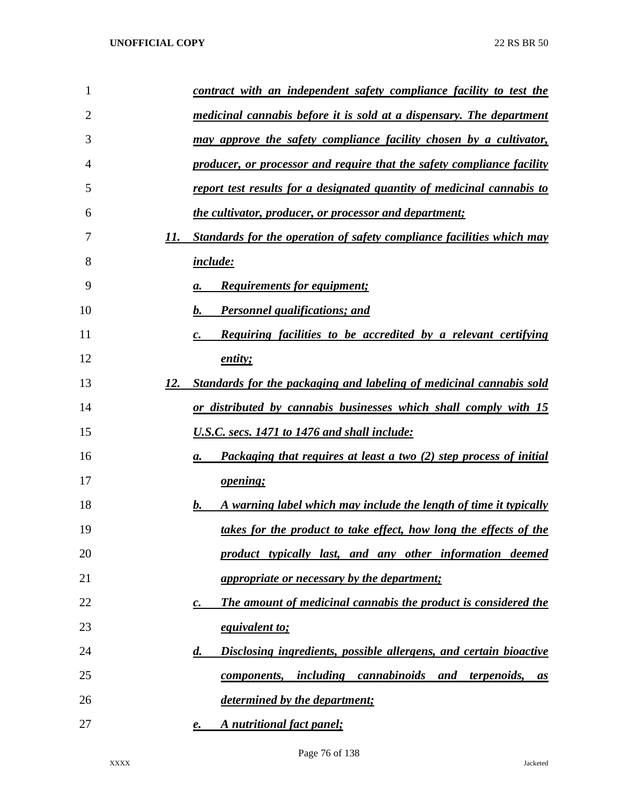| 1  |     | <u>contract with an independent safety compliance facility to test the</u>                 |
|----|-----|--------------------------------------------------------------------------------------------|
| 2  |     | medicinal cannabis before it is sold at a dispensary. The department                       |
| 3  |     | <u>may approve the safety compliance facility chosen by a cultivator,</u>                  |
| 4  |     | producer, or processor and require that the safety compliance facility                     |
| 5  |     | report test results for a designated quantity of medicinal cannabis to                     |
| 6  |     | the cultivator, producer, or processor and department;                                     |
| 7  | 11. | <b>Standards for the operation of safety compliance facilities which may</b>               |
| 8  |     | <i>include:</i>                                                                            |
| 9  |     | <b>Requirements for equipment;</b><br>а.                                                   |
| 10 |     | <b>Personnel qualifications; and</b><br>b.                                                 |
| 11 |     | <b>Requiring facilities to be accredited by a relevant certifying</b><br>$\boldsymbol{c}.$ |
| 12 |     | entity;                                                                                    |
| 13 | 12. | <u>Standards for the packaging and labeling of medicinal cannabis sold</u>                 |
| 14 |     | or distributed by cannabis businesses which shall comply with 15                           |
| 15 |     | U.S.C. secs. 1471 to 1476 and shall include:                                               |
| 16 |     | <b>Packaging that requires at least a two (2) step process of initial</b><br>а.            |
| 17 |     | <u>opening;</u>                                                                            |
| 18 |     | A warning label which may include the length of time it typically<br>b.                    |
| 19 |     | takes for the product to take effect, how long the effects of the                          |
| 20 |     | product typically last, and any other information deemed                                   |
| 21 |     | <i>appropriate or necessary by the department;</i>                                         |
| 22 |     | The amount of medicinal cannabis the product is considered the<br>$\boldsymbol{c}$ .       |
| 23 |     | <i>equivalent to;</i>                                                                      |
| 24 |     | Disclosing ingredients, possible allergens, and certain bioactive<br>$\boldsymbol{d}$ .    |
| 25 |     | including cannabinoids and<br><i>terpenoids,</i><br>components,<br>as                      |
| 26 |     | determined by the department;                                                              |
| 27 |     | A nutritional fact panel;<br>e.                                                            |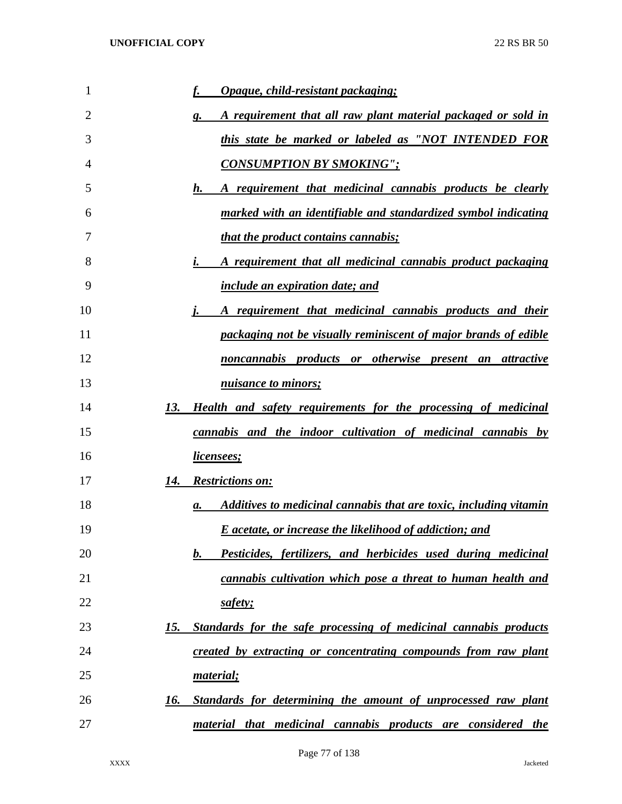| 1  | Opaque, child-resistant packaging;                                          |
|----|-----------------------------------------------------------------------------|
| 2  | A requirement that all raw plant material packaged or sold in<br>g.         |
| 3  | this state be marked or labeled as "NOT INTENDED FOR                        |
| 4  | <b>CONSUMPTION BY SMOKING":</b>                                             |
| 5  | A requirement that medicinal cannabis products be clearly<br>h.             |
| 6  | marked with an identifiable and standardized symbol indicating              |
| 7  | <i>that the product contains cannabis;</i>                                  |
| 8  | A requirement that all medicinal cannabis product packaging                 |
| 9  | <i>include an expiration date; and</i>                                      |
| 10 | A requirement that medicinal cannabis products and their                    |
| 11 | packaging not be visually reminiscent of major brands of edible             |
| 12 | noncannabis products or otherwise present an attractive                     |
| 13 | nuisance to minors;                                                         |
| 14 | 13. Health and safety requirements for the processing of medicinal          |
| 15 | cannabis and the indoor cultivation of medicinal cannabis by                |
| 16 | <u>licensees;</u>                                                           |
| 17 | <b>Restrictions on:</b><br>14.                                              |
| 18 | Additives to medicinal cannabis that are toxic, including vitamin<br>а.     |
| 19 | <b>E</b> acetate, or increase the likelihood of addiction; and              |
| 20 | Pesticides, fertilizers, and herbicides used during medicinal<br>$\bm{b}$ . |
| 21 | cannabis cultivation which pose a threat to human health and                |
| 22 | safety;                                                                     |
| 23 | Standards for the safe processing of medicinal cannabis products<br>15.     |
| 24 | created by extracting or concentrating compounds from raw plant             |
| 25 | material;                                                                   |
| 26 | Standards for determining the amount of unprocessed raw plant<br>16.        |
| 27 | material that medicinal cannabis products are considered the                |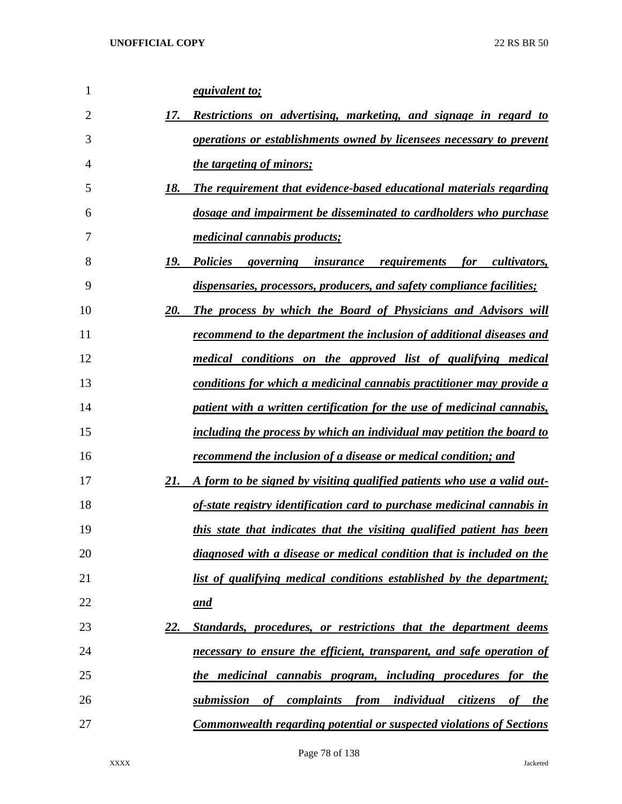| 1              | <i>equivalent to;</i>                                                                              |
|----------------|----------------------------------------------------------------------------------------------------|
| $\overline{2}$ | 17.<br>Restrictions on advertising, marketing, and signage in regard to                            |
| 3              | <i>operations or establishments owned by licensees necessary to prevent</i>                        |
| 4              | <i>the targeting of minors;</i>                                                                    |
| 5              | 18.<br>The requirement that evidence-based educational materials regarding                         |
| 6              | dosage and impairment be disseminated to cardholders who purchase                                  |
| 7              | <i><u>medicinal cannabis products;</u></i>                                                         |
| 8              | 19.<br><i>Policies</i><br>governing insurance requirements<br>cultivators,<br>for                  |
| 9              | dispensaries, processors, producers, and safety compliance facilities;                             |
| 10             | The process by which the Board of Physicians and Advisors will<br>20.                              |
| 11             | recommend to the department the inclusion of additional diseases and                               |
| 12             | medical conditions on the approved list of qualifying medical                                      |
| 13             | <u>conditions for which a medicinal cannabis practitioner may provide a</u>                        |
| 14             | patient with a written certification for the use of medicinal cannabis,                            |
| 15             | including the process by which an individual may petition the board to                             |
| 16             | <u>recommend the inclusion of a disease or medical condition; and</u>                              |
| 17             | 21.<br><u>A form to be signed by visiting qualified patients who use a valid out-</u>              |
| 18             | of-state registry identification card to purchase medicinal cannabis in                            |
| 19             | this state that indicates that the visiting qualified patient has been                             |
| 20             | diagnosed with a disease or medical condition that is included on the                              |
| 21             | list of qualifying medical conditions established by the department;                               |
| 22             | <u>and</u>                                                                                         |
| 23             | <u>22.</u><br>Standards, procedures, or restrictions that the department deems                     |
| 24             | necessary to ensure the efficient, transparent, and safe operation of                              |
| 25             | the medicinal cannabis program, including procedures for the                                       |
| 26             | submission<br><i>complaints</i><br>from<br><u>individual</u><br>citizens<br>of<br>of<br><i>the</i> |
| 27             | <b>Commonwealth regarding potential or suspected violations of Sections</b>                        |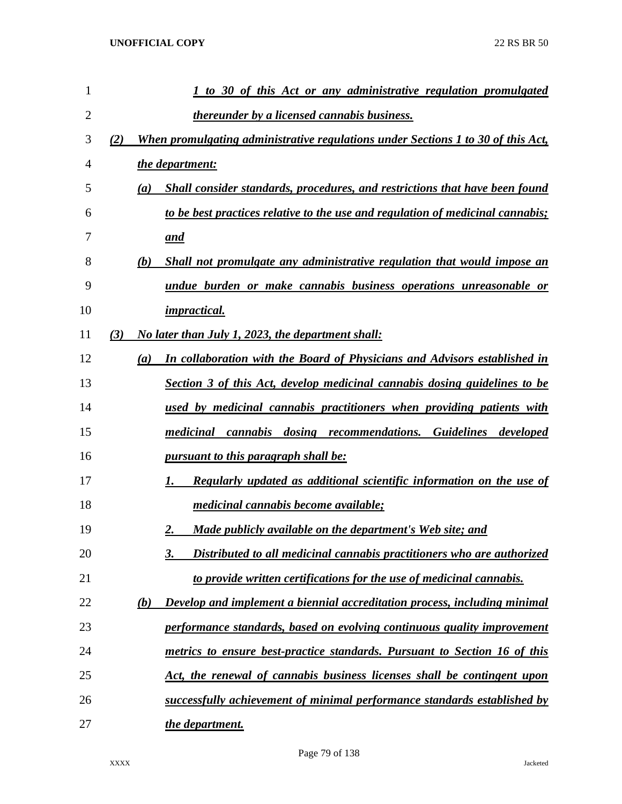| 1              |            | 1 to 30 of this Act or any administrative regulation promulgated                  |
|----------------|------------|-----------------------------------------------------------------------------------|
| $\overline{2}$ |            | <i>thereunder by a licensed cannabis business.</i>                                |
| 3              | (2)        | When promulgating administrative regulations under Sections 1 to 30 of this Act,  |
| 4              |            | the department:                                                                   |
| 5              | (a)        | Shall consider standards, procedures, and restrictions that have been found       |
| 6              |            | to be best practices relative to the use and regulation of medicinal cannabis;    |
| 7              |            | and                                                                               |
| 8              | (b)        | Shall not promulgate any administrative regulation that would impose an           |
| 9              |            | undue burden or make cannabis business operations unreasonable or                 |
| 10             |            | <i>impractical.</i>                                                               |
| 11             | (3)        | No later than July 1, 2023, the department shall:                                 |
| 12             | (a)        | In collaboration with the Board of Physicians and Advisors established in         |
| 13             |            | Section 3 of this Act, develop medicinal cannabis dosing guidelines to be         |
| 14             |            | used by medicinal cannabis practitioners when providing patients with             |
| 15             |            | medicinal cannabis dosing recommendations. Guidelines<br>developed                |
| 16             |            | pursuant to this paragraph shall be:                                              |
| 17             |            | <b>Regularly updated as additional scientific information on the use of</b><br>1. |
| 18             |            | <i>medicinal cannabis become available;</i>                                       |
| 19             |            | Made publicly available on the department's Web site; and<br>2.                   |
| 20             |            | 3.<br>Distributed to all medicinal cannabis practitioners who are authorized      |
| 21             |            | to provide written certifications for the use of medicinal cannabis.              |
| 22             | <u>(b)</u> | Develop and implement a biennial accreditation process, including minimal         |
| 23             |            | performance standards, based on evolving continuous quality improvement           |
| 24             |            | metrics to ensure best-practice standards. Pursuant to Section 16 of this         |
| 25             |            | Act, the renewal of cannabis business licenses shall be contingent upon           |
| 26             |            | successfully achievement of minimal performance standards established by          |
| 27             |            | the department.                                                                   |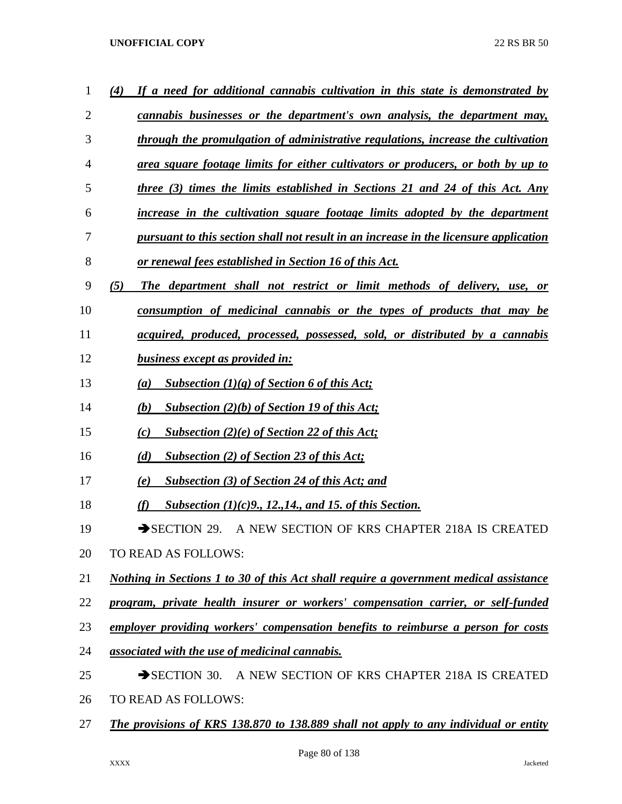| 1              | If a need for additional cannabis cultivation in this state is demonstrated by<br>(4)       |
|----------------|---------------------------------------------------------------------------------------------|
| $\overline{2}$ | cannabis businesses or the department's own analysis, the department may,                   |
| 3              | through the promulgation of administrative regulations, increase the cultivation            |
| $\overline{4}$ | area square footage limits for either cultivators or producers, or both by up to            |
| 5              | three (3) times the limits established in Sections 21 and 24 of this Act. Any               |
| 6              | increase in the cultivation square footage limits adopted by the department                 |
| 7              | pursuant to this section shall not result in an increase in the licensure application       |
| 8              | <u>or renewal fees established in Section 16 of this Act.</u>                               |
| 9              | (5)<br>The department shall not restrict or limit methods of delivery, use, or              |
| 10             | consumption of medicinal cannabis or the types of products that may be                      |
| 11             | acquired, produced, processed, possessed, sold, or distributed by a cannabis                |
| 12             | business except as provided in:                                                             |
| 13             | Subsection $(1)(g)$ of Section 6 of this Act;<br>(a)                                        |
| 14             | (b)<br>Subsection $(2)(b)$ of Section 19 of this Act;                                       |
| 15             | Subsection $(2)(e)$ of Section 22 of this Act;<br>(c)                                       |
| 16             | <b>Subsection (2) of Section 23 of this Act;</b><br>(d)                                     |
| 17             | <b>Subsection (3) of Section 24 of this Act; and</b><br>(e)                                 |
| 18             | Subsection $(1)(c)9$ , 12, 14, and 15, of this Section.<br>(f)                              |
| 19             | $\rightarrow$ SECTION 29.<br>A NEW SECTION OF KRS CHAPTER 218A IS CREATED                   |
| 20             | TO READ AS FOLLOWS:                                                                         |
| 21             | Nothing in Sections 1 to 30 of this Act shall require a government medical assistance       |
| 22             | program, private health insurer or workers' compensation carrier, or self-funded            |
| 23             | employer providing workers' compensation benefits to reimburse a person for costs           |
| 24             | associated with the use of medicinal cannabis.                                              |
| 25             | SECTION 30. A NEW SECTION OF KRS CHAPTER 218A IS CREATED                                    |
| 26             | TO READ AS FOLLOWS:                                                                         |
| 27             | <b>The provisions of KRS 138.870 to 138.889 shall not apply to any individual or entity</b> |
|                |                                                                                             |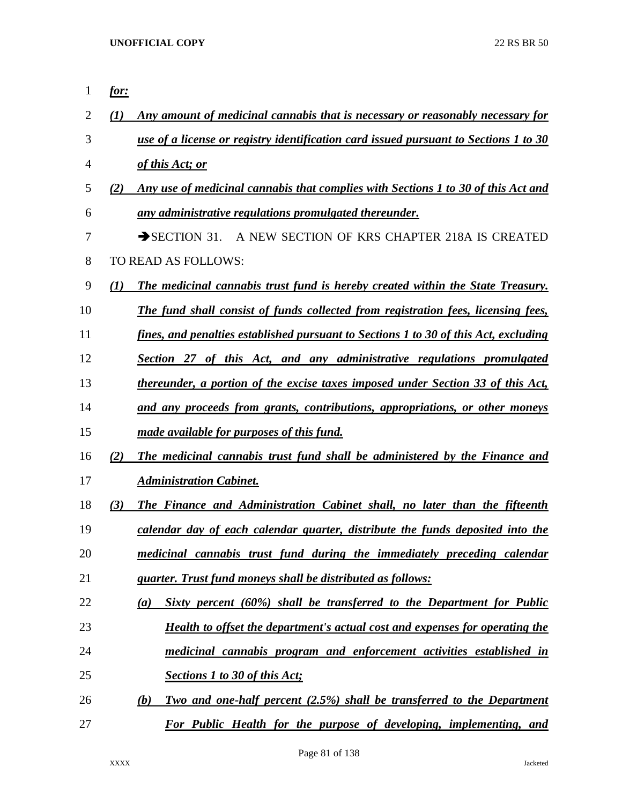| 1              | <u>for:</u>                                                                              |
|----------------|------------------------------------------------------------------------------------------|
| $\overline{2}$ | Any amount of medicinal cannabis that is necessary or reasonably necessary for<br>(I)    |
| 3              | use of a license or registry identification card issued pursuant to Sections 1 to 30     |
| 4              | of this Act; or                                                                          |
| 5              | Any use of medicinal cannabis that complies with Sections 1 to 30 of this Act and<br>(2) |
| 6              | any administrative regulations promulgated thereunder.                                   |
| 7              | $\rightarrow$ SECTION 31.<br>A NEW SECTION OF KRS CHAPTER 218A IS CREATED                |
| 8              | TO READ AS FOLLOWS:                                                                      |
| 9              | (1)<br>The medicinal cannabis trust fund is hereby created within the State Treasury.    |
| 10             | The fund shall consist of funds collected from registration fees, licensing fees,        |
| 11             | fines, and penalties established pursuant to Sections 1 to 30 of this Act, excluding     |
| 12             | Section 27 of this Act, and any administrative regulations promulgated                   |
| 13             | thereunder, a portion of the excise taxes imposed under Section 33 of this Act,          |
| 14             | and any proceeds from grants, contributions, appropriations, or other moneys             |
| 15             | made available for purposes of this fund.                                                |
| 16             | The medicinal cannabis trust fund shall be administered by the Finance and<br>(2)        |
| 17             | <b>Administration Cabinet.</b>                                                           |
| 18             | (3)<br>The Finance and Administration Cabinet shall, no later than the fifteenth         |
| 19             | calendar day of each calendar quarter, distribute the funds deposited into the           |
| 20             | medicinal cannabis trust fund during the immediately preceding calendar                  |
| 21             | quarter. Trust fund moneys shall be distributed as follows:                              |
| 22             | Sixty percent (60%) shall be transferred to the Department for Public<br>(a)             |
| 23             | <b>Health to offset the department's actual cost and expenses for operating the</b>      |
| 24             | medicinal cannabis program and enforcement activities established in                     |
| 25             | <b>Sections 1 to 30 of this Act;</b>                                                     |
| 26             | Two and one-half percent (2.5%) shall be transferred to the Department<br>(b)            |
| 27             | For Public Health for the purpose of developing, implementing, and                       |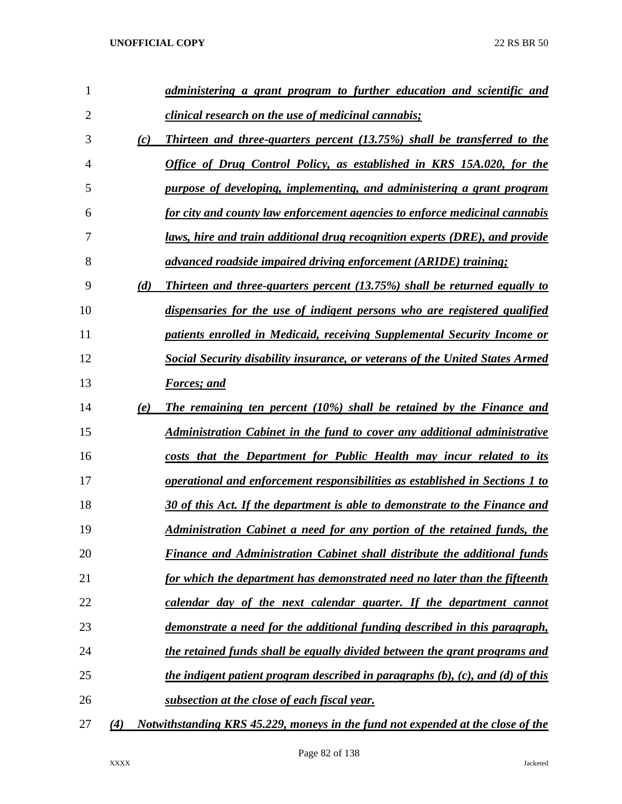| 1              |     | administering a grant program to further education and scientific and                 |
|----------------|-----|---------------------------------------------------------------------------------------|
| $\overline{2}$ |     | <i>clinical research on the use of medicinal cannabis;</i>                            |
| 3              | (c) | Thirteen and three-quarters percent (13.75%) shall be transferred to the              |
| 4              |     | <b>Office of Drug Control Policy, as established in KRS 15A.020, for the</b>          |
| 5              |     | purpose of developing, implementing, and administering a grant program                |
| 6              |     | for city and county law enforcement agencies to enforce medicinal cannabis            |
| 7              |     | laws, hire and train additional drug recognition experts (DRE), and provide           |
| 8              |     | advanced roadside impaired driving enforcement (ARIDE) training;                      |
| 9              | (d) | <b>Thirteen and three-quarters percent (13.75%) shall be returned equally to</b>      |
| 10             |     | dispensaries for the use of indigent persons who are registered qualified             |
| 11             |     | patients enrolled in Medicaid, receiving Supplemental Security Income or              |
| 12             |     | Social Security disability insurance, or veterans of the United States Armed          |
| 13             |     | <b>Forces</b> ; and                                                                   |
| 14             | (e) | The remaining ten percent (10%) shall be retained by the Finance and                  |
| 15             |     | <u>Administration Cabinet in the fund to cover any additional administrative</u>      |
| 16             |     | costs that the Department for Public Health may incur related to its                  |
| 17             |     | <u>operational and enforcement responsibilities as established in Sections 1 to</u>   |
| 18             |     | 30 of this Act. If the department is able to demonstrate to the Finance and           |
| 19             |     | Administration Cabinet a need for any portion of the retained funds, the              |
| 20             |     | <b>Finance and Administration Cabinet shall distribute the additional funds</b>       |
| 21             |     | for which the department has demonstrated need no later than the fifteenth            |
| 22             |     | calendar day of the next calendar quarter. If the department cannot                   |
| 23             |     | demonstrate a need for the additional funding described in this paragraph,            |
| 24             |     | the retained funds shall be equally divided between the grant programs and            |
| 25             |     | <i>the indigent patient program described in paragraphs (b), (c), and (d) of this</i> |
| 26             |     | subsection at the close of each fiscal year.                                          |
| 27             | (4) | Notwithstanding KRS 45.229, moneys in the fund not expended at the close of the       |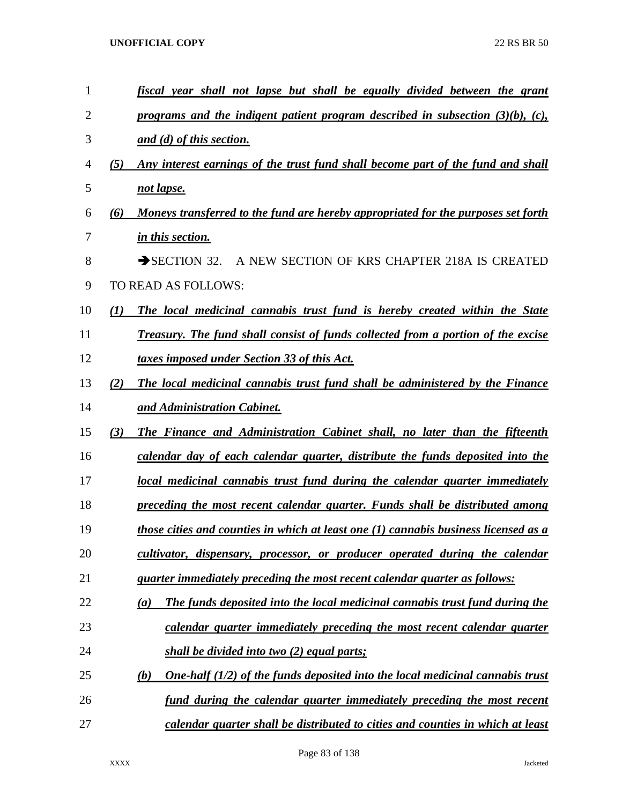| 1  |     | fiscal year shall not lapse but shall be equally divided between the grant              |
|----|-----|-----------------------------------------------------------------------------------------|
| 2  |     | programs and the indigent patient program described in subsection $(3)(b)$ , $(c)$ ,    |
| 3  |     | and (d) of this section.                                                                |
| 4  | (5) | Any interest earnings of the trust fund shall become part of the fund and shall         |
| 5  |     | not lapse.                                                                              |
| 6  | (6) | Moneys transferred to the fund are hereby appropriated for the purposes set forth       |
| 7  |     | in this section.                                                                        |
| 8  |     | $\rightarrow$ SECTION 32.<br>A NEW SECTION OF KRS CHAPTER 218A IS CREATED               |
| 9  |     | TO READ AS FOLLOWS:                                                                     |
| 10 | (I) | The local medicinal cannabis trust fund is hereby created within the State              |
| 11 |     | <b>Treasury. The fund shall consist of funds collected from a portion of the excise</b> |
| 12 |     | taxes imposed under Section 33 of this Act.                                             |
| 13 | (2) | The local medicinal cannabis trust fund shall be administered by the Finance            |
| 14 |     | and Administration Cabinet.                                                             |
| 15 | (3) | The Finance and Administration Cabinet shall, no later than the fifteenth               |
| 16 |     | calendar day of each calendar quarter, distribute the funds deposited into the          |
| 17 |     | local medicinal cannabis trust fund during the calendar quarter immediately             |
| 18 |     | preceding the most recent calendar quarter. Funds shall be distributed among            |
| 19 |     | those cities and counties in which at least one (1) cannabis business licensed as a     |
| 20 |     | cultivator, dispensary, processor, or producer operated during the calendar             |
| 21 |     | quarter immediately preceding the most recent calendar quarter as follows:              |
| 22 |     | The funds deposited into the local medicinal cannabis trust fund during the<br>(a)      |
| 23 |     | calendar quarter immediately preceding the most recent calendar quarter                 |
| 24 |     | shall be divided into two (2) equal parts;                                              |
| 25 |     | One-half $(1/2)$ of the funds deposited into the local medicinal cannabis trust<br>(b)  |
| 26 |     | fund during the calendar quarter immediately preceding the most recent                  |
| 27 |     | calendar quarter shall be distributed to cities and counties in which at least          |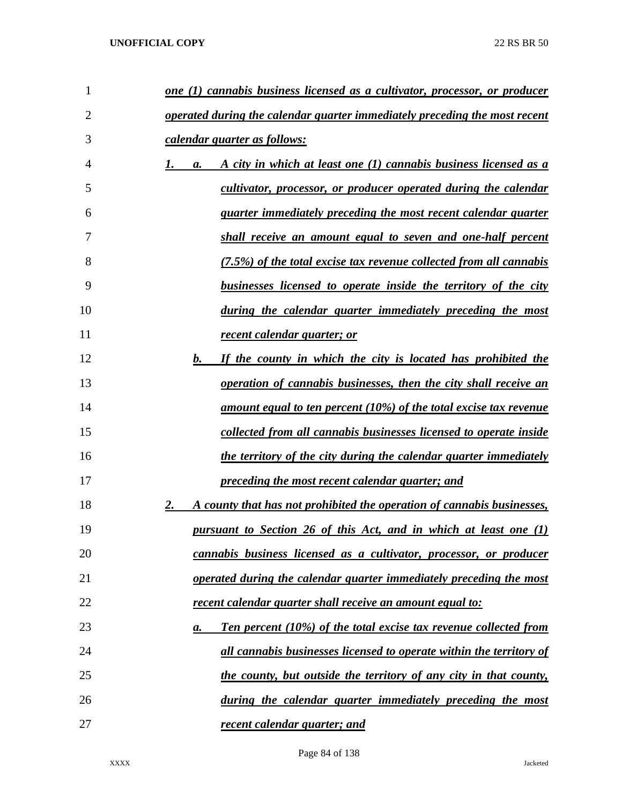| 1  | <u>one (1) cannabis business licensed as a cultivator, processor, or producer</u> |
|----|-----------------------------------------------------------------------------------|
| 2  | operated during the calendar quarter immediately preceding the most recent        |
| 3  | <u>calendar quarter as follows:</u>                                               |
| 4  | A city in which at least one (1) cannabis business licensed as a<br>a.            |
| 5  | cultivator, processor, or producer operated during the calendar                   |
| 6  | <u>quarter immediately preceding the most recent calendar quarter</u>             |
| 7  | <u>shall receive an amount equal to seven and one-half percent</u>                |
| 8  | (7.5%) of the total excise tax revenue collected from all cannabis                |
| 9  | businesses licensed to operate inside the territory of the city                   |
| 10 | <u>during the calendar quarter immediately preceding the most</u>                 |
| 11 | recent calendar quarter; or                                                       |
| 12 | If the county in which the city is located has prohibited the<br>b.               |
| 13 | <i>operation of cannabis businesses, then the city shall receive an</i>           |
| 14 | <u>amount equal to ten percent (10%) of the total excise tax revenue</u>          |
| 15 | collected from all cannabis businesses licensed to operate inside                 |
| 16 | <u>the territory of the city during the calendar quarter immediately</u>          |
| 17 | preceding the most recent calendar quarter; and                                   |
| 18 | 2.<br>A county that has not prohibited the operation of cannabis businesses,      |
| 19 | <u>pursuant to Section 26 of this Act, and in which at least one (1)</u>          |
| 20 | cannabis business licensed as a cultivator, processor, or producer                |
| 21 | operated during the calendar quarter immediately preceding the most               |
| 22 | recent calendar quarter shall receive an amount equal to:                         |
| 23 | Ten percent (10%) of the total excise tax revenue collected from<br>а.            |
| 24 | all cannabis businesses licensed to operate within the territory of               |
| 25 | the county, but outside the territory of any city in that county,                 |
| 26 | during the calendar quarter immediately preceding the most                        |
| 27 | recent calendar quarter; and                                                      |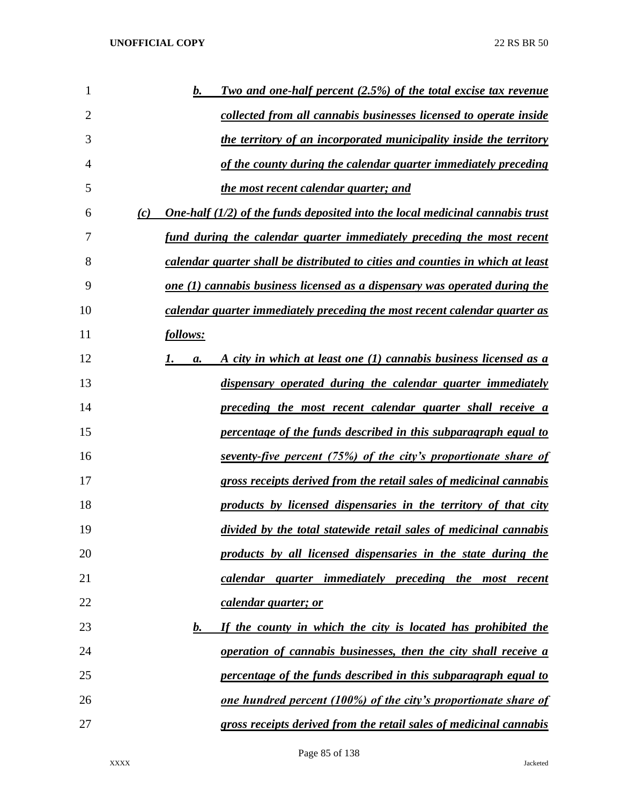| 1              | <b>Two and one-half percent (2.5%) of the total excise tax revenue</b><br>b.           |
|----------------|----------------------------------------------------------------------------------------|
| $\overline{2}$ | collected from all cannabis businesses licensed to operate inside                      |
| 3              | the territory of an incorporated municipality inside the territory                     |
| 4              | of the county during the calendar quarter immediately preceding                        |
| 5              | <u>the most recent calendar quarter; and</u>                                           |
| 6              | One-half $(1/2)$ of the funds deposited into the local medicinal cannabis trust<br>(c) |
| 7              | fund during the calendar quarter immediately preceding the most recent                 |
| 8              | calendar quarter shall be distributed to cities and counties in which at least         |
| 9              | one (1) cannabis business licensed as a dispensary was operated during the             |
| 10             | calendar quarter immediately preceding the most recent calendar quarter as             |
| 11             | follows:                                                                               |
| 12             | <u>A city in which at least one (1) cannabis business licensed as a</u><br>а.          |
| 13             | dispensary operated during the calendar quarter immediately                            |
| 14             | preceding the most recent calendar quarter shall receive a                             |
| 15             | percentage of the funds described in this subparagraph equal to                        |
| 16             | <u>seventy-five percent (75%) of the city's proportionate share of</u>                 |
| 17             | gross receipts derived from the retail sales of medicinal cannabis                     |
| 18             | products by licensed dispensaries in the territory of that city                        |
| 19             | divided by the total statewide retail sales of medicinal cannabis                      |
| 20             | products by all licensed dispensaries in the state during the                          |
| 21             | calendar quarter immediately preceding the most recent                                 |
| 22             | calendar quarter; or                                                                   |
| 23             | If the county in which the city is located has prohibited the<br><u>b.</u>             |
| 24             | operation of cannabis businesses, then the city shall receive a                        |
| 25             | percentage of the funds described in this subparagraph equal to                        |
| 26             | <u>one hundred percent (100%) of the city's proportionate share of</u>                 |
| 27             | gross receipts derived from the retail sales of medicinal cannabis                     |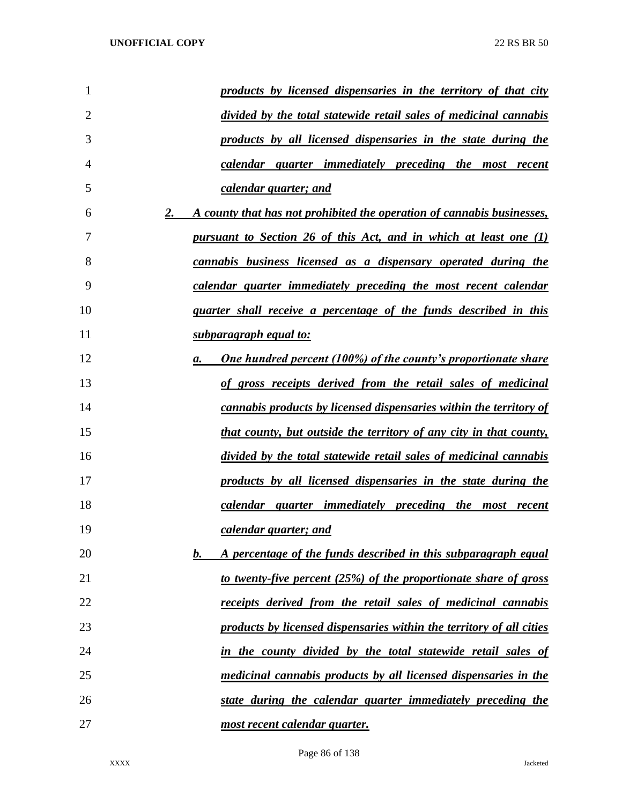| 1              | products by licensed dispensaries in the territory of that city              |
|----------------|------------------------------------------------------------------------------|
| $\overline{2}$ | divided by the total statewide retail sales of medicinal cannabis            |
| 3              | products by all licensed dispensaries in the state during the                |
| 4              | calendar quarter immediately preceding the most recent                       |
| 5              | calendar quarter; and                                                        |
| 6              | A county that has not prohibited the operation of cannabis businesses,<br>2. |
| 7              | <u>pursuant to Section 26 of this Act, and in which at least one (1)</u>     |
| 8              | cannabis business licensed as a dispensary operated during the               |
| 9              | calendar quarter immediately preceding the most recent calendar              |
| 10             | <i>quarter shall receive a percentage of the funds described in this</i>     |
| 11             | <u>subparagraph equal to:</u>                                                |
| 12             | <b>One hundred percent (100%) of the county's proportionate share</b><br>а.  |
| 13             | of gross receipts derived from the retail sales of medicinal                 |
| 14             | <u>cannabis products by licensed dispensaries within the territory of</u>    |
| 15             | that county, but outside the territory of any city in that county,           |
| 16             | divided by the total statewide retail sales of medicinal cannabis            |
| 17             | products by all licensed dispensaries in the state during the                |
| 18             | calendar quarter immediately preceding the most recent                       |
| 19             | calendar quarter; and                                                        |
| 20             | A percentage of the funds described in this subparagraph equal<br>$\bm{b}$ . |
| 21             | to twenty-five percent (25%) of the proportionate share of gross             |
| 22             | receipts derived from the retail sales of medicinal cannabis                 |
| 23             | products by licensed dispensaries within the territory of all cities         |
| 24             | in the county divided by the total statewide retail sales of                 |
| 25             | medicinal cannabis products by all licensed dispensaries in the              |
| 26             | state during the calendar quarter immediately preceding the                  |
| 27             | most recent calendar quarter.                                                |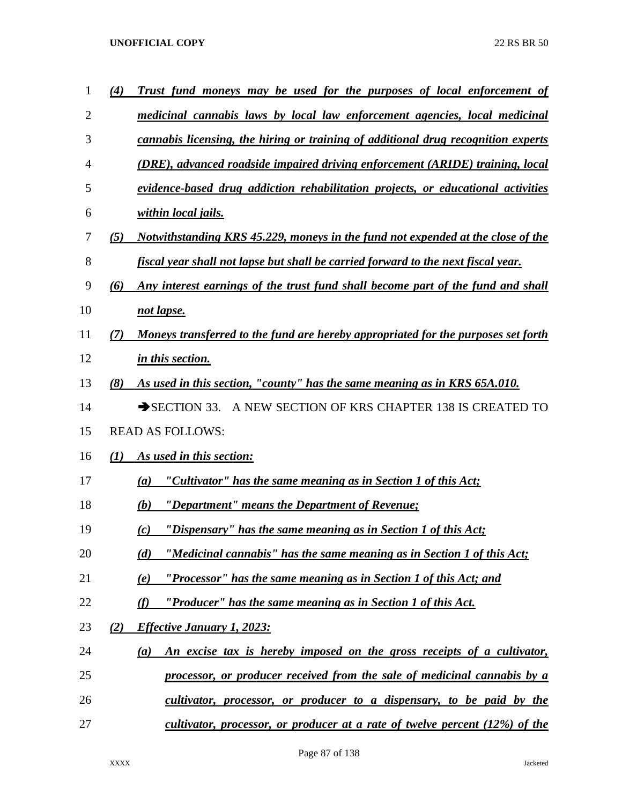| 1  | (4) | Trust fund moneys may be used for the purposes of local enforcement of            |
|----|-----|-----------------------------------------------------------------------------------|
| 2  |     | medicinal cannabis laws by local law enforcement agencies, local medicinal        |
| 3  |     | cannabis licensing, the hiring or training of additional drug recognition experts |
| 4  |     | (DRE), advanced roadside impaired driving enforcement (ARIDE) training, local     |
| 5  |     | evidence-based drug addiction rehabilitation projects, or educational activities  |
| 6  |     | within local jails.                                                               |
| 7  | (5) | Notwithstanding KRS 45.229, moneys in the fund not expended at the close of the   |
| 8  |     | fiscal year shall not lapse but shall be carried forward to the next fiscal year. |
| 9  | (6) | Any interest earnings of the trust fund shall become part of the fund and shall   |
| 10 |     | not lapse.                                                                        |
| 11 | (7) | Moneys transferred to the fund are hereby appropriated for the purposes set forth |
| 12 |     | in this section.                                                                  |
| 13 | (8) | As used in this section, "county" has the same meaning as in KRS 65A.010.         |
| 14 |     | A NEW SECTION OF KRS CHAPTER 138 IS CREATED TO<br>$\rightarrow$ SECTION 33.       |
| 15 |     | <b>READ AS FOLLOWS:</b>                                                           |
| 16 | (I) | As used in this section:                                                          |
| 17 |     | "Cultivator" has the same meaning as in Section 1 of this Act;<br>(a)             |
| 18 |     | "Department" means the Department of Revenue;<br>(b)                              |
| 19 |     | "Dispensary" has the same meaning as in Section 1 of this Act;<br>(c)             |
| 20 |     | "Medicinal cannabis" has the same meaning as in Section 1 of this Act;<br>(d)     |
| 21 |     | "Processor" has the same meaning as in Section 1 of this Act; and<br>(e)          |
| 22 |     | "Producer" has the same meaning as in Section 1 of this Act.<br>(f)               |
| 23 | (2) | <b>Effective January 1, 2023:</b>                                                 |
| 24 |     | An excise tax is hereby imposed on the gross receipts of a cultivator,<br>(a)     |
| 25 |     | processor, or producer received from the sale of medicinal cannabis by a          |
| 26 |     | cultivator, processor, or producer to a dispensary, to be paid by the             |
| 27 |     | cultivator, processor, or producer at a rate of twelve percent $(12\%)$ of the    |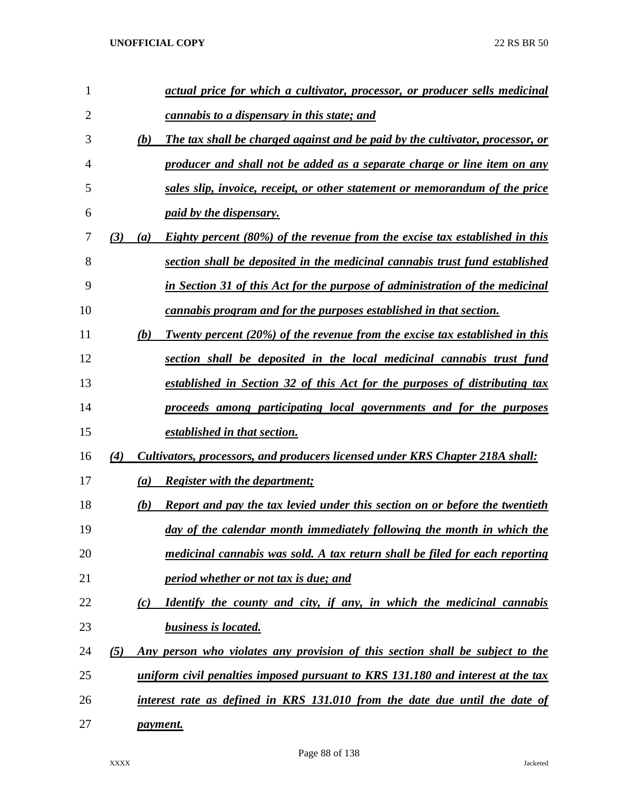| 1              |     |     | actual price for which a cultivator, processor, or producer sells medicinal        |
|----------------|-----|-----|------------------------------------------------------------------------------------|
| $\overline{2}$ |     |     | <i>cannabis to a dispensary in this state; and</i>                                 |
| 3              |     | (b) | The tax shall be charged against and be paid by the cultivator, processor, or      |
| 4              |     |     | producer and shall not be added as a separate charge or line item on any           |
| 5              |     |     | sales slip, invoice, receipt, or other statement or memorandum of the price        |
| 6              |     |     | <i>paid by the dispensary.</i>                                                     |
| 7              | (3) | (a) | Eighty percent (80%) of the revenue from the excise tax established in this        |
| 8              |     |     | section shall be deposited in the medicinal cannabis trust fund established        |
| 9              |     |     | in Section 31 of this Act for the purpose of administration of the medicinal       |
| 10             |     |     | cannabis program and for the purposes established in that section.                 |
| 11             |     | (b) | Twenty percent (20%) of the revenue from the excise tax established in this        |
| 12             |     |     | section shall be deposited in the local medicinal cannabis trust fund              |
| 13             |     |     | established in Section 32 of this Act for the purposes of distributing tax         |
| 14             |     |     | proceeds among participating local governments and for the purposes                |
| 15             |     |     | established in that section.                                                       |
| 16             | (4) |     | Cultivators, processors, and producers licensed under KRS Chapter 218A shall:      |
| 17             |     | (a) | <b>Register with the department;</b>                                               |
| 18             |     | (b) | <b>Report and pay the tax levied under this section on or before the twentieth</b> |
| 19             |     |     | day of the calendar month immediately following the month in which the             |
| 20             |     |     | medicinal cannabis was sold. A tax return shall be filed for each reporting        |
| 21             |     |     | <i>period whether or not tax is due; and</i>                                       |
| 22             |     | (c) | Identify the county and city, if any, in which the medicinal cannabis              |
| 23             |     |     | <b>business is located.</b>                                                        |
| 24             | (5) |     | Any person who violates any provision of this section shall be subject to the      |
| 25             |     |     | uniform civil penalties imposed pursuant to KRS 131.180 and interest at the tax    |
| 26             |     |     | interest rate as defined in KRS 131.010 from the date due until the date of        |
| 27             |     |     | <i>payment.</i>                                                                    |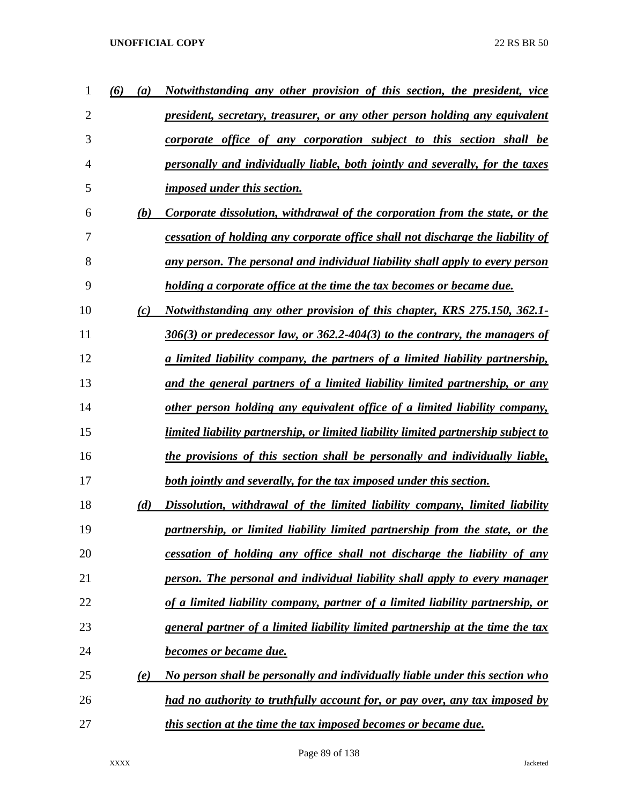| 1  | (6)<br>$\left(a\right)$ | Notwithstanding any other provision of this section, the president, vice           |
|----|-------------------------|------------------------------------------------------------------------------------|
| 2  |                         | <u>president, secretary, treasurer, or any other person holding any equivalent</u> |
| 3  |                         | corporate office of any corporation subject to this section shall be               |
| 4  |                         | personally and individually liable, both jointly and severally, for the taxes      |
| 5  |                         | <i>imposed under this section.</i>                                                 |
| 6  | (b)                     | Corporate dissolution, withdrawal of the corporation from the state, or the        |
| 7  |                         | cessation of holding any corporate office shall not discharge the liability of     |
| 8  |                         | any person. The personal and individual liability shall apply to every person      |
| 9  |                         | <u>holding a corporate office at the time the tax becomes or became due.</u>       |
| 10 | (c)                     | Notwithstanding any other provision of this chapter, KRS 275.150, 362.1-           |
| 11 |                         | $306(3)$ or predecessor law, or $362.2$ -404(3) to the contrary, the managers of   |
| 12 |                         | a limited liability company, the partners of a limited liability partnership,      |
| 13 |                         | and the general partners of a limited liability limited partnership, or any        |
| 14 |                         | other person holding any equivalent office of a limited liability company,         |
| 15 |                         | limited liability partnership, or limited liability limited partnership subject to |
| 16 |                         | the provisions of this section shall be personally and individually liable,        |
| 17 |                         | both jointly and severally, for the tax imposed under this section.                |
| 18 | (d)                     | Dissolution, withdrawal of the limited liability company, limited liability        |
| 19 |                         | partnership, or limited liability limited partnership from the state, or the       |
| 20 |                         | cessation of holding any office shall not discharge the liability of any           |
| 21 |                         | person. The personal and individual liability shall apply to every manager         |
| 22 |                         | of a limited liability company, partner of a limited liability partnership, or     |
| 23 |                         | general partner of a limited liability limited partnership at the time the tax     |
| 24 |                         | <b>becomes or became due.</b>                                                      |
| 25 | (e)                     | No person shall be personally and individually liable under this section who       |
| 26 |                         | had no authority to truthfully account for, or pay over, any tax imposed by        |
| 27 |                         | this section at the time the tax imposed becomes or became due.                    |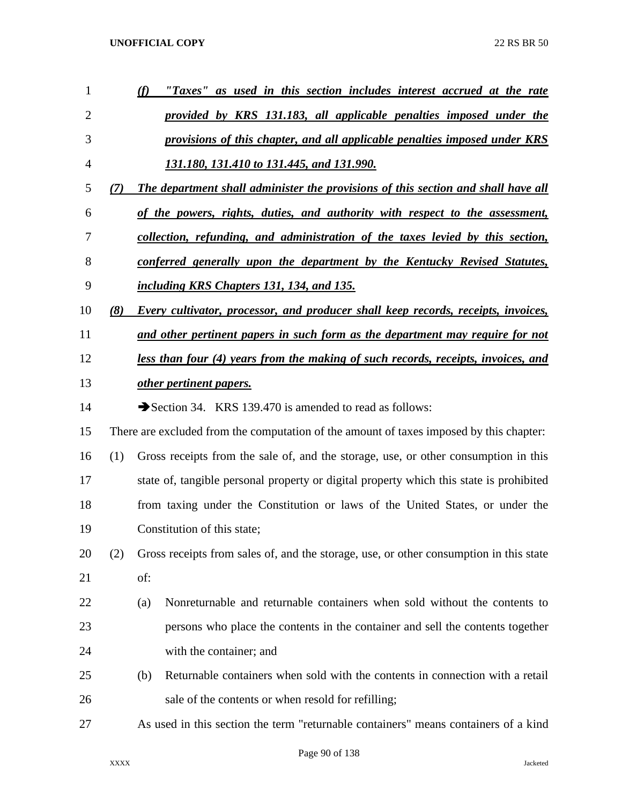| 1  |     | "Taxes" as used in this section includes interest accrued at the rate<br>(f)             |
|----|-----|------------------------------------------------------------------------------------------|
| 2  |     | provided by KRS 131.183, all applicable penalties imposed under the                      |
| 3  |     | provisions of this chapter, and all applicable penalties imposed under KRS               |
| 4  |     | <u>131.180, 131.410 to 131.445, and 131.990.</u>                                         |
| 5  | (7) | The department shall administer the provisions of this section and shall have all        |
| 6  |     | of the powers, rights, duties, and authority with respect to the assessment,             |
| 7  |     | collection, refunding, and administration of the taxes levied by this section,           |
| 8  |     | <u>conferred generally upon the department by the Kentucky Revised Statutes,</u>         |
| 9  |     | including KRS Chapters 131, 134, and 135.                                                |
| 10 | (8) | <b>Every cultivator, processor, and producer shall keep records, receipts, invoices,</b> |
| 11 |     | and other pertinent papers in such form as the department may require for not            |
| 12 |     | <u>less than four (4) years from the making of such records, receipts, invoices, and</u> |
| 13 |     | other pertinent papers.                                                                  |
| 14 |     | Section 34. KRS 139.470 is amended to read as follows:                                   |
| 15 |     | There are excluded from the computation of the amount of taxes imposed by this chapter:  |
| 16 | (1) | Gross receipts from the sale of, and the storage, use, or other consumption in this      |
| 17 |     | state of, tangible personal property or digital property which this state is prohibited  |
| 18 |     | from taxing under the Constitution or laws of the United States, or under the            |
| 19 |     | Constitution of this state;                                                              |
| 20 | (2) | Gross receipts from sales of, and the storage, use, or other consumption in this state   |
| 21 |     | of:                                                                                      |
| 22 |     | Nonreturnable and returnable containers when sold without the contents to<br>(a)         |
| 23 |     | persons who place the contents in the container and sell the contents together           |
| 24 |     | with the container; and                                                                  |
| 25 |     | Returnable containers when sold with the contents in connection with a retail<br>(b)     |
| 26 |     | sale of the contents or when resold for refilling;                                       |
| 27 |     | As used in this section the term "returnable containers" means containers of a kind      |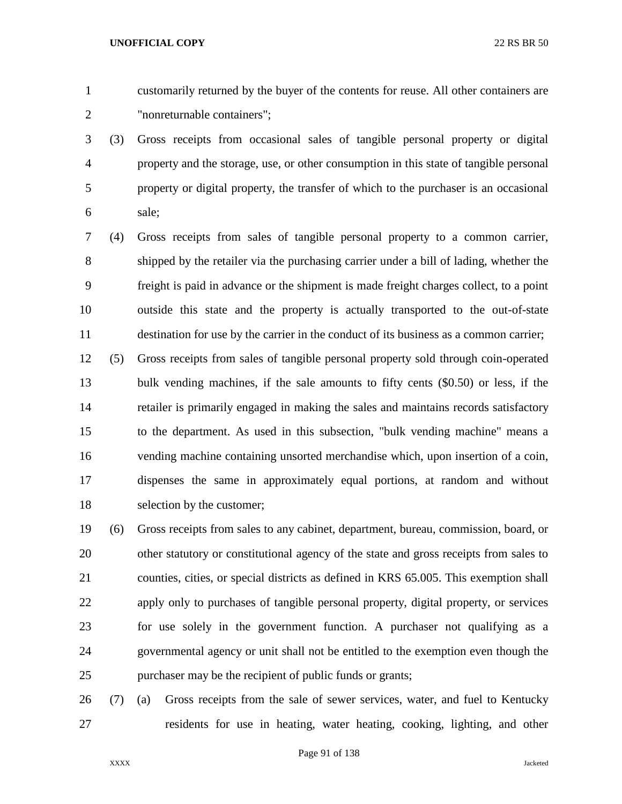customarily returned by the buyer of the contents for reuse. All other containers are "nonreturnable containers";

 (3) Gross receipts from occasional sales of tangible personal property or digital property and the storage, use, or other consumption in this state of tangible personal property or digital property, the transfer of which to the purchaser is an occasional sale;

 (4) Gross receipts from sales of tangible personal property to a common carrier, shipped by the retailer via the purchasing carrier under a bill of lading, whether the freight is paid in advance or the shipment is made freight charges collect, to a point outside this state and the property is actually transported to the out-of-state destination for use by the carrier in the conduct of its business as a common carrier;

 (5) Gross receipts from sales of tangible personal property sold through coin-operated bulk vending machines, if the sale amounts to fifty cents (\$0.50) or less, if the retailer is primarily engaged in making the sales and maintains records satisfactory to the department. As used in this subsection, "bulk vending machine" means a vending machine containing unsorted merchandise which, upon insertion of a coin, dispenses the same in approximately equal portions, at random and without selection by the customer;

 (6) Gross receipts from sales to any cabinet, department, bureau, commission, board, or other statutory or constitutional agency of the state and gross receipts from sales to counties, cities, or special districts as defined in KRS 65.005. This exemption shall apply only to purchases of tangible personal property, digital property, or services for use solely in the government function. A purchaser not qualifying as a governmental agency or unit shall not be entitled to the exemption even though the purchaser may be the recipient of public funds or grants;

 (7) (a) Gross receipts from the sale of sewer services, water, and fuel to Kentucky residents for use in heating, water heating, cooking, lighting, and other

Page 91 of 138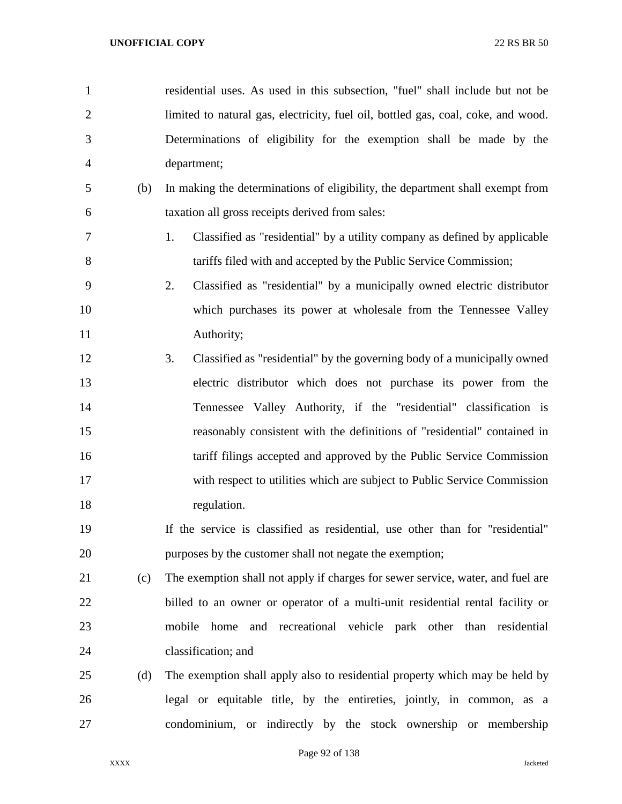residential uses. As used in this subsection, "fuel" shall include but not be limited to natural gas, electricity, fuel oil, bottled gas, coal, coke, and wood. Determinations of eligibility for the exemption shall be made by the department; (b) In making the determinations of eligibility, the department shall exempt from taxation all gross receipts derived from sales: 1. Classified as "residential" by a utility company as defined by applicable tariffs filed with and accepted by the Public Service Commission; 2. Classified as "residential" by a municipally owned electric distributor which purchases its power at wholesale from the Tennessee Valley Authority; 3. Classified as "residential" by the governing body of a municipally owned electric distributor which does not purchase its power from the Tennessee Valley Authority, if the "residential" classification is reasonably consistent with the definitions of "residential" contained in 16 tariff filings accepted and approved by the Public Service Commission with respect to utilities which are subject to Public Service Commission regulation. If the service is classified as residential, use other than for "residential" purposes by the customer shall not negate the exemption; (c) The exemption shall not apply if charges for sewer service, water, and fuel are billed to an owner or operator of a multi-unit residential rental facility or mobile home and recreational vehicle park other than residential classification; and (d) The exemption shall apply also to residential property which may be held by legal or equitable title, by the entireties, jointly, in common, as a condominium, or indirectly by the stock ownership or membership

Page 92 of 138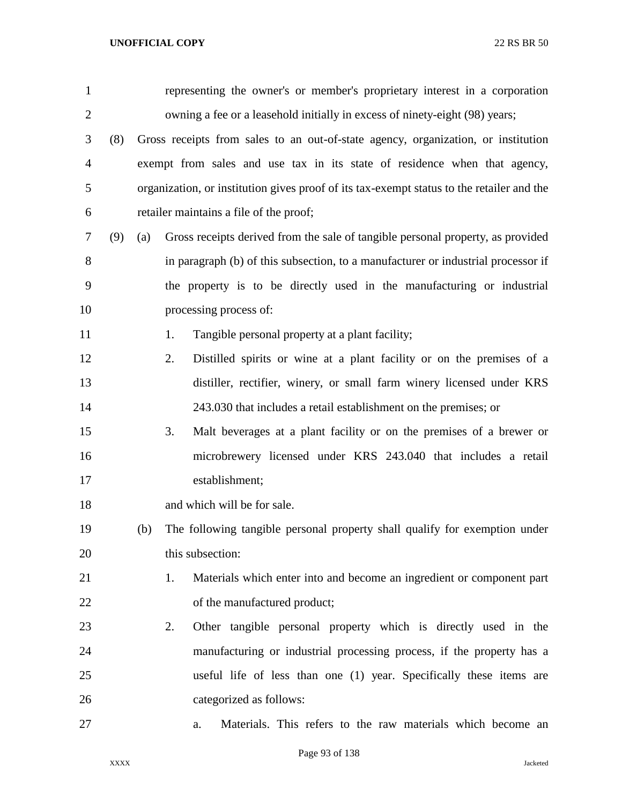| $\mathbf{1}$   |     |     |    | representing the owner's or member's proprietary interest in a corporation                |
|----------------|-----|-----|----|-------------------------------------------------------------------------------------------|
| $\overline{2}$ |     |     |    | owning a fee or a leasehold initially in excess of ninety-eight (98) years;               |
| 3              | (8) |     |    | Gross receipts from sales to an out-of-state agency, organization, or institution         |
| $\overline{4}$ |     |     |    | exempt from sales and use tax in its state of residence when that agency,                 |
| 5              |     |     |    | organization, or institution gives proof of its tax-exempt status to the retailer and the |
| 6              |     |     |    | retailer maintains a file of the proof;                                                   |
| 7              | (9) | (a) |    | Gross receipts derived from the sale of tangible personal property, as provided           |
| 8              |     |     |    | in paragraph (b) of this subsection, to a manufacturer or industrial processor if         |
| 9              |     |     |    | the property is to be directly used in the manufacturing or industrial                    |
| 10             |     |     |    | processing process of:                                                                    |
| 11             |     |     | 1. | Tangible personal property at a plant facility;                                           |
| 12             |     |     | 2. | Distilled spirits or wine at a plant facility or on the premises of a                     |
| 13             |     |     |    | distiller, rectifier, winery, or small farm winery licensed under KRS                     |
| 14             |     |     |    | 243.030 that includes a retail establishment on the premises; or                          |
| 15             |     |     | 3. | Malt beverages at a plant facility or on the premises of a brewer or                      |
| 16             |     |     |    | microbrewery licensed under KRS 243.040 that includes a retail                            |
| 17             |     |     |    | establishment;                                                                            |
| 18             |     |     |    | and which will be for sale.                                                               |
| 19             |     | (b) |    | The following tangible personal property shall qualify for exemption under                |
| 20             |     |     |    | this subsection:                                                                          |
| 21             |     |     | 1. | Materials which enter into and become an ingredient or component part                     |
| 22             |     |     |    | of the manufactured product;                                                              |
| 23             |     |     | 2. | Other tangible personal property which is directly used in the                            |
| 24             |     |     |    | manufacturing or industrial processing process, if the property has a                     |
| 25             |     |     |    | useful life of less than one (1) year. Specifically these items are                       |
| 26             |     |     |    | categorized as follows:                                                                   |
| 27             |     |     |    | Materials. This refers to the raw materials which become an<br>a.                         |

Page 93 of 138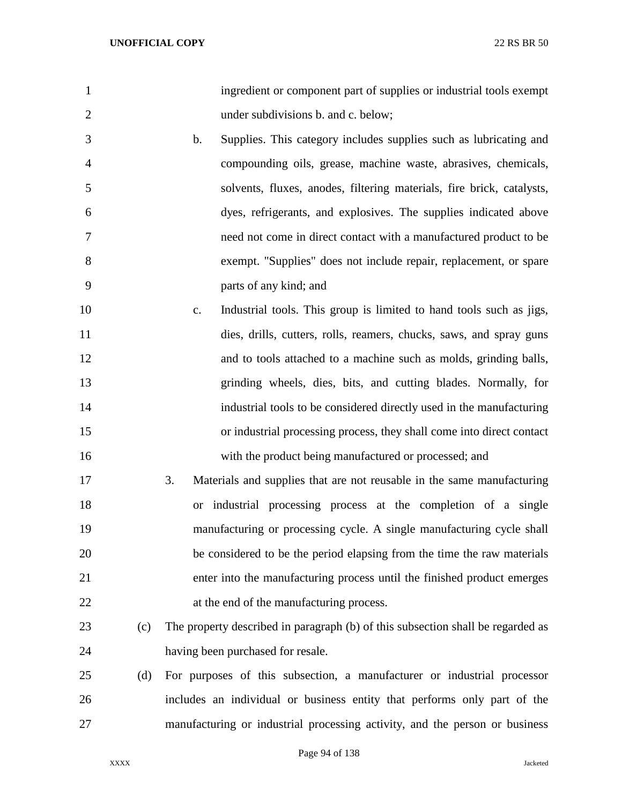| $\mathbf{1}$   | ingredient or component part of supplies or industrial tools exempt                   |
|----------------|---------------------------------------------------------------------------------------|
| $\overline{2}$ | under subdivisions b. and c. below;                                                   |
| 3              | b.<br>Supplies. This category includes supplies such as lubricating and               |
| $\overline{4}$ | compounding oils, grease, machine waste, abrasives, chemicals,                        |
| 5              | solvents, fluxes, anodes, filtering materials, fire brick, catalysts,                 |
| 6              | dyes, refrigerants, and explosives. The supplies indicated above                      |
| 7              | need not come in direct contact with a manufactured product to be                     |
| 8              | exempt. "Supplies" does not include repair, replacement, or spare                     |
| 9              | parts of any kind; and                                                                |
| 10             | Industrial tools. This group is limited to hand tools such as jigs,<br>$\mathbf{c}$ . |
| 11             | dies, drills, cutters, rolls, reamers, chucks, saws, and spray guns                   |
| 12             | and to tools attached to a machine such as molds, grinding balls,                     |
| 13             | grinding wheels, dies, bits, and cutting blades. Normally, for                        |
| 14             | industrial tools to be considered directly used in the manufacturing                  |
| 15             | or industrial processing process, they shall come into direct contact                 |
| 16             | with the product being manufactured or processed; and                                 |
| 17             | 3.<br>Materials and supplies that are not reusable in the same manufacturing          |
| 18             | industrial processing process at the completion of a single<br><b>or</b>              |
| 19             | manufacturing or processing cycle. A single manufacturing cycle shall                 |
| 20             | be considered to be the period elapsing from the time the raw materials               |
| 21             | enter into the manufacturing process until the finished product emerges               |
| 22             | at the end of the manufacturing process.                                              |
| 23<br>(c)      | The property described in paragraph (b) of this subsection shall be regarded as       |
| 24             | having been purchased for resale.                                                     |
| 25<br>(d)      | For purposes of this subsection, a manufacturer or industrial processor               |
| 26             | includes an individual or business entity that performs only part of the              |
| 27             | manufacturing or industrial processing activity, and the person or business           |

Page 94 of 138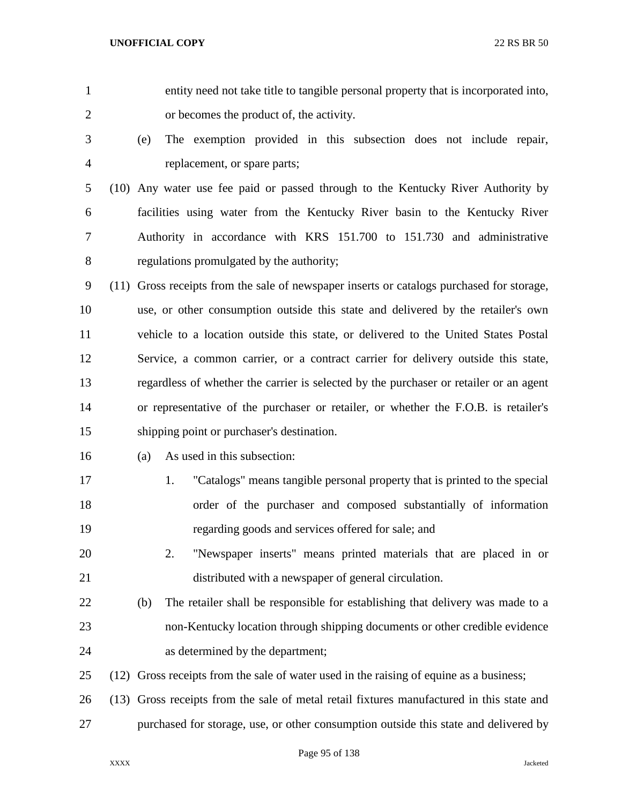entity need not take title to tangible personal property that is incorporated into, or becomes the product of, the activity. (e) The exemption provided in this subsection does not include repair, replacement, or spare parts; (10) Any water use fee paid or passed through to the Kentucky River Authority by facilities using water from the Kentucky River basin to the Kentucky River Authority in accordance with KRS 151.700 to 151.730 and administrative regulations promulgated by the authority; (11) Gross receipts from the sale of newspaper inserts or catalogs purchased for storage, use, or other consumption outside this state and delivered by the retailer's own vehicle to a location outside this state, or delivered to the United States Postal Service, a common carrier, or a contract carrier for delivery outside this state, regardless of whether the carrier is selected by the purchaser or retailer or an agent or representative of the purchaser or retailer, or whether the F.O.B. is retailer's shipping point or purchaser's destination. (a) As used in this subsection: 1. "Catalogs" means tangible personal property that is printed to the special order of the purchaser and composed substantially of information regarding goods and services offered for sale; and 2. "Newspaper inserts" means printed materials that are placed in or distributed with a newspaper of general circulation. (b) The retailer shall be responsible for establishing that delivery was made to a non-Kentucky location through shipping documents or other credible evidence as determined by the department; (12) Gross receipts from the sale of water used in the raising of equine as a business; (13) Gross receipts from the sale of metal retail fixtures manufactured in this state and purchased for storage, use, or other consumption outside this state and delivered by

Page 95 of 138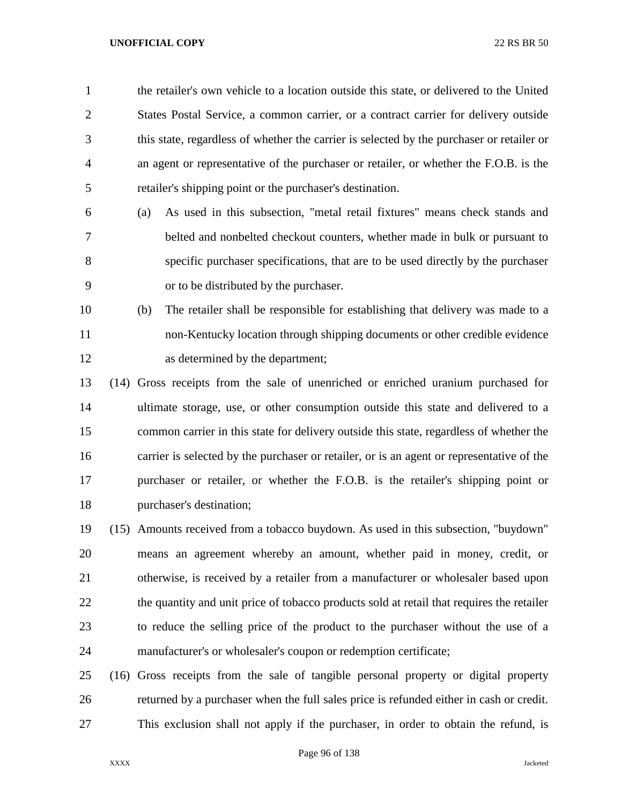the retailer's own vehicle to a location outside this state, or delivered to the United States Postal Service, a common carrier, or a contract carrier for delivery outside this state, regardless of whether the carrier is selected by the purchaser or retailer or an agent or representative of the purchaser or retailer, or whether the F.O.B. is the retailer's shipping point or the purchaser's destination.

- (a) As used in this subsection, "metal retail fixtures" means check stands and belted and nonbelted checkout counters, whether made in bulk or pursuant to specific purchaser specifications, that are to be used directly by the purchaser or to be distributed by the purchaser.
- (b) The retailer shall be responsible for establishing that delivery was made to a non-Kentucky location through shipping documents or other credible evidence as determined by the department;
- (14) Gross receipts from the sale of unenriched or enriched uranium purchased for ultimate storage, use, or other consumption outside this state and delivered to a common carrier in this state for delivery outside this state, regardless of whether the carrier is selected by the purchaser or retailer, or is an agent or representative of the purchaser or retailer, or whether the F.O.B. is the retailer's shipping point or purchaser's destination;
- (15) Amounts received from a tobacco buydown. As used in this subsection, "buydown" means an agreement whereby an amount, whether paid in money, credit, or otherwise, is received by a retailer from a manufacturer or wholesaler based upon 22 the quantity and unit price of tobacco products sold at retail that requires the retailer to reduce the selling price of the product to the purchaser without the use of a manufacturer's or wholesaler's coupon or redemption certificate;
- (16) Gross receipts from the sale of tangible personal property or digital property returned by a purchaser when the full sales price is refunded either in cash or credit. This exclusion shall not apply if the purchaser, in order to obtain the refund, is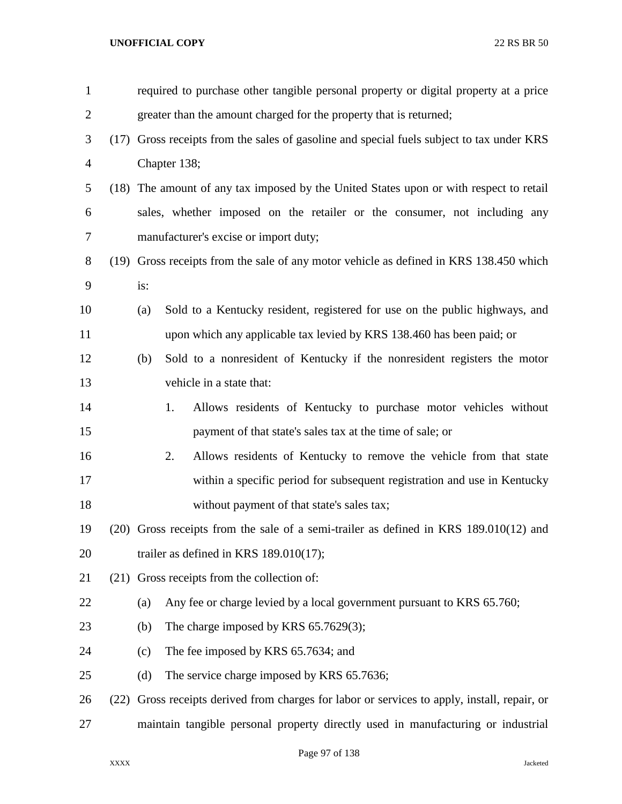| $\mathbf{1}$   |      |     | required to purchase other tangible personal property or digital property at a price       |
|----------------|------|-----|--------------------------------------------------------------------------------------------|
| $\overline{2}$ |      |     | greater than the amount charged for the property that is returned;                         |
| 3              |      |     | (17) Gross receipts from the sales of gasoline and special fuels subject to tax under KRS  |
| $\overline{4}$ |      |     | Chapter 138;                                                                               |
| 5              |      |     | (18) The amount of any tax imposed by the United States upon or with respect to retail     |
| 6              |      |     | sales, whether imposed on the retailer or the consumer, not including any                  |
| 7              |      |     | manufacturer's excise or import duty;                                                      |
| 8              |      |     | (19) Gross receipts from the sale of any motor vehicle as defined in KRS 138.450 which     |
| 9              |      | is: |                                                                                            |
| 10             |      | (a) | Sold to a Kentucky resident, registered for use on the public highways, and                |
| 11             |      |     | upon which any applicable tax levied by KRS 138.460 has been paid; or                      |
| 12             |      | (b) | Sold to a nonresident of Kentucky if the nonresident registers the motor                   |
| 13             |      |     | vehicle in a state that:                                                                   |
| 14             |      |     | Allows residents of Kentucky to purchase motor vehicles without<br>1.                      |
| 15             |      |     | payment of that state's sales tax at the time of sale; or                                  |
| 16             |      |     | 2.<br>Allows residents of Kentucky to remove the vehicle from that state                   |
| 17             |      |     | within a specific period for subsequent registration and use in Kentucky                   |
| 18             |      |     | without payment of that state's sales tax;                                                 |
| 19             |      |     | $(20)$ Gross receipts from the sale of a semi-trailer as defined in KRS 189.010 $(12)$ and |
| 20             |      |     | trailer as defined in KRS $189.010(17)$ ;                                                  |
| 21             |      |     | (21) Gross receipts from the collection of:                                                |
| 22             |      | (a) | Any fee or charge levied by a local government pursuant to KRS 65.760;                     |
| 23             |      | (b) | The charge imposed by KRS $65.7629(3)$ ;                                                   |
| 24             |      | (c) | The fee imposed by KRS 65.7634; and                                                        |
| 25             |      | (d) | The service charge imposed by KRS 65.7636;                                                 |
| 26             | (22) |     | Gross receipts derived from charges for labor or services to apply, install, repair, or    |
| 27             |      |     | maintain tangible personal property directly used in manufacturing or industrial           |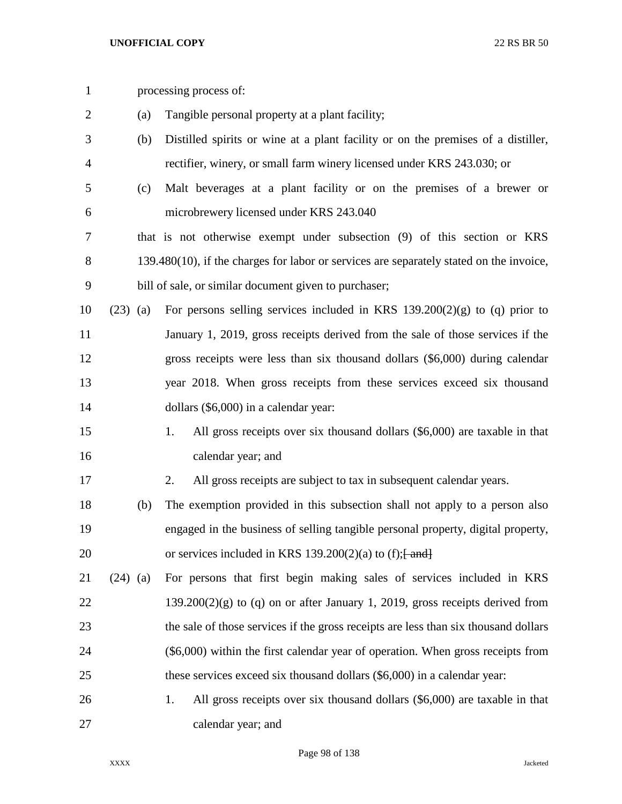| $\mathbf{1}$   |            |     | processing process of:                                                                     |
|----------------|------------|-----|--------------------------------------------------------------------------------------------|
| $\overline{2}$ |            | (a) | Tangible personal property at a plant facility;                                            |
| 3              |            | (b) | Distilled spirits or wine at a plant facility or on the premises of a distiller,           |
| 4              |            |     | rectifier, winery, or small farm winery licensed under KRS 243.030; or                     |
| 5              |            | (c) | Malt beverages at a plant facility or on the premises of a brewer or                       |
| 6              |            |     | microbrewery licensed under KRS 243.040                                                    |
| 7              |            |     | that is not otherwise exempt under subsection (9) of this section or KRS                   |
| 8              |            |     | $139.480(10)$ , if the charges for labor or services are separately stated on the invoice, |
| 9              |            |     | bill of sale, or similar document given to purchaser;                                      |
| 10             | $(23)$ (a) |     | For persons selling services included in KRS $139.200(2)(g)$ to (q) prior to               |
| 11             |            |     | January 1, 2019, gross receipts derived from the sale of those services if the             |
| 12             |            |     | gross receipts were less than six thousand dollars (\$6,000) during calendar               |
| 13             |            |     | year 2018. When gross receipts from these services exceed six thousand                     |
| 14             |            |     | dollars (\$6,000) in a calendar year:                                                      |
| 15             |            |     | All gross receipts over six thousand dollars (\$6,000) are taxable in that<br>1.           |
| 16             |            |     | calendar year; and                                                                         |
| 17             |            |     | All gross receipts are subject to tax in subsequent calendar years.<br>2.                  |
| 18             |            | (b) | The exemption provided in this subsection shall not apply to a person also                 |
| 19             |            |     | engaged in the business of selling tangible personal property, digital property,           |
| 20             |            |     | or services included in KRS 139.200(2)(a) to (f); $\frac{1}{2}$ and $\frac{1}{2}$          |
| 21             | $(24)$ (a) |     | For persons that first begin making sales of services included in KRS                      |
| 22             |            |     | $139.200(2)(g)$ to (q) on or after January 1, 2019, gross receipts derived from            |
| 23             |            |     | the sale of those services if the gross receipts are less than six thousand dollars        |
| 24             |            |     | $(\$6,000)$ within the first calendar year of operation. When gross receipts from          |
| 25             |            |     | these services exceed six thousand dollars (\$6,000) in a calendar year:                   |
| 26             |            |     | All gross receipts over six thousand dollars (\$6,000) are taxable in that<br>1.           |
| 27             |            |     | calendar year; and                                                                         |

Page 98 of 138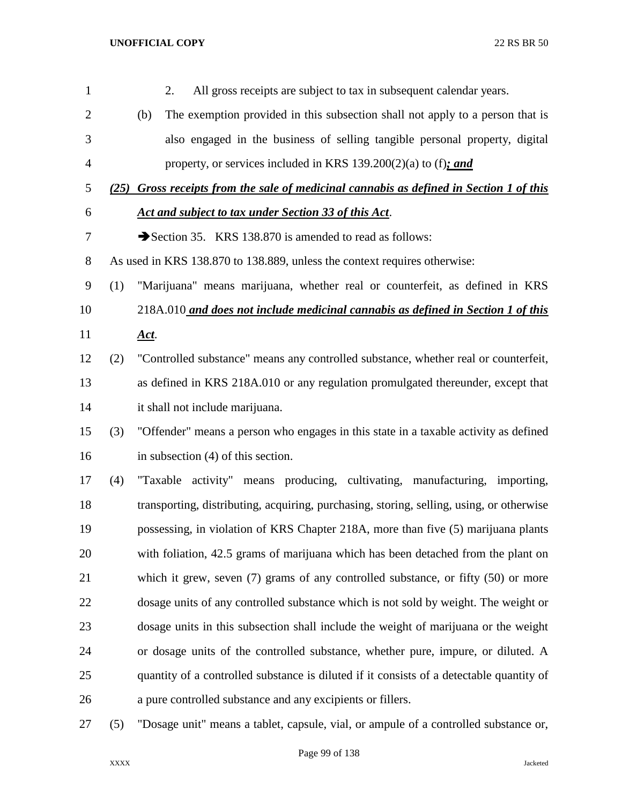| $\mathbf{1}$   |     | All gross receipts are subject to tax in subsequent calendar years.<br>2.                |
|----------------|-----|------------------------------------------------------------------------------------------|
| $\mathbf{2}$   |     | The exemption provided in this subsection shall not apply to a person that is<br>(b)     |
| 3              |     | also engaged in the business of selling tangible personal property, digital              |
| $\overline{4}$ |     | property, or services included in KRS 139.200(2)(a) to (f): and                          |
| 5              |     | (25) Gross receipts from the sale of medicinal cannabis as defined in Section 1 of this  |
| 6              |     | Act and subject to tax under Section 33 of this Act.                                     |
| 7              |     | Section 35. KRS 138.870 is amended to read as follows:                                   |
| $8\,$          |     | As used in KRS 138.870 to 138.889, unless the context requires otherwise:                |
| 9              | (1) | "Marijuana" means marijuana, whether real or counterfeit, as defined in KRS              |
| 10             |     | 218A.010 and does not include medicinal cannabis as defined in Section 1 of this         |
| 11             |     | <u>Act.</u>                                                                              |
| 12             | (2) | "Controlled substance" means any controlled substance, whether real or counterfeit,      |
| 13             |     | as defined in KRS 218A.010 or any regulation promulgated thereunder, except that         |
| 14             |     | it shall not include marijuana.                                                          |
| 15             | (3) | "Offender" means a person who engages in this state in a taxable activity as defined     |
| 16             |     | in subsection $(4)$ of this section.                                                     |
| 17             | (4) | "Taxable activity" means producing, cultivating, manufacturing, importing,               |
| 18             |     | transporting, distributing, acquiring, purchasing, storing, selling, using, or otherwise |
| 19             |     | possessing, in violation of KRS Chapter 218A, more than five (5) marijuana plants        |
| 20             |     | with foliation, 42.5 grams of marijuana which has been detached from the plant on        |
| 21             |     | which it grew, seven $(7)$ grams of any controlled substance, or fifty $(50)$ or more    |
| 22             |     | dosage units of any controlled substance which is not sold by weight. The weight or      |
| 23             |     | dosage units in this subsection shall include the weight of marijuana or the weight      |
| 24             |     | or dosage units of the controlled substance, whether pure, impure, or diluted. A         |
| 25             |     | quantity of a controlled substance is diluted if it consists of a detectable quantity of |
| 26             |     | a pure controlled substance and any excipients or fillers.                               |
| 27             | (5) | "Dosage unit" means a tablet, capsule, vial, or ampule of a controlled substance or,     |

Page 99 of 138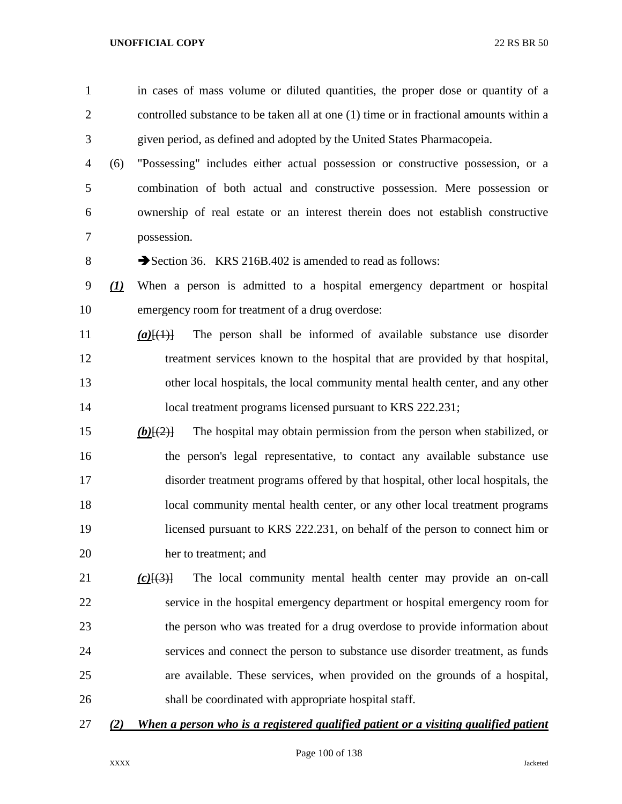| $\mathbf{1}$   |                                | in cases of mass volume or diluted quantities, the proper dose or quantity of a                    |
|----------------|--------------------------------|----------------------------------------------------------------------------------------------------|
| $\overline{2}$ |                                | controlled substance to be taken all at one (1) time or in fractional amounts within a             |
| 3              |                                | given period, as defined and adopted by the United States Pharmacopeia.                            |
| 4              | (6)                            | "Possessing" includes either actual possession or constructive possession, or a                    |
| 5              |                                | combination of both actual and constructive possession. Mere possession or                         |
| 6              |                                | ownership of real estate or an interest therein does not establish constructive                    |
| 7              |                                | possession.                                                                                        |
| 8              |                                | Section 36. KRS 216B.402 is amended to read as follows:                                            |
| 9              | $\left( \underline{I} \right)$ | When a person is admitted to a hospital emergency department or hospital                           |
| 10             |                                | emergency room for treatment of a drug overdose:                                                   |
| 11             |                                | The person shall be informed of available substance use disorder<br>$(a)$ $\{(\pm)\}$              |
| 12             |                                | treatment services known to the hospital that are provided by that hospital,                       |
| 13             |                                | other local hospitals, the local community mental health center, and any other                     |
| 14             |                                | local treatment programs licensed pursuant to KRS 222.231;                                         |
| 15             |                                | The hospital may obtain permission from the person when stabilized, or<br>$(b)$ $\{2\}$            |
| 16             |                                | the person's legal representative, to contact any available substance use                          |
| 17             |                                | disorder treatment programs offered by that hospital, other local hospitals, the                   |
| 18             |                                | local community mental health center, or any other local treatment programs                        |
| 19             |                                | licensed pursuant to KRS 222.231, on behalf of the person to connect him or                        |
| 20             |                                | her to treatment; and                                                                              |
| 21             |                                | The local community mental health center may provide an on-call<br>$(c)$ $(\cdot$ <sup>3</sup> $)$ |
| 22             |                                | service in the hospital emergency department or hospital emergency room for                        |
| 23             |                                | the person who was treated for a drug overdose to provide information about                        |
| 24             |                                | services and connect the person to substance use disorder treatment, as funds                      |
| 25             |                                | are available. These services, when provided on the grounds of a hospital,                         |
| 26             |                                | shall be coordinated with appropriate hospital staff.                                              |
| 27             | (2)                            | When a person who is a registered qualified patient or a visiting qualified patient                |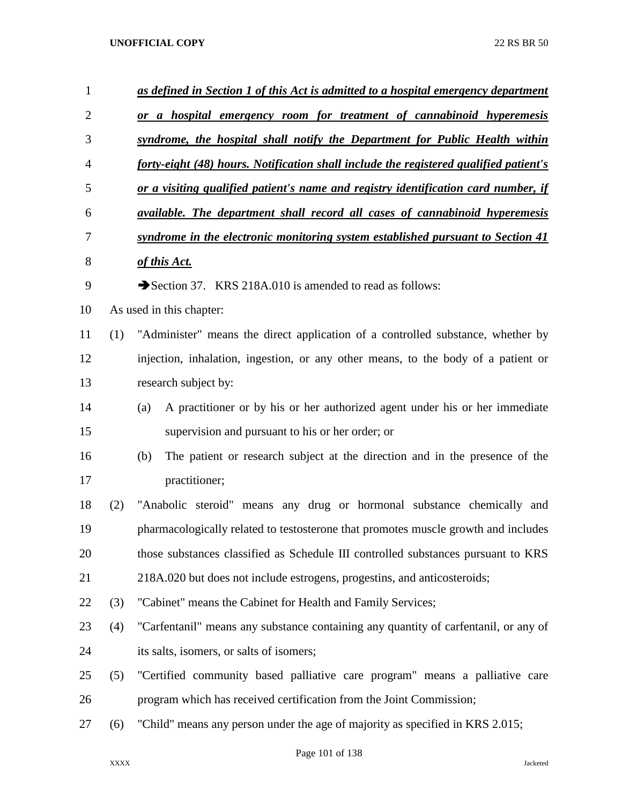| $\mathbf{1}$ |                          | as defined in Section 1 of this Act is admitted to a hospital emergency department    |  |  |  |  |  |  |  |
|--------------|--------------------------|---------------------------------------------------------------------------------------|--|--|--|--|--|--|--|
| 2            |                          | or a hospital emergency room for treatment of cannabinoid hyperemesis                 |  |  |  |  |  |  |  |
| 3            |                          | syndrome, the hospital shall notify the Department for Public Health within           |  |  |  |  |  |  |  |
| 4            |                          | forty-eight (48) hours. Notification shall include the registered qualified patient's |  |  |  |  |  |  |  |
| 5            |                          | or a visiting qualified patient's name and registry identification card number, if    |  |  |  |  |  |  |  |
| 6            |                          | available. The department shall record all cases of cannabinoid hyperemesis           |  |  |  |  |  |  |  |
| 7            |                          | syndrome in the electronic monitoring system established pursuant to Section 41       |  |  |  |  |  |  |  |
| 8            |                          | of this Act.                                                                          |  |  |  |  |  |  |  |
| 9            |                          | Section 37. KRS 218A.010 is amended to read as follows:                               |  |  |  |  |  |  |  |
| 10           | As used in this chapter: |                                                                                       |  |  |  |  |  |  |  |
| 11           | (1)                      | "Administer" means the direct application of a controlled substance, whether by       |  |  |  |  |  |  |  |
| 12           |                          | injection, inhalation, ingestion, or any other means, to the body of a patient or     |  |  |  |  |  |  |  |
| 13           |                          | research subject by:                                                                  |  |  |  |  |  |  |  |
| 14           |                          | A practitioner or by his or her authorized agent under his or her immediate<br>(a)    |  |  |  |  |  |  |  |
| 15           |                          | supervision and pursuant to his or her order; or                                      |  |  |  |  |  |  |  |
| 16           |                          | The patient or research subject at the direction and in the presence of the<br>(b)    |  |  |  |  |  |  |  |
| 17           |                          | practitioner;                                                                         |  |  |  |  |  |  |  |
| 18           | (2)                      | "Anabolic steroid" means any drug or hormonal substance chemically and                |  |  |  |  |  |  |  |
| 19           |                          | pharmacologically related to testosterone that promotes muscle growth and includes    |  |  |  |  |  |  |  |
| 20           |                          | those substances classified as Schedule III controlled substances pursuant to KRS     |  |  |  |  |  |  |  |
| 21           |                          | 218A.020 but does not include estrogens, progestins, and anticosteroids;              |  |  |  |  |  |  |  |
| 22           | (3)                      | "Cabinet" means the Cabinet for Health and Family Services;                           |  |  |  |  |  |  |  |
| 23           | (4)                      | "Carfentanil" means any substance containing any quantity of carfentanil, or any of   |  |  |  |  |  |  |  |
| 24           |                          | its salts, isomers, or salts of isomers;                                              |  |  |  |  |  |  |  |
| 25           | (5)                      | "Certified community based palliative care program" means a palliative care           |  |  |  |  |  |  |  |
| 26           |                          | program which has received certification from the Joint Commission;                   |  |  |  |  |  |  |  |
| 27           | (6)                      | "Child" means any person under the age of majority as specified in KRS 2.015;         |  |  |  |  |  |  |  |

Page 101 of 138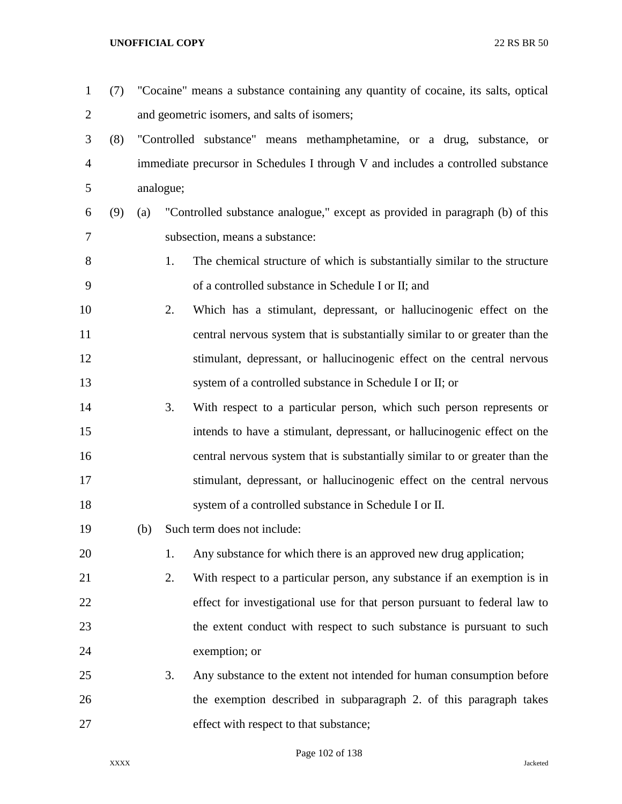(7) "Cocaine" means a substance containing any quantity of cocaine, its salts, optical and geometric isomers, and salts of isomers; (8) "Controlled substance" means methamphetamine, or a drug, substance, or immediate precursor in Schedules I through V and includes a controlled substance analogue; (9) (a) "Controlled substance analogue," except as provided in paragraph (b) of this subsection, means a substance: 1. The chemical structure of which is substantially similar to the structure of a controlled substance in Schedule I or II; and 2. Which has a stimulant, depressant, or hallucinogenic effect on the central nervous system that is substantially similar to or greater than the stimulant, depressant, or hallucinogenic effect on the central nervous system of a controlled substance in Schedule I or II; or 3. With respect to a particular person, which such person represents or intends to have a stimulant, depressant, or hallucinogenic effect on the central nervous system that is substantially similar to or greater than the stimulant, depressant, or hallucinogenic effect on the central nervous system of a controlled substance in Schedule I or II. (b) Such term does not include: 1. Any substance for which there is an approved new drug application; 2. With respect to a particular person, any substance if an exemption is in effect for investigational use for that person pursuant to federal law to the extent conduct with respect to such substance is pursuant to such exemption; or 3. Any substance to the extent not intended for human consumption before the exemption described in subparagraph 2. of this paragraph takes effect with respect to that substance;

Page 102 of 138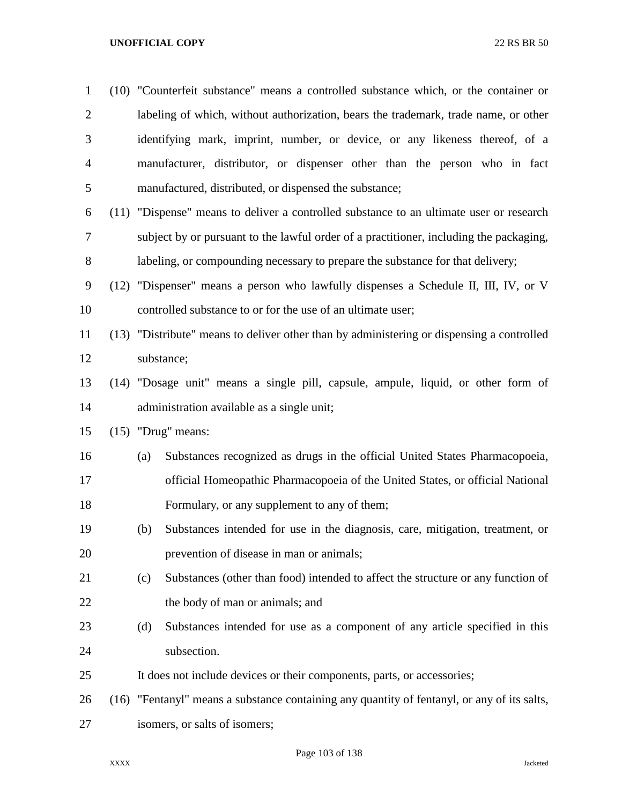| $\mathbf{1}$   | (10) "Counterfeit substance" means a controlled substance which, or the container or        |  |  |  |  |  |
|----------------|---------------------------------------------------------------------------------------------|--|--|--|--|--|
| $\overline{2}$ | labeling of which, without authorization, bears the trademark, trade name, or other         |  |  |  |  |  |
| 3              | identifying mark, imprint, number, or device, or any likeness thereof, of a                 |  |  |  |  |  |
| $\overline{4}$ | manufacturer, distributor, or dispenser other than the person who in fact                   |  |  |  |  |  |
| 5              | manufactured, distributed, or dispensed the substance;                                      |  |  |  |  |  |
| 6              | (11) "Dispense" means to deliver a controlled substance to an ultimate user or research     |  |  |  |  |  |
| 7              | subject by or pursuant to the lawful order of a practitioner, including the packaging,      |  |  |  |  |  |
| 8              | labeling, or compounding necessary to prepare the substance for that delivery;              |  |  |  |  |  |
| 9              | (12) "Dispenser" means a person who lawfully dispenses a Schedule II, III, IV, or V         |  |  |  |  |  |
| 10             | controlled substance to or for the use of an ultimate user;                                 |  |  |  |  |  |
| 11             | (13) "Distribute" means to deliver other than by administering or dispensing a controlled   |  |  |  |  |  |
| 12             | substance;                                                                                  |  |  |  |  |  |
| 13             | (14) "Dosage unit" means a single pill, capsule, ampule, liquid, or other form of           |  |  |  |  |  |
| 14             | administration available as a single unit;                                                  |  |  |  |  |  |
| 15             | $(15)$ "Drug" means:                                                                        |  |  |  |  |  |
| 16             | Substances recognized as drugs in the official United States Pharmacopoeia,<br>(a)          |  |  |  |  |  |
| 17             | official Homeopathic Pharmacopoeia of the United States, or official National               |  |  |  |  |  |
| 18             | Formulary, or any supplement to any of them;                                                |  |  |  |  |  |
| 19             | (b)<br>Substances intended for use in the diagnosis, care, mitigation, treatment, or        |  |  |  |  |  |
| 20             | prevention of disease in man or animals;                                                    |  |  |  |  |  |
| 21             | Substances (other than food) intended to affect the structure or any function of<br>(c)     |  |  |  |  |  |
| 22             | the body of man or animals; and                                                             |  |  |  |  |  |
| 23             | Substances intended for use as a component of any article specified in this<br>(d)          |  |  |  |  |  |
| 24             | subsection.                                                                                 |  |  |  |  |  |
| 25             | It does not include devices or their components, parts, or accessories;                     |  |  |  |  |  |
| 26             | (16) "Fentanyl" means a substance containing any quantity of fentanyl, or any of its salts, |  |  |  |  |  |
| 27             | isomers, or salts of isomers;                                                               |  |  |  |  |  |

Page 103 of 138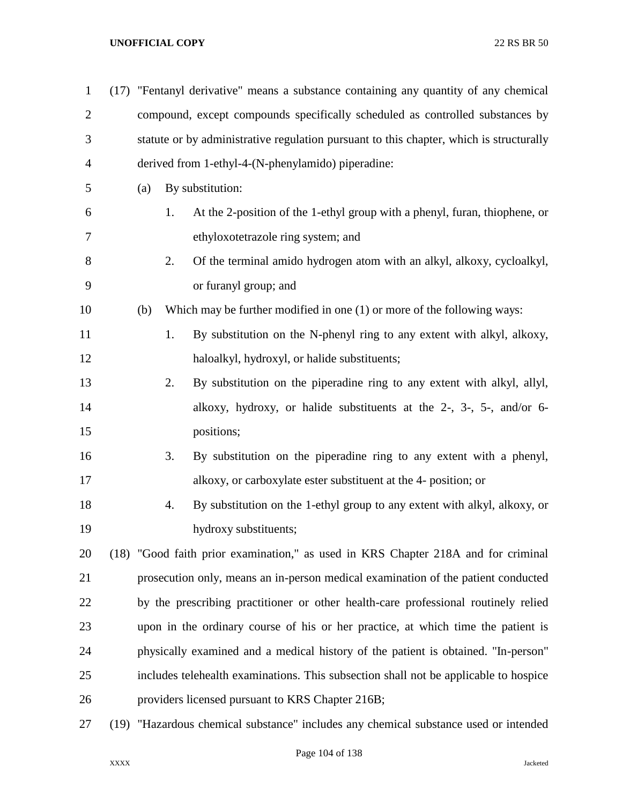| $\mathbf{1}$   | (17) "Fentanyl derivative" means a substance containing any quantity of any chemical |                                                                                         |                                                                                      |  |  |  |  |  |
|----------------|--------------------------------------------------------------------------------------|-----------------------------------------------------------------------------------------|--------------------------------------------------------------------------------------|--|--|--|--|--|
| $\overline{2}$ |                                                                                      | compound, except compounds specifically scheduled as controlled substances by           |                                                                                      |  |  |  |  |  |
| 3              |                                                                                      | statute or by administrative regulation pursuant to this chapter, which is structurally |                                                                                      |  |  |  |  |  |
| $\overline{4}$ |                                                                                      | derived from 1-ethyl-4-(N-phenylamido) piperadine:                                      |                                                                                      |  |  |  |  |  |
| 5              | (a)                                                                                  |                                                                                         | By substitution:                                                                     |  |  |  |  |  |
| 6              |                                                                                      | 1.                                                                                      | At the 2-position of the 1-ethyl group with a phenyl, furan, thiophene, or           |  |  |  |  |  |
| 7              |                                                                                      |                                                                                         | ethyloxotetrazole ring system; and                                                   |  |  |  |  |  |
| 8              |                                                                                      | 2.                                                                                      | Of the terminal amido hydrogen atom with an alkyl, alkoxy, cycloalkyl,               |  |  |  |  |  |
| 9              |                                                                                      |                                                                                         | or furanyl group; and                                                                |  |  |  |  |  |
| 10             | (b)                                                                                  |                                                                                         | Which may be further modified in one $(1)$ or more of the following ways:            |  |  |  |  |  |
| 11             |                                                                                      | 1.                                                                                      | By substitution on the N-phenyl ring to any extent with alkyl, alkoxy,               |  |  |  |  |  |
| 12             |                                                                                      |                                                                                         | haloalkyl, hydroxyl, or halide substituents;                                         |  |  |  |  |  |
| 13             |                                                                                      | 2.                                                                                      | By substitution on the piperadine ring to any extent with alkyl, allyl,              |  |  |  |  |  |
| 14             |                                                                                      |                                                                                         | alkoxy, hydroxy, or halide substituents at the 2-, 3-, 5-, and/or 6-                 |  |  |  |  |  |
| 15             |                                                                                      |                                                                                         | positions;                                                                           |  |  |  |  |  |
| 16             |                                                                                      | 3.                                                                                      | By substitution on the piperadine ring to any extent with a phenyl,                  |  |  |  |  |  |
| 17             |                                                                                      |                                                                                         | alkoxy, or carboxylate ester substituent at the 4- position; or                      |  |  |  |  |  |
| 18             |                                                                                      | 4.                                                                                      | By substitution on the 1-ethyl group to any extent with alkyl, alkoxy, or            |  |  |  |  |  |
| 19             |                                                                                      |                                                                                         | hydroxy substituents;                                                                |  |  |  |  |  |
| 20             |                                                                                      |                                                                                         | (18) "Good faith prior examination," as used in KRS Chapter 218A and for criminal    |  |  |  |  |  |
| 21             |                                                                                      |                                                                                         | prosecution only, means an in-person medical examination of the patient conducted    |  |  |  |  |  |
| 22             |                                                                                      |                                                                                         | by the prescribing practitioner or other health-care professional routinely relied   |  |  |  |  |  |
| 23             |                                                                                      |                                                                                         | upon in the ordinary course of his or her practice, at which time the patient is     |  |  |  |  |  |
| 24             |                                                                                      |                                                                                         | physically examined and a medical history of the patient is obtained. "In-person"    |  |  |  |  |  |
| 25             |                                                                                      |                                                                                         | includes telehealth examinations. This subsection shall not be applicable to hospice |  |  |  |  |  |
| 26             |                                                                                      |                                                                                         | providers licensed pursuant to KRS Chapter 216B;                                     |  |  |  |  |  |
| 27             |                                                                                      |                                                                                         | (19) "Hazardous chemical substance" includes any chemical substance used or intended |  |  |  |  |  |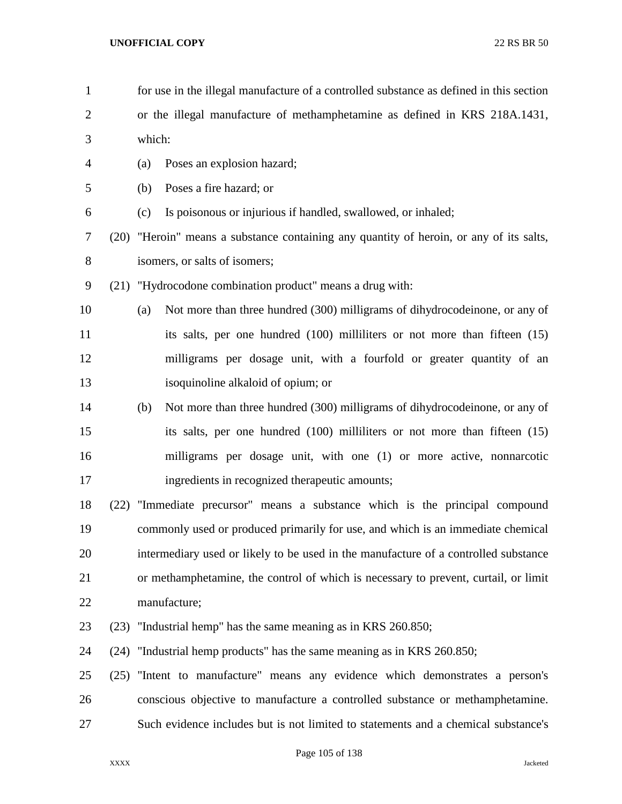for use in the illegal manufacture of a controlled substance as defined in this section or the illegal manufacture of methamphetamine as defined in KRS 218A.1431, which: (a) Poses an explosion hazard; (b) Poses a fire hazard; or (c) Is poisonous or injurious if handled, swallowed, or inhaled; (20) "Heroin" means a substance containing any quantity of heroin, or any of its salts, isomers, or salts of isomers; (21) "Hydrocodone combination product" means a drug with: (a) Not more than three hundred (300) milligrams of dihydrocodeinone, or any of 11 its salts, per one hundred (100) milliliters or not more than fifteen (15) milligrams per dosage unit, with a fourfold or greater quantity of an isoquinoline alkaloid of opium; or (b) Not more than three hundred (300) milligrams of dihydrocodeinone, or any of its salts, per one hundred (100) milliliters or not more than fifteen (15) milligrams per dosage unit, with one (1) or more active, nonnarcotic ingredients in recognized therapeutic amounts; (22) "Immediate precursor" means a substance which is the principal compound commonly used or produced primarily for use, and which is an immediate chemical intermediary used or likely to be used in the manufacture of a controlled substance or methamphetamine, the control of which is necessary to prevent, curtail, or limit manufacture; (23) "Industrial hemp" has the same meaning as in KRS 260.850; (24) "Industrial hemp products" has the same meaning as in KRS 260.850; (25) "Intent to manufacture" means any evidence which demonstrates a person's conscious objective to manufacture a controlled substance or methamphetamine. Such evidence includes but is not limited to statements and a chemical substance's

Page 105 of 138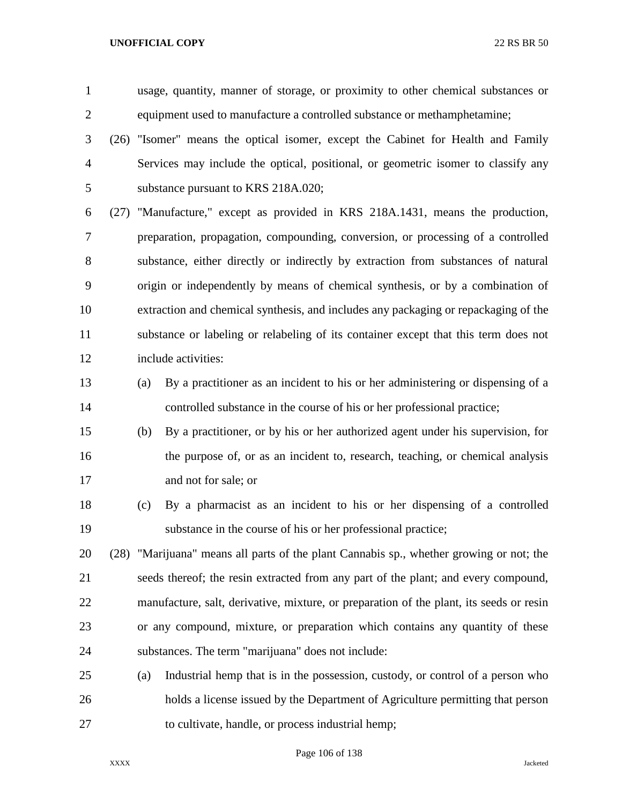usage, quantity, manner of storage, or proximity to other chemical substances or equipment used to manufacture a controlled substance or methamphetamine;

 (26) "Isomer" means the optical isomer, except the Cabinet for Health and Family Services may include the optical, positional, or geometric isomer to classify any substance pursuant to KRS 218A.020;

 (27) "Manufacture," except as provided in KRS 218A.1431, means the production, preparation, propagation, compounding, conversion, or processing of a controlled substance, either directly or indirectly by extraction from substances of natural origin or independently by means of chemical synthesis, or by a combination of extraction and chemical synthesis, and includes any packaging or repackaging of the substance or labeling or relabeling of its container except that this term does not include activities:

- (a) By a practitioner as an incident to his or her administering or dispensing of a controlled substance in the course of his or her professional practice;
- (b) By a practitioner, or by his or her authorized agent under his supervision, for the purpose of, or as an incident to, research, teaching, or chemical analysis and not for sale; or
- (c) By a pharmacist as an incident to his or her dispensing of a controlled substance in the course of his or her professional practice;

 (28) "Marijuana" means all parts of the plant Cannabis sp., whether growing or not; the seeds thereof; the resin extracted from any part of the plant; and every compound, manufacture, salt, derivative, mixture, or preparation of the plant, its seeds or resin or any compound, mixture, or preparation which contains any quantity of these substances. The term "marijuana" does not include:

 (a) Industrial hemp that is in the possession, custody, or control of a person who holds a license issued by the Department of Agriculture permitting that person to cultivate, handle, or process industrial hemp;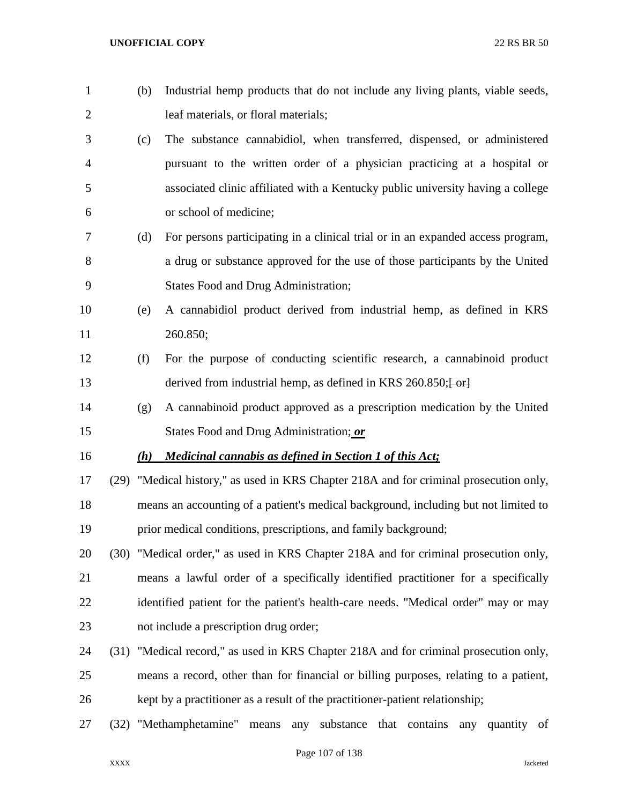- (b) Industrial hemp products that do not include any living plants, viable seeds, leaf materials, or floral materials; (c) The substance cannabidiol, when transferred, dispensed, or administered
- pursuant to the written order of a physician practicing at a hospital or associated clinic affiliated with a Kentucky public university having a college or school of medicine;
- (d) For persons participating in a clinical trial or in an expanded access program, a drug or substance approved for the use of those participants by the United States Food and Drug Administration;
- (e) A cannabidiol product derived from industrial hemp, as defined in KRS 260.850;
- (f) For the purpose of conducting scientific research, a cannabinoid product 13 derived from industrial hemp, as defined in KRS 260.850; [-or]
- (g) A cannabinoid product approved as a prescription medication by the United States Food and Drug Administration; *or*

## *(h) Medicinal cannabis as defined in Section 1 of this Act;*

 (29) "Medical history," as used in KRS Chapter 218A and for criminal prosecution only, means an accounting of a patient's medical background, including but not limited to prior medical conditions, prescriptions, and family background;

- (30) "Medical order," as used in KRS Chapter 218A and for criminal prosecution only, means a lawful order of a specifically identified practitioner for a specifically identified patient for the patient's health-care needs. "Medical order" may or may not include a prescription drug order;
- (31) "Medical record," as used in KRS Chapter 218A and for criminal prosecution only, means a record, other than for financial or billing purposes, relating to a patient, kept by a practitioner as a result of the practitioner-patient relationship;
- (32) "Methamphetamine" means any substance that contains any quantity of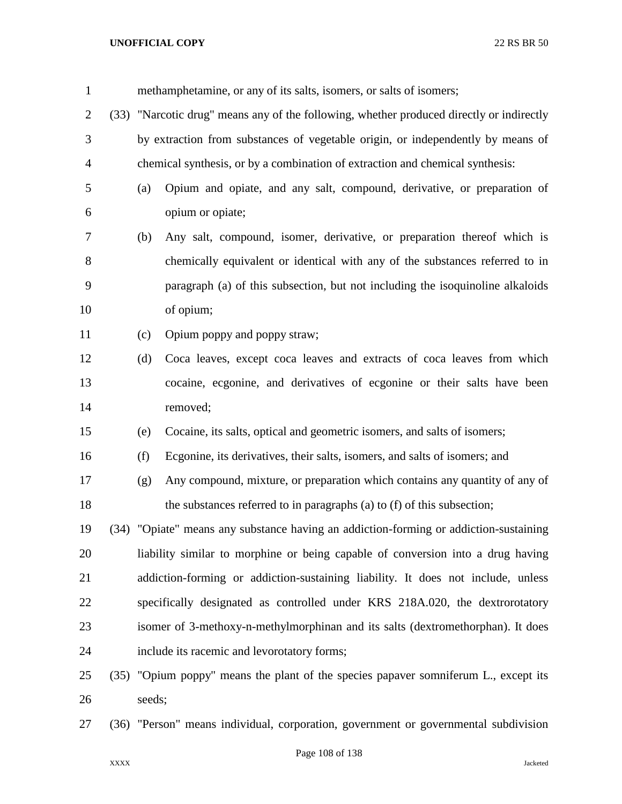| $\mathbf{1}$   | methamphetamine, or any of its salts, isomers, or salts of isomers; |                                                                                          |  |  |  |  |  |
|----------------|---------------------------------------------------------------------|------------------------------------------------------------------------------------------|--|--|--|--|--|
| $\overline{c}$ |                                                                     | (33) "Narcotic drug" means any of the following, whether produced directly or indirectly |  |  |  |  |  |
| 3              |                                                                     | by extraction from substances of vegetable origin, or independently by means of          |  |  |  |  |  |
| 4              |                                                                     | chemical synthesis, or by a combination of extraction and chemical synthesis:            |  |  |  |  |  |
| 5              | (a)                                                                 | Opium and opiate, and any salt, compound, derivative, or preparation of                  |  |  |  |  |  |
| 6              |                                                                     | opium or opiate;                                                                         |  |  |  |  |  |
| 7              | (b)                                                                 | Any salt, compound, isomer, derivative, or preparation thereof which is                  |  |  |  |  |  |
| 8              |                                                                     | chemically equivalent or identical with any of the substances referred to in             |  |  |  |  |  |
| 9              |                                                                     | paragraph (a) of this subsection, but not including the isoquinoline alkaloids           |  |  |  |  |  |
| 10             |                                                                     | of opium;                                                                                |  |  |  |  |  |
| 11             | (c)                                                                 | Opium poppy and poppy straw;                                                             |  |  |  |  |  |
| 12             | (d)                                                                 | Coca leaves, except coca leaves and extracts of coca leaves from which                   |  |  |  |  |  |
| 13             |                                                                     | cocaine, ecgonine, and derivatives of ecgonine or their salts have been                  |  |  |  |  |  |
| 14             |                                                                     | removed;                                                                                 |  |  |  |  |  |
| 15             | (e)                                                                 | Cocaine, its salts, optical and geometric isomers, and salts of isomers;                 |  |  |  |  |  |
| 16             | (f)                                                                 | Ecgonine, its derivatives, their salts, isomers, and salts of isomers; and               |  |  |  |  |  |
| 17             | (g)                                                                 | Any compound, mixture, or preparation which contains any quantity of any of              |  |  |  |  |  |
| 18             |                                                                     | the substances referred to in paragraphs (a) to (f) of this subsection;                  |  |  |  |  |  |
| 19             |                                                                     | (34) "Opiate" means any substance having an addiction-forming or addiction-sustaining    |  |  |  |  |  |
| 20             |                                                                     | liability similar to morphine or being capable of conversion into a drug having          |  |  |  |  |  |
| 21             |                                                                     | addiction-forming or addiction-sustaining liability. It does not include, unless         |  |  |  |  |  |
| 22             |                                                                     | specifically designated as controlled under KRS 218A.020, the dextrorotatory             |  |  |  |  |  |
| 23             |                                                                     | isomer of 3-methoxy-n-methylmorphinan and its salts (dextromethorphan). It does          |  |  |  |  |  |
| 24             |                                                                     | include its racemic and levorotatory forms;                                              |  |  |  |  |  |
| 25             |                                                                     | (35) "Opium poppy" means the plant of the species papaver somniferum L., except its      |  |  |  |  |  |
| 26             | seeds;                                                              |                                                                                          |  |  |  |  |  |
| 27             |                                                                     | (36) "Person" means individual, corporation, government or governmental subdivision      |  |  |  |  |  |

Page 108 of 138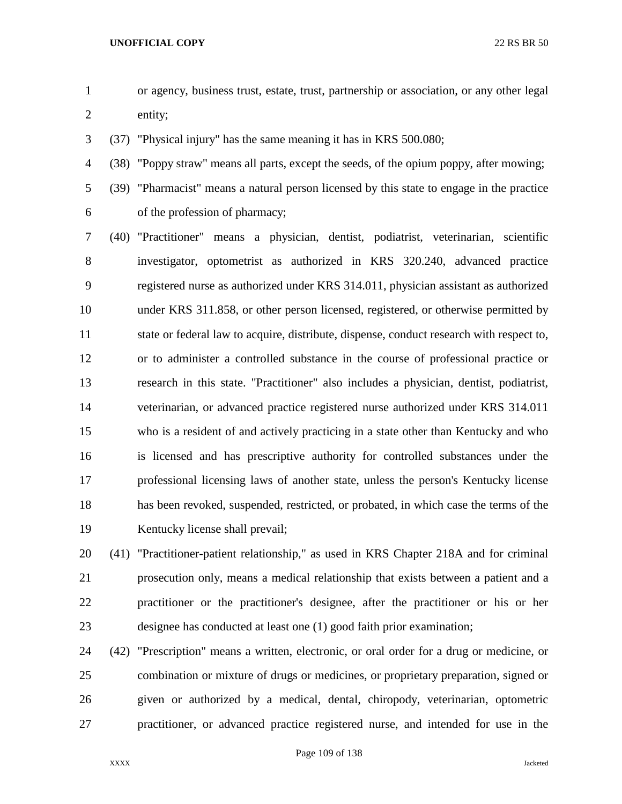- or agency, business trust, estate, trust, partnership or association, or any other legal entity;
- (37) "Physical injury" has the same meaning it has in KRS 500.080;
- (38) "Poppy straw" means all parts, except the seeds, of the opium poppy, after mowing;
- 

 (39) "Pharmacist" means a natural person licensed by this state to engage in the practice of the profession of pharmacy;

 (40) "Practitioner" means a physician, dentist, podiatrist, veterinarian, scientific investigator, optometrist as authorized in KRS 320.240, advanced practice registered nurse as authorized under KRS 314.011, physician assistant as authorized under KRS 311.858, or other person licensed, registered, or otherwise permitted by state or federal law to acquire, distribute, dispense, conduct research with respect to, or to administer a controlled substance in the course of professional practice or research in this state. "Practitioner" also includes a physician, dentist, podiatrist, veterinarian, or advanced practice registered nurse authorized under KRS 314.011 who is a resident of and actively practicing in a state other than Kentucky and who is licensed and has prescriptive authority for controlled substances under the professional licensing laws of another state, unless the person's Kentucky license has been revoked, suspended, restricted, or probated, in which case the terms of the Kentucky license shall prevail;

 (41) "Practitioner-patient relationship," as used in KRS Chapter 218A and for criminal prosecution only, means a medical relationship that exists between a patient and a practitioner or the practitioner's designee, after the practitioner or his or her designee has conducted at least one (1) good faith prior examination;

 (42) "Prescription" means a written, electronic, or oral order for a drug or medicine, or combination or mixture of drugs or medicines, or proprietary preparation, signed or given or authorized by a medical, dental, chiropody, veterinarian, optometric practitioner, or advanced practice registered nurse, and intended for use in the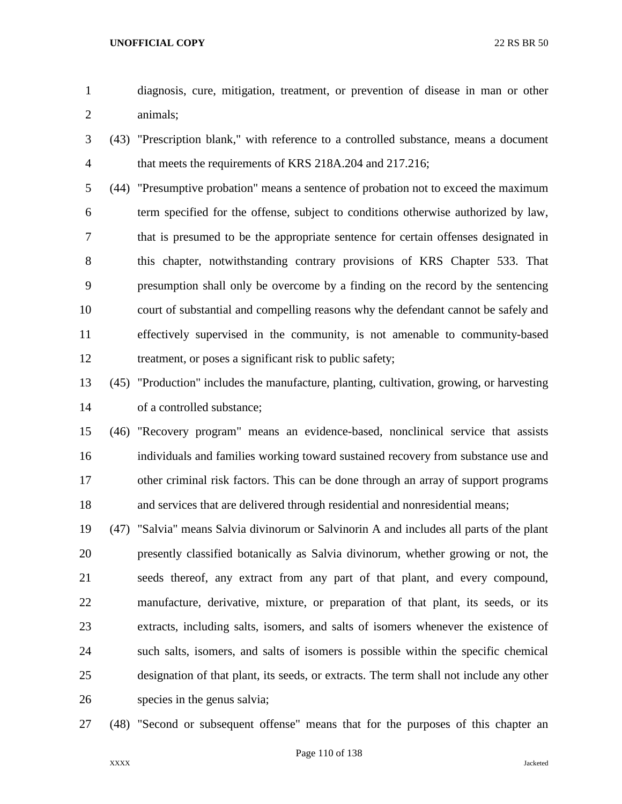- diagnosis, cure, mitigation, treatment, or prevention of disease in man or other animals;
- (43) "Prescription blank," with reference to a controlled substance, means a document that meets the requirements of KRS 218A.204 and 217.216;
- (44) "Presumptive probation" means a sentence of probation not to exceed the maximum term specified for the offense, subject to conditions otherwise authorized by law, that is presumed to be the appropriate sentence for certain offenses designated in this chapter, notwithstanding contrary provisions of KRS Chapter 533. That presumption shall only be overcome by a finding on the record by the sentencing court of substantial and compelling reasons why the defendant cannot be safely and effectively supervised in the community, is not amenable to community-based 12 treatment, or poses a significant risk to public safety;
- (45) "Production" includes the manufacture, planting, cultivation, growing, or harvesting of a controlled substance;
- (46) "Recovery program" means an evidence-based, nonclinical service that assists individuals and families working toward sustained recovery from substance use and other criminal risk factors. This can be done through an array of support programs and services that are delivered through residential and nonresidential means;
- (47) "Salvia" means Salvia divinorum or Salvinorin A and includes all parts of the plant presently classified botanically as Salvia divinorum, whether growing or not, the seeds thereof, any extract from any part of that plant, and every compound, manufacture, derivative, mixture, or preparation of that plant, its seeds, or its extracts, including salts, isomers, and salts of isomers whenever the existence of such salts, isomers, and salts of isomers is possible within the specific chemical designation of that plant, its seeds, or extracts. The term shall not include any other species in the genus salvia;
- (48) "Second or subsequent offense" means that for the purposes of this chapter an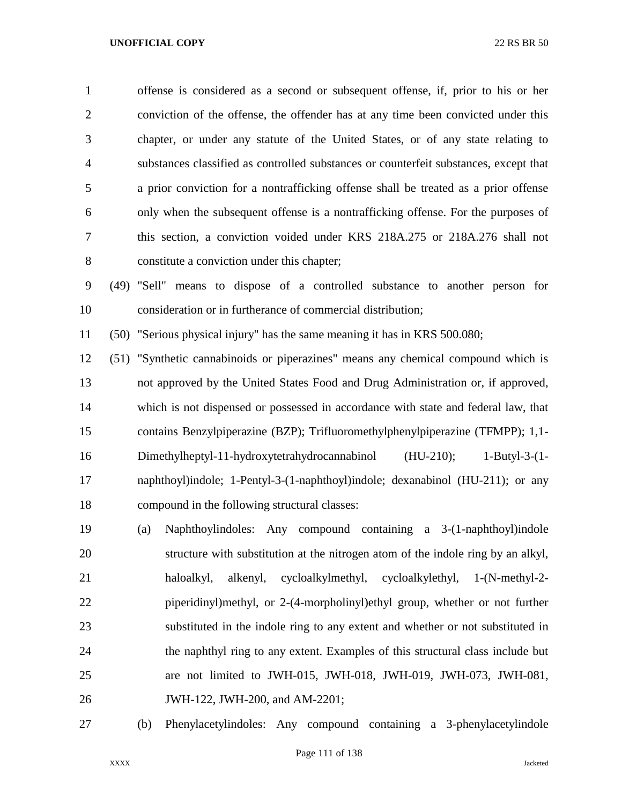offense is considered as a second or subsequent offense, if, prior to his or her conviction of the offense, the offender has at any time been convicted under this chapter, or under any statute of the United States, or of any state relating to substances classified as controlled substances or counterfeit substances, except that a prior conviction for a nontrafficking offense shall be treated as a prior offense only when the subsequent offense is a nontrafficking offense. For the purposes of this section, a conviction voided under KRS 218A.275 or 218A.276 shall not constitute a conviction under this chapter;

 (49) "Sell" means to dispose of a controlled substance to another person for consideration or in furtherance of commercial distribution;

(50) "Serious physical injury" has the same meaning it has in KRS 500.080;

 (51) "Synthetic cannabinoids or piperazines" means any chemical compound which is not approved by the United States Food and Drug Administration or, if approved, which is not dispensed or possessed in accordance with state and federal law, that contains Benzylpiperazine (BZP); Trifluoromethylphenylpiperazine (TFMPP); 1,1- Dimethylheptyl-11-hydroxytetrahydrocannabinol (HU-210); 1-Butyl-3-(1- naphthoyl)indole; 1-Pentyl-3-(1-naphthoyl)indole; dexanabinol (HU-211); or any compound in the following structural classes:

- (a) Naphthoylindoles: Any compound containing a 3-(1-naphthoyl)indole structure with substitution at the nitrogen atom of the indole ring by an alkyl, haloalkyl, alkenyl, cycloalkylmethyl, cycloalkylethyl, 1-(N-methyl-2- piperidinyl)methyl, or 2-(4-morpholinyl)ethyl group, whether or not further substituted in the indole ring to any extent and whether or not substituted in the naphthyl ring to any extent. Examples of this structural class include but are not limited to JWH-015, JWH-018, JWH-019, JWH-073, JWH-081, JWH-122, JWH-200, and AM-2201;
- 

(b) Phenylacetylindoles: Any compound containing a 3-phenylacetylindole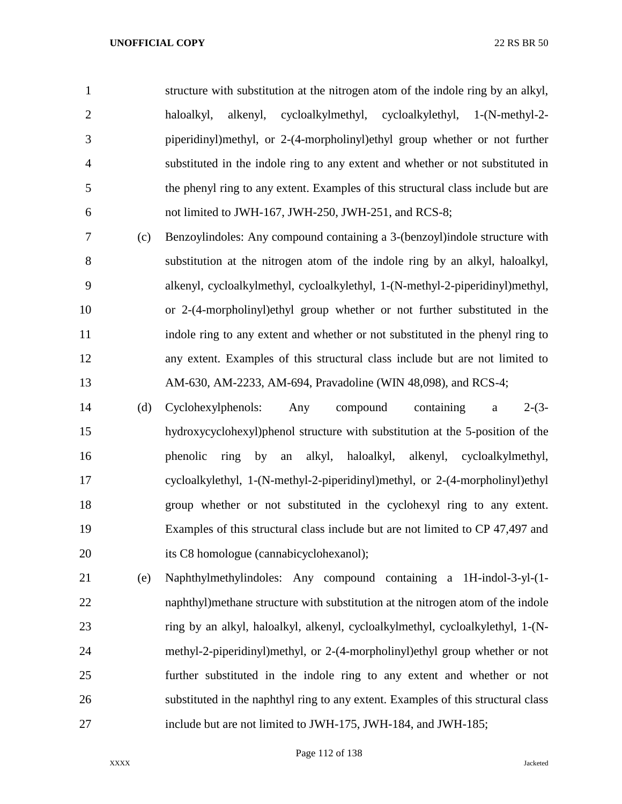structure with substitution at the nitrogen atom of the indole ring by an alkyl, haloalkyl, alkenyl, cycloalkylmethyl, cycloalkylethyl, 1-(N-methyl-2- piperidinyl)methyl, or 2-(4-morpholinyl)ethyl group whether or not further substituted in the indole ring to any extent and whether or not substituted in the phenyl ring to any extent. Examples of this structural class include but are not limited to JWH-167, JWH-250, JWH-251, and RCS-8; (c) Benzoylindoles: Any compound containing a 3-(benzoyl)indole structure with

 substitution at the nitrogen atom of the indole ring by an alkyl, haloalkyl, alkenyl, cycloalkylmethyl, cycloalkylethyl, 1-(N-methyl-2-piperidinyl)methyl, or 2-(4-morpholinyl)ethyl group whether or not further substituted in the indole ring to any extent and whether or not substituted in the phenyl ring to any extent. Examples of this structural class include but are not limited to AM-630, AM-2233, AM-694, Pravadoline (WIN 48,098), and RCS-4;

 (d) Cyclohexylphenols: Any compound containing a 2-(3- hydroxycyclohexyl)phenol structure with substitution at the 5-position of the phenolic ring by an alkyl, haloalkyl, alkenyl, cycloalkylmethyl, cycloalkylethyl, 1-(N-methyl-2-piperidinyl)methyl, or 2-(4-morpholinyl)ethyl group whether or not substituted in the cyclohexyl ring to any extent. Examples of this structural class include but are not limited to CP 47,497 and its C8 homologue (cannabicyclohexanol);

 (e) Naphthylmethylindoles: Any compound containing a 1H-indol-3-yl-(1- naphthyl)methane structure with substitution at the nitrogen atom of the indole ring by an alkyl, haloalkyl, alkenyl, cycloalkylmethyl, cycloalkylethyl, 1-(N- methyl-2-piperidinyl)methyl, or 2-(4-morpholinyl)ethyl group whether or not further substituted in the indole ring to any extent and whether or not substituted in the naphthyl ring to any extent. Examples of this structural class include but are not limited to JWH-175, JWH-184, and JWH-185;

Page 112 of 138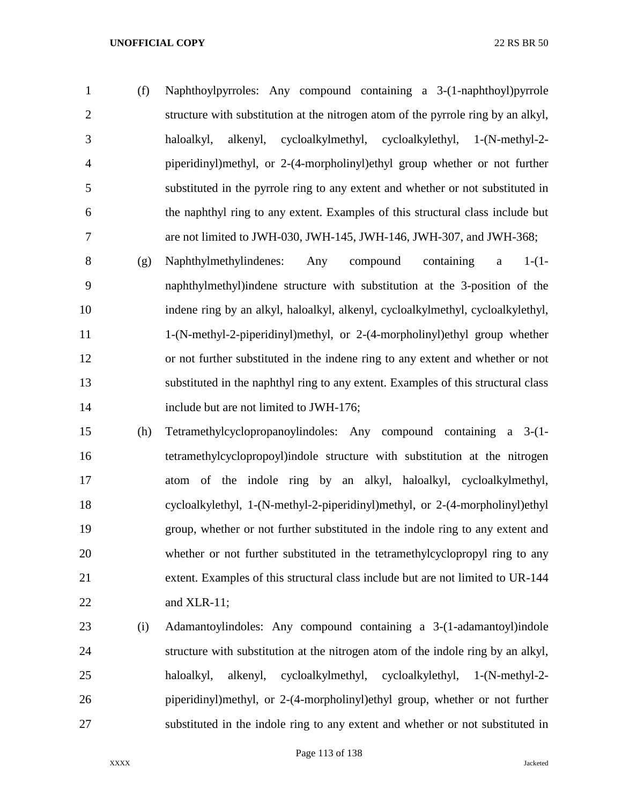(f) Naphthoylpyrroles: Any compound containing a 3-(1-naphthoyl)pyrrole structure with substitution at the nitrogen atom of the pyrrole ring by an alkyl, haloalkyl, alkenyl, cycloalkylmethyl, cycloalkylethyl, 1-(N-methyl-2- piperidinyl)methyl, or 2-(4-morpholinyl)ethyl group whether or not further substituted in the pyrrole ring to any extent and whether or not substituted in the naphthyl ring to any extent. Examples of this structural class include but are not limited to JWH-030, JWH-145, JWH-146, JWH-307, and JWH-368;

 (g) Naphthylmethylindenes: Any compound containing a 1-(1- naphthylmethyl)indene structure with substitution at the 3-position of the indene ring by an alkyl, haloalkyl, alkenyl, cycloalkylmethyl, cycloalkylethyl, 1-(N-methyl-2-piperidinyl)methyl, or 2-(4-morpholinyl)ethyl group whether or not further substituted in the indene ring to any extent and whether or not substituted in the naphthyl ring to any extent. Examples of this structural class 14 include but are not limited to JWH-176;

- (h) Tetramethylcyclopropanoylindoles: Any compound containing a 3-(1- tetramethylcyclopropoyl)indole structure with substitution at the nitrogen atom of the indole ring by an alkyl, haloalkyl, cycloalkylmethyl, cycloalkylethyl, 1-(N-methyl-2-piperidinyl)methyl, or 2-(4-morpholinyl)ethyl group, whether or not further substituted in the indole ring to any extent and whether or not further substituted in the tetramethylcyclopropyl ring to any extent. Examples of this structural class include but are not limited to UR-144 and XLR-11;
- (i) Adamantoylindoles: Any compound containing a 3-(1-adamantoyl)indole structure with substitution at the nitrogen atom of the indole ring by an alkyl, haloalkyl, alkenyl, cycloalkylmethyl, cycloalkylethyl, 1-(N-methyl-2- piperidinyl)methyl, or 2-(4-morpholinyl)ethyl group, whether or not further substituted in the indole ring to any extent and whether or not substituted in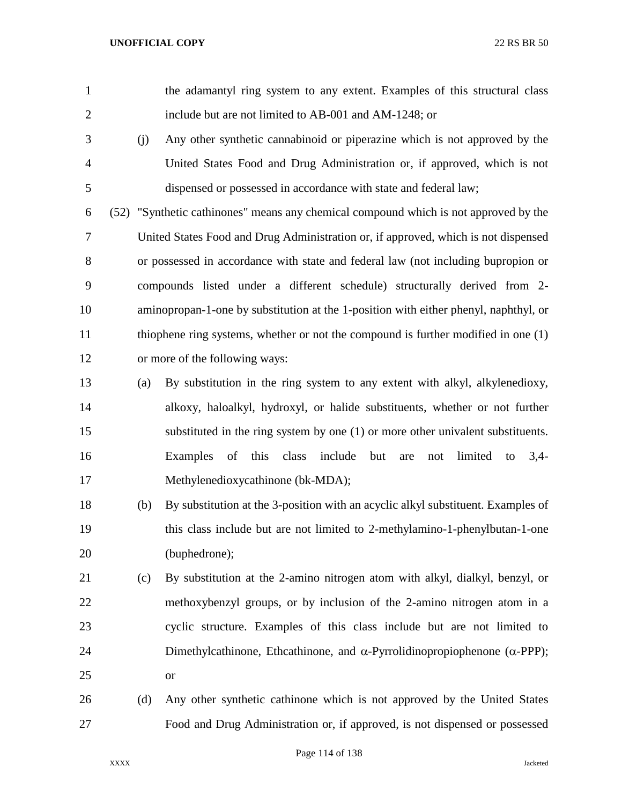- the adamantyl ring system to any extent. Examples of this structural class include but are not limited to AB-001 and AM-1248; or
- (j) Any other synthetic cannabinoid or piperazine which is not approved by the United States Food and Drug Administration or, if approved, which is not dispensed or possessed in accordance with state and federal law;

 (52) "Synthetic cathinones" means any chemical compound which is not approved by the United States Food and Drug Administration or, if approved, which is not dispensed or possessed in accordance with state and federal law (not including bupropion or compounds listed under a different schedule) structurally derived from 2- aminopropan-1-one by substitution at the 1-position with either phenyl, naphthyl, or thiophene ring systems, whether or not the compound is further modified in one (1) or more of the following ways:

- (a) By substitution in the ring system to any extent with alkyl, alkylenedioxy, alkoxy, haloalkyl, hydroxyl, or halide substituents, whether or not further substituted in the ring system by one (1) or more other univalent substituents. Examples of this class include but are not limited to 3,4- Methylenedioxycathinone (bk-MDA);
- (b) By substitution at the 3-position with an acyclic alkyl substituent. Examples of this class include but are not limited to 2-methylamino-1-phenylbutan-1-one (buphedrone);
- (c) By substitution at the 2-amino nitrogen atom with alkyl, dialkyl, benzyl, or methoxybenzyl groups, or by inclusion of the 2-amino nitrogen atom in a cyclic structure. Examples of this class include but are not limited to 24 Dimethylcathinone, Ethcathinone, and  $\alpha$ -Pyrrolidinopropiophenone ( $\alpha$ -PPP); or
- (d) Any other synthetic cathinone which is not approved by the United States Food and Drug Administration or, if approved, is not dispensed or possessed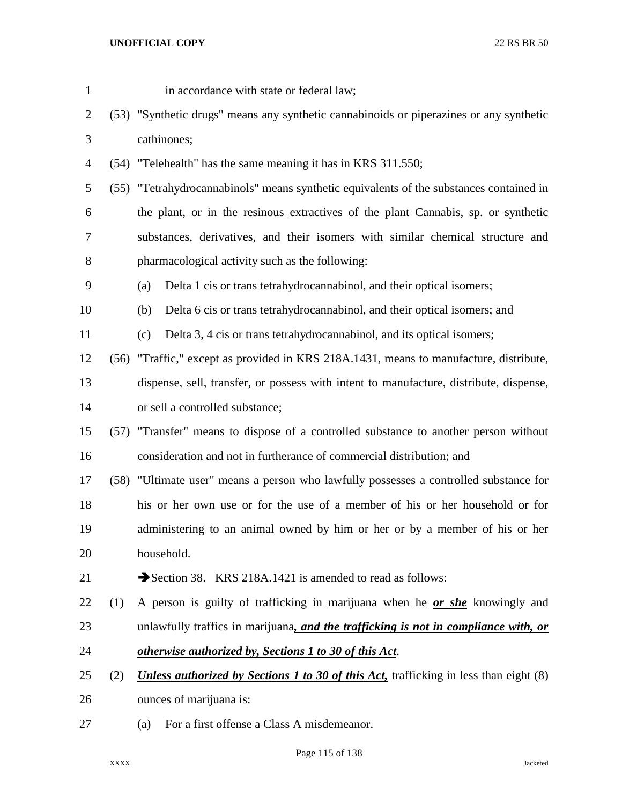|     | in accordance with state or federal law;                                                     |  |  |  |
|-----|----------------------------------------------------------------------------------------------|--|--|--|
|     | (53) "Synthetic drugs" means any synthetic cannabinoids or piperazines or any synthetic      |  |  |  |
|     | cathinones;                                                                                  |  |  |  |
|     | (54) "Telehealth" has the same meaning it has in KRS 311.550;                                |  |  |  |
|     | (55) "Tetrahydrocannabinols" means synthetic equivalents of the substances contained in      |  |  |  |
|     | the plant, or in the resinous extractives of the plant Cannabis, sp. or synthetic            |  |  |  |
|     | substances, derivatives, and their isomers with similar chemical structure and               |  |  |  |
|     | pharmacological activity such as the following:                                              |  |  |  |
|     | Delta 1 cis or trans tetrahydrocannabinol, and their optical isomers;<br>(a)                 |  |  |  |
|     | Delta 6 cis or trans tetrahydrocannabinol, and their optical isomers; and<br>(b)             |  |  |  |
|     | Delta 3, 4 cis or trans tetrahydrocannabinol, and its optical isomers;<br>(c)                |  |  |  |
|     | (56) "Traffic," except as provided in KRS 218A.1431, means to manufacture, distribute,       |  |  |  |
|     | dispense, sell, transfer, or possess with intent to manufacture, distribute, dispense,       |  |  |  |
|     | or sell a controlled substance;                                                              |  |  |  |
|     | (57) "Transfer" means to dispose of a controlled substance to another person without         |  |  |  |
|     | consideration and not in furtherance of commercial distribution; and                         |  |  |  |
|     | (58) "Ultimate user" means a person who lawfully possesses a controlled substance for        |  |  |  |
|     | his or her own use or for the use of a member of his or her household or for                 |  |  |  |
|     | administering to an animal owned by him or her or by a member of his or her                  |  |  |  |
|     | household.                                                                                   |  |  |  |
|     | Section 38. KRS 218A.1421 is amended to read as follows:                                     |  |  |  |
| (1) | A person is guilty of trafficking in marijuana when he or she knowingly and                  |  |  |  |
|     | unlawfully traffics in marijuana, and the trafficking is not in compliance with, or          |  |  |  |
|     | otherwise authorized by, Sections 1 to 30 of this Act.                                       |  |  |  |
| (2) | <b>Unless authorized by Sections 1 to 30 of this Act, trafficking in less than eight (8)</b> |  |  |  |
|     | ounces of marijuana is:                                                                      |  |  |  |
|     |                                                                                              |  |  |  |

(a) For a first offense a Class A misdemeanor.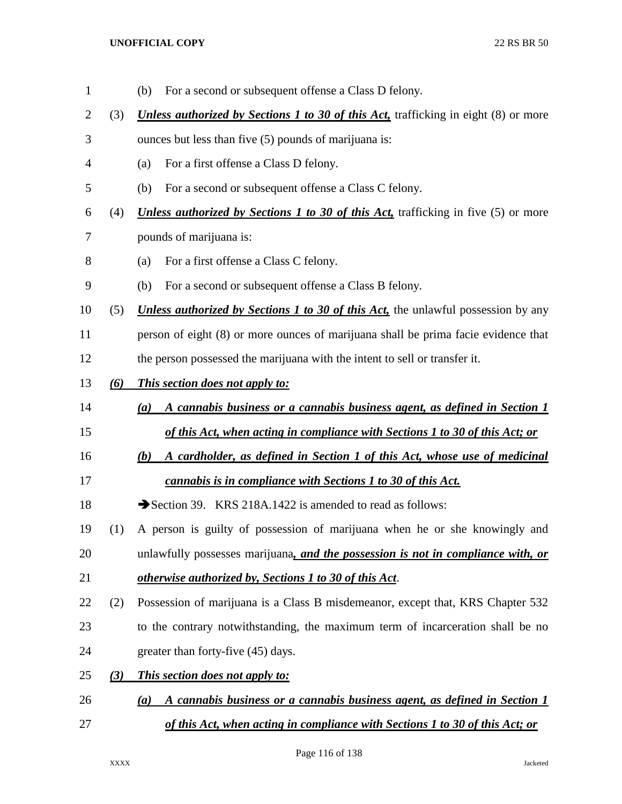(b) For a second or subsequent offense a Class D felony. (3) *Unless authorized by Sections 1 to 30 of this Act,* trafficking in eight (8) or more ounces but less than five (5) pounds of marijuana is: (a) For a first offense a Class D felony. (b) For a second or subsequent offense a Class C felony. (4) *Unless authorized by Sections 1 to 30 of this Act,* trafficking in five (5) or more pounds of marijuana is: (a) For a first offense a Class C felony. (b) For a second or subsequent offense a Class B felony. (5) *Unless authorized by Sections 1 to 30 of this Act,* the unlawful possession by any person of eight (8) or more ounces of marijuana shall be prima facie evidence that the person possessed the marijuana with the intent to sell or transfer it. *(6) This section does not apply to: (a) A cannabis business or a cannabis business agent, as defined in Section 1 of this Act, when acting in compliance with Sections 1 to 30 of this Act; or (b) A cardholder, as defined in Section 1 of this Act, whose use of medicinal cannabis is in compliance with Sections 1 to 30 of this Act.* 18 Section 39. KRS 218A.1422 is amended to read as follows: (1) A person is guilty of possession of marijuana when he or she knowingly and unlawfully possesses marijuana*, and the possession is not in compliance with, or otherwise authorized by, Sections 1 to 30 of this Act*. (2) Possession of marijuana is a Class B misdemeanor, except that, KRS Chapter 532 to the contrary notwithstanding, the maximum term of incarceration shall be no greater than forty-five (45) days. *(3) This section does not apply to: (a) A cannabis business or a cannabis business agent, as defined in Section 1 of this Act, when acting in compliance with Sections 1 to 30 of this Act; or*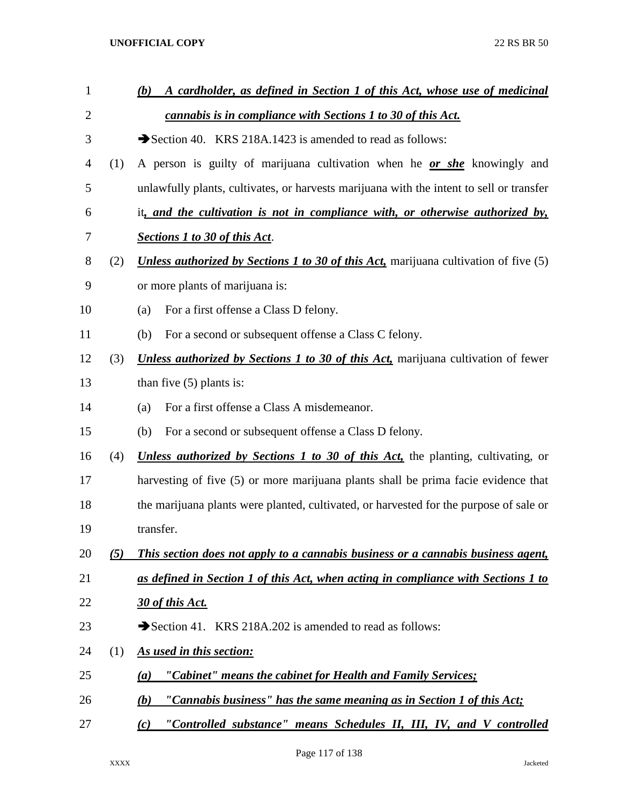| $\mathbf{1}$   |     | A cardholder, as defined in Section 1 of this Act, whose use of medicinal<br>(b)            |  |  |
|----------------|-----|---------------------------------------------------------------------------------------------|--|--|
| $\overline{2}$ |     | cannabis is in compliance with Sections 1 to 30 of this Act.                                |  |  |
| 3              |     | Section 40. KRS 218A.1423 is amended to read as follows:                                    |  |  |
| 4              | (1) | A person is guilty of marijuana cultivation when he or she knowingly and                    |  |  |
| 5              |     | unlawfully plants, cultivates, or harvests marijuana with the intent to sell or transfer    |  |  |
| 6              |     | it, and the cultivation is not in compliance with, or otherwise authorized by,              |  |  |
| 7              |     | <b>Sections 1 to 30 of this Act.</b>                                                        |  |  |
| 8              | (2) | <b>Unless authorized by Sections 1 to 30 of this Act, marijuana cultivation of five (5)</b> |  |  |
| 9              |     | or more plants of marijuana is:                                                             |  |  |
| 10             |     | For a first offense a Class D felony.<br>(a)                                                |  |  |
| 11             |     | For a second or subsequent offense a Class C felony.<br>(b)                                 |  |  |
| 12             | (3) | <b>Unless authorized by Sections 1 to 30 of this Act, marijuana cultivation of fewer</b>    |  |  |
| 13             |     | than five $(5)$ plants is:                                                                  |  |  |
| 14             |     | For a first offense a Class A misdemeanor.<br>(a)                                           |  |  |
| 15             |     | For a second or subsequent offense a Class D felony.<br>(b)                                 |  |  |
| 16             | (4) | <i>Unless authorized by Sections 1 to 30 of this Act</i> , the planting, cultivating, or    |  |  |
| 17             |     | harvesting of five (5) or more marijuana plants shall be prima facie evidence that          |  |  |
| 18             |     | the marijuana plants were planted, cultivated, or harvested for the purpose of sale or      |  |  |
| 19             |     | transfer.                                                                                   |  |  |
| 20             | (5) | This section does not apply to a cannabis business or a cannabis business agent,            |  |  |
| 21             |     | as defined in Section 1 of this Act, when acting in compliance with Sections 1 to           |  |  |
| 22             |     | 30 of this Act.                                                                             |  |  |
| 23             |     | Section 41. KRS 218A.202 is amended to read as follows:                                     |  |  |
| 24             | (1) | As used in this section:                                                                    |  |  |
| 25             |     | "Cabinet" means the cabinet for Health and Family Services;<br>$\left(a\right)$             |  |  |
| 26             |     | "Cannabis business" has the same meaning as in Section 1 of this Act;<br>(b)                |  |  |
| 27             |     | "Controlled substance" means Schedules II, III, IV, and V controlled<br>(c)                 |  |  |

Page 117 of 138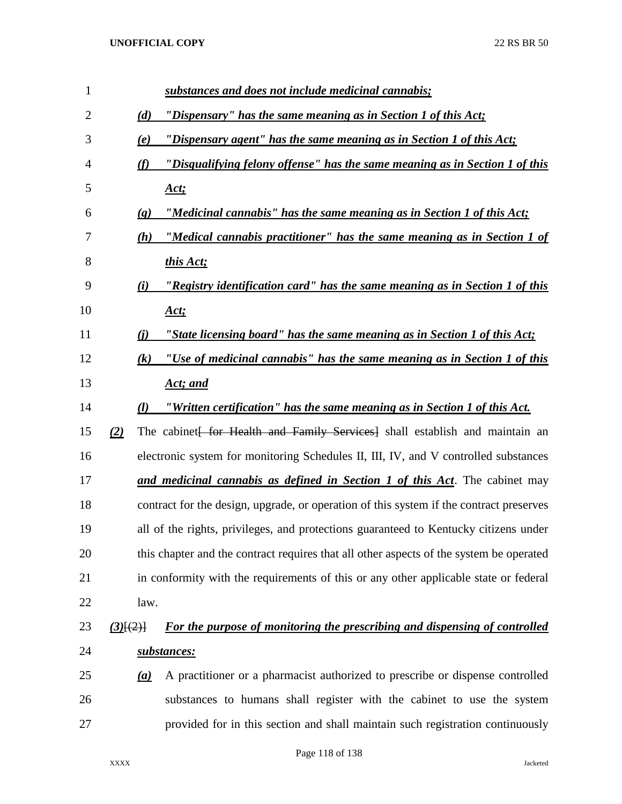| $\mathbf{1}$   |                             | substances and does not include medicinal cannabis;                                     |
|----------------|-----------------------------|-----------------------------------------------------------------------------------------|
| $\overline{2}$ | (d)                         | "Dispensary" has the same meaning as in Section 1 of this Act;                          |
| 3              | (e)                         | "Dispensary agent" has the same meaning as in Section 1 of this Act;                    |
| 4              | (f)                         | <u>"Disqualifying felony offense" has the same meaning as in Section 1 of this</u>      |
| 5              |                             | <u>Act;</u>                                                                             |
| 6              | $\left( \mathbf{g} \right)$ | "Medicinal cannabis" has the same meaning as in Section 1 of this Act;                  |
| 7              | (h)                         | "Medical cannabis practitioner" has the same meaning as in Section 1 of                 |
| 8              |                             | this Act;                                                                               |
| 9              | (i)                         | "Registry identification card" has the same meaning as in Section 1 of this             |
| 10             |                             | <u>Act;</u>                                                                             |
| 11             | (i)                         | "State licensing board" has the same meaning as in Section 1 of this Act;               |
| 12             | (k)                         | "Use of medicinal cannabis" has the same meaning as in Section 1 of this                |
| 13             |                             | Act; and                                                                                |
| 14             | (l)                         | "Written certification" has the same meaning as in Section 1 of this Act.               |
| 15             | (2)                         | The cabinet for Health and Family Services shall establish and maintain an              |
| 16             |                             | electronic system for monitoring Schedules II, III, IV, and V controlled substances     |
| 17             |                             | and medicinal cannabis as defined in Section 1 of this Act. The cabinet may             |
| 18             |                             | contract for the design, upgrade, or operation of this system if the contract preserves |
| 19             |                             | all of the rights, privileges, and protections guaranteed to Kentucky citizens under    |
| 20             |                             | this chapter and the contract requires that all other aspects of the system be operated |
| 21             |                             | in conformity with the requirements of this or any other applicable state or federal    |
| 22             | law.                        |                                                                                         |
| 23             | $(3)$ [ $(2)$ ]             | For the purpose of monitoring the prescribing and dispensing of controlled              |
| 24             |                             | substances:                                                                             |
| 25             | (a)                         | A practitioner or a pharmacist authorized to prescribe or dispense controlled           |
| 26             |                             | substances to humans shall register with the cabinet to use the system                  |
| 27             |                             | provided for in this section and shall maintain such registration continuously          |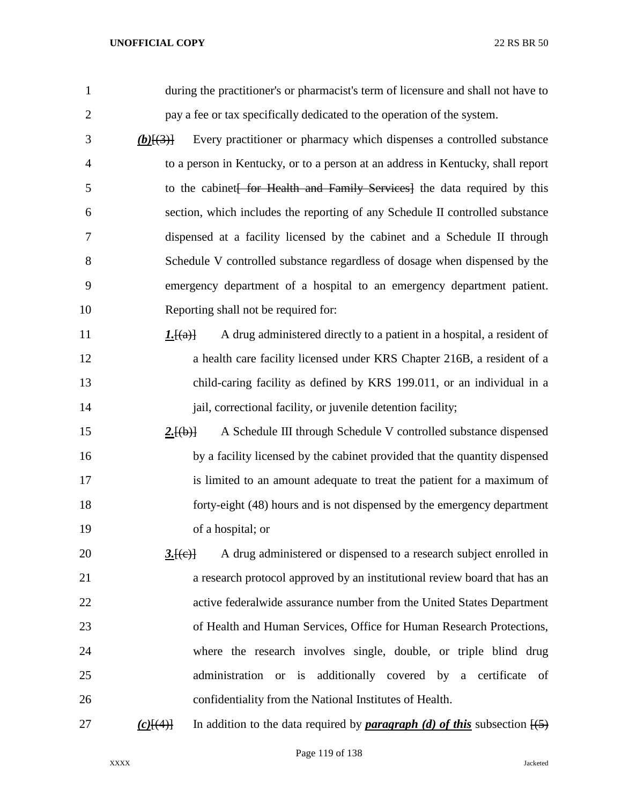| 1              | during the practitioner's or pharmacist's term of licensure and shall not have to                               |
|----------------|-----------------------------------------------------------------------------------------------------------------|
| $\overline{2}$ | pay a fee or tax specifically dedicated to the operation of the system.                                         |
| 3              | Every practitioner or pharmacy which dispenses a controlled substance<br>$(b)$ $\{3\}$                          |
| $\overline{4}$ | to a person in Kentucky, or to a person at an address in Kentucky, shall report                                 |
| 5              | to the cabinet for Health and Family Services] the data required by this                                        |
| 6              | section, which includes the reporting of any Schedule II controlled substance                                   |
| 7              | dispensed at a facility licensed by the cabinet and a Schedule II through                                       |
| 8              | Schedule V controlled substance regardless of dosage when dispensed by the                                      |
| 9              | emergency department of a hospital to an emergency department patient.                                          |
| 10             | Reporting shall not be required for:                                                                            |
| 11             | A drug administered directly to a patient in a hospital, a resident of<br>1.[(a)]                               |
| 12             | a health care facility licensed under KRS Chapter 216B, a resident of a                                         |
| 13             | child-caring facility as defined by KRS 199.011, or an individual in a                                          |
| 14             | jail, correctional facility, or juvenile detention facility;                                                    |
| 15             | A Schedule III through Schedule V controlled substance dispensed<br>2.[(b)]                                     |
| 16             | by a facility licensed by the cabinet provided that the quantity dispensed                                      |
| 17             | is limited to an amount adequate to treat the patient for a maximum of                                          |
| 18             | forty-eight (48) hours and is not dispensed by the emergency department                                         |
| 19             | of a hospital; or                                                                                               |
| 20             | A drug administered or dispensed to a research subject enrolled in<br>3.[(e)]                                   |
| 21             | a research protocol approved by an institutional review board that has an                                       |
| 22             | active federalwide assurance number from the United States Department                                           |
| 23             | of Health and Human Services, Office for Human Research Protections,                                            |
| 24             | where the research involves single, double, or triple blind drug                                                |
| 25             | administration or is additionally covered by a certificate of                                                   |
| 26             | confidentiality from the National Institutes of Health.                                                         |
| 27             | In addition to the data required by <b>paragraph</b> (d) of this subsection $\overline{(5)}$<br>$(c)$ [ $(4)$ ] |

Page 119 of 138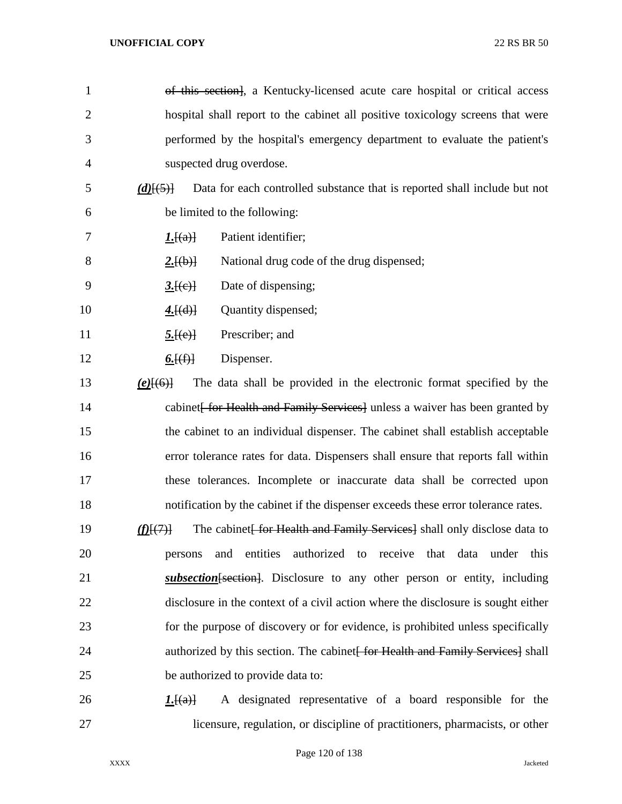| $\mathbf{1}$   | of this section, a Kentucky-licensed acute care hospital or critical access              |
|----------------|------------------------------------------------------------------------------------------|
| $\overline{2}$ | hospital shall report to the cabinet all positive toxicology screens that were           |
| 3              | performed by the hospital's emergency department to evaluate the patient's               |
| 4              | suspected drug overdose.                                                                 |
| 5              | Data for each controlled substance that is reported shall include but not<br>$(d)$ [(5)] |
| 6              | be limited to the following:                                                             |
| 7              | Patient identifier;<br>I.[(a)]                                                           |
| 8              | National drug code of the drug dispensed;<br>2.[(b)]                                     |
| 9              | Date of dispensing;<br>3.[(e)]                                                           |
| 10             | Quantity dispensed;<br>4.[(d)]                                                           |
| 11             | Prescriber; and<br>5.[(e)]                                                               |
| 12             | Dispenser.<br><u>6. <math>[(f)]</math></u>                                               |
| 13             | The data shall be provided in the electronic format specified by the<br>$(e)$ [(6)]      |
| 14             | cabinet <i>for Health and Family Services</i> unless a waiver has been granted by        |
| 15             | the cabinet to an individual dispenser. The cabinet shall establish acceptable           |
| 16             | error tolerance rates for data. Dispensers shall ensure that reports fall within         |
| 17             | these tolerances. Incomplete or inaccurate data shall be corrected upon                  |
| 18             | notification by the cabinet if the dispenser exceeds these error tolerance rates.        |
| 19             | The cabinet for Health and Family Services shall only disclose data to<br>L(H(7))        |
| 20             | authorized to receive that data<br>entities<br>under<br>this<br>and<br>persons           |
| 21             | <i>subsection</i> [section]. Disclosure to any other person or entity, including         |
| 22             | disclosure in the context of a civil action where the disclosure is sought either        |
| 23             | for the purpose of discovery or for evidence, is prohibited unless specifically          |
| 24             | authorized by this section. The cabinet for Health and Family Services shall             |
| 25             | be authorized to provide data to:                                                        |
| 26             | A designated representative of a board responsible for the<br>L[(a)]                     |

licensure, regulation, or discipline of practitioners, pharmacists, or other

Page 120 of 138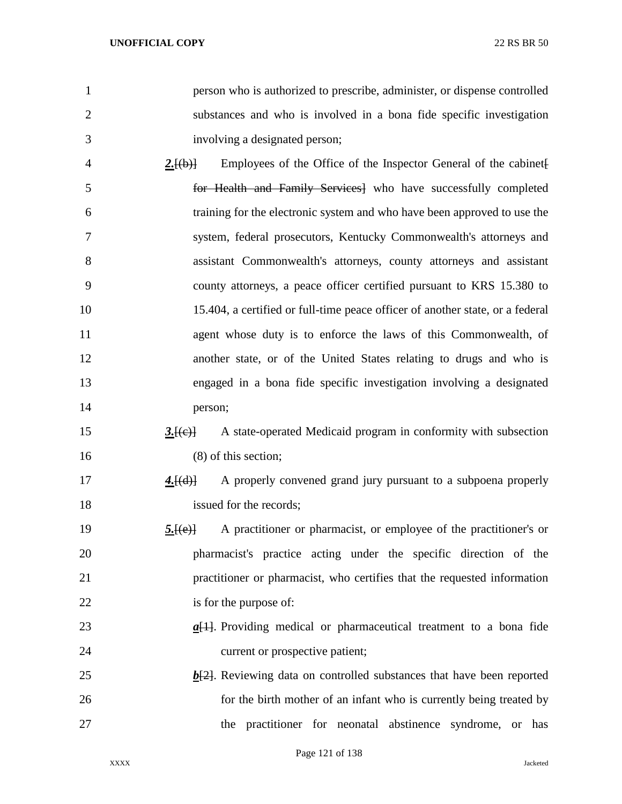- person who is authorized to prescribe, administer, or dispense controlled substances and who is involved in a bona fide specific investigation involving a designated person;
- 4 2.<del>[(b)]</del> Employees of the Office of the Inspector General of the cabinet for Health and Family Services] who have successfully completed training for the electronic system and who have been approved to use the system, federal prosecutors, Kentucky Commonwealth's attorneys and assistant Commonwealth's attorneys, county attorneys and assistant county attorneys, a peace officer certified pursuant to KRS 15.380 to 15.404, a certified or full-time peace officer of another state, or a federal agent whose duty is to enforce the laws of this Commonwealth, of another state, or of the United States relating to drugs and who is engaged in a bona fide specific investigation involving a designated person;
- 15 3.<del>[(e)]</del> A state-operated Medicaid program in conformity with subsection (8) of this section;
- **4.**[(d)] A properly convened grand jury pursuant to a subpoena properly 18 issued for the records;
- **5.**[(e)] A practitioner or pharmacist, or employee of the practitioner's or pharmacist's practice acting under the specific direction of the practitioner or pharmacist, who certifies that the requested information is for the purpose of:
- *a*[1]. Providing medical or pharmaceutical treatment to a bona fide current or prospective patient;
- *b*[2]. Reviewing data on controlled substances that have been reported for the birth mother of an infant who is currently being treated by the practitioner for neonatal abstinence syndrome, or has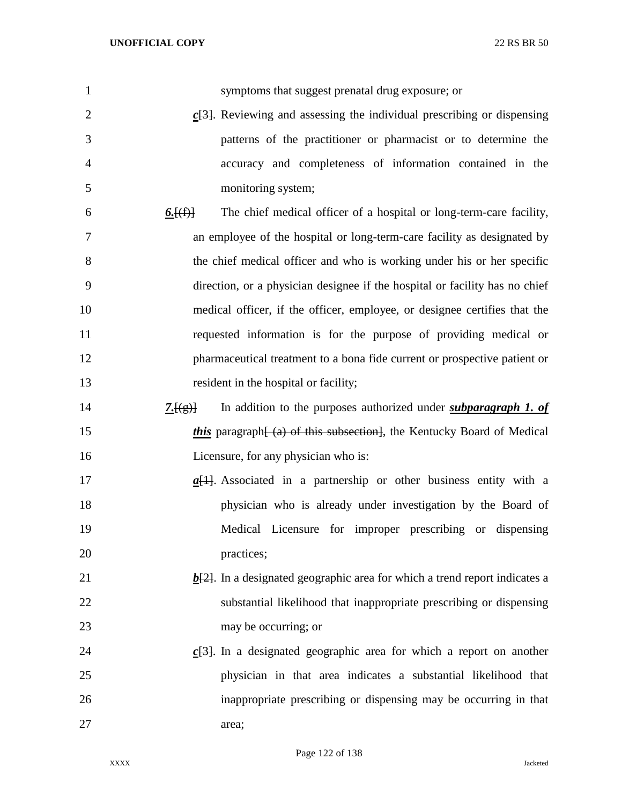| $\mathbf{1}$   | symptoms that suggest prenatal drug exposure; or                                                  |
|----------------|---------------------------------------------------------------------------------------------------|
| $\overline{2}$ | $c$ <sup>[3]</sup> . Reviewing and assessing the individual prescribing or dispensing             |
| 3              | patterns of the practitioner or pharmacist or to determine the                                    |
| 4              | accuracy and completeness of information contained in the                                         |
| 5              | monitoring system;                                                                                |
| 6              | The chief medical officer of a hospital or long-term-care facility,<br><u>6. <math>(f)</math></u> |
| 7              | an employee of the hospital or long-term-care facility as designated by                           |
| $8\,$          | the chief medical officer and who is working under his or her specific                            |
| 9              | direction, or a physician designee if the hospital or facility has no chief                       |
| 10             | medical officer, if the officer, employee, or designee certifies that the                         |
| 11             | requested information is for the purpose of providing medical or                                  |
| 12             | pharmaceutical treatment to a bona fide current or prospective patient or                         |
| 13             | resident in the hospital or facility;                                                             |
| 14             | In addition to the purposes authorized under <i>subparagraph 1. of</i><br>7.[(g)]                 |
| 15             | this paragraph (a) of this subsection, the Kentucky Board of Medical                              |
| 16             | Licensure, for any physician who is:                                                              |
| 17             | $\underline{a}$ [1]. Associated in a partnership or other business entity with a                  |
| 18             | physician who is already under investigation by the Board of                                      |
| 19             | Medical Licensure for improper prescribing or dispensing                                          |
| 20             | practices;                                                                                        |
| 21             | $\underline{b[2]}$ . In a designated geographic area for which a trend report indicates a         |
| 22             | substantial likelihood that inappropriate prescribing or dispensing                               |
| 23             | may be occurring; or                                                                              |
| 24             | $c$ [3]. In a designated geographic area for which a report on another                            |
| 25             | physician in that area indicates a substantial likelihood that                                    |
| 26             | inappropriate prescribing or dispensing may be occurring in that                                  |
| 27             | area;                                                                                             |

Page 122 of 138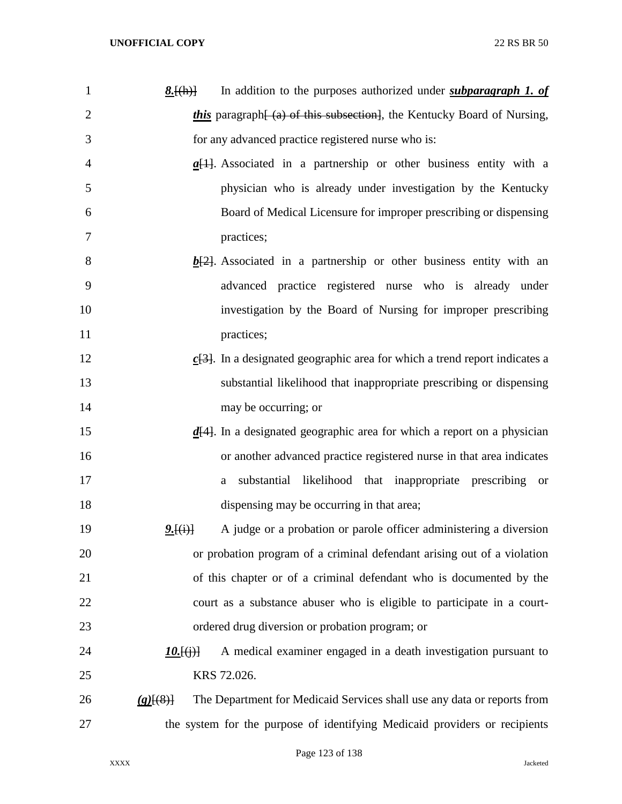| $\mathbf{1}$   | In addition to the purposes authorized under <i>subparagraph 1. of</i><br><u><math>8.[(h)]</math></u> |
|----------------|-------------------------------------------------------------------------------------------------------|
| $\overline{2}$ | <i>this</i> paragraph (a) of this subsection, the Kentucky Board of Nursing,                          |
| 3              | for any advanced practice registered nurse who is:                                                    |
| 4              | $\underline{a}[1]$ . Associated in a partnership or other business entity with a                      |
| 5              | physician who is already under investigation by the Kentucky                                          |
| 6              | Board of Medical Licensure for improper prescribing or dispensing                                     |
| 7              | practices;                                                                                            |
| 8              | $\underline{b[2]}$ . Associated in a partnership or other business entity with an                     |
| 9              | advanced practice registered nurse who is already under                                               |
| 10             | investigation by the Board of Nursing for improper prescribing                                        |
| 11             | practices;                                                                                            |
| 12             | $c$ [3]. In a designated geographic area for which a trend report indicates a                         |
| 13             | substantial likelihood that inappropriate prescribing or dispensing                                   |
| 14             | may be occurring; or                                                                                  |
| 15             | $\underline{d}[4]$ . In a designated geographic area for which a report on a physician                |
| 16             | or another advanced practice registered nurse in that area indicates                                  |
| 17             | substantial likelihood that inappropriate prescribing or<br>a                                         |
| 18             | dispensing may be occurring in that area;                                                             |
| 19             | A judge or a probation or parole officer administering a diversion<br>2.[(i)]                         |
| 20             | or probation program of a criminal defendant arising out of a violation                               |
| 21             | of this chapter or of a criminal defendant who is documented by the                                   |
| 22             | court as a substance abuser who is eligible to participate in a court-                                |
| 23             | ordered drug diversion or probation program; or                                                       |
| 24             | A medical examiner engaged in a death investigation pursuant to<br>$10.$ [(i)]                        |
| 25             | KRS 72.026.                                                                                           |
| 26             | The Department for Medicaid Services shall use any data or reports from<br>$(g)$ [(8)]                |
| 27             | the system for the purpose of identifying Medicaid providers or recipients                            |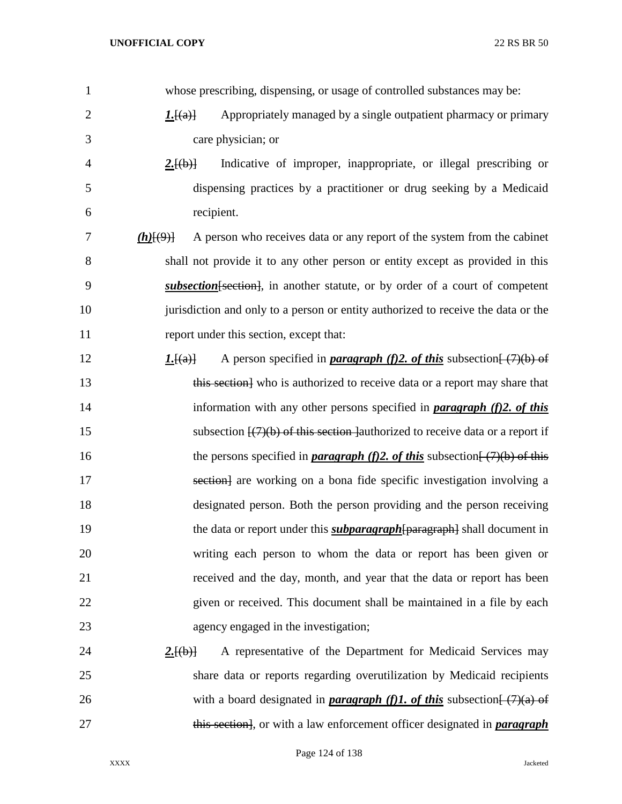whose prescribing, dispensing, or usage of controlled substances may be: *1.*[(a)] Appropriately managed by a single outpatient pharmacy or primary care physician; or *2.*[(b)] Indicative of improper, inappropriate, or illegal prescribing or dispensing practices by a practitioner or drug seeking by a Medicaid recipient. *(h)*[(9)] A person who receives data or any report of the system from the cabinet shall not provide it to any other person or entity except as provided in this *subsection*[section], in another statute, or by order of a court of competent jurisdiction and only to a person or entity authorized to receive the data or the report under this section, except that: *1.*[(a)] A person specified in *paragraph (f)2. of this* subsection  $\frac{7}{6}$ (*f*) of 13 this section who is authorized to receive data or a report may share that information with any other persons specified in *paragraph (f)2. of this* 15 subsection  $\frac{17}{10}$  of this section authorized to receive data or a report if 16 the persons specified in *paragraph (f)2. of this* subsection<del>[ (7)(b) of this</del> 17 section are working on a bona fide specific investigation involving a designated person. Both the person providing and the person receiving 19 the data or report under this *subparagraph*[paragraph] shall document in writing each person to whom the data or report has been given or received and the day, month, and year that the data or report has been given or received. This document shall be maintained in a file by each agency engaged in the investigation; **2.** 2. **2. 2. 2. (b)** A representative of the Department for Medicaid Services may share data or reports regarding overutilization by Medicaid recipients 26 with a board designated in *paragraph (f)1. of this* subsection  $\frac{7}{2}(a)$  of this section], or with a law enforcement officer designated in *paragraph*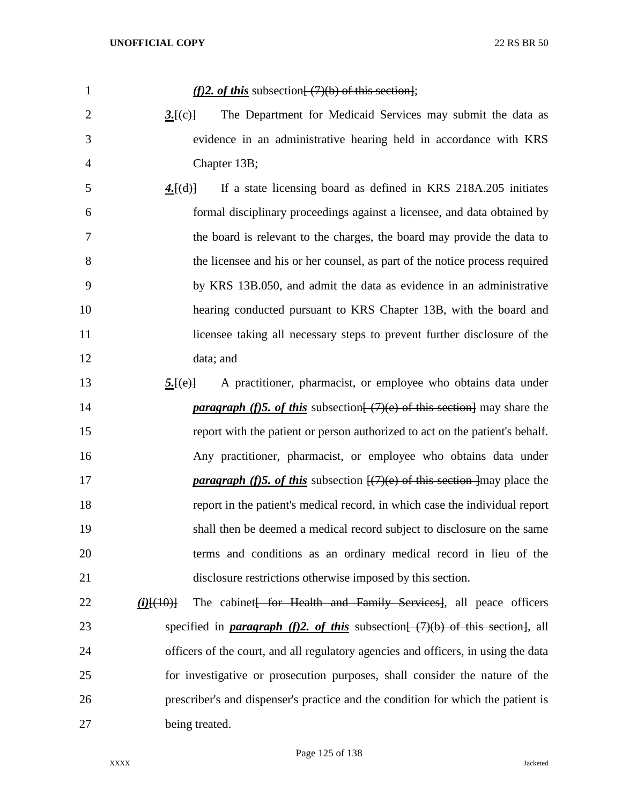| $\mathbf{1}$   | (f)2. of this subsection $\frac{7}{10}$ of this section.                                              |
|----------------|-------------------------------------------------------------------------------------------------------|
| $\overline{2}$ | The Department for Medicaid Services may submit the data as<br>3.[(e)]                                |
| 3              | evidence in an administrative hearing held in accordance with KRS                                     |
| $\overline{4}$ | Chapter 13B;                                                                                          |
| 5              | If a state licensing board as defined in KRS 218A.205 initiates<br>4.[(d)]                            |
| 6              | formal disciplinary proceedings against a licensee, and data obtained by                              |
| 7              | the board is relevant to the charges, the board may provide the data to                               |
| 8              | the licensee and his or her counsel, as part of the notice process required                           |
| 9              | by KRS 13B.050, and admit the data as evidence in an administrative                                   |
| 10             | hearing conducted pursuant to KRS Chapter 13B, with the board and                                     |
| 11             | licensee taking all necessary steps to prevent further disclosure of the                              |
| 12             | data; and                                                                                             |
| 13             | A practitioner, pharmacist, or employee who obtains data under<br>5.[(e)]                             |
| 14             | <i>paragraph (f)5. of this subsection</i> $(\frac{7}{e})$ of this section may share the               |
| 15             | report with the patient or person authorized to act on the patient's behalf.                          |
| 16             | Any practitioner, pharmacist, or employee who obtains data under                                      |
| 17             | <b><i>paragraph (f)5. of this</i></b> subsection $\frac{1}{2}$ (7)(e) of this section ] may place the |
| 18             | report in the patient's medical record, in which case the individual report                           |
| 19             | shall then be deemed a medical record subject to disclosure on the same                               |
| 20             | terms and conditions as an ordinary medical record in lieu of the                                     |
| 21             | disclosure restrictions otherwise imposed by this section.                                            |
| 22             | The cabinet for Health and Family Services, all peace officers<br>$(i)$ $(10)$                        |
| 23             | specified in <b>paragraph</b> (f)2. of this subsection $\frac{(-7)}{6}$ of this section, all          |
| 24             | officers of the court, and all regulatory agencies and officers, in using the data                    |
| 25             | for investigative or prosecution purposes, shall consider the nature of the                           |
| 26             | prescriber's and dispenser's practice and the condition for which the patient is                      |
| 27             | being treated.                                                                                        |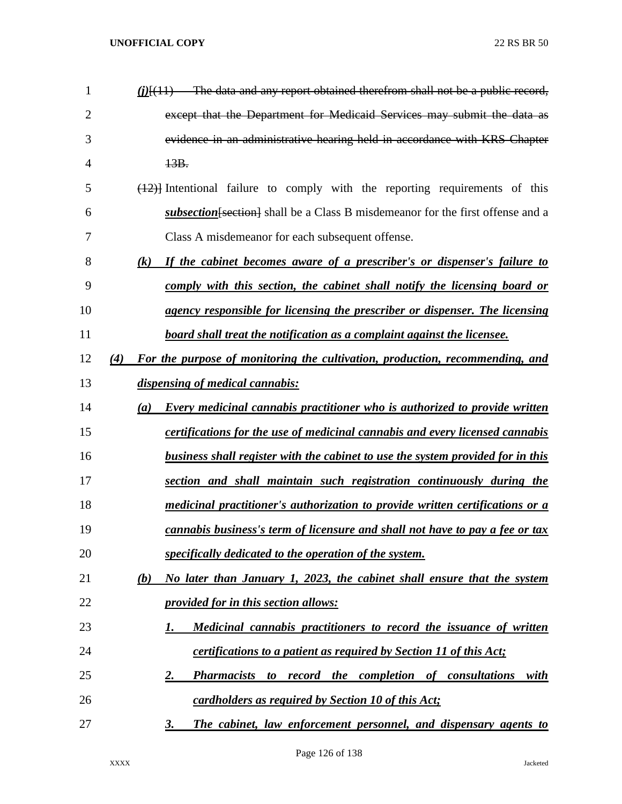| 1              | $(i)$ [ $(11)$ The data and any report obtained therefrom shall not be a public record,               |
|----------------|-------------------------------------------------------------------------------------------------------|
| $\overline{2}$ | except that the Department for Medicaid Services may submit the data as                               |
| 3              | evidence in an administrative hearing held in accordance with KRS Chapter                             |
| 4              | 13B.                                                                                                  |
| 5              | $(12)$ Intentional failure to comply with the reporting requirements of this                          |
| 6              | subsection [section] shall be a Class B misdemeanor for the first offense and a                       |
| 7              | Class A misdemeanor for each subsequent offense.                                                      |
| 8              | If the cabinet becomes aware of a prescriber's or dispenser's failure to<br>$\left( k\right)$         |
| 9              | comply with this section, the cabinet shall notify the licensing board or                             |
| 10             | agency responsible for licensing the prescriber or dispenser. The licensing                           |
| 11             | board shall treat the notification as a complaint against the licensee.                               |
| 12             | For the purpose of monitoring the cultivation, production, recommending, and<br>(4)                   |
| 13             | dispensing of medical cannabis:                                                                       |
| 14             | <b>Every medicinal cannabis practitioner who is authorized to provide written</b><br>$\left(a\right)$ |
| 15             | certifications for the use of medicinal cannabis and every licensed cannabis                          |
| 16             | <u>business shall register with the cabinet to use the system provided for in this</u>                |
| 17             | section and shall maintain such registration continuously during the                                  |
| 18             | medicinal practitioner's authorization to provide written certifications or a                         |
| 19             | cannabis business's term of licensure and shall not have to pay a fee or tax                          |
| 20             | specifically dedicated to the operation of the system.                                                |
| 21             | No later than January 1, 2023, the cabinet shall ensure that the system<br>(b)                        |
| 22             | <i><u><b>provided for in this section allows:</b></u></i>                                             |
| 23             | Medicinal cannabis practitioners to record the issuance of written<br>1.                              |
| 24             | <i>certifications to a patient as required by Section 11 of this Act;</i>                             |
| 25             | record the completion of consultations<br><b>Pharmacists</b><br>with<br><u>2.</u><br>to               |
| 26             | cardholders as required by Section 10 of this Act;                                                    |
| 27             | The cabinet, law enforcement personnel, and dispensary agents to<br>3.                                |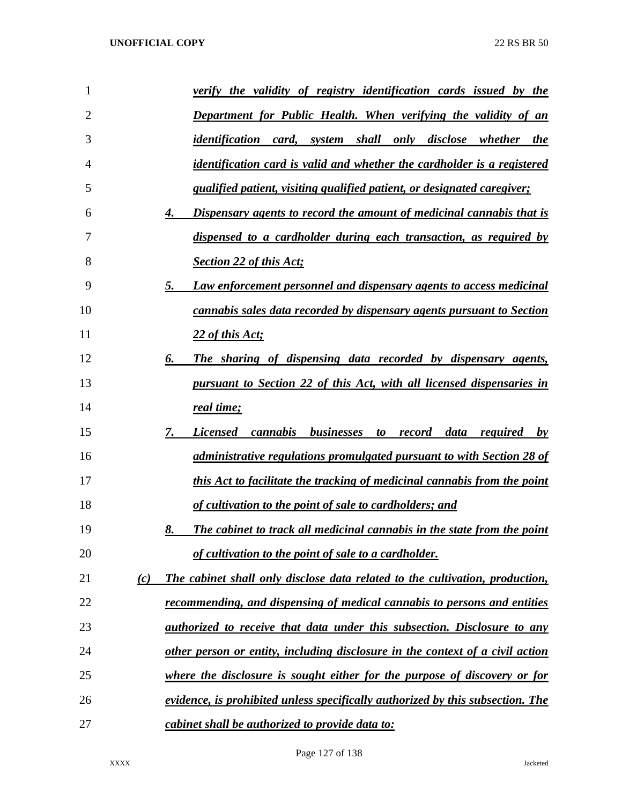| 1  |     | verify the validity of registry identification cards issued by the                   |
|----|-----|--------------------------------------------------------------------------------------|
| 2  |     | <b>Department for Public Health. When verifying the validity of an</b>               |
| 3  |     | <u>identification card, system shall only disclose whether the</u>                   |
| 4  |     | identification card is valid and whether the cardholder is a registered              |
| 5  |     | qualified patient, visiting qualified patient, or designated caregiver;              |
| 6  |     | Dispensary agents to record the amount of medicinal cannabis that is<br>4.           |
| 7  |     | dispensed to a cardholder during each transaction, as required by                    |
| 8  |     | <b>Section 22 of this Act;</b>                                                       |
| 9  |     | Law enforcement personnel and dispensary agents to access medicinal<br>5.            |
| 10 |     | cannabis sales data recorded by dispensary agents pursuant to Section                |
| 11 |     | 22 of this Act;                                                                      |
| 12 |     | The sharing of dispensing data recorded by dispensary agents,<br>6.                  |
| 13 |     | pursuant to Section 22 of this Act, with all licensed dispensaries in                |
| 14 |     | real time;                                                                           |
| 15 |     | <i>cannabis businesses</i><br>7.<br><b>Licensed</b><br>to record<br>data required by |
| 16 |     | administrative regulations promulgated pursuant to with Section 28 of                |
| 17 |     | this Act to facilitate the tracking of medicinal cannabis from the point             |
| 18 |     | of cultivation to the point of sale to cardholders; and                              |
| 19 |     | The cabinet to track all medicinal cannabis in the state from the point<br>8.        |
| 20 |     | of cultivation to the point of sale to a cardholder.                                 |
| 21 | (c) | The cabinet shall only disclose data related to the cultivation, production,         |
| 22 |     | recommending, and dispensing of medical cannabis to persons and entities             |
| 23 |     | <i>authorized to receive that data under this subsection. Disclosure to any</i>      |
| 24 |     | other person or entity, including disclosure in the context of a civil action        |
| 25 |     | where the disclosure is sought either for the purpose of discovery or for            |
| 26 |     | evidence, is prohibited unless specifically authorized by this subsection. The       |
| 27 |     | cabinet shall be authorized to provide data to:                                      |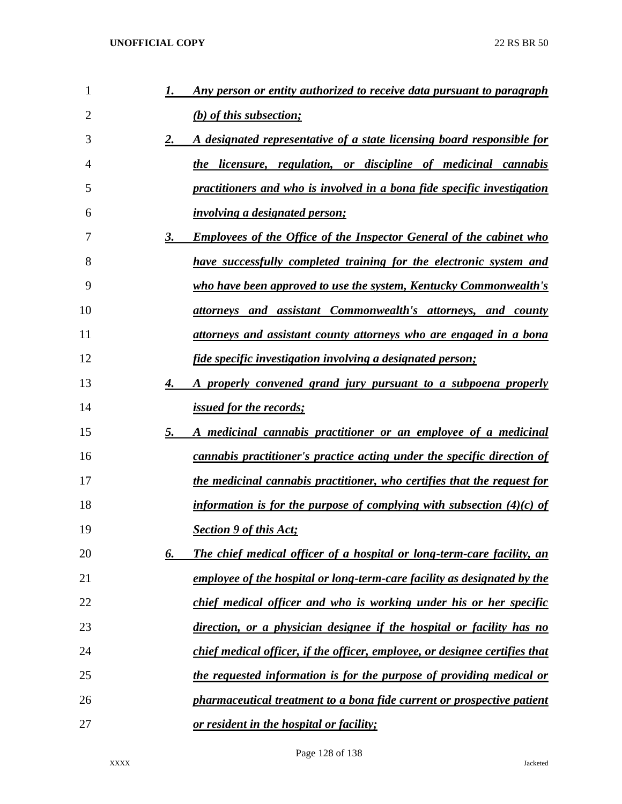| 1              | 1. | Any person or entity authorized to receive data pursuant to paragraph       |
|----------------|----|-----------------------------------------------------------------------------|
| $\overline{2}$ |    | (b) of this subsection;                                                     |
| 3              | 2. | A designated representative of a state licensing board responsible for      |
| 4              |    | the licensure, regulation, or discipline of medicinal cannabis              |
| 5              |    | practitioners and who is involved in a bona fide specific investigation     |
| 6              |    | <i>involving a designated person;</i>                                       |
| 7              | 3. | <b>Employees of the Office of the Inspector General of the cabinet who</b>  |
| 8              |    | have successfully completed training for the electronic system and          |
| 9              |    | who have been approved to use the system, Kentucky Commonwealth's           |
| 10             |    | <u>attorneys and assistant Commonwealth's attorneys, and county</u>         |
| 11             |    | attorneys and assistant county attorneys who are engaged in a bona          |
| 12             |    | fide specific investigation involving a designated person;                  |
| 13             | 4. | A properly convened grand jury pursuant to a subpoena properly              |
| 14             |    | <i>issued for the records;</i>                                              |
| 15             | 5. | A medicinal cannabis practitioner or an employee of a medicinal             |
| 16             |    | cannabis practitioner's practice acting under the specific direction of     |
| 17             |    | the medicinal cannabis practitioner, who certifies that the request for     |
| 18             |    | information is for the purpose of complying with subsection $(4)(c)$ of     |
| 19             |    | <b>Section 9 of this Act;</b>                                               |
| 20             | 6. | The chief medical officer of a hospital or long-term-care facility, an      |
| 21             |    | employee of the hospital or long-term-care facility as designated by the    |
| 22             |    | chief medical officer and who is working under his or her specific          |
| 23             |    | direction, or a physician designee if the hospital or facility has no       |
| 24             |    | chief medical officer, if the officer, employee, or designee certifies that |
| 25             |    | the requested information is for the purpose of providing medical or        |
| 26             |    | pharmaceutical treatment to a bona fide current or prospective patient      |
| 27             |    | or resident in the hospital or facility;                                    |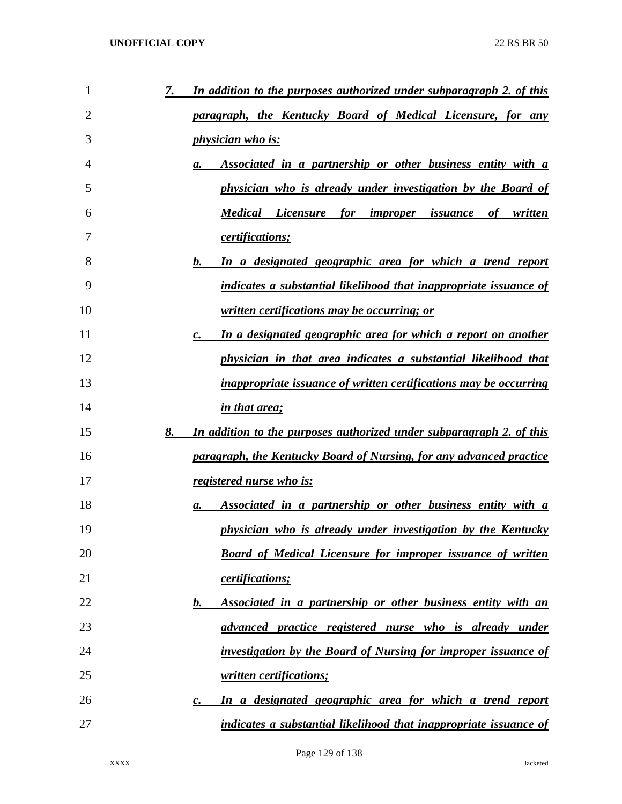| 1  | In addition to the purposes authorized under subparagraph 2. of this<br>7.          |
|----|-------------------------------------------------------------------------------------|
| 2  | <u>paragraph, the Kentucky Board of Medical Licensure, for any</u>                  |
| 3  | <i>physician who is:</i>                                                            |
| 4  | Associated in a partnership or other business entity with a<br>а.                   |
| 5  | physician who is already under investigation by the Board of                        |
| 6  | <b>Medical Licensure for improper issuance</b><br>of written                        |
| 7  | certifications;                                                                     |
| 8  | In a designated geographic area for which a trend report<br>b.                      |
| 9  | indicates a substantial likelihood that inappropriate issuance of                   |
| 10 | <u>written certifications may be occurring; or</u>                                  |
| 11 | In a designated geographic area for which a report on another<br>$\boldsymbol{c}$ . |
| 12 | physician in that area indicates a substantial likelihood that                      |
| 13 | <i>inappropriate issuance of written certifications may be occurring</i>            |
| 14 | <i>in that area;</i>                                                                |
| 15 | 8.<br>In addition to the purposes authorized under subparagraph 2. of this          |
| 16 | paragraph, the Kentucky Board of Nursing, for any advanced practice                 |
| 17 | registered nurse who is:                                                            |
| 18 | Associated in a partnership or other business entity with a<br>а.                   |
| 19 | physician who is already under investigation by the Kentucky                        |
| 20 | <b>Board of Medical Licensure for improper issuance of written</b>                  |
| 21 | certifications;                                                                     |
| 22 | Associated in a partnership or other business entity with an<br>b.                  |
| 23 | advanced practice registered nurse who is already under                             |
| 24 | investigation by the Board of Nursing for improper issuance of                      |
| 25 | written certifications;                                                             |
| 26 | In a designated geographic area for which a trend report<br>$\boldsymbol{c}$ .      |
| 27 | indicates a substantial likelihood that inappropriate issuance of                   |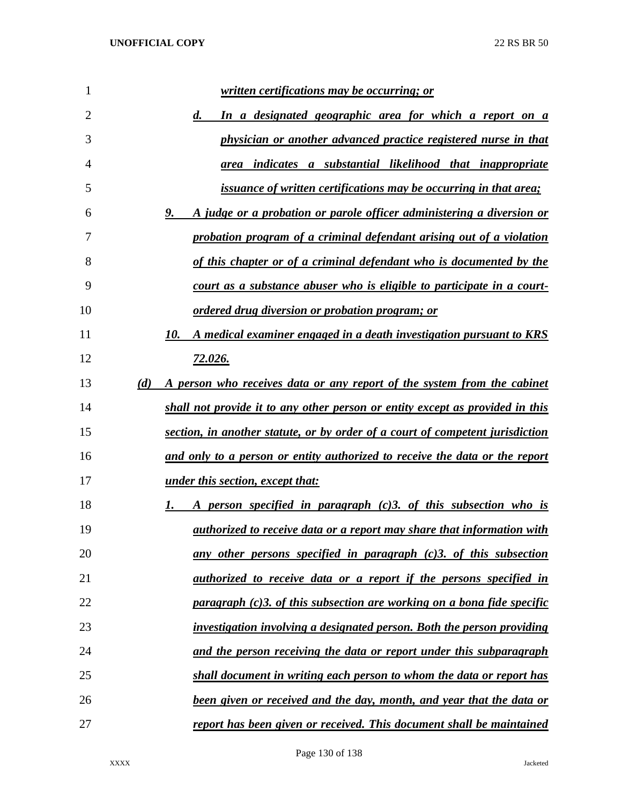| 1              |     | <u>written certifications may be occurring; or</u>                                 |
|----------------|-----|------------------------------------------------------------------------------------|
| $\overline{2}$ |     | In a designated geographic area for which a report on a<br>d.                      |
| 3              |     | physician or another advanced practice registered nurse in that                    |
| 4              |     | indicates a substantial likelihood that inappropriate<br>area                      |
| 5              |     | <i>issuance of written certifications may be occurring in that area;</i>           |
| 6              |     | A judge or a probation or parole officer administering a diversion or<br>9.        |
| 7              |     | probation program of a criminal defendant arising out of a violation               |
| 8              |     | of this chapter or of a criminal defendant who is documented by the                |
| 9              |     | court as a substance abuser who is eligible to participate in a court-             |
| 10             |     | ordered drug diversion or probation program; or                                    |
| 11             |     | A medical examiner engaged in a death investigation pursuant to KRS<br>10.         |
| 12             |     | <u>72.026.</u>                                                                     |
| 13             | (d) | A person who receives data or any report of the system from the cabinet            |
| 14             |     | shall not provide it to any other person or entity except as provided in this      |
| 15             |     | section, in another statute, or by order of a court of competent jurisdiction      |
| 16             |     | <u>and only to a person or entity authorized to receive the data or the report</u> |
| 17             |     | <u>under this section, except that:</u>                                            |
| 18             |     | A person specified in paragraph (c)3. of this subsection who is                    |
| 19             |     | <i>authorized to receive data or a report may share that information with</i>      |
| 20             |     | any other persons specified in paragraph $(c)$ 3. of this subsection               |
| 21             |     | authorized to receive data or a report if the persons specified in                 |
| 22             |     | paragraph (c)3. of this subsection are working on a bona fide specific             |
| 23             |     | investigation involving a designated person. Both the person providing             |
| 24             |     | and the person receiving the data or report under this subparagraph                |
| 25             |     | shall document in writing each person to whom the data or report has               |
| 26             |     | been given or received and the day, month, and year that the data or               |
| 27             |     | report has been given or received. This document shall be maintained               |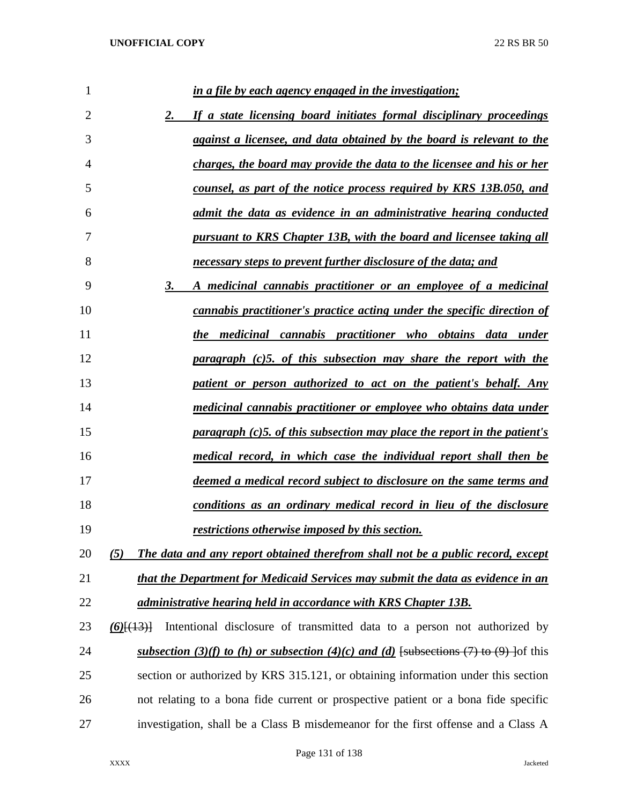| 1              | in a file by each agency engaged in the investigation;                                   |
|----------------|------------------------------------------------------------------------------------------|
| $\overline{2}$ | If a state licensing board initiates formal disciplinary proceedings<br>2.               |
| 3              | against a licensee, and data obtained by the board is relevant to the                    |
| 4              | charges, the board may provide the data to the licensee and his or her                   |
| 5              | counsel, as part of the notice process required by KRS 13B.050, and                      |
| 6              | admit the data as evidence in an administrative hearing conducted                        |
| 7              | pursuant to KRS Chapter 13B, with the board and licensee taking all                      |
| 8              | necessary steps to prevent further disclosure of the data; and                           |
| 9              | A medicinal cannabis practitioner or an employee of a medicinal<br>3.                    |
| 10             | cannabis practitioner's practice acting under the specific direction of                  |
| 11             | the medicinal cannabis practitioner who obtains data under                               |
| 12             | paragraph (c)5. of this subsection may share the report with the                         |
| 13             | patient or person authorized to act on the patient's behalf. Any                         |
| 14             | medicinal cannabis practitioner or employee who obtains data under                       |
| 15             | paragraph (c)5. of this subsection may place the report in the patient's                 |
| 16             | medical record, in which case the individual report shall then be                        |
| 17             | deemed a medical record subject to disclosure on the same terms and                      |
| 18             | conditions as an ordinary medical record in lieu of the disclosure                       |
| 19             | restrictions otherwise imposed by this section.                                          |
| 20             | The data and any report obtained therefrom shall not be a public record, except<br>(5)   |
| 21             | that the Department for Medicaid Services may submit the data as evidence in an          |
| 22             | administrative hearing held in accordance with KRS Chapter 13B.                          |
| 23             | Intentional disclosure of transmitted data to a person not authorized by<br>$(6)$ [(13)] |
| 24             | subsection (3)(f) to (h) or subsection (4)(c) and (d) [subsections (7) to (9) ] of this  |
| 25             | section or authorized by KRS 315.121, or obtaining information under this section        |
| 26             | not relating to a bona fide current or prospective patient or a bona fide specific       |
| 27             | investigation, shall be a Class B misdemeanor for the first offense and a Class A        |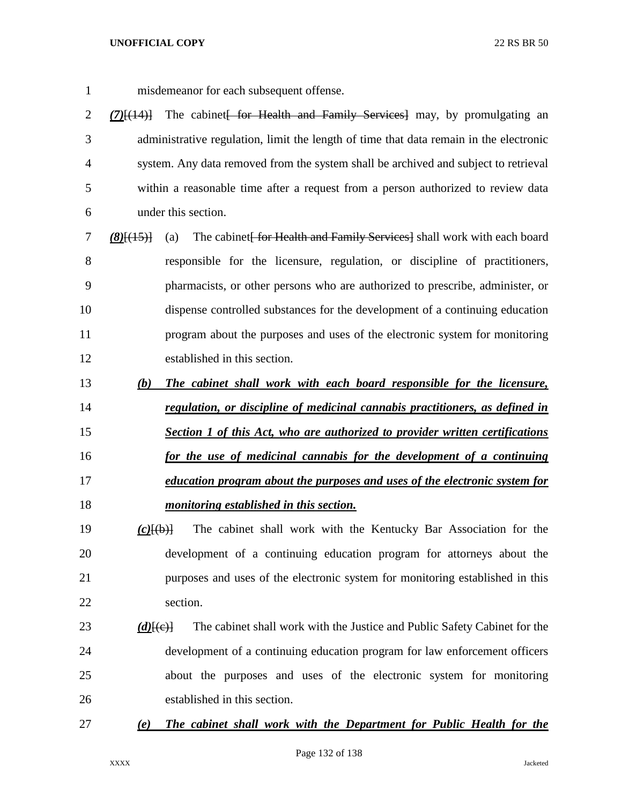- misdemeanor for each subsequent offense.
- *(7)*[(14)] The cabinet[ for Health and Family Services] may, by promulgating an administrative regulation, limit the length of time that data remain in the electronic system. Any data removed from the system shall be archived and subject to retrieval within a reasonable time after a request from a person authorized to review data under this section.
- *(8)*[(15)] (a) The cabinet for Health and Family Services shall work with each board responsible for the licensure, regulation, or discipline of practitioners, pharmacists, or other persons who are authorized to prescribe, administer, or dispense controlled substances for the development of a continuing education program about the purposes and uses of the electronic system for monitoring established in this section.
- *(b) The cabinet shall work with each board responsible for the licensure, regulation, or discipline of medicinal cannabis practitioners, as defined in*
- *Section 1 of this Act, who are authorized to provider written certifications for the use of medicinal cannabis for the development of a continuing education program about the purposes and uses of the electronic system for*
- 
- *monitoring established in this section.*
- *(c)*[(b)] The cabinet shall work with the Kentucky Bar Association for the development of a continuing education program for attorneys about the purposes and uses of the electronic system for monitoring established in this section.

# 23 *(d)*<sup>[(e)]</sup> The cabinet shall work with the Justice and Public Safety Cabinet for the development of a continuing education program for law enforcement officers about the purposes and uses of the electronic system for monitoring established in this section.

# *(e) The cabinet shall work with the Department for Public Health for the*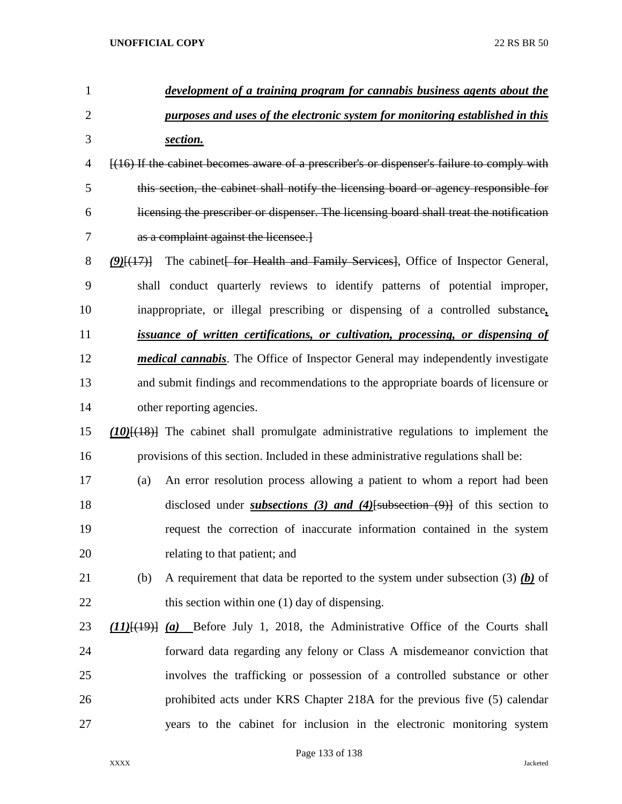| $\mathbf{1}$   | development of a training program for cannabis business agents about the                     |
|----------------|----------------------------------------------------------------------------------------------|
| $\overline{2}$ | purposes and uses of the electronic system for monitoring established in this                |
| 3              | section.                                                                                     |
| 4              | $[(16)$ If the cabinet becomes aware of a prescriber's or dispenser's failure to comply with |
| 5              | this section, the cabinet shall notify the licensing board or agency responsible for         |
| 6              | licensing the prescriber or dispenser. The licensing board shall treat the notification      |
| 7              | as a complaint against the licensee.                                                         |
| 8              | The cabinet for Health and Family Services, Office of Inspector General,<br>$(9)$ $(17)$     |
| 9              | shall conduct quarterly reviews to identify patterns of potential improper,                  |
| 10             | inappropriate, or illegal prescribing or dispensing of a controlled substance,               |
| 11             | <i>issuance of written certifications, or cultivation, processing, or dispensing of</i>      |
| 12             | <i>medical cannabis.</i> The Office of Inspector General may independently investigate       |
| 13             | and submit findings and recommendations to the appropriate boards of licensure or            |
| 14             | other reporting agencies.                                                                    |
| 15             | $(10)$ $\{(18)$ The cabinet shall promulgate administrative regulations to implement the     |
| 16             | provisions of this section. Included in these administrative regulations shall be:           |
| 17             | An error resolution process allowing a patient to whom a report had been<br>(a)              |
| 18             | disclosed under <i>subsections</i> (3) and (4) [subsection $(9)$ ] of this section to        |
| 19             | request the correction of inaccurate information contained in the system                     |
| 20             | relating to that patient; and                                                                |
| 21             | A requirement that data be reported to the system under subsection (3) $(b)$ of<br>(b)       |
| 22             | this section within one (1) day of dispensing.                                               |
| 23             | $(11)$ $(19)$ $(a)$ Before July 1, 2018, the Administrative Office of the Courts shall       |
| 24             | forward data regarding any felony or Class A misdemeanor conviction that                     |
| 25             | involves the trafficking or possession of a controlled substance or other                    |
| 26             | prohibited acts under KRS Chapter 218A for the previous five (5) calendar                    |
| 27             | years to the cabinet for inclusion in the electronic monitoring system                       |
|                |                                                                                              |

Page 133 of 138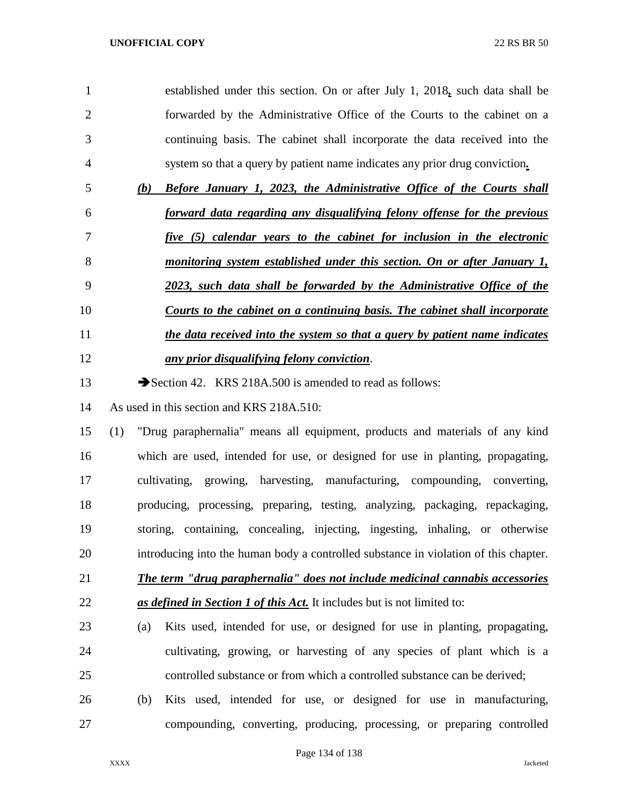| 1              |     | established under this section. On or after July 1, 2018, such data shall be |
|----------------|-----|------------------------------------------------------------------------------|
| $\overline{2}$ |     | forwarded by the Administrative Office of the Courts to the cabinet on a     |
| 3              |     | continuing basis. The cabinet shall incorporate the data received into the   |
| 4              |     | system so that a query by patient name indicates any prior drug conviction.  |
| 5              | (b) | <b>Before January 1, 2023, the Administrative Office of the Courts shall</b> |
| 6              |     | forward data regarding any disqualifying felony offense for the previous     |
| 7              |     | five (5) calendar years to the cabinet for inclusion in the electronic       |
| 8              |     | monitoring system established under this section. On or after January 1,     |
| 9              |     | 2023, such data shall be forwarded by the Administrative Office of the       |
| 10             |     | Courts to the cabinet on a continuing basis. The cabinet shall incorporate   |
| 11             |     | the data received into the system so that a query by patient name indicates  |
| 12             |     | any prior disqualifying felony conviction.                                   |
| 13             |     | Section 42. KRS 218A.500 is amended to read as follows:                      |
| 14             |     | As used in this section and KRS 218A.510:                                    |
| 15             | (1) | "Drug paraphernalia" means all equipment, products and materials of any kind |
|                |     |                                                                              |

 which are used, intended for use, or designed for use in planting, propagating, cultivating, growing, harvesting, manufacturing, compounding, converting, producing, processing, preparing, testing, analyzing, packaging, repackaging, storing, containing, concealing, injecting, ingesting, inhaling, or otherwise introducing into the human body a controlled substance in violation of this chapter.

- *The term "drug paraphernalia" does not include medicinal cannabis accessories as defined in Section 1 of this Act.* It includes but is not limited to:
- (a) Kits used, intended for use, or designed for use in planting, propagating, cultivating, growing, or harvesting of any species of plant which is a controlled substance or from which a controlled substance can be derived;
- (b) Kits used, intended for use, or designed for use in manufacturing, compounding, converting, producing, processing, or preparing controlled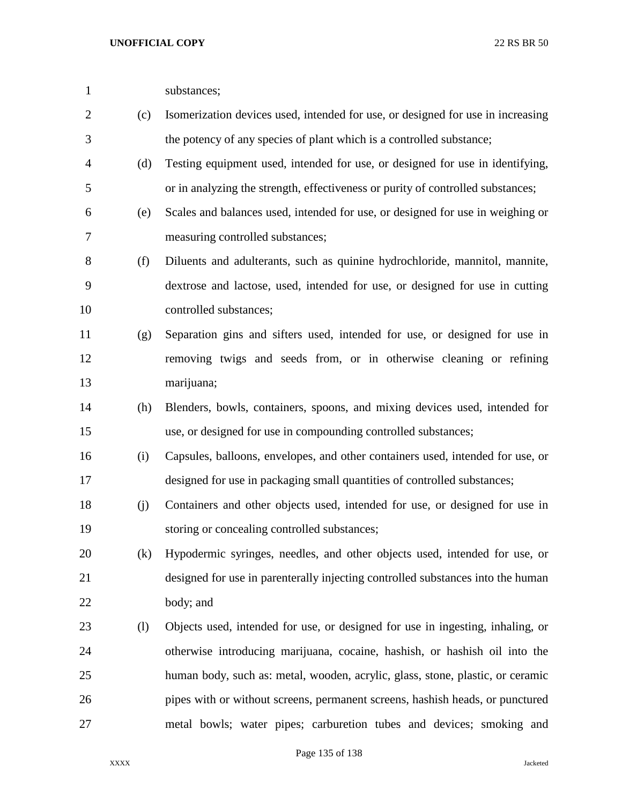| $\mathbf{1}$   |     | substances;                                                                     |
|----------------|-----|---------------------------------------------------------------------------------|
| $\overline{2}$ | (c) | Isomerization devices used, intended for use, or designed for use in increasing |
| 3              |     | the potency of any species of plant which is a controlled substance;            |
| 4              | (d) | Testing equipment used, intended for use, or designed for use in identifying,   |
| 5              |     | or in analyzing the strength, effectiveness or purity of controlled substances; |
| 6              | (e) | Scales and balances used, intended for use, or designed for use in weighing or  |
| 7              |     | measuring controlled substances;                                                |
| 8              | (f) | Diluents and adulterants, such as quinine hydrochloride, mannitol, mannite,     |
| 9              |     | dextrose and lactose, used, intended for use, or designed for use in cutting    |
| 10             |     | controlled substances;                                                          |
| 11             | (g) | Separation gins and sifters used, intended for use, or designed for use in      |
| 12             |     | removing twigs and seeds from, or in otherwise cleaning or refining             |
| 13             |     | marijuana;                                                                      |
| 14             | (h) | Blenders, bowls, containers, spoons, and mixing devices used, intended for      |
| 15             |     | use, or designed for use in compounding controlled substances;                  |
| 16             | (i) | Capsules, balloons, envelopes, and other containers used, intended for use, or  |
| 17             |     | designed for use in packaging small quantities of controlled substances;        |
| 18             | (j) | Containers and other objects used, intended for use, or designed for use in     |
| 19             |     | storing or concealing controlled substances;                                    |
| 20             | (k) | Hypodermic syringes, needles, and other objects used, intended for use, or      |
| 21             |     | designed for use in parenterally injecting controlled substances into the human |
| 22             |     | body; and                                                                       |
| 23             | (1) | Objects used, intended for use, or designed for use in ingesting, inhaling, or  |
| 24             |     | otherwise introducing marijuana, cocaine, hashish, or hashish oil into the      |
| 25             |     | human body, such as: metal, wooden, acrylic, glass, stone, plastic, or ceramic  |
| 26             |     | pipes with or without screens, permanent screens, hashish heads, or punctured   |
| 27             |     | metal bowls; water pipes; carburetion tubes and devices; smoking and            |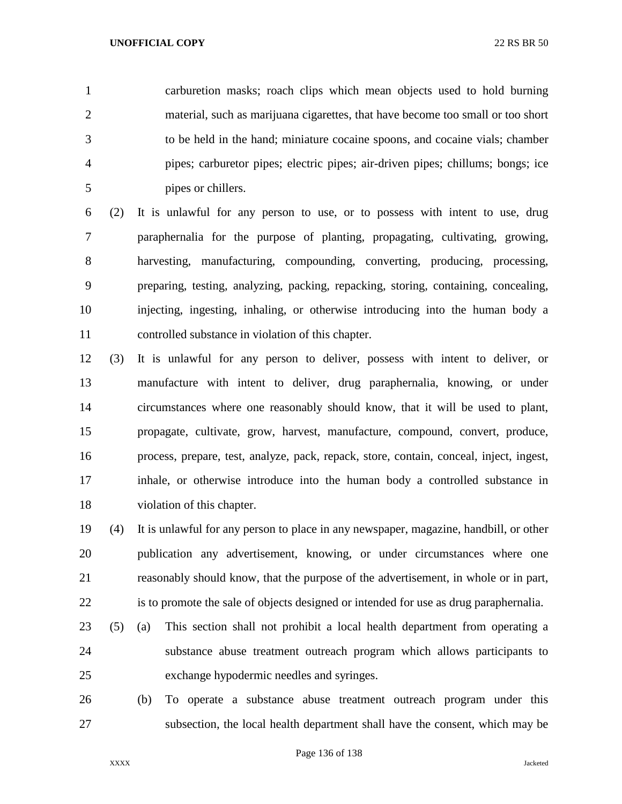carburetion masks; roach clips which mean objects used to hold burning material, such as marijuana cigarettes, that have become too small or too short to be held in the hand; miniature cocaine spoons, and cocaine vials; chamber pipes; carburetor pipes; electric pipes; air-driven pipes; chillums; bongs; ice pipes or chillers.

 (2) It is unlawful for any person to use, or to possess with intent to use, drug paraphernalia for the purpose of planting, propagating, cultivating, growing, harvesting, manufacturing, compounding, converting, producing, processing, preparing, testing, analyzing, packing, repacking, storing, containing, concealing, injecting, ingesting, inhaling, or otherwise introducing into the human body a controlled substance in violation of this chapter.

 (3) It is unlawful for any person to deliver, possess with intent to deliver, or manufacture with intent to deliver, drug paraphernalia, knowing, or under circumstances where one reasonably should know, that it will be used to plant, propagate, cultivate, grow, harvest, manufacture, compound, convert, produce, process, prepare, test, analyze, pack, repack, store, contain, conceal, inject, ingest, inhale, or otherwise introduce into the human body a controlled substance in violation of this chapter.

 (4) It is unlawful for any person to place in any newspaper, magazine, handbill, or other publication any advertisement, knowing, or under circumstances where one reasonably should know, that the purpose of the advertisement, in whole or in part, is to promote the sale of objects designed or intended for use as drug paraphernalia.

- (5) (a) This section shall not prohibit a local health department from operating a substance abuse treatment outreach program which allows participants to exchange hypodermic needles and syringes.
- (b) To operate a substance abuse treatment outreach program under this subsection, the local health department shall have the consent, which may be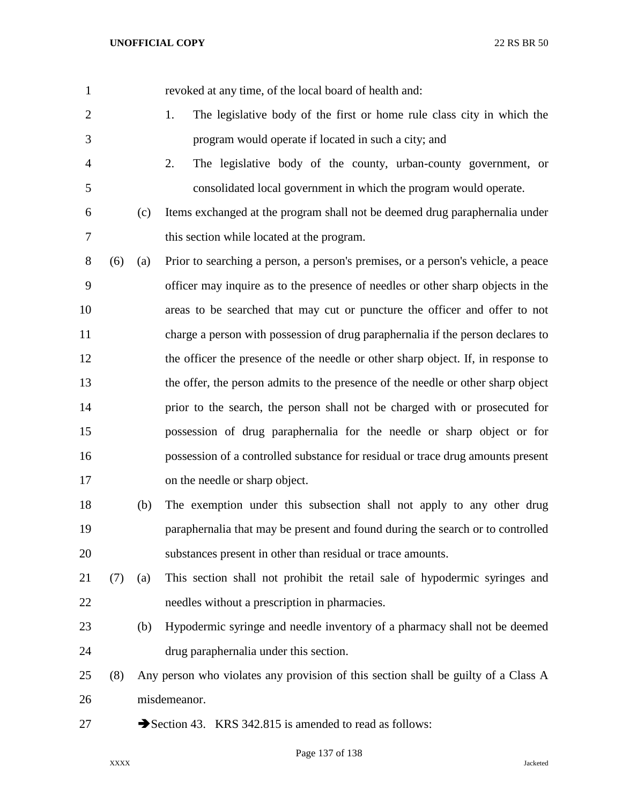revoked at any time, of the local board of health and: 1. The legislative body of the first or home rule class city in which the program would operate if located in such a city; and 2. The legislative body of the county, urban-county government, or consolidated local government in which the program would operate. (c) Items exchanged at the program shall not be deemed drug paraphernalia under this section while located at the program. (6) (a) Prior to searching a person, a person's premises, or a person's vehicle, a peace officer may inquire as to the presence of needles or other sharp objects in the areas to be searched that may cut or puncture the officer and offer to not charge a person with possession of drug paraphernalia if the person declares to the officer the presence of the needle or other sharp object. If, in response to the offer, the person admits to the presence of the needle or other sharp object prior to the search, the person shall not be charged with or prosecuted for possession of drug paraphernalia for the needle or sharp object or for possession of a controlled substance for residual or trace drug amounts present on the needle or sharp object. (b) The exemption under this subsection shall not apply to any other drug paraphernalia that may be present and found during the search or to controlled substances present in other than residual or trace amounts. (7) (a) This section shall not prohibit the retail sale of hypodermic syringes and needles without a prescription in pharmacies. (b) Hypodermic syringe and needle inventory of a pharmacy shall not be deemed drug paraphernalia under this section. (8) Any person who violates any provision of this section shall be guilty of a Class A misdemeanor. 27 Section 43. KRS 342.815 is amended to read as follows: